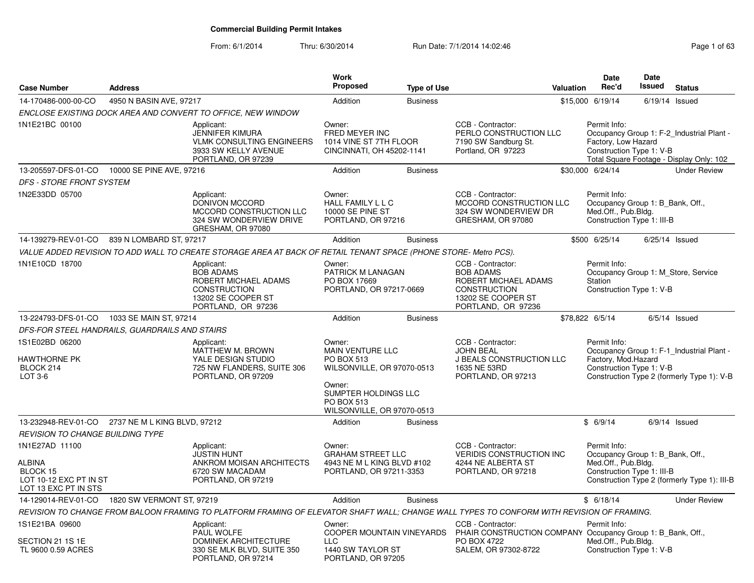| <b>Case Number</b>                                                                            | <b>Address</b>          |                                                                                                                                           | Work<br>Proposed                                                                                                | <b>Type of Use</b> |                                                                                                                                  | <b>Valuation</b> | <b>Date</b><br>Rec'd                                                                                  | <b>Date</b><br>Issued | <b>Status</b>                                                                           |
|-----------------------------------------------------------------------------------------------|-------------------------|-------------------------------------------------------------------------------------------------------------------------------------------|-----------------------------------------------------------------------------------------------------------------|--------------------|----------------------------------------------------------------------------------------------------------------------------------|------------------|-------------------------------------------------------------------------------------------------------|-----------------------|-----------------------------------------------------------------------------------------|
| 14-170486-000-00-CO                                                                           | 4950 N BASIN AVE, 97217 |                                                                                                                                           | Addition                                                                                                        | <b>Business</b>    |                                                                                                                                  |                  | \$15,000 6/19/14                                                                                      |                       | $6/19/14$ Issued                                                                        |
|                                                                                               |                         | ENCLOSE EXISTING DOCK AREA AND CONVERT TO OFFICE, NEW WINDOW                                                                              |                                                                                                                 |                    |                                                                                                                                  |                  |                                                                                                       |                       |                                                                                         |
| 1N1E21BC 00100                                                                                |                         | Applicant:<br>JENNIFER KIMURA<br><b>VLMK CONSULTING ENGINEERS</b><br>3933 SW KELLY AVENUE<br>PORTLAND, OR 97239                           | Owner:<br>FRED MEYER INC<br>1014 VINE ST 7TH FLOOR<br>CINCINNATI, OH 45202-1141                                 |                    | CCB - Contractor:<br>PERLO CONSTRUCTION LLC<br>7190 SW Sandburg St.<br>Portland, OR 97223                                        |                  | Permit Info:<br>Factory, Low Hazard<br>Construction Type 1: V-B                                       |                       | Occupancy Group 1: F-2 Industrial Plant -<br>Total Square Footage - Display Only: 102   |
| 13-205597-DFS-01-CO 10000 SE PINE AVE, 97216                                                  |                         |                                                                                                                                           | Addition                                                                                                        | <b>Business</b>    |                                                                                                                                  |                  | \$30,000 6/24/14                                                                                      |                       | <b>Under Review</b>                                                                     |
| <b>DFS - STORE FRONT SYSTEM</b>                                                               |                         |                                                                                                                                           |                                                                                                                 |                    |                                                                                                                                  |                  |                                                                                                       |                       |                                                                                         |
| 1N2E33DD 05700                                                                                |                         | Applicant:<br>DONIVON MCCORD<br>MCCORD CONSTRUCTION LLC<br>324 SW WONDERVIEW DRIVE<br>GRESHAM, OR 97080                                   | Owner:<br>HALL FAMILY L L C<br>10000 SE PINE ST<br>PORTLAND, OR 97216                                           |                    | CCB - Contractor:<br>MCCORD CONSTRUCTION LLC<br>324 SW WONDERVIEW DR<br>GRESHAM, OR 97080                                        |                  | Permit Info:<br>Occupancy Group 1: B Bank, Off.,<br>Med.Off., Pub.Bldg.<br>Construction Type 1: III-B |                       |                                                                                         |
| 14-139279-REV-01-CO                                                                           | 839 N LOMBARD ST, 97217 |                                                                                                                                           | Addition                                                                                                        | <b>Business</b>    |                                                                                                                                  |                  | \$500 6/25/14                                                                                         |                       | $6/25/14$ Issued                                                                        |
|                                                                                               |                         | VALUE ADDED REVISION TO ADD WALL TO CREATE STORAGE AREA AT BACK OF RETAIL TENANT SPACE (PHONE STORE- Metro PCS).                          |                                                                                                                 |                    |                                                                                                                                  |                  |                                                                                                       |                       |                                                                                         |
| 1N1E10CD 18700                                                                                |                         | Applicant:<br><b>BOB ADAMS</b><br>ROBERT MICHAEL ADAMS<br><b>CONSTRUCTION</b><br>13202 SE COOPER ST<br>PORTLAND, OR 97236                 | Owner:<br>PATRICK M LANAGAN<br>PO BOX 17669<br>PORTLAND, OR 97217-0669                                          |                    | CCB - Contractor:<br><b>BOB ADAMS</b><br>ROBERT MICHAEL ADAMS<br><b>CONSTRUCTION</b><br>13202 SE COOPER ST<br>PORTLAND, OR 97236 |                  | Permit Info:<br>Station<br>Construction Type 1: V-B                                                   |                       | Occupancy Group 1: M Store, Service                                                     |
| 13-224793-DFS-01-CO 1033 SE MAIN ST, 97214                                                    |                         |                                                                                                                                           | Addition                                                                                                        | <b>Business</b>    |                                                                                                                                  |                  | \$78,822 6/5/14                                                                                       |                       | $6/5/14$ Issued                                                                         |
| DFS-FOR STEEL HANDRAILS. GUARDRAILS AND STAIRS                                                |                         |                                                                                                                                           |                                                                                                                 |                    |                                                                                                                                  |                  |                                                                                                       |                       |                                                                                         |
| 1S1E02BD 06200<br><b>HAWTHORNE PK</b><br>BLOCK 214<br>LOT 3-6                                 |                         | Applicant:<br>MATTHEW M. BROWN<br>YALE DESIGN STUDIO<br>725 NW FLANDERS, SUITE 306<br>PORTLAND, OR 97209                                  | Owner:<br><b>MAIN VENTURE LLC</b><br>PO BOX 513<br>WILSONVILLE, OR 97070-0513<br>Owner:<br>SUMPTER HOLDINGS LLC |                    | CCB - Contractor:<br><b>JOHN BEAL</b><br><b>J BEALS CONSTRUCTION LLC</b><br>1635 NE 53RD<br>PORTLAND, OR 97213                   |                  | Permit Info:<br>Factory, Mod.Hazard<br>Construction Type 1: V-B                                       |                       | Occupancy Group 1: F-1 Industrial Plant -<br>Construction Type 2 (formerly Type 1): V-B |
|                                                                                               |                         |                                                                                                                                           | PO BOX 513<br>WILSONVILLE, OR 97070-0513                                                                        |                    |                                                                                                                                  |                  |                                                                                                       |                       |                                                                                         |
| 13-232948-REV-01-CO 2737 NE M L KING BLVD, 97212                                              |                         |                                                                                                                                           | Addition                                                                                                        | <b>Business</b>    |                                                                                                                                  |                  | \$6/9/14                                                                                              |                       | $6/9/14$ Issued                                                                         |
| REVISION TO CHANGE BUILDING TYPE                                                              |                         |                                                                                                                                           |                                                                                                                 |                    |                                                                                                                                  |                  |                                                                                                       |                       |                                                                                         |
| 1N1E27AD 11100<br><b>ALBINA</b><br>BLOCK 15<br>LOT 10-12 EXC PT IN ST<br>LOT 13 EXC PT IN STS |                         | Applicant:<br><b>JUSTIN HUNT</b><br>ANKROM MOISAN ARCHITECTS<br>6720 SW MACADAM<br>PORTLAND, OR 97219                                     | Owner:<br><b>GRAHAM STREET LLC</b><br>4943 NE M L KING BLVD #102<br>PORTLAND, OR 97211-3353                     |                    | CCB - Contractor:<br><b>VERIDIS CONSTRUCTION INC</b><br>4244 NE ALBERTA ST<br>PORTLAND, OR 97218                                 |                  | Permit Info:<br>Occupancy Group 1: B Bank, Off.,<br>Med.Off., Pub.Bldg.<br>Construction Type 1: III-B |                       | Construction Type 2 (formerly Type 1): III-B                                            |
| 14-129014-REV-01-CO  1820 SW VERMONT ST, 97219                                                |                         |                                                                                                                                           | Addition                                                                                                        | <b>Business</b>    |                                                                                                                                  |                  | \$6/18/14                                                                                             |                       | <b>Under Review</b>                                                                     |
|                                                                                               |                         | REVISION TO CHANGE FROM BALOON FRAMING TO PLATFORM FRAMING OF ELEVATOR SHAFT WALL; CHANGE WALL TYPES TO CONFORM WITH REVISION OF FRAMING. |                                                                                                                 |                    |                                                                                                                                  |                  |                                                                                                       |                       |                                                                                         |
| 1S1E21BA 09600<br>SECTION 21 1S 1E<br>TL 9600 0.59 ACRES                                      |                         | Applicant:<br>PAUL WOLFE<br>DOMINEK ARCHITECTURE<br>330 SE MLK BLVD, SUITE 350                                                            | Owner:<br>COOPER MOUNTAIN VINEYARDS<br><b>LLC</b><br>1440 SW TAYLOR ST                                          |                    | CCB - Contractor:<br>PHAIR CONSTRUCTION COMPANY Occupancy Group 1: B_Bank, Off.,<br>PO BOX 4722<br>SALEM, OR 97302-8722          |                  | Permit Info:<br>Med.Off., Pub.Bldg.<br>Construction Type 1: V-B                                       |                       |                                                                                         |
|                                                                                               |                         | PORTLAND, OR 97214                                                                                                                        | PORTLAND, OR 97205                                                                                              |                    |                                                                                                                                  |                  |                                                                                                       |                       |                                                                                         |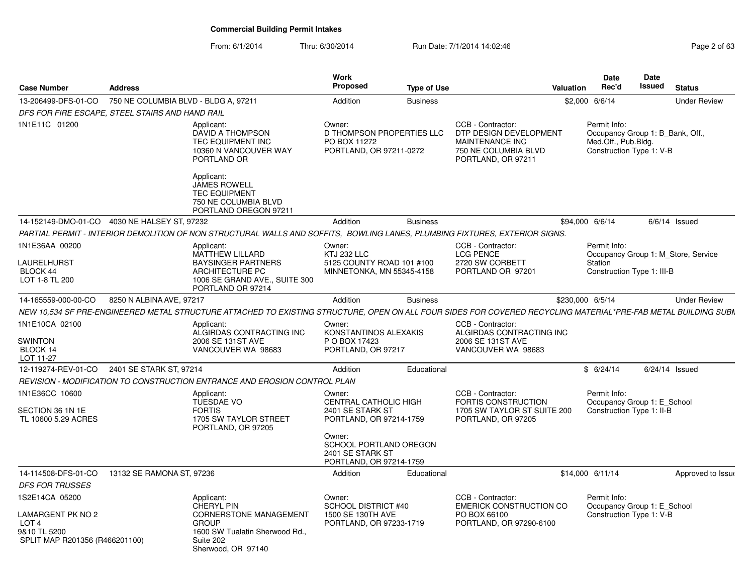From: 6/1/2014Thru: 6/30/2014 Run Date: 7/1/2014 14:02:46

| Page 2 of 63 |  |  |
|--------------|--|--|
|--------------|--|--|

| <b>Case Number</b>                                                 | <b>Address</b>                       |                                                                                                                                                                | <b>Work</b><br><b>Proposed</b>                                                        | <b>Type of Use</b> |                                                                                                              | <b>Valuation</b> | <b>Date</b><br>Rec'd                                                                                | Date<br>Issued | <b>Status</b>                       |
|--------------------------------------------------------------------|--------------------------------------|----------------------------------------------------------------------------------------------------------------------------------------------------------------|---------------------------------------------------------------------------------------|--------------------|--------------------------------------------------------------------------------------------------------------|------------------|-----------------------------------------------------------------------------------------------------|----------------|-------------------------------------|
| 13-206499-DFS-01-CO                                                | 750 NE COLUMBIA BLVD - BLDG A, 97211 |                                                                                                                                                                | Addition                                                                              | <b>Business</b>    |                                                                                                              |                  | \$2,000 6/6/14                                                                                      |                | <b>Under Review</b>                 |
| DFS FOR FIRE ESCAPE, STEEL STAIRS AND HAND RAIL                    |                                      |                                                                                                                                                                |                                                                                       |                    |                                                                                                              |                  |                                                                                                     |                |                                     |
| 1N1E11C 01200                                                      |                                      | Applicant:<br>DAVID A THOMPSON<br>TEC EQUIPMENT INC<br>10360 N VANCOUVER WAY<br>PORTLAND OR                                                                    | Owner:<br>D THOMPSON PROPERTIES LLC<br>PO BOX 11272<br>PORTLAND, OR 97211-0272        |                    | CCB - Contractor:<br>DTP DESIGN DEVELOPMENT<br>MAINTENANCE INC<br>750 NE COLUMBIA BLVD<br>PORTLAND, OR 97211 |                  | Permit Info:<br>Occupancy Group 1: B Bank, Off.,<br>Med.Off., Pub.Bldg.<br>Construction Type 1: V-B |                |                                     |
|                                                                    |                                      | Applicant:<br>JAMES ROWELL<br><b>TEC EQUIPMENT</b><br>750 NE COLUMBIA BLVD<br>PORTLAND OREGON 97211                                                            |                                                                                       |                    |                                                                                                              |                  |                                                                                                     |                |                                     |
| 14-152149-DMO-01-CO 4030 NE HALSEY ST, 97232                       |                                      |                                                                                                                                                                | Addition                                                                              | <b>Business</b>    |                                                                                                              | \$94,000 6/6/14  |                                                                                                     |                | $6/6/14$ Issued                     |
|                                                                    |                                      | PARTIAL PERMIT - INTERIOR DEMOLITION OF NON STRUCTURAL WALLS AND SOFFITS, BOWLING LANES, PLUMBING FIXTURES, EXTERIOR SIGNS.                                    |                                                                                       |                    |                                                                                                              |                  |                                                                                                     |                |                                     |
| 1N1E36AA 00200<br>LAURELHURST<br><b>BLOCK 44</b><br>LOT 1-8 TL 200 |                                      | Applicant:<br><b>MATTHEW LILLARD</b><br><b>BAYSINGER PARTNERS</b><br>ARCHITECTURE PC<br>1006 SE GRAND AVE., SUITE 300<br>PORTLAND OR 97214                     | Owner:<br>KTJ 232 LLC<br>5125 COUNTY ROAD 101 #100<br>MINNETONKA, MN 55345-4158       |                    | CCB - Contractor:<br><b>LCG PENCE</b><br>2720 SW CORBETT<br>PORTLAND OR 97201                                |                  | Permit Info:<br>Station<br>Construction Type 1: III-B                                               |                | Occupancy Group 1: M Store, Service |
| 14-165559-000-00-CO                                                | 8250 N ALBINA AVE, 97217             |                                                                                                                                                                | Addition                                                                              | <b>Business</b>    |                                                                                                              | \$230,000 6/5/14 |                                                                                                     |                | <b>Under Review</b>                 |
|                                                                    |                                      | NEW 10.534 SF PRE-ENGINEERED METAL STRUCTURE ATTACHED TO EXISTING STRUCTURE, OPEN ON ALL FOUR SIDES FOR COVERED RECYCLING MATERIAL*PRE-FAB METAL BUILDING SUBN |                                                                                       |                    |                                                                                                              |                  |                                                                                                     |                |                                     |
| 1N1E10CA 02100<br><b>SWINTON</b><br>BLOCK 14<br>LOT 11-27          |                                      | Applicant:<br>ALGIRDAS CONTRACTING INC<br>2006 SE 131ST AVE<br>VANCOUVER WA 98683                                                                              | Owner:<br>KONSTANTINOS ALEXAKIS<br>P O BOX 17423<br>PORTLAND, OR 97217                |                    | CCB - Contractor:<br>ALGIRDAS CONTRACTING INC<br>2006 SE 131ST AVE<br>VANCOUVER WA 98683                     |                  |                                                                                                     |                |                                     |
| 12-119274-REV-01-CO                                                | 2401 SE STARK ST, 97214              |                                                                                                                                                                | Addition                                                                              | Educational        |                                                                                                              |                  | \$6/24/14                                                                                           | 6/24/14 Issued |                                     |
|                                                                    |                                      | REVISION - MODIFICATION TO CONSTRUCTION ENTRANCE AND EROSION CONTROL PLAN                                                                                      |                                                                                       |                    |                                                                                                              |                  |                                                                                                     |                |                                     |
| 1N1E36CC 10600<br>SECTION 36 1N 1E<br>TL 10600 5.29 ACRES          |                                      | Applicant:<br>TUESDAE VO<br><b>FORTIS</b><br>1705 SW TAYLOR STREET<br>PORTLAND, OR 97205                                                                       | Owner:<br><b>CENTRAL CATHOLIC HIGH</b><br>2401 SE STARK ST<br>PORTLAND, OR 97214-1759 |                    | CCB - Contractor:<br>FORTIS CONSTRUCTION<br>1705 SW TAYLOR ST SUITE 200<br>PORTLAND, OR 97205                |                  | Permit Info:<br>Occupancy Group 1: E School<br>Construction Type 1: II-B                            |                |                                     |
|                                                                    |                                      |                                                                                                                                                                | Owner:<br>SCHOOL PORTLAND OREGON<br>2401 SE STARK ST<br>PORTLAND, OR 97214-1759       |                    |                                                                                                              |                  |                                                                                                     |                |                                     |
| 14-114508-DFS-01-CO                                                | 13132 SE RAMONA ST, 97236            |                                                                                                                                                                | Addition                                                                              | Educational        |                                                                                                              |                  | \$14,000 6/11/14                                                                                    |                | Approved to Issue                   |
| <b>DFS FOR TRUSSES</b>                                             |                                      |                                                                                                                                                                |                                                                                       |                    |                                                                                                              |                  |                                                                                                     |                |                                     |
| 1S2E14CA 05200<br>LAMARGENT PK NO 2                                |                                      | Applicant:<br><b>CHERYL PIN</b><br><b>CORNERSTONE MANAGEMENT</b>                                                                                               | Owner:<br>SCHOOL DISTRICT #40<br>1500 SE 130TH AVE                                    |                    | CCB - Contractor:<br><b>EMERICK CONSTRUCTION CO</b><br>PO BOX 66100                                          |                  | Permit Info:<br>Occupancy Group 1: E School<br>Construction Type 1: V-B                             |                |                                     |
| LOT <sub>4</sub><br>9&10 TL 5200<br>SPLIT MAP R201356 (R466201100) |                                      | <b>GROUP</b><br>1600 SW Tualatin Sherwood Rd.,<br>Suite 202<br>Sherwood, OR 97140                                                                              | PORTLAND, OR 97233-1719                                                               |                    | PORTLAND, OR 97290-6100                                                                                      |                  |                                                                                                     |                |                                     |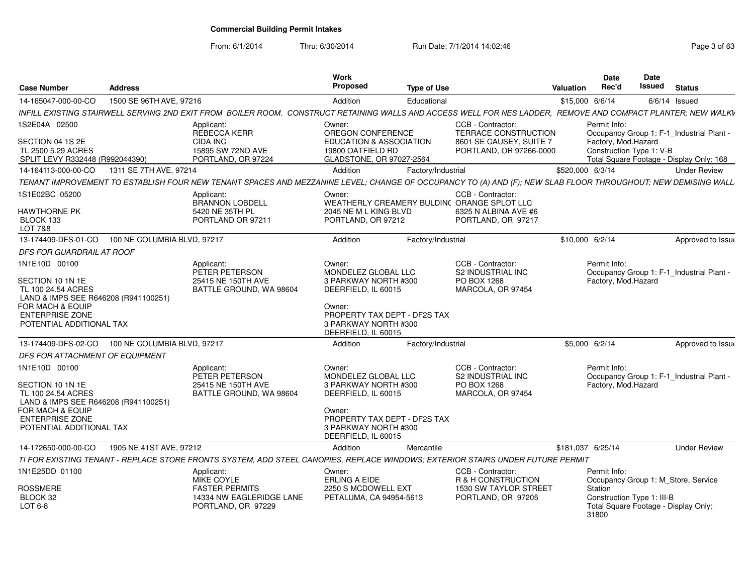From: 6/1/2014

|                                                            |                             |                                                                                                                                                              | Work                                                    |                    |                                                        |                   | <b>Date</b>                                                      | <b>Date</b>     |               |                     |
|------------------------------------------------------------|-----------------------------|--------------------------------------------------------------------------------------------------------------------------------------------------------------|---------------------------------------------------------|--------------------|--------------------------------------------------------|-------------------|------------------------------------------------------------------|-----------------|---------------|---------------------|
| <b>Case Number</b>                                         | <b>Address</b>              |                                                                                                                                                              | Proposed                                                | <b>Type of Use</b> |                                                        | Valuation         | Rec'd                                                            | Issued          | <b>Status</b> |                     |
| 14-165047-000-00-CO                                        | 1500 SE 96TH AVE, 97216     |                                                                                                                                                              | Addition                                                | Educational        |                                                        | \$15,000 6/6/14   |                                                                  | $6/6/14$ Issued |               |                     |
|                                                            |                             | INFILL EXISTING STAIRWELL SERVING 2ND EXIT FROM BOILER ROOM. CONSTRUCT RETAINING WALLS AND ACCESS WELL FOR NES LADDER, REMOVE AND COMPACT PLANTER; NEW WALKV |                                                         |                    |                                                        |                   |                                                                  |                 |               |                     |
| 1S2E04A 02500                                              |                             | Applicant:                                                                                                                                                   | Owner:                                                  |                    | CCB - Contractor:                                      |                   | Permit Info:                                                     |                 |               |                     |
| SECTION 04 1S 2E                                           |                             | REBECCA KERR<br>CIDA INC                                                                                                                                     | OREGON CONFERENCE<br><b>EDUCATION &amp; ASSOCIATION</b> |                    | <b>TERRACE CONSTRUCTION</b><br>8601 SE CAUSEY, SUITE 7 |                   | Occupancy Group 1: F-1_Industrial Plant -<br>Factory, Mod.Hazard |                 |               |                     |
| TL 2500 5.29 ACRES                                         |                             | 15895 SW 72ND AVE                                                                                                                                            | 19800 OATFIELD RD                                       |                    | PORTLAND, OR 97266-0000                                |                   | Construction Type 1: V-B                                         |                 |               |                     |
| SPLIT LEVY R332448 (R992044390)                            |                             | PORTLAND, OR 97224                                                                                                                                           | GLADSTONE, OR 97027-2564                                |                    |                                                        |                   | Total Square Footage - Display Only: 168                         |                 |               |                     |
| 14-164113-000-00-CO                                        | 1311 SE 7TH AVE, 97214      |                                                                                                                                                              | Addition                                                | Factory/Industrial |                                                        | \$520,000 6/3/14  |                                                                  |                 |               | <b>Under Review</b> |
|                                                            |                             | TENANT IMPROVEMENT TO ESTABLISH FOUR NEW TENANT SPACES AND MEZZANINE LEVEL; CHANGE OF OCCUPANCY TO (A) AND (F); NEW SLAB FLOOR THROUGHOUT; NEW DEMISING WALL |                                                         |                    |                                                        |                   |                                                                  |                 |               |                     |
| 1S1E02BC 05200                                             |                             | Applicant:                                                                                                                                                   | Owner:                                                  |                    | CCB - Contractor:                                      |                   |                                                                  |                 |               |                     |
|                                                            |                             | <b>BRANNON LOBDELL</b>                                                                                                                                       |                                                         |                    | WEATHERLY CREAMERY BULDIN( ORANGE SPLOT LLC            |                   |                                                                  |                 |               |                     |
| <b>HAWTHORNE PK</b>                                        |                             | 5420 NE 35TH PL<br>PORTLAND OR 97211                                                                                                                         | 2045 NE M L KING BLVD                                   |                    | 6325 N ALBINA AVE #6                                   |                   |                                                                  |                 |               |                     |
| BLOCK 133<br>LOT 7&8                                       |                             |                                                                                                                                                              | PORTLAND, OR 97212                                      |                    | PORTLAND, OR 97217                                     |                   |                                                                  |                 |               |                     |
| 13-174409-DFS-01-CO                                        | 100 NE COLUMBIA BLVD, 97217 |                                                                                                                                                              | Addition                                                | Factory/Industrial |                                                        | \$10,000 6/2/14   |                                                                  |                 |               | Approved to Issue   |
| <b>DFS FOR GUARDRAIL AT ROOF</b>                           |                             |                                                                                                                                                              |                                                         |                    |                                                        |                   |                                                                  |                 |               |                     |
| 1N1E10D 00100                                              |                             | Applicant:                                                                                                                                                   | Owner:                                                  |                    | CCB - Contractor:                                      |                   | Permit Info:                                                     |                 |               |                     |
|                                                            |                             | PETER PETERSON                                                                                                                                               | MONDELEZ GLOBAL LLC                                     |                    | <b>S2 INDUSTRIAL INC</b>                               |                   | Occupancy Group 1: F-1_Industrial Plant -                        |                 |               |                     |
| SECTION 10 1N 1E                                           |                             | 25415 NE 150TH AVE                                                                                                                                           | 3 PARKWAY NORTH #300                                    |                    | PO BOX 1268                                            |                   | Factory, Mod.Hazard                                              |                 |               |                     |
| TL 100 24.54 ACRES                                         |                             | BATTLE GROUND. WA 98604                                                                                                                                      | DEERFIELD, IL 60015                                     |                    | MARCOLA, OR 97454                                      |                   |                                                                  |                 |               |                     |
| LAND & IMPS SEE R646208 (R941100251)<br>FOR MACH & EQUIP   |                             |                                                                                                                                                              | Owner:                                                  |                    |                                                        |                   |                                                                  |                 |               |                     |
| <b>ENTERPRISE ZONE</b>                                     |                             |                                                                                                                                                              | PROPERTY TAX DEPT - DF2S TAX                            |                    |                                                        |                   |                                                                  |                 |               |                     |
| POTENTIAL ADDITIONAL TAX                                   |                             |                                                                                                                                                              | 3 PARKWAY NORTH #300                                    |                    |                                                        |                   |                                                                  |                 |               |                     |
|                                                            |                             |                                                                                                                                                              | DEERFIELD, IL 60015                                     |                    |                                                        |                   |                                                                  |                 |               |                     |
| 13-174409-DFS-02-CO 100 NE COLUMBIA BLVD, 97217            |                             |                                                                                                                                                              | Addition                                                | Factory/Industrial |                                                        |                   | \$5,000 6/2/14                                                   |                 |               | Approved to Issue   |
| DFS FOR ATTACHMENT OF EQUIPMENT                            |                             |                                                                                                                                                              |                                                         |                    |                                                        |                   |                                                                  |                 |               |                     |
| 1N1E10D 00100                                              |                             | Applicant:                                                                                                                                                   | Owner:                                                  |                    | CCB - Contractor:                                      |                   | Permit Info:                                                     |                 |               |                     |
|                                                            |                             | PETER PETERSON                                                                                                                                               | MONDELEZ GLOBAL LLC                                     |                    | <b>S2 INDUSTRIAL INC</b>                               |                   | Occupancy Group 1: F-1_Industrial Plant -                        |                 |               |                     |
| SECTION 10 1N 1E                                           |                             | 25415 NE 150TH AVE                                                                                                                                           | 3 PARKWAY NORTH #300                                    |                    | PO BOX 1268<br>MARCOLA, OR 97454                       |                   | Factory, Mod.Hazard                                              |                 |               |                     |
| TL 100 24.54 ACRES<br>LAND & IMPS SEE R646208 (R941100251) |                             | BATTLE GROUND, WA 98604                                                                                                                                      | DEERFIELD, IL 60015                                     |                    |                                                        |                   |                                                                  |                 |               |                     |
| FOR MACH & EQUIP                                           |                             |                                                                                                                                                              | Owner:                                                  |                    |                                                        |                   |                                                                  |                 |               |                     |
| <b>ENTERPRISE ZONE</b>                                     |                             |                                                                                                                                                              | PROPERTY TAX DEPT - DF2S TAX                            |                    |                                                        |                   |                                                                  |                 |               |                     |
| POTENTIAL ADDITIONAL TAX                                   |                             |                                                                                                                                                              | 3 PARKWAY NORTH #300                                    |                    |                                                        |                   |                                                                  |                 |               |                     |
|                                                            |                             |                                                                                                                                                              | DEERFIELD. IL 60015                                     |                    |                                                        |                   |                                                                  |                 |               |                     |
| 14-172650-000-00-CO                                        | 1905 NE 41ST AVE, 97212     |                                                                                                                                                              | Addition                                                | Mercantile         |                                                        | \$181,037 6/25/14 |                                                                  |                 |               | <b>Under Review</b> |
|                                                            |                             | TI FOR EXISTING TENANT - REPLACE STORE FRONTS SYSTEM, ADD STEEL CANOPIES, REPLACE WINDOWS; EXTERIOR STAIRS UNDER FUTURE PERMIT                               |                                                         |                    |                                                        |                   |                                                                  |                 |               |                     |
| 1N1E25DD 01100                                             |                             | Applicant:                                                                                                                                                   | Owner:                                                  |                    | CCB - Contractor:                                      |                   | Permit Info:                                                     |                 |               |                     |
| <b>ROSSMERE</b>                                            |                             | MIKE COYLE<br><b>FASTER PERMITS</b>                                                                                                                          | <b>ERLING A EIDE</b><br>2250 S MCDOWELL EXT             |                    | R & H CONSTRUCTION<br>1530 SW TAYLOR STREET            |                   | Occupancy Group 1: M Store, Service<br>Station                   |                 |               |                     |
| BLOCK 32                                                   |                             | 14334 NW EAGLERIDGE LANE                                                                                                                                     | PETALUMA, CA 94954-5613                                 |                    | PORTLAND, OR 97205                                     |                   | Construction Type 1: III-B                                       |                 |               |                     |
| LOT 6-8                                                    |                             | PORTLAND, OR 97229                                                                                                                                           |                                                         |                    |                                                        |                   | Total Square Footage - Display Only:                             |                 |               |                     |
|                                                            |                             |                                                                                                                                                              |                                                         |                    |                                                        |                   | 31800                                                            |                 |               |                     |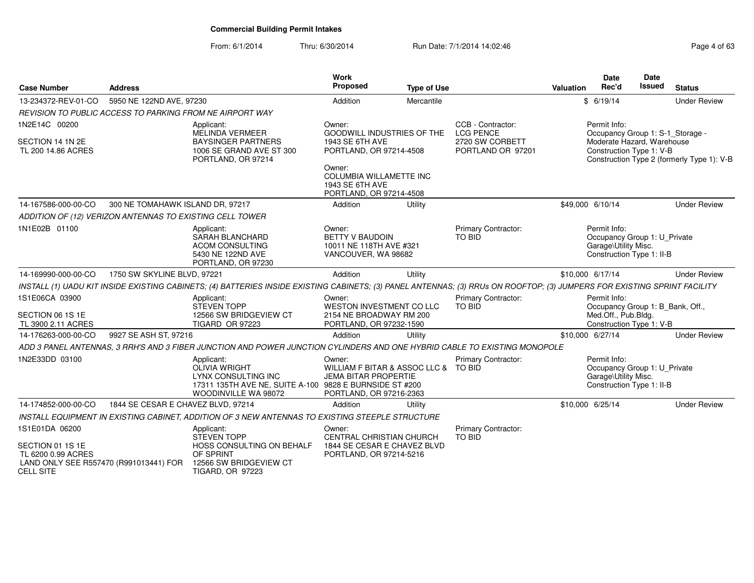| <b>Case Number</b>                                                                                   | <b>Address</b>                     |                                                                                                                                                                          | Work<br>Proposed                                                                       | <b>Type of Use</b>                   |                                       | <b>Valuation</b> | <b>Date</b><br>Rec'd                                                                              | Date<br>Issued | <b>Status</b>                              |
|------------------------------------------------------------------------------------------------------|------------------------------------|--------------------------------------------------------------------------------------------------------------------------------------------------------------------------|----------------------------------------------------------------------------------------|--------------------------------------|---------------------------------------|------------------|---------------------------------------------------------------------------------------------------|----------------|--------------------------------------------|
| 13-234372-REV-01-CO                                                                                  | 5950 NE 122ND AVE, 97230           |                                                                                                                                                                          | Addition                                                                               | Mercantile                           |                                       |                  | \$6/19/14                                                                                         |                | <b>Under Review</b>                        |
|                                                                                                      |                                    | REVISION TO PUBLIC ACCESS TO PARKING FROM NE AIRPORT WAY                                                                                                                 |                                                                                        |                                      |                                       |                  |                                                                                                   |                |                                            |
| 1N2E14C 00200                                                                                        |                                    | Applicant:<br><b>MELINDA VERMEER</b>                                                                                                                                     | Owner:<br><b>GOODWILL INDUSTRIES OF THE</b>                                            |                                      | CCB - Contractor:<br><b>LCG PENCE</b> |                  | Permit Info:<br>Occupancy Group 1: S-1_Storage -                                                  |                |                                            |
| SECTION 14 1N 2E<br>TL 200 14.86 ACRES                                                               |                                    | <b>BAYSINGER PARTNERS</b><br>1006 SE GRAND AVE ST 300<br>PORTLAND, OR 97214                                                                                              | 1943 SE 6TH AVE<br>PORTLAND, OR 97214-4508                                             |                                      | 2720 SW CORBETT<br>PORTLAND OR 97201  |                  | Moderate Hazard, Warehouse<br>Construction Type 1: V-B                                            |                | Construction Type 2 (formerly Type 1): V-B |
|                                                                                                      |                                    |                                                                                                                                                                          | Owner:<br><b>COLUMBIA WILLAMETTE INC</b><br>1943 SE 6TH AVE<br>PORTLAND, OR 97214-4508 |                                      |                                       |                  |                                                                                                   |                |                                            |
| 14-167586-000-00-CO                                                                                  | 300 NE TOMAHAWK ISLAND DR, 97217   |                                                                                                                                                                          | Addition                                                                               | Utility                              |                                       | \$49,000 6/10/14 |                                                                                                   |                | <b>Under Review</b>                        |
| ADDITION OF (12) VERIZON ANTENNAS TO EXISTING CELL TOWER                                             |                                    |                                                                                                                                                                          |                                                                                        |                                      |                                       |                  |                                                                                                   |                |                                            |
| 1N1E02B 01100                                                                                        |                                    | Applicant:<br><b>SARAH BLANCHARD</b><br><b>ACOM CONSULTING</b><br>5430 NE 122ND AVE<br>PORTLAND, OR 97230                                                                | Owner:<br><b>BETTY V BAUDOIN</b><br>10011 NE 118TH AVE #321<br>VANCOUVER, WA 98682     |                                      | Primary Contractor:<br>TO BID         |                  | Permit Info:<br>Occupancy Group 1: U_Private<br>Garage\Utility Misc.<br>Construction Type 1: II-B |                |                                            |
| 14-169990-000-00-CO                                                                                  | 1750 SW SKYLINE BLVD, 97221        |                                                                                                                                                                          | Addition                                                                               | Utility                              |                                       | \$10,000 6/17/14 |                                                                                                   |                | <b>Under Review</b>                        |
|                                                                                                      |                                    | INSTALL (1) UADU KIT INSIDE EXISTING CABINETS; (4) BATTERIES INSIDE EXISTING CABINETS; (3) PANEL ANTENNAS; (3) RRUs ON ROOFTOP; (3) JUMPERS FOR EXISTING SPRINT FACILITY |                                                                                        |                                      |                                       |                  |                                                                                                   |                |                                            |
| 1S1E06CA 03900<br>SECTION 06 1S 1E                                                                   |                                    | Applicant:<br><b>STEVEN TOPP</b>                                                                                                                                         | Owner:<br>WESTON INVESTMENT CO LLC                                                     |                                      | <b>Primary Contractor:</b><br>TO BID  |                  | Permit Info:<br>Occupancy Group 1: B_Bank, Off.,                                                  |                |                                            |
| TL 3900 2.11 ACRES                                                                                   |                                    | 12566 SW BRIDGEVIEW CT<br>TIGARD OR 97223                                                                                                                                | 2154 NE BROADWAY RM 200<br>PORTLAND, OR 97232-1590                                     |                                      |                                       |                  | Med.Off., Pub.Bldg.<br>Construction Type 1: V-B                                                   |                |                                            |
| 14-176263-000-00-CO                                                                                  | 9927 SE ASH ST, 97216              |                                                                                                                                                                          | Addition                                                                               | Utility                              |                                       | \$10,000 6/27/14 |                                                                                                   |                | <b>Under Review</b>                        |
|                                                                                                      |                                    | ADD 3 PANEL ANTENNAS, 3 RRH'S AND 3 FIBER JUNCTION AND POWER JUNCTION CYLINDERS AND ONE HYBRID CABLE TO EXISTING MONOPOLE                                                |                                                                                        |                                      |                                       |                  |                                                                                                   |                |                                            |
| 1N2E33DD 03100                                                                                       |                                    | Applicant:<br>OLIVIA WRIGHT<br>LYNX CONSULTING INC<br>17311 135TH AVE NE, SUITE A-100 9828 E BURNSIDE ST #200<br>WOODINVILLE WA 98072                                    | Owner:<br><b>JEMA BITAR PROPERTIE</b><br>PORTLAND, OR 97216-2363                       | WILLIAM F BITAR & ASSOC LLC & TO BID | <b>Primary Contractor:</b>            |                  | Permit Info:<br>Occupancy Group 1: U_Private<br>Garage\Utility Misc.<br>Construction Type 1: II-B |                |                                            |
| 14-174852-000-00-CO                                                                                  | 1844 SE CESAR E CHAVEZ BLVD, 97214 |                                                                                                                                                                          | Addition                                                                               | Utility                              |                                       | \$10,000 6/25/14 |                                                                                                   |                | <b>Under Review</b>                        |
|                                                                                                      |                                    | INSTALL EQUIPMENT IN EXISTING CABINET, ADDITION OF 3 NEW ANTENNAS TO EXISTING STEEPLE STRUCTURE                                                                          |                                                                                        |                                      |                                       |                  |                                                                                                   |                |                                            |
| 1S1E01DA 06200                                                                                       |                                    | Applicant:<br><b>STEVEN TOPP</b>                                                                                                                                         | Owner:<br><b>CENTRAL CHRISTIAN CHURCH</b>                                              |                                      | <b>Primary Contractor:</b><br>TO BID  |                  |                                                                                                   |                |                                            |
| SECTION 01 1S 1E<br>TL 6200 0.99 ACRES<br>LAND ONLY SEE R557470 (R991013441) FOR<br><b>CELL SITE</b> |                                    | HOSS CONSULTING ON BEHALF<br>OF SPRINT<br>12566 SW BRIDGEVIEW CT<br><b>TIGARD, OR 97223</b>                                                                              | 1844 SE CESAR E CHAVEZ BLVD<br>PORTLAND, OR 97214-5216                                 |                                      |                                       |                  |                                                                                                   |                |                                            |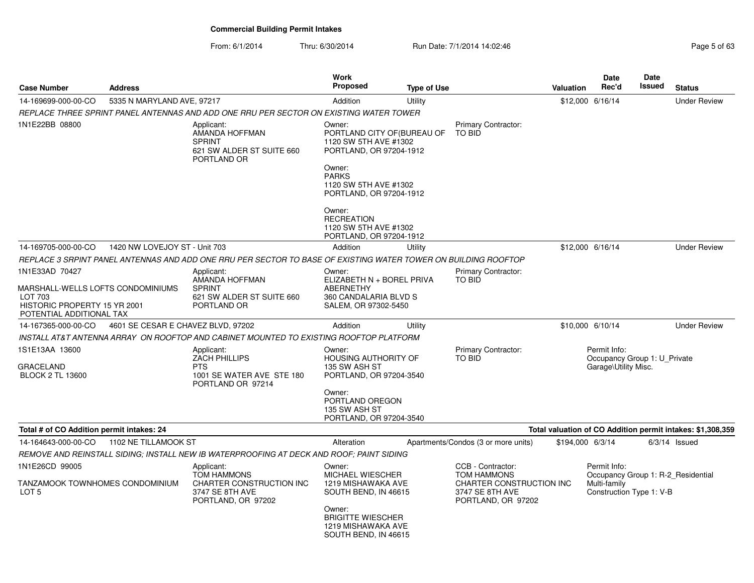| <b>Case Number</b>                                                                                                         | <b>Address</b>                     |                                                                                                                | Work<br>Proposed                                                                                                                                                        | <b>Type of Use</b> |                                                                                                              | Valuation        | Date<br>Rec'd                                                                                  | <b>Date</b><br><b>Issued</b> | <b>Status</b>                                              |
|----------------------------------------------------------------------------------------------------------------------------|------------------------------------|----------------------------------------------------------------------------------------------------------------|-------------------------------------------------------------------------------------------------------------------------------------------------------------------------|--------------------|--------------------------------------------------------------------------------------------------------------|------------------|------------------------------------------------------------------------------------------------|------------------------------|------------------------------------------------------------|
| 14-169699-000-00-CO                                                                                                        | 5335 N MARYLAND AVE, 97217         |                                                                                                                | Addition                                                                                                                                                                | Utility            |                                                                                                              |                  | \$12,000 6/16/14                                                                               |                              | <b>Under Review</b>                                        |
|                                                                                                                            |                                    | REPLACE THREE SPRINT PANEL ANTENNAS AND ADD ONE RRU PER SECTOR ON EXISTING WATER TOWER                         |                                                                                                                                                                         |                    |                                                                                                              |                  |                                                                                                |                              |                                                            |
| 1N1E22BB 08800                                                                                                             |                                    | Applicant:<br>AMANDA HOFFMAN<br><b>SPRINT</b><br>621 SW ALDER ST SUITE 660<br>PORTLAND OR                      | Owner:<br>PORTLAND CITY OF (BUREAU OF<br>1120 SW 5TH AVE #1302<br>PORTLAND, OR 97204-1912<br>Owner:<br><b>PARKS</b><br>1120 SW 5TH AVE #1302<br>PORTLAND, OR 97204-1912 |                    | Primary Contractor:<br><b>TO BID</b>                                                                         |                  |                                                                                                |                              |                                                            |
|                                                                                                                            |                                    |                                                                                                                | Owner:<br><b>RECREATION</b><br>1120 SW 5TH AVE #1302<br>PORTLAND, OR 97204-1912                                                                                         |                    |                                                                                                              |                  |                                                                                                |                              |                                                            |
| 14-169705-000-00-CO                                                                                                        | 1420 NW LOVEJOY ST - Unit 703      |                                                                                                                | Addition                                                                                                                                                                | Utility            |                                                                                                              |                  | \$12,000 6/16/14                                                                               |                              | <b>Under Review</b>                                        |
|                                                                                                                            |                                    | REPLACE 3 SRPINT PANEL ANTENNAS AND ADD ONE RRU PER SECTOR TO BASE OF EXISTING WATER TOWER ON BUILDING ROOFTOP |                                                                                                                                                                         |                    |                                                                                                              |                  |                                                                                                |                              |                                                            |
| 1N1E33AD 70427<br>MARSHALL-WELLS LOFTS CONDOMINIUMS<br>LOT 703<br>HISTORIC PROPERTY 15 YR 2001<br>POTENTIAL ADDITIONAL TAX |                                    | Applicant:<br>AMANDA HOFFMAN<br><b>SPRINT</b><br>621 SW ALDER ST SUITE 660<br>PORTLAND OR                      | Owner:<br>ELIZABETH N + BOREL PRIVA<br><b>ABERNETHY</b><br>360 CANDALARIA BLVD S<br>SALEM, OR 97302-5450                                                                |                    | Primary Contractor:<br>TO BID                                                                                |                  |                                                                                                |                              |                                                            |
| 14-167365-000-00-CO                                                                                                        | 4601 SE CESAR E CHAVEZ BLVD, 97202 |                                                                                                                | Addition                                                                                                                                                                | Utility            |                                                                                                              |                  | \$10,000 6/10/14                                                                               |                              | <b>Under Review</b>                                        |
|                                                                                                                            |                                    | INSTALL AT&T ANTENNA ARRAY  ON ROOFTOP AND CABINET MOUNTED TO EXISTING ROOFTOP PLATFORM                        |                                                                                                                                                                         |                    |                                                                                                              |                  |                                                                                                |                              |                                                            |
| 1S1E13AA 13600<br><b>GRACELAND</b><br><b>BLOCK 2 TL 13600</b>                                                              |                                    | Applicant:<br><b>ZACH PHILLIPS</b><br><b>PTS</b><br>1001 SE WATER AVE STE 180<br>PORTLAND OR 97214             | Owner:<br><b>HOUSING AUTHORITY OF</b><br>135 SW ASH ST<br>PORTLAND, OR 97204-3540<br>Owner:<br>PORTLAND OREGON<br>135 SW ASH ST<br>PORTLAND, OR 97204-3540              |                    | Primary Contractor:<br><b>TO BID</b>                                                                         |                  | Permit Info:<br>Occupancy Group 1: U Private<br>Garage\Utility Misc.                           |                              |                                                            |
| Total # of CO Addition permit intakes: 24                                                                                  |                                    |                                                                                                                |                                                                                                                                                                         |                    |                                                                                                              |                  |                                                                                                |                              | Total valuation of CO Addition permit intakes: \$1,308,359 |
| 14-164643-000-00-CO                                                                                                        | 1102 NE TILLAMOOK ST               |                                                                                                                | Alteration                                                                                                                                                              |                    | Apartments/Condos (3 or more units)                                                                          | \$194,000 6/3/14 |                                                                                                |                              | $6/3/14$ Issued                                            |
|                                                                                                                            |                                    | REMOVE AND REINSTALL SIDING: INSTALL NEW IB WATERPROOFING AT DECK AND ROOF: PAINT SIDING                       |                                                                                                                                                                         |                    |                                                                                                              |                  |                                                                                                |                              |                                                            |
| 1N1E26CD 99005<br>TANZAMOOK TOWNHOMES CONDOMINIUM<br>LOT <sub>5</sub>                                                      |                                    | Applicant:<br><b>TOM HAMMONS</b><br>CHARTER CONSTRUCTION INC<br>3747 SE 8TH AVE<br>PORTLAND, OR 97202          | Owner:<br><b>MICHAEL WIESCHER</b><br>1219 MISHAWAKA AVE<br>SOUTH BEND, IN 46615<br>Owner:<br><b>BRIGITTE WIESCHER</b><br>1219 MISHAWAKA AVE<br>SOUTH BEND, IN 46615     |                    | CCB - Contractor:<br><b>TOM HAMMONS</b><br>CHARTER CONSTRUCTION INC<br>3747 SE 8TH AVE<br>PORTLAND, OR 97202 |                  | Permit Info:<br>Occupancy Group 1: R-2 Residential<br>Multi-family<br>Construction Type 1: V-B |                              |                                                            |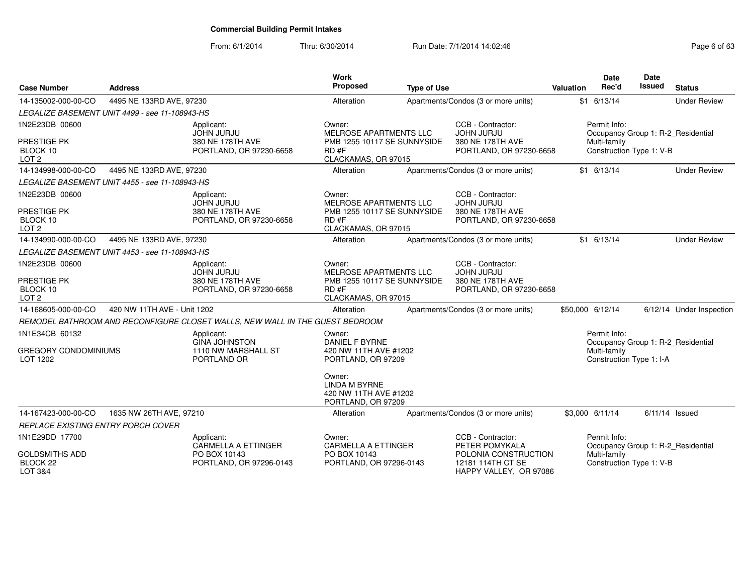| <b>Case Number</b>                                                 | <b>Address</b>                                 |                                                                                | Work<br><b>Proposed</b>                                                                               | <b>Type of Use</b> |                                                                                       | <b>Valuation</b> | <b>Date</b><br>Rec'd                                     | <b>Date</b><br><b>Issued</b> | <b>Status</b>                      |
|--------------------------------------------------------------------|------------------------------------------------|--------------------------------------------------------------------------------|-------------------------------------------------------------------------------------------------------|--------------------|---------------------------------------------------------------------------------------|------------------|----------------------------------------------------------|------------------------------|------------------------------------|
| 14-135002-000-00-CO                                                | 4495 NE 133RD AVE, 97230                       |                                                                                | Alteration                                                                                            |                    | Apartments/Condos (3 or more units)                                                   |                  | $$1$ 6/13/14                                             |                              | <b>Under Review</b>                |
|                                                                    | LEGALIZE BASEMENT UNIT 4499 - see 11-108943-HS |                                                                                |                                                                                                       |                    |                                                                                       |                  |                                                          |                              |                                    |
| 1N2E23DB 00600                                                     |                                                | Applicant:<br><b>JOHN JURJU</b>                                                | Owner:<br><b>MELROSE APARTMENTS LLC</b>                                                               |                    | CCB - Contractor:<br><b>JOHN JURJU</b>                                                |                  | Permit Info:                                             |                              | Occupancy Group 1: R-2_Residential |
| PRESTIGE PK<br>BLOCK 10<br>LOT <sub>2</sub>                        |                                                | 380 NE 178TH AVE<br>PORTLAND, OR 97230-6658                                    | PMB 1255 10117 SE SUNNYSIDE<br>RD#F<br>CLACKAMAS, OR 97015                                            |                    | 380 NE 178TH AVE<br>PORTLAND, OR 97230-6658                                           |                  | Multi-family<br>Construction Type 1: V-B                 |                              |                                    |
| 14-134998-000-00-CO                                                | 4495 NE 133RD AVE, 97230                       |                                                                                | Alteration                                                                                            |                    | Apartments/Condos (3 or more units)                                                   |                  | $$1$ 6/13/14                                             |                              | <b>Under Review</b>                |
|                                                                    | LEGALIZE BASEMENT UNIT 4455 - see 11-108943-HS |                                                                                |                                                                                                       |                    |                                                                                       |                  |                                                          |                              |                                    |
| 1N2E23DB 00600<br>PRESTIGE PK<br>BLOCK 10                          |                                                | Applicant:<br><b>JOHN JURJU</b><br>380 NE 178TH AVE<br>PORTLAND, OR 97230-6658 | Owner:<br><b>MELROSE APARTMENTS LLC</b><br>PMB 1255 10117 SE SUNNYSIDE<br>RD#F                        |                    | CCB - Contractor:<br><b>JOHN JURJU</b><br>380 NE 178TH AVE<br>PORTLAND, OR 97230-6658 |                  |                                                          |                              |                                    |
| LOT <sub>2</sub>                                                   |                                                |                                                                                | CLACKAMAS, OR 97015                                                                                   |                    |                                                                                       |                  |                                                          |                              |                                    |
| 14-134990-000-00-CO                                                | 4495 NE 133RD AVE, 97230                       |                                                                                | Alteration                                                                                            |                    | Apartments/Condos (3 or more units)                                                   |                  | $$1$ 6/13/14                                             |                              | <b>Under Review</b>                |
|                                                                    | LEGALIZE BASEMENT UNIT 4453 - see 11-108943-HS |                                                                                |                                                                                                       |                    |                                                                                       |                  |                                                          |                              |                                    |
| 1N2E23DB 00600<br>PRESTIGE PK<br>BLOCK 10<br>LOT <sub>2</sub>      |                                                | Applicant:<br><b>JOHN JURJU</b><br>380 NE 178TH AVE<br>PORTLAND, OR 97230-6658 | Owner:<br><b>MELROSE APARTMENTS LLC</b><br>PMB 1255 10117 SE SUNNYSIDE<br>RD#F<br>CLACKAMAS, OR 97015 |                    | CCB - Contractor:<br><b>JOHN JURJU</b><br>380 NE 178TH AVE<br>PORTLAND, OR 97230-6658 |                  |                                                          |                              |                                    |
| 14-168605-000-00-CO                                                | 420 NW 11TH AVE - Unit 1202                    |                                                                                | Alteration                                                                                            |                    | Apartments/Condos (3 or more units)                                                   |                  | \$50,000 6/12/14                                         |                              | 6/12/14 Under Inspection           |
|                                                                    |                                                | REMODEL BATHROOM AND RECONFIGURE CLOSET WALLS, NEW WALL IN THE GUEST BEDROOM   |                                                                                                       |                    |                                                                                       |                  |                                                          |                              |                                    |
| 1N1E34CB 60132<br><b>GREGORY CONDOMINIUMS</b><br>LOT 1202          |                                                | Applicant:<br><b>GINA JOHNSTON</b><br>1110 NW MARSHALL ST<br>PORTLAND OR       | Owner:<br>DANIEL F BYRNE<br>420 NW 11TH AVE #1202<br>PORTLAND, OR 97209                               |                    |                                                                                       |                  | Permit Info:<br>Multi-family<br>Construction Type 1: I-A |                              | Occupancy Group 1: R-2_Residential |
|                                                                    |                                                |                                                                                | Owner:<br><b>LINDA M BYRNE</b><br>420 NW 11TH AVE #1202<br>PORTLAND, OR 97209                         |                    |                                                                                       |                  |                                                          |                              |                                    |
| 14-167423-000-00-CO                                                | 1635 NW 26TH AVE, 97210                        |                                                                                | Alteration                                                                                            |                    | Apartments/Condos (3 or more units)                                                   |                  | \$3,000 6/11/14                                          |                              | $6/11/14$ Issued                   |
| <b>REPLACE EXISTING ENTRY PORCH COVER</b>                          |                                                |                                                                                |                                                                                                       |                    |                                                                                       |                  |                                                          |                              |                                    |
| 1N1E29DD 17700                                                     |                                                | Applicant:<br><b>CARMELLA A ETTINGER</b>                                       | Owner:<br><b>CARMELLA A ETTINGER</b>                                                                  |                    | CCB - Contractor:<br>PETER POMYKALA                                                   |                  | Permit Info:                                             |                              | Occupancy Group 1: R-2_Residential |
| <b>GOLDSMITHS ADD</b><br>BLOCK <sub>22</sub><br><b>LOT 3&amp;4</b> |                                                | PO BOX 10143<br>PORTLAND, OR 97296-0143                                        | PO BOX 10143<br>PORTLAND, OR 97296-0143                                                               |                    | POLONIA CONSTRUCTION<br>12181 114TH CT SE<br>HAPPY VALLEY, OR 97086                   |                  | Multi-family<br>Construction Type 1: V-B                 |                              |                                    |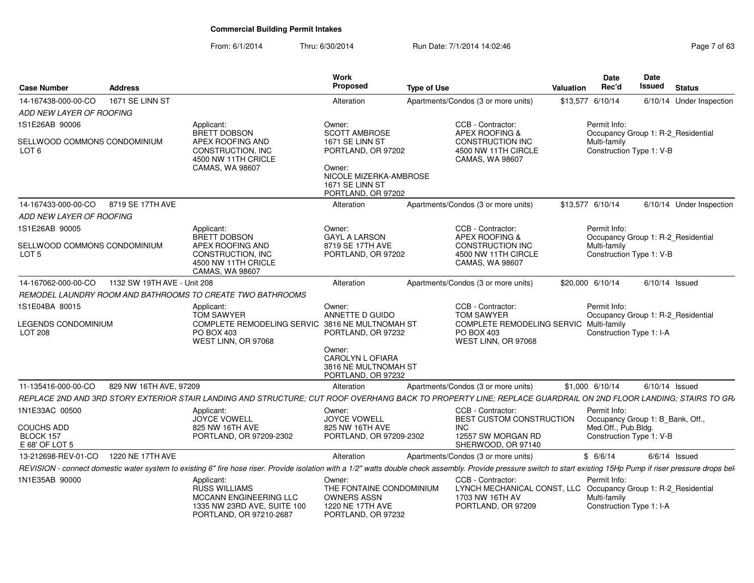| Case Number                                             | Address                     |                                                                                                                         | Work<br>Proposed                                                                                                     | Type of Use                                                                                                                                                                                                          | Valuation | <b>Date</b><br>Rec'd                                     | Date<br>Issued                     | <b>Status</b>            |
|---------------------------------------------------------|-----------------------------|-------------------------------------------------------------------------------------------------------------------------|----------------------------------------------------------------------------------------------------------------------|----------------------------------------------------------------------------------------------------------------------------------------------------------------------------------------------------------------------|-----------|----------------------------------------------------------|------------------------------------|--------------------------|
| 14-167438-000-00-CO                                     | 1671 SE LINN ST             |                                                                                                                         | Alteration                                                                                                           | Apartments/Condos (3 or more units)                                                                                                                                                                                  |           | \$13,577 6/10/14                                         |                                    | 6/10/14 Under Inspection |
| ADD NEW LAYER OF ROOFING                                |                             |                                                                                                                         |                                                                                                                      |                                                                                                                                                                                                                      |           |                                                          |                                    |                          |
| 1S1E26AB 90006                                          |                             | Applicant:                                                                                                              | Owner:                                                                                                               | CCB - Contractor:                                                                                                                                                                                                    |           | Permit Info:                                             |                                    |                          |
| SELLWOOD COMMONS CONDOMINIUM<br>LOT 6                   |                             | <b>BRETT DOBSON</b><br>APEX ROOFING AND<br>CONSTRUCTION, INC<br>4500 NW 11TH CRICLE<br>CAMAS, WA 98607                  | <b>SCOTT AMBROSE</b><br>1671 SE LINN ST<br>PORTLAND, OR 97202<br>Owner:<br>NICOLE MIZERKA-AMBROSE<br>1671 SE LINN ST | APEX ROOFING &<br><b>CONSTRUCTION INC</b><br>4500 NW 11TH CIRCLE<br><b>CAMAS, WA 98607</b>                                                                                                                           |           | Multi-family<br>Construction Type 1: V-B                 | Occupancy Group 1: R-2_Residential |                          |
|                                                         |                             |                                                                                                                         | PORTLAND, OR 97202                                                                                                   |                                                                                                                                                                                                                      |           |                                                          |                                    |                          |
| 14-167433-000-00-CO                                     | 8719 SE 17TH AVE            |                                                                                                                         | Alteration                                                                                                           | Apartments/Condos (3 or more units)                                                                                                                                                                                  |           | \$13.577 6/10/14                                         |                                    | 6/10/14 Under Inspection |
| ADD NEW LAYER OF ROOFING                                |                             |                                                                                                                         |                                                                                                                      |                                                                                                                                                                                                                      |           |                                                          |                                    |                          |
| 1S1E26AB 90005                                          |                             | Applicant:                                                                                                              | Owner:                                                                                                               | CCB - Contractor:                                                                                                                                                                                                    |           | Permit Info:                                             |                                    |                          |
| SELLWOOD COMMONS CONDOMINIUM<br>LOT 5                   |                             | BRETT DOBSON<br>APEX ROOFING AND<br><b>CONSTRUCTION, INC</b><br>4500 NW 11TH CRICLE<br><b>CAMAS, WA 98607</b>           | <b>GAYL A LARSON</b><br>8719 SE 17TH AVE<br>PORTLAND, OR 97202                                                       | APEX ROOFING &<br><b>CONSTRUCTION INC</b><br>4500 NW 11TH CIRCLE<br>CAMAS, WA 98607                                                                                                                                  |           | Multi-family<br>Construction Type 1: V-B                 | Occupancy Group 1: R-2_Residential |                          |
| 14-167062-000-00-CO                                     | 1132 SW 19TH AVE - Unit 208 |                                                                                                                         | Alteration                                                                                                           | Apartments/Condos (3 or more units)                                                                                                                                                                                  |           | \$20,000 6/10/14                                         | $6/10/14$ Issued                   |                          |
|                                                         |                             | REMODEL LAUNDRY ROOM AND BATHROOMS TO CREATE TWO BATHROOMS                                                              |                                                                                                                      |                                                                                                                                                                                                                      |           |                                                          |                                    |                          |
| 1S1E04BA 80015<br>LEGENDS CONDOMINIUM<br><b>LOT 208</b> |                             | Applicant:<br><b>TOM SAWYER</b><br>COMPLETE REMODELING SERVIC 3816 NE MULTNOMAH ST<br>PO BOX 403<br>WEST LINN, OR 97068 | Owner:<br>ANNETTE D GUIDO<br>PORTLAND, OR 97232<br>Owner:<br><b>CAROLYN L OFIARA</b>                                 | CCB - Contractor:<br><b>TOM SAWYER</b><br>COMPLETE REMODELING SERVIC Multi-family<br>PO BOX 403<br>WEST LINN, OR 97068                                                                                               |           | Permit Info:<br>Construction Type 1: I-A                 | Occupancy Group 1: R-2_Residential |                          |
|                                                         |                             |                                                                                                                         | 3816 NE MULTNOMAH ST<br>PORTLAND, OR 97232                                                                           |                                                                                                                                                                                                                      |           |                                                          |                                    |                          |
| 11-135416-000-00-CO                                     | 829 NW 16TH AVE, 97209      |                                                                                                                         | Alteration                                                                                                           | Apartments/Condos (3 or more units)                                                                                                                                                                                  |           | \$1,000 6/10/14                                          | $6/10/14$ Issued                   |                          |
|                                                         |                             |                                                                                                                         |                                                                                                                      | REPLACE 2ND AND 3RD STORY EXTERIOR STAIR LANDING AND STRUCTURE; CUT ROOF OVERHANG BACK TO PROPERTY LINE; REPLACE GUARDRAIL ON 2ND FLOOR LANDING; STAIRS TO GR,                                                       |           |                                                          |                                    |                          |
| 1N1E33AC 00500                                          |                             | Applicant:<br><b>JOYCE VOWELL</b>                                                                                       | Owner:<br>JOYCE VOWELL                                                                                               | CCB - Contractor:<br>BEST CUSTOM CONSTRUCTION                                                                                                                                                                        |           | Permit Info:                                             | Occupancy Group 1: B_Bank, Off.,   |                          |
| COUCHS ADD<br>BLOCK 157<br>E 68' OF LOT 5               |                             | 825 NW 16TH AVE<br>PORTLAND, OR 97209-2302                                                                              | 825 NW 16TH AVE<br>PORTLAND, OR 97209-2302                                                                           | <b>INC</b><br>12557 SW MORGAN RD<br>SHERWOOD, OR 97140                                                                                                                                                               |           | Med.Off., Pub.Bldg.<br>Construction Type 1: V-B          |                                    |                          |
| 13-212698-REV-01-CO 1220 NE 17TH AVE                    |                             |                                                                                                                         | Alteration                                                                                                           | Apartments/Condos (3 or more units)                                                                                                                                                                                  |           | \$6/6/14                                                 | $6/6/14$ Issued                    |                          |
|                                                         |                             |                                                                                                                         |                                                                                                                      | REVISION - connect domestic water system to existing 6" fire hose riser. Provide isolation with a 1/2" watts double check assembly. Provide pressure switch to start existing 15Hp Pump if riser pressure drops beli |           |                                                          |                                    |                          |
| 1N1E35AB 90000                                          |                             | Applicant:<br><b>RUSS WILLIAMS</b><br>MCCANN ENGINEERING LLC<br>1335 NW 23RD AVE, SUITE 100<br>PORTLAND, OR 97210-2687  | Owner:<br>THE FONTAINE CONDOMINIUM<br><b>OWNERS ASSN</b><br>1220 NE 17TH AVE<br>PORTLAND, OR 97232                   | CCB - Contractor:<br>LYNCH MECHANICAL CONST, LLC Occupancy Group 1: R-2_Residential<br>1703 NW 16TH AV<br>PORTLAND, OR 97209                                                                                         |           | Permit Info:<br>Multi-family<br>Construction Type 1: I-A |                                    |                          |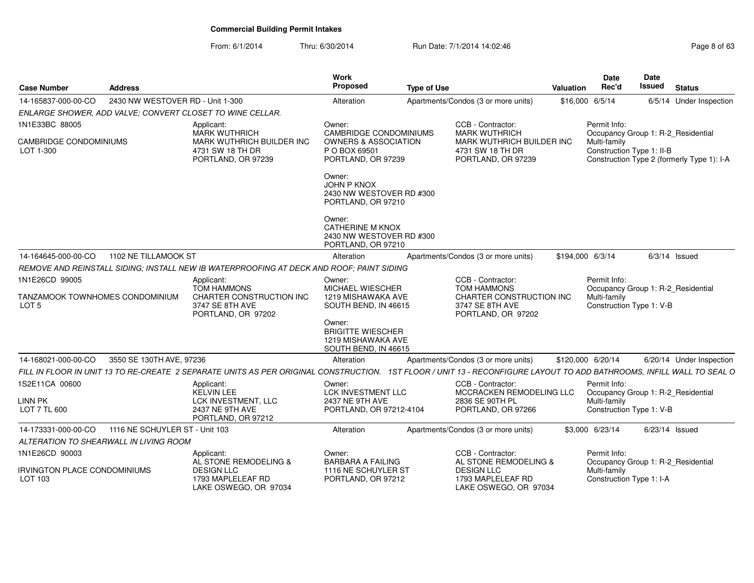| <b>Case Number</b>                                  | <b>Address</b>                   |                                                                                                                                                                       | Work<br>Proposed                                                                                        | <b>Type of Use</b> |                                                                                             | Valuation         | <b>Date</b><br>Rec'd | Date<br>Issued<br><b>Status</b>                                                                               |
|-----------------------------------------------------|----------------------------------|-----------------------------------------------------------------------------------------------------------------------------------------------------------------------|---------------------------------------------------------------------------------------------------------|--------------------|---------------------------------------------------------------------------------------------|-------------------|----------------------|---------------------------------------------------------------------------------------------------------------|
| 14-165837-000-00-CO                                 | 2430 NW WESTOVER RD - Unit 1-300 |                                                                                                                                                                       | Alteration                                                                                              |                    | Apartments/Condos (3 or more units)                                                         | \$16,000 6/5/14   |                      | 6/5/14 Under Inspection                                                                                       |
|                                                     |                                  | ENLARGE SHOWER, ADD VALVE; CONVERT CLOSET TO WINE CELLAR.                                                                                                             |                                                                                                         |                    |                                                                                             |                   |                      |                                                                                                               |
| 1N1E33BC 88005                                      |                                  | Applicant:                                                                                                                                                            | Owner:                                                                                                  |                    | CCB - Contractor:                                                                           |                   | Permit Info:         |                                                                                                               |
| CAMBRIDGE CONDOMINIUMS<br>LOT 1-300                 |                                  | MARK WUTHRICH<br>MARK WUTHRICH BUILDER INC<br>4731 SW 18 TH DR<br>PORTLAND, OR 97239                                                                                  | <b>CAMBRIDGE CONDOMINIUMS</b><br><b>OWNERS &amp; ASSOCIATION</b><br>P O BOX 69501<br>PORTLAND, OR 97239 |                    | <b>MARK WUTHRICH</b><br>MARK WUTHRICH BUILDER INC<br>4731 SW 18 TH DR<br>PORTLAND, OR 97239 |                   | Multi-family         | Occupancy Group 1: R-2_Residential<br>Construction Type 1: II-B<br>Construction Type 2 (formerly Type 1): I-A |
|                                                     |                                  |                                                                                                                                                                       | Owner:<br>JOHN P KNOX<br>2430 NW WESTOVER RD #300<br>PORTLAND, OR 97210                                 |                    |                                                                                             |                   |                      |                                                                                                               |
|                                                     |                                  |                                                                                                                                                                       | Owner:<br>CATHERINE M KNOX<br>2430 NW WESTOVER RD #300<br>PORTLAND, OR 97210                            |                    |                                                                                             |                   |                      |                                                                                                               |
| 14-164645-000-00-CO                                 | 1102 NE TILLAMOOK ST             |                                                                                                                                                                       | Alteration                                                                                              |                    | Apartments/Condos (3 or more units)                                                         | \$194,000 6/3/14  |                      | $6/3/14$ Issued                                                                                               |
|                                                     |                                  | REMOVE AND REINSTALL SIDING: INSTALL NEW IB WATERPROOFING AT DECK AND ROOF: PAINT SIDING                                                                              |                                                                                                         |                    |                                                                                             |                   |                      |                                                                                                               |
| 1N1E26CD 99005                                      |                                  | Applicant:                                                                                                                                                            | Owner:                                                                                                  |                    | CCB - Contractor:                                                                           |                   | Permit Info:         |                                                                                                               |
| TANZAMOOK TOWNHOMES CONDOMINIUM<br>LOT <sub>5</sub> |                                  | TOM HAMMONS<br>CHARTER CONSTRUCTION INC<br>3747 SE 8TH AVE<br>PORTLAND, OR 97202                                                                                      | <b>MICHAEL WIESCHER</b><br>1219 MISHAWAKA AVE<br>SOUTH BEND, IN 46615                                   |                    | <b>TOM HAMMONS</b><br>CHARTER CONSTRUCTION INC<br>3747 SE 8TH AVE<br>PORTLAND, OR 97202     |                   | Multi-family         | Occupancy Group 1: R-2 Residential<br>Construction Type 1: V-B                                                |
|                                                     |                                  |                                                                                                                                                                       | Owner:<br><b>BRIGITTE WIESCHER</b><br>1219 MISHAWAKA AVE<br>SOUTH BEND. IN 46615                        |                    |                                                                                             |                   |                      |                                                                                                               |
| 14-168021-000-00-CO                                 | 3550 SE 130TH AVE, 97236         |                                                                                                                                                                       | Alteration                                                                                              |                    | Apartments/Condos (3 or more units)                                                         | \$120,000 6/20/14 |                      | 6/20/14 Under Inspection                                                                                      |
|                                                     |                                  | FILL IN FLOOR IN UNIT 13 TO RE-CREATE 2 SEPARATE UNITS AS PER ORIGINAL CONSTRUCTION. 1ST FLOOR / UNIT 13 - RECONFIGURE LAYOUT TO ADD BATHROOMS, INFILL WALL TO SEAL O |                                                                                                         |                    |                                                                                             |                   |                      |                                                                                                               |
| 1S2E11CA 00600                                      |                                  | Applicant:<br><b>KELVIN LEE</b>                                                                                                                                       | Owner:<br>LCK INVESTMENT LLC                                                                            |                    | CCB - Contractor<br>MCCRACKEN REMODELING LLC                                                |                   | Permit Info:         | Occupancy Group 1: R-2_Residential                                                                            |
| LINN PK<br>LOT 7 TL 600                             |                                  | LCK INVESTMENT, LLC<br>2437 NE 9TH AVE<br>PORTLAND, OR 97212                                                                                                          | 2437 NE 9TH AVE<br>PORTLAND, OR 97212-4104                                                              |                    | 2836 SE 90TH PL<br>PORTLAND, OR 97266                                                       |                   | Multi-family         | Construction Type 1: V-B                                                                                      |
| 14-173331-000-00-CO                                 | 1116 NE SCHUYLER ST - Unit 103   |                                                                                                                                                                       | Alteration                                                                                              |                    | Apartments/Condos (3 or more units)                                                         | \$3,000 6/23/14   |                      | 6/23/14 Issued                                                                                                |
| ALTERATION TO SHEARWALL IN LIVING ROOM              |                                  |                                                                                                                                                                       |                                                                                                         |                    |                                                                                             |                   |                      |                                                                                                               |
| 1N1E26CD 90003                                      |                                  | Applicant:<br>AL STONE REMODELING &                                                                                                                                   | Owner:<br><b>BARBARA A FAILING</b>                                                                      |                    | CCB - Contractor:<br>AL STONE REMODELING &                                                  |                   | Permit Info:         | Occupancy Group 1: R-2_Residential                                                                            |
| <b>IRVINGTON PLACE CONDOMINIUMS</b><br>LOT 103      |                                  | <b>DESIGN LLC</b><br>1793 MAPLELEAF RD<br>LAKE OSWEGO, OR 97034                                                                                                       | 1116 NE SCHUYLER ST<br>PORTLAND, OR 97212                                                               |                    | <b>DESIGN LLC</b><br>1793 MAPLELEAF RD<br>LAKE OSWEGO, OR 97034                             |                   | Multi-family         | Construction Type 1: I-A                                                                                      |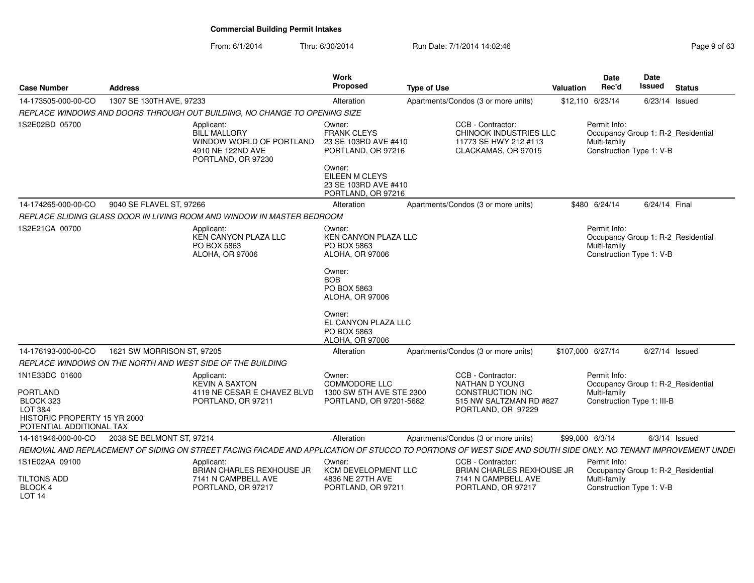| <b>Case Number</b>                                                                                  | <b>Address</b>             |                                                                                                          | Work<br>Proposed                                                               | <b>Type of Use</b>                                                                                                                                            | <b>Valuation</b>  | <b>Date</b><br>Rec'd         | Date<br><b>Issued</b>                                          | <b>Status</b>   |
|-----------------------------------------------------------------------------------------------------|----------------------------|----------------------------------------------------------------------------------------------------------|--------------------------------------------------------------------------------|---------------------------------------------------------------------------------------------------------------------------------------------------------------|-------------------|------------------------------|----------------------------------------------------------------|-----------------|
| 14-173505-000-00-CO                                                                                 | 1307 SE 130TH AVE, 97233   |                                                                                                          | Alteration                                                                     | Apartments/Condos (3 or more units)                                                                                                                           |                   | \$12,110 6/23/14             | 6/23/14 Issued                                                 |                 |
|                                                                                                     |                            | REPLACE WINDOWS AND DOORS THROUGH OUT BUILDING, NO CHANGE TO OPENING SIZE                                |                                                                                |                                                                                                                                                               |                   |                              |                                                                |                 |
| 1S2E02BD 05700                                                                                      |                            | Applicant:<br><b>BILL MALLORY</b><br>WINDOW WORLD OF PORTLAND<br>4910 NE 122ND AVE<br>PORTLAND, OR 97230 | Owner:<br><b>FRANK CLEYS</b><br>23 SE 103RD AVE #410<br>PORTLAND, OR 97216     | CCB - Contractor:<br><b>CHINOOK INDUSTRIES LLC</b><br>11773 SE HWY 212 #113<br>CLACKAMAS, OR 97015                                                            |                   | Permit Info:<br>Multi-family | Occupancy Group 1: R-2_Residential<br>Construction Type 1: V-B |                 |
|                                                                                                     |                            |                                                                                                          | Owner:<br>EILEEN M CLEYS<br>23 SE 103RD AVE #410<br>PORTLAND, OR 97216         |                                                                                                                                                               |                   |                              |                                                                |                 |
| 14-174265-000-00-CO                                                                                 | 9040 SE FLAVEL ST, 97266   |                                                                                                          | Alteration                                                                     | Apartments/Condos (3 or more units)                                                                                                                           |                   | \$480 6/24/14                | 6/24/14 Final                                                  |                 |
|                                                                                                     |                            | REPLACE SLIDING GLASS DOOR IN LIVING ROOM AND WINDOW IN MASTER BEDROOM                                   |                                                                                |                                                                                                                                                               |                   |                              |                                                                |                 |
| 1S2E21CA 00700                                                                                      |                            | Applicant:<br>KEN CANYON PLAZA LLC<br>PO BOX 5863<br>ALOHA, OR 97006                                     | Owner:<br><b>KEN CANYON PLAZA LLC</b><br>PO BOX 5863<br><b>ALOHA, OR 97006</b> |                                                                                                                                                               |                   | Permit Info:<br>Multi-family | Occupancy Group 1: R-2 Residential<br>Construction Type 1: V-B |                 |
|                                                                                                     |                            |                                                                                                          | Owner:<br><b>BOB</b><br>PO BOX 5863<br>ALOHA, OR 97006                         |                                                                                                                                                               |                   |                              |                                                                |                 |
|                                                                                                     |                            |                                                                                                          | Owner:<br>EL CANYON PLAZA LLC<br>PO BOX 5863<br><b>ALOHA, OR 97006</b>         |                                                                                                                                                               |                   |                              |                                                                |                 |
| 14-176193-000-00-CO                                                                                 | 1621 SW MORRISON ST, 97205 |                                                                                                          | Alteration                                                                     | Apartments/Condos (3 or more units)                                                                                                                           | \$107,000 6/27/14 |                              | 6/27/14 Issued                                                 |                 |
|                                                                                                     |                            | REPLACE WINDOWS ON THE NORTH AND WEST SIDE OF THE BUILDING                                               |                                                                                |                                                                                                                                                               |                   |                              |                                                                |                 |
| 1N1E33DC 01600                                                                                      |                            | Applicant:<br><b>KEVIN A SAXTON</b>                                                                      | Owner:<br><b>COMMODORE LLC</b>                                                 | CCB - Contractor:<br><b>NATHAN D YOUNG</b>                                                                                                                    |                   | Permit Info:                 | Occupancy Group 1: R-2 Residential                             |                 |
| <b>PORTLAND</b><br>BLOCK 323<br>LOT 3&4<br>HISTORIC PROPERTY 15 YR 2000<br>POTENTIAL ADDITIONAL TAX |                            | 4119 NE CESAR E CHAVEZ BLVD<br>PORTLAND, OR 97211                                                        | 1300 SW 5TH AVE STE 2300<br>PORTLAND, OR 97201-5682                            | <b>CONSTRUCTION INC</b><br>515 NW SALTZMAN RD #827<br>PORTLAND, OR 97229                                                                                      |                   | Multi-family                 | Construction Type 1: III-B                                     |                 |
| 14-161946-000-00-CO                                                                                 | 2038 SE BELMONT ST, 97214  |                                                                                                          | Alteration                                                                     | Apartments/Condos (3 or more units)                                                                                                                           | \$99,000 6/3/14   |                              |                                                                | $6/3/14$ Issued |
|                                                                                                     |                            |                                                                                                          |                                                                                | REMOVAL AND REPLACEMENT OF SIDING ON STREET FACING FACADE AND APPLICATION OF STUCCO TO PORTIONS OF WEST SIDE AND SOUTH SIDE ONLY. NO TENANT IMPROVEMENT UNDEI |                   |                              |                                                                |                 |
| 1S1E02AA 09100                                                                                      |                            | Applicant:<br>BRIAN CHARLES REXHOUSE JR                                                                  | Owner:<br><b>KCM DEVELOPMENT LLC</b>                                           | CCB - Contractor:<br><b>BRIAN CHARLES REXHOUSE JR</b>                                                                                                         |                   | Permit Info:                 | Occupancy Group 1: R-2_Residential                             |                 |
| <b>TILTONS ADD</b><br><b>BLOCK 4</b><br><b>LOT 14</b>                                               |                            | 7141 N CAMPBELL AVE<br>PORTLAND, OR 97217                                                                | 4836 NE 27TH AVE<br>PORTLAND, OR 97211                                         | 7141 N CAMPBELL AVE<br>PORTLAND, OR 97217                                                                                                                     |                   | Multi-family                 | Construction Type 1: V-B                                       |                 |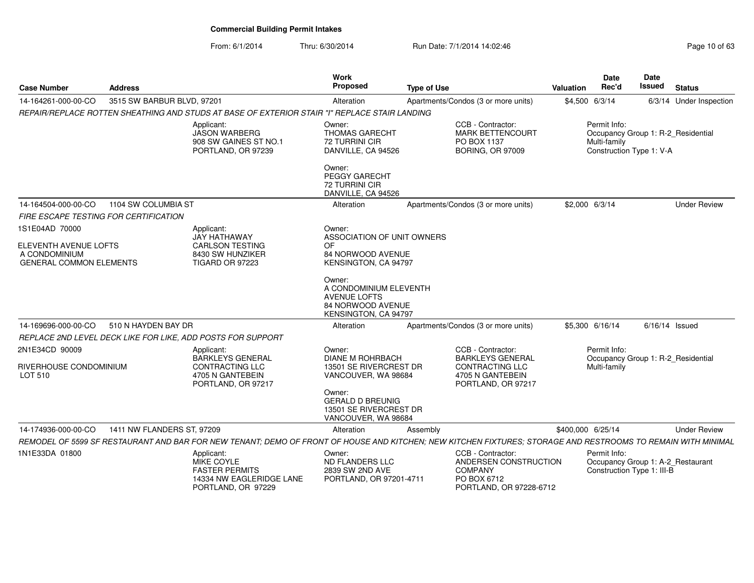| <b>Case Number</b>                              | <b>Address</b>             |                                                                                                                                                              | Work<br><b>Proposed</b>                                                                                                                 | <b>Type of Use</b> |                                                                                                        | <b>Valuation</b>  | <b>Date</b><br>Rec'd         | Date<br>Issued                                                  | <b>Status</b>                      |
|-------------------------------------------------|----------------------------|--------------------------------------------------------------------------------------------------------------------------------------------------------------|-----------------------------------------------------------------------------------------------------------------------------------------|--------------------|--------------------------------------------------------------------------------------------------------|-------------------|------------------------------|-----------------------------------------------------------------|------------------------------------|
| 14-164261-000-00-CO                             | 3515 SW BARBUR BLVD, 97201 |                                                                                                                                                              | Alteration                                                                                                                              |                    | Apartments/Condos (3 or more units)                                                                    | \$4,500 6/3/14    |                              |                                                                 | 6/3/14 Under Inspection            |
|                                                 |                            | REPAIR/REPLACE ROTTEN SHEATHING AND STUDS AT BASE OF EXTERIOR STAIR "I" REPLACE STAIR LANDING                                                                |                                                                                                                                         |                    |                                                                                                        |                   |                              |                                                                 |                                    |
|                                                 |                            | Applicant:<br><b>JASON WARBERG</b><br>908 SW GAINES ST NO.1<br>PORTLAND, OR 97239                                                                            | Owner:<br><b>THOMAS GARECHT</b><br><b>72 TURRINI CIR</b><br>DANVILLE, CA 94526                                                          |                    | CCB - Contractor:<br><b>MARK BETTENCOURT</b><br>PO BOX 1137<br><b>BORING, OR 97009</b>                 |                   | Permit Info:<br>Multi-family | Construction Type 1: V-A                                        | Occupancy Group 1: R-2_Residential |
|                                                 |                            |                                                                                                                                                              | Owner:<br>PEGGY GARECHT<br><b>72 TURRINI CIR</b><br>DANVILLE, CA 94526                                                                  |                    |                                                                                                        |                   |                              |                                                                 |                                    |
| 14-164504-000-00-CO                             | 1104 SW COLUMBIA ST        |                                                                                                                                                              | Alteration                                                                                                                              |                    | Apartments/Condos (3 or more units)                                                                    | \$2,000 6/3/14    |                              |                                                                 | <b>Under Review</b>                |
| FIRE ESCAPE TESTING FOR CERTIFICATION           |                            |                                                                                                                                                              |                                                                                                                                         |                    |                                                                                                        |                   |                              |                                                                 |                                    |
| 1S1E04AD 70000                                  |                            | Applicant:<br>JAY HATHAWAY                                                                                                                                   | Owner:<br>ASSOCIATION OF UNIT OWNERS                                                                                                    |                    |                                                                                                        |                   |                              |                                                                 |                                    |
| ELEVENTH AVENUE LOFTS                           |                            | <b>CARLSON TESTING</b>                                                                                                                                       | OF                                                                                                                                      |                    |                                                                                                        |                   |                              |                                                                 |                                    |
| A CONDOMINIUM<br><b>GENERAL COMMON ELEMENTS</b> |                            | 8430 SW HUNZIKER<br><b>TIGARD OR 97223</b>                                                                                                                   | 84 NORWOOD AVENUE<br>KENSINGTON, CA 94797                                                                                               |                    |                                                                                                        |                   |                              |                                                                 |                                    |
|                                                 |                            |                                                                                                                                                              | Owner:<br>A CONDOMINIUM ELEVENTH<br><b>AVENUE LOFTS</b><br><b>84 NORWOOD AVENUE</b><br>KENSINGTON, CA 94797                             |                    |                                                                                                        |                   |                              |                                                                 |                                    |
| 14-169696-000-00-CO                             | 510 N HAYDEN BAY DR        |                                                                                                                                                              | Alteration                                                                                                                              |                    | Apartments/Condos (3 or more units)                                                                    |                   | \$5,300 6/16/14              | $6/16/14$ Issued                                                |                                    |
|                                                 |                            | REPLACE 2ND LEVEL DECK LIKE FOR LIKE, ADD POSTS FOR SUPPORT                                                                                                  |                                                                                                                                         |                    |                                                                                                        |                   |                              |                                                                 |                                    |
| 2N1E34CD 90009                                  |                            | Applicant:                                                                                                                                                   | Owner:                                                                                                                                  |                    | CCB - Contractor:                                                                                      |                   | Permit Info:                 |                                                                 |                                    |
| RIVERHOUSE CONDOMINIUM<br>LOT 510               |                            | <b>BARKLEYS GENERAL</b><br><b>CONTRACTING LLC</b><br>4705 N GANTEBEIN<br>PORTLAND, OR 97217                                                                  | <b>DIANE M ROHRBACH</b><br>13501 SE RIVERCREST DR<br>VANCOUVER, WA 98684<br>Owner:<br><b>GERALD D BREUNIG</b><br>13501 SE RIVERCREST DR |                    | <b>BARKLEYS GENERAL</b><br><b>CONTRACTING LLC</b><br>4705 N GANTEBEIN<br>PORTLAND, OR 97217            |                   | Multi-family                 |                                                                 | Occupancy Group 1: R-2_Residential |
|                                                 |                            |                                                                                                                                                              | VANCOUVER, WA 98684                                                                                                                     |                    |                                                                                                        |                   |                              |                                                                 |                                    |
| 14-174936-000-00-CO                             | 1411 NW FLANDERS ST, 97209 |                                                                                                                                                              | Alteration                                                                                                                              | Assembly           |                                                                                                        | \$400,000 6/25/14 |                              |                                                                 | <b>Under Review</b>                |
|                                                 |                            | REMODEL OF 5599 SF RESTAURANT AND BAR FOR NEW TENANT; DEMO OF FRONT OF HOUSE AND KITCHEN; NEW KITCHEN FIXTURES; STORAGE AND RESTROOMS TO REMAIN WITH MINIMAL |                                                                                                                                         |                    |                                                                                                        |                   |                              |                                                                 |                                    |
| 1N1E33DA 01800                                  |                            | Applicant:<br>MIKE COYLE<br><b>FASTER PERMITS</b><br>14334 NW EAGLERIDGE LANE<br>PORTLAND, OR 97229                                                          | Owner:<br>ND FLANDERS LLC<br>2839 SW 2ND AVE<br>PORTLAND, OR 97201-4711                                                                 |                    | CCB - Contractor:<br>ANDERSEN CONSTRUCTION<br><b>COMPANY</b><br>PO BOX 6712<br>PORTLAND, OR 97228-6712 |                   | Permit Info:                 | Occupancy Group 1: A-2_Restaurant<br>Construction Type 1: III-B |                                    |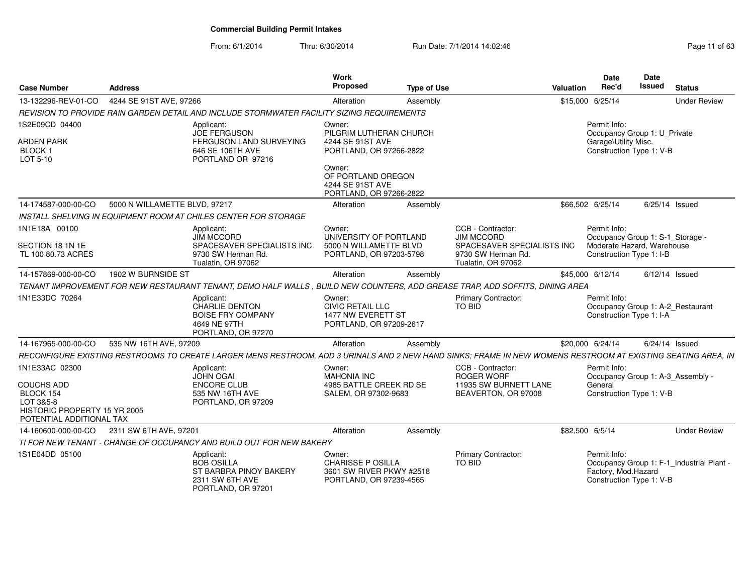| <b>Case Number</b>                                                                                      | <b>Address</b>                |                                                                                                                                                              | <b>Work</b><br>Proposed                                                                   | <b>Type of Use</b> |                                                                        | <b>Valuation</b> | <b>Date</b><br>Rec'd                                             | Date<br><b>Issued</b> | <b>Status</b>                             |
|---------------------------------------------------------------------------------------------------------|-------------------------------|--------------------------------------------------------------------------------------------------------------------------------------------------------------|-------------------------------------------------------------------------------------------|--------------------|------------------------------------------------------------------------|------------------|------------------------------------------------------------------|-----------------------|-------------------------------------------|
| 13-132296-REV-01-CO                                                                                     | 4244 SE 91ST AVE, 97266       |                                                                                                                                                              | Alteration                                                                                | Assembly           |                                                                        |                  | \$15,000 6/25/14                                                 |                       | <b>Under Review</b>                       |
|                                                                                                         |                               | REVISION TO PROVIDE RAIN GARDEN DETAIL AND INCLUDE STORMWATER FACILITY SIZING REQUIREMENTS                                                                   |                                                                                           |                    |                                                                        |                  |                                                                  |                       |                                           |
| 1S2E09CD 04400                                                                                          |                               | Applicant:<br><b>JOE FERGUSON</b>                                                                                                                            | Owner:<br>PILGRIM LUTHERAN CHURCH                                                         |                    |                                                                        |                  | Permit Info:<br>Occupancy Group 1: U_Private                     |                       |                                           |
| <b>ARDEN PARK</b><br><b>BLOCK1</b><br>LOT 5-10                                                          |                               | FERGUSON LAND SURVEYING<br>646 SE 106TH AVE<br>PORTLAND OR 97216                                                                                             | 4244 SE 91ST AVE<br>PORTLAND, OR 97266-2822                                               |                    |                                                                        |                  | Garage\Utility Misc.<br>Construction Type 1: V-B                 |                       |                                           |
|                                                                                                         |                               |                                                                                                                                                              | Owner:<br>OF PORTLAND OREGON<br>4244 SE 91ST AVE<br>PORTLAND, OR 97266-2822               |                    |                                                                        |                  |                                                                  |                       |                                           |
| 14-174587-000-00-CO                                                                                     | 5000 N WILLAMETTE BLVD, 97217 |                                                                                                                                                              | Alteration                                                                                | Assembly           |                                                                        |                  | \$66.502 6/25/14                                                 |                       | 6/25/14 Issued                            |
|                                                                                                         |                               | <b>INSTALL SHELVING IN EQUIPMENT ROOM AT CHILES CENTER FOR STORAGE</b>                                                                                       |                                                                                           |                    |                                                                        |                  |                                                                  |                       |                                           |
| 1N1E18A 00100                                                                                           |                               | Applicant:<br><b>JIM MCCORD</b>                                                                                                                              | Owner:<br>UNIVERSITY OF PORTLAND                                                          |                    | CCB - Contractor:<br><b>JIM MCCORD</b>                                 |                  | Permit Info:<br>Occupancy Group 1: S-1_Storage -                 |                       |                                           |
| SECTION 18 1N 1E<br>TL 100 80.73 ACRES                                                                  |                               | SPACESAVER SPECIALISTS INC<br>9730 SW Herman Rd.<br>Tualatin, OR 97062                                                                                       | 5000 N WILLAMETTE BLVD<br>PORTLAND, OR 97203-5798                                         |                    | SPACESAVER SPECIALISTS INC<br>9730 SW Herman Rd.<br>Tualatin, OR 97062 |                  | Moderate Hazard, Warehouse<br>Construction Type 1: I-B           |                       |                                           |
| 14-157869-000-00-CO                                                                                     | 1902 W BURNSIDE ST            |                                                                                                                                                              | Alteration                                                                                | Assembly           |                                                                        |                  | \$45,000 6/12/14                                                 |                       | $6/12/14$ Issued                          |
|                                                                                                         |                               | TENANT IMPROVEMENT FOR NEW RESTAURANT TENANT, DEMO HALF WALLS, BUILD NEW COUNTERS, ADD GREASE TRAP, ADD SOFFITS, DINING AREA                                 |                                                                                           |                    |                                                                        |                  |                                                                  |                       |                                           |
| 1N1E33DC 70264                                                                                          |                               | Applicant:<br>CHARLIE DENTON<br><b>BOISE FRY COMPANY</b><br>4649 NE 97TH<br>PORTLAND, OR 97270                                                               | Owner:<br><b>CIVIC RETAIL LLC</b><br>1477 NW EVERETT ST<br>PORTLAND, OR 97209-2617        |                    | <b>Primary Contractor:</b><br>TO BID                                   |                  | Permit Info:<br>Construction Type 1: I-A                         |                       | Occupancy Group 1: A-2_Restaurant         |
| 14-167965-000-00-CO                                                                                     | 535 NW 16TH AVE, 97209        |                                                                                                                                                              | Alteration                                                                                | Assembly           |                                                                        |                  | \$20,000 6/24/14                                                 |                       | 6/24/14 Issued                            |
|                                                                                                         |                               | RECONFIGURE EXISTING RESTROOMS TO CREATE LARGER MENS RESTROOM, ADD 3 URINALS AND 2 NEW HAND SINKS; FRAME IN NEW WOMENS RESTROOM AT EXISTING SEATING AREA, IN |                                                                                           |                    |                                                                        |                  |                                                                  |                       |                                           |
| 1N1E33AC 02300                                                                                          |                               | Applicant:<br><b>JOHN OGAI</b>                                                                                                                               | Owner:<br><b>MAHONIA INC</b>                                                              |                    | CCB - Contractor:<br><b>ROGER WORF</b>                                 |                  | Permit Info:                                                     |                       | Occupancy Group 1: A-3 Assembly -         |
| <b>COUCHS ADD</b><br>BLOCK 154<br>LOT 3&5-8<br>HISTORIC PROPERTY 15 YR 2005<br>POTENTIAL ADDITIONAL TAX |                               | ENCORE CLUB<br>535 NW 16TH AVE<br>PORTLAND, OR 97209                                                                                                         | 4985 BATTLE CREEK RD SE<br>SALEM, OR 97302-9683                                           |                    | 11935 SW BURNETT LANE<br>BEAVERTON, OR 97008                           |                  | General<br>Construction Type 1: V-B                              |                       |                                           |
| 14-160600-000-00-CO                                                                                     | 2311 SW 6TH AVE, 97201        |                                                                                                                                                              | Alteration                                                                                | Assembly           |                                                                        |                  | \$82,500 6/5/14                                                  |                       | <b>Under Review</b>                       |
|                                                                                                         |                               | TI FOR NEW TENANT - CHANGE OF OCCUPANCY AND BUILD OUT FOR NEW BAKERY                                                                                         |                                                                                           |                    |                                                                        |                  |                                                                  |                       |                                           |
| 1S1E04DD 05100                                                                                          |                               | Applicant:<br><b>BOB OSILLA</b><br>ST BARBRA PINOY BAKERY<br>2311 SW 6TH AVE<br>PORTLAND, OR 97201                                                           | Owner:<br><b>CHARISSE P OSILLA</b><br>3601 SW RIVER PKWY #2518<br>PORTLAND, OR 97239-4565 |                    | Primary Contractor:<br>TO BID                                          |                  | Permit Info:<br>Factory, Mod. Hazard<br>Construction Type 1: V-B |                       | Occupancy Group 1: F-1_Industrial Plant - |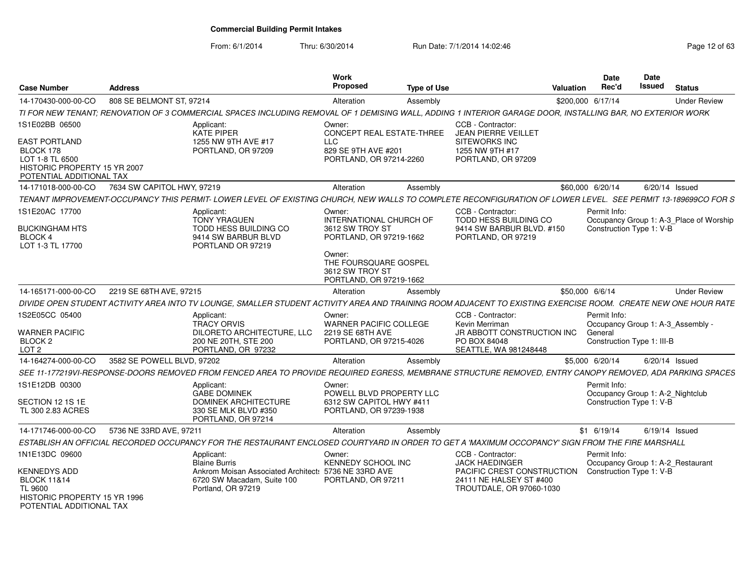From: 6/1/2014

| <b>Case Number</b>                                                                                                   | <b>Address</b>                                                                                                                                                 | Work<br><b>Proposed</b>                                                                                  | <b>Type of Use</b> | Valuation                                                                            |                 | <b>Date</b><br>Rec'd                                  | <b>Date</b><br><b>Issued</b> | <b>Status</b>                           |
|----------------------------------------------------------------------------------------------------------------------|----------------------------------------------------------------------------------------------------------------------------------------------------------------|----------------------------------------------------------------------------------------------------------|--------------------|--------------------------------------------------------------------------------------|-----------------|-------------------------------------------------------|------------------------------|-----------------------------------------|
| 14-170430-000-00-CO                                                                                                  | 808 SE BELMONT ST, 97214                                                                                                                                       | Alteration                                                                                               | Assembly           |                                                                                      |                 | \$200,000 6/17/14                                     |                              | <b>Under Review</b>                     |
|                                                                                                                      | TI FOR NEW TENANT: RENOVATION OF 3 COMMERCIAL SPACES INCLUDING REMOVAL OF 1 DEMISING WALL. ADDING 1 INTERIOR GARAGE DOOR. INSTALLING BAR. NO EXTERIOR WORK     |                                                                                                          |                    |                                                                                      |                 |                                                       |                              |                                         |
| 1S1E02BB 06500                                                                                                       | Applicant:                                                                                                                                                     | Owner:                                                                                                   |                    | CCB - Contractor:                                                                    |                 |                                                       |                              |                                         |
| <b>EAST PORTLAND</b><br>BLOCK 178<br>LOT 1-8 TL 6500<br>HISTORIC PROPERTY 15 YR 2007<br>POTENTIAL ADDITIONAL TAX     | KATE PIPER<br>1255 NW 9TH AVE #17<br>PORTLAND, OR 97209                                                                                                        | <b>CONCEPT REAL ESTATE-THREE</b><br><b>LLC</b><br>829 SE 9TH AVE #201<br>PORTLAND, OR 97214-2260         |                    | <b>JEAN PIERRE VEILLET</b><br>SITEWORKS INC<br>1255 NW 9TH #17<br>PORTLAND, OR 97209 |                 |                                                       |                              |                                         |
| 14-171018-000-00-CO                                                                                                  | 7634 SW CAPITOL HWY, 97219                                                                                                                                     | Alteration                                                                                               | Assembly           |                                                                                      |                 | \$60,000 6/20/14                                      |                              | 6/20/14 Issued                          |
|                                                                                                                      | TENANT IMPROVEMENT-OCCUPANCY THIS PERMIT- LOWER LEVEL OF EXISTING CHURCH. NEW WALLS TO COMPLETE RECONFIGURATION OF LOWER LEVEL. SEE PERMIT 13-189699CO FOR S   |                                                                                                          |                    |                                                                                      |                 |                                                       |                              |                                         |
| 1S1E20AC 17700<br><b>BUCKINGHAM HTS</b>                                                                              | Applicant:<br><b>TONY YRAGUEN</b><br><b>TODD HESS BUILDING CO</b>                                                                                              | Owner:<br><b>INTERNATIONAL CHURCH OF</b><br>3612 SW TROY ST                                              |                    | CCB - Contractor:<br>TODD HESS BUILDING CO<br>9414 SW BARBUR BLVD, #150              |                 | Permit Info:<br>Construction Type 1: V-B              |                              | Occupancy Group 1: A-3_Place of Worship |
| <b>BLOCK 4</b><br>LOT 1-3 TL 17700                                                                                   | 9414 SW BARBUR BLVD<br>PORTLAND OR 97219                                                                                                                       | PORTLAND, OR 97219-1662<br>Owner:<br>THE FOURSQUARE GOSPEL<br>3612 SW TROY ST<br>PORTLAND, OR 97219-1662 |                    | PORTLAND, OR 97219                                                                   |                 |                                                       |                              |                                         |
| 14-165171-000-00-CO                                                                                                  | 2219 SE 68TH AVE, 97215                                                                                                                                        | Alteration                                                                                               | Assembly           |                                                                                      | \$50,000 6/6/14 |                                                       |                              | <b>Under Review</b>                     |
|                                                                                                                      | DIVIDE OPEN STUDENT ACTIVITY AREA INTO TV LOUNGE. SMALLER STUDENT ACTIVITY AREA AND TRAINING ROOM ADJACENT TO EXISTING EXERCISE ROOM. CREATE NEW ONE HOUR RATE |                                                                                                          |                    |                                                                                      |                 |                                                       |                              |                                         |
| 1S2E05CC 05400<br>WARNER PACIFIC<br>BLOCK <sub>2</sub>                                                               | Applicant:<br><b>TRACY ORVIS</b><br>DILORETO ARCHITECTURE, LLC<br>200 NE 20TH, STE 200                                                                         | Owner:<br><b>WARNER PACIFIC COLLEGE</b><br>2219 SE 68TH AVE<br>PORTLAND, OR 97215-4026                   |                    | CCB - Contractor:<br>Kevin Merriman<br>JR ABBOTT CONSTRUCTION INC<br>PO BOX 84048    |                 | Permit Info:<br>General<br>Construction Type 1: III-B |                              | Occupancy Group 1: A-3 Assembly -       |
| LOT <sub>2</sub>                                                                                                     | PORTLAND, OR 97232                                                                                                                                             |                                                                                                          |                    | SEATTLE, WA 981248448                                                                |                 |                                                       |                              |                                         |
| 14-164274-000-00-CO                                                                                                  | 3582 SE POWELL BLVD, 97202                                                                                                                                     | Alteration                                                                                               | Assembly           |                                                                                      |                 | \$5,000 6/20/14                                       |                              | $6/20/14$ Issued                        |
|                                                                                                                      | SEE 11-177219VI-RESPONSE-DOORS REMOVED FROM FENCED AREA TO PROVIDE REQUIRED EGRESS, MEMBRANE STRUCTURE REMOVED, ENTRY CANOPY REMOVED, ADA PARKING SPACES       |                                                                                                          |                    |                                                                                      |                 |                                                       |                              |                                         |
| 1S1E12DB 00300<br>SECTION 12 1S 1E                                                                                   | Applicant:<br><b>GABE DOMINEK</b><br><b>DOMINEK ARCHITECTURE</b>                                                                                               | Owner:<br>POWELL BLVD PROPERTY LLC<br>6312 SW CAPITOL HWY #411                                           |                    |                                                                                      |                 | Permit Info:<br>Construction Type 1: V-B              |                              | Occupancy Group 1: A-2 Nightclub        |
| TL 300 2.83 ACRES                                                                                                    | 330 SE MLK BLVD #350<br>PORTLAND, OR 97214                                                                                                                     | PORTLAND, OR 97239-1938                                                                                  |                    |                                                                                      |                 |                                                       |                              |                                         |
| 14-171746-000-00-CO                                                                                                  | 5736 NE 33RD AVE, 97211                                                                                                                                        | Alteration                                                                                               | Assembly           |                                                                                      |                 | $$1$ 6/19/14                                          |                              | $6/19/14$ Issued                        |
|                                                                                                                      | ESTABLISH AN OFFICIAL RECORDED OCCUPANCY FOR THE RESTAURANT ENCLOSED COURTYARD IN ORDER TO GET A 'MAXIMUM OCCOPANCY' SIGN FROM THE FIRE MARSHALL               |                                                                                                          |                    |                                                                                      |                 |                                                       |                              |                                         |
| 1N1E13DC 09600                                                                                                       | Applicant:<br><b>Blaine Burris</b>                                                                                                                             | Owner:<br>KENNEDY SCHOOL INC                                                                             |                    | CCB - Contractor:<br><b>JACK HAEDINGER</b>                                           |                 | Permit Info:                                          |                              | Occupancy Group 1: A-2_Restaurant       |
| <b>KENNEDYS ADD</b><br><b>BLOCK 11&amp;14</b><br>TL 9600<br>HISTORIC PROPERTY 15 YR 1996<br>POTENTIAL ADDITIONAL TAX | 6720 SW Macadam, Suite 100<br>Portland, OR 97219                                                                                                               | Ankrom Moisan Associated Architect: 5736 NE 33RD AVE<br>PORTLAND, OR 97211                               |                    | PACIFIC CREST CONSTRUCTION<br>24111 NE HALSEY ST #400<br>TROUTDALE, OR 97060-1030    |                 | Construction Type 1: V-B                              |                              |                                         |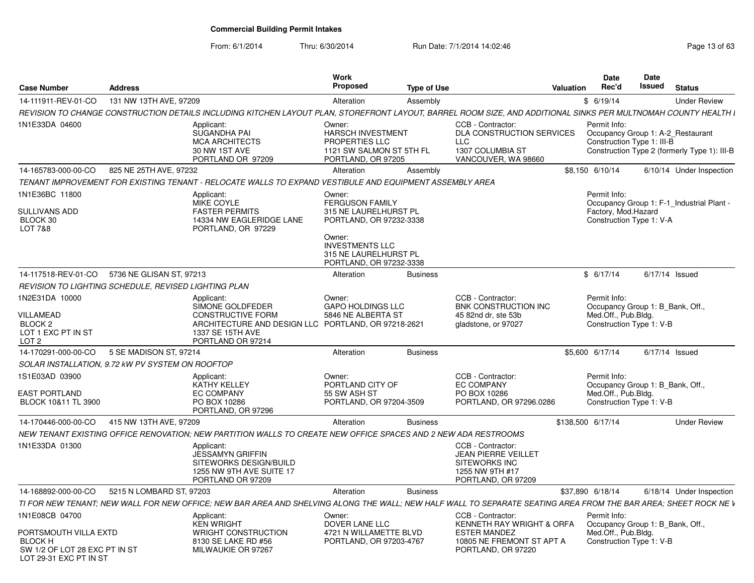From: 6/1/2014

| <b>Case Number</b>                                                                                 | <b>Address</b>           |                                                                                                                                                                 | Work<br>Proposed                                                                                                | <b>Type of Use</b> |                                                                                                                  | Valuation | <b>Date</b><br>Rec'd                                                            | Date<br>Issued | <b>Status</b>                                |
|----------------------------------------------------------------------------------------------------|--------------------------|-----------------------------------------------------------------------------------------------------------------------------------------------------------------|-----------------------------------------------------------------------------------------------------------------|--------------------|------------------------------------------------------------------------------------------------------------------|-----------|---------------------------------------------------------------------------------|----------------|----------------------------------------------|
| 14-111911-REV-01-CO                                                                                | 131 NW 13TH AVE, 97209   |                                                                                                                                                                 | Alteration                                                                                                      | Assembly           |                                                                                                                  |           | \$6/19/14                                                                       |                | <b>Under Review</b>                          |
|                                                                                                    |                          | REVISION TO CHANGE CONSTRUCTION DETAILS INCLUDING KITCHEN LAYOUT PLAN. STOREFRONT LAYOUT. BARREL ROOM SIZE. AND ADDITIONAL SINKS PER MULTNOMAH COUNTY HEALTH I  |                                                                                                                 |                    |                                                                                                                  |           |                                                                                 |                |                                              |
| 1N1E33DA 04600                                                                                     |                          | Applicant:<br><b>SUGANDHA PAI</b><br><b>MCA ARCHITECTS</b><br>30 NW 1ST AVE<br>PORTLAND OR 97209                                                                | Owner:<br><b>HARSCH INVESTMENT</b><br><b>PROPERTIES LLC</b><br>1121 SW SALMON ST 5TH FL<br>PORTLAND, OR 97205   |                    | CCB - Contractor:<br>DLA CONSTRUCTION SERVICES<br><b>LLC</b><br>1307 COLUMBIA ST<br>VANCOUVER, WA 98660          |           | Permit Info:<br>Occupancy Group 1: A-2_Restaurant<br>Construction Type 1: III-B |                | Construction Type 2 (formerly Type 1): III-B |
| 14-165783-000-00-CO                                                                                | 825 NE 25TH AVE, 97232   |                                                                                                                                                                 | Alteration                                                                                                      | Assembly           |                                                                                                                  |           | \$8,150 6/10/14                                                                 |                | 6/10/14 Under Inspection                     |
|                                                                                                    |                          | TENANT IMPROVEMENT FOR EXISTING TENANT - RELOCATE WALLS TO EXPAND VESTIBULE AND EQUIPMENT ASSEMBLY AREA                                                         |                                                                                                                 |                    |                                                                                                                  |           |                                                                                 |                |                                              |
| 1N1E36BC 11800<br><b>SULLIVANS ADD</b>                                                             |                          | Applicant:<br>MIKE COYLE<br><b>FASTER PERMITS</b>                                                                                                               | Owner:<br><b>FERGUSON FAMILY</b><br>315 NE LAURELHURST PL                                                       |                    |                                                                                                                  |           | Permit Info:<br>Factory, Mod.Hazard                                             |                | Occupancy Group 1: F-1 Industrial Plant -    |
| BLOCK 30<br><b>LOT 7&amp;8</b>                                                                     |                          | 14334 NW EAGLERIDGE LANE<br>PORTLAND, OR 97229                                                                                                                  | PORTLAND, OR 97232-3338<br>Owner:<br><b>INVESTMENTS LLC</b><br>315 NE LAURELHURST PL<br>PORTLAND, OR 97232-3338 |                    |                                                                                                                  |           | Construction Type 1: V-A                                                        |                |                                              |
| 14-117518-REV-01-CO                                                                                | 5736 NE GLISAN ST, 97213 |                                                                                                                                                                 | Alteration                                                                                                      | <b>Business</b>    |                                                                                                                  |           | \$6/17/14                                                                       |                | 6/17/14 Issued                               |
| REVISION TO LIGHTING SCHEDULE, REVISED LIGHTING PLAN                                               |                          |                                                                                                                                                                 |                                                                                                                 |                    |                                                                                                                  |           |                                                                                 |                |                                              |
| 1N2E31DA 10000                                                                                     |                          | Applicant:<br>SIMONE GOLDFEDER                                                                                                                                  | Owner:<br><b>GAPO HOLDINGS LLC</b><br>5846 NE ALBERTA ST                                                        |                    | CCB - Contractor:<br>BNK CONSTRUCTION INC<br>45 82nd dr. ste 53b                                                 |           | Permit Info:<br>Occupancy Group 1: B Bank, Off.,<br>Med.Off., Pub.Bldg.         |                |                                              |
| VILLAMEAD<br>BLOCK <sub>2</sub><br>LOT 1 EXC PT IN ST<br>LOT <sub>2</sub>                          |                          | <b>CONSTRUCTIVE FORM</b><br>ARCHITECTURE AND DESIGN LLC PORTLAND, OR 97218-2621<br>1337 SE 15TH AVE<br>PORTLAND OR 97214                                        |                                                                                                                 |                    | gladstone, or 97027                                                                                              |           | Construction Type 1: V-B                                                        |                |                                              |
| 14-170291-000-00-CO                                                                                | 5 SE MADISON ST, 97214   |                                                                                                                                                                 | Alteration                                                                                                      | <b>Business</b>    |                                                                                                                  |           | \$5,600 6/17/14                                                                 |                | 6/17/14 Issued                               |
| SOLAR INSTALLATION, 9.72 kW PV SYSTEM ON ROOFTOP                                                   |                          |                                                                                                                                                                 |                                                                                                                 |                    |                                                                                                                  |           |                                                                                 |                |                                              |
| 1S1E03AD 03900                                                                                     |                          | Applicant:<br><b>KATHY KELLEY</b>                                                                                                                               | Owner:<br>PORTLAND CITY OF                                                                                      |                    | CCB - Contractor:<br><b>EC COMPANY</b>                                                                           |           | Permit Info:<br>Occupancy Group 1: B Bank, Off.,                                |                |                                              |
| <b>EAST PORTLAND</b><br>BLOCK 10&11 TL 3900                                                        |                          | <b>EC COMPANY</b><br>PO BOX 10286<br>PORTLAND, OR 97296                                                                                                         | 55 SW ASH ST<br>PORTLAND, OR 97204-3509                                                                         |                    | PO BOX 10286<br>PORTLAND, OR 97296.0286                                                                          |           | Med.Off., Pub.Blda.<br>Construction Type 1: V-B                                 |                |                                              |
| 14-170446-000-00-CO                                                                                | 415 NW 13TH AVE, 97209   |                                                                                                                                                                 | Alteration                                                                                                      | <b>Business</b>    |                                                                                                                  |           | \$138,500 6/17/14                                                               |                | <b>Under Review</b>                          |
|                                                                                                    |                          | NEW TENANT EXISTING OFFICE RENOVATION: NEW PARTITION WALLS TO CREATE NEW OFFICE SPACES AND 2 NEW ADA RESTROOMS                                                  |                                                                                                                 |                    |                                                                                                                  |           |                                                                                 |                |                                              |
| 1N1E33DA 01300                                                                                     |                          | Applicant:<br><b>JESSAMYN GRIFFIN</b><br>SITEWORKS DESIGN/BUILD<br>1255 NW 9TH AVE SUITE 17<br>PORTLAND OR 97209                                                |                                                                                                                 |                    | CCB - Contractor:<br><b>JEAN PIERRE VEILLET</b><br><b>SITEWORKS INC</b><br>1255 NW 9TH #17<br>PORTLAND, OR 97209 |           |                                                                                 |                |                                              |
| 14-168892-000-00-CO                                                                                | 5215 N LOMBARD ST, 97203 |                                                                                                                                                                 | Alteration                                                                                                      | <b>Business</b>    |                                                                                                                  |           | \$37,890 6/18/14                                                                |                | 6/18/14 Under Inspection                     |
|                                                                                                    |                          | TI FOR NEW TENANT: NEW WALL FOR NEW OFFICE: NEW BAR AREA AND SHELVING ALONG THE WALL: NEW HALF WALL TO SEPARATE SEATING AREA FROM THE BAR AREA: SHEET ROCK NE V |                                                                                                                 |                    |                                                                                                                  |           |                                                                                 |                |                                              |
| 1N1E08CB 04700                                                                                     |                          | Applicant:<br><b>KEN WRIGHT</b>                                                                                                                                 | Owner:<br>DOVER LANE LLC                                                                                        |                    | CCB - Contractor:<br>KENNETH RAY WRIGHT & ORFA                                                                   |           | Permit Info:<br>Occupancy Group 1: B Bank, Off.,                                |                |                                              |
| PORTSMOUTH VILLA EXTD<br><b>BLOCK H</b><br>SW 1/2 OF LOT 28 EXC PT IN ST<br>LOT 29-31 EXC PT IN ST |                          | WRIGHT CONSTRUCTION<br>8130 SE LAKE RD #56<br>MILWAUKIE OR 97267                                                                                                | 4721 N WILLAMETTE BLVD<br>PORTLAND, OR 97203-4767                                                               |                    | <b>ESTER MANDEZ</b><br>10805 NE FREMONT ST APT A<br>PORTLAND, OR 97220                                           |           | Med.Off., Pub.Bldg.<br>Construction Type 1: V-B                                 |                |                                              |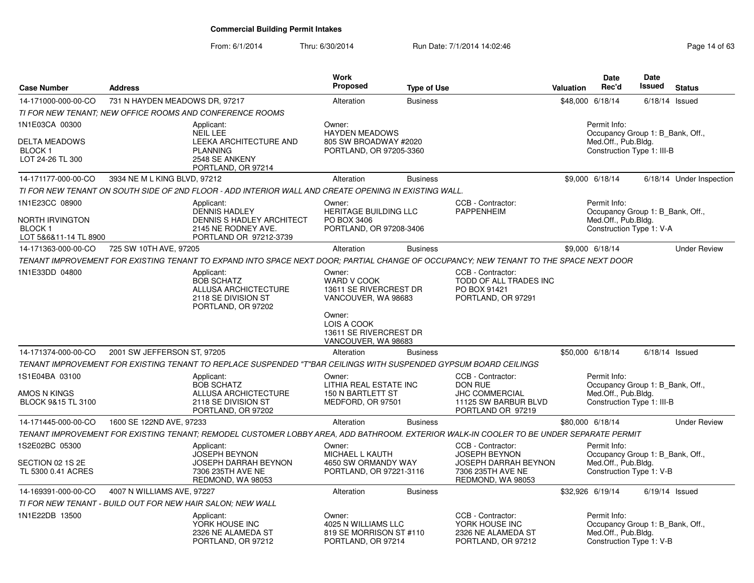| <b>Case Number</b>                                                                      | <b>Address</b>                 |                                                                                                                                        | Work<br>Proposed                                                                                                          | <b>Type of Use</b> |                                                                                                                    | <b>Valuation</b> | <b>Date</b><br>Rec'd                                                                                  | <b>Date</b><br><b>Issued</b> | <b>Status</b>            |
|-----------------------------------------------------------------------------------------|--------------------------------|----------------------------------------------------------------------------------------------------------------------------------------|---------------------------------------------------------------------------------------------------------------------------|--------------------|--------------------------------------------------------------------------------------------------------------------|------------------|-------------------------------------------------------------------------------------------------------|------------------------------|--------------------------|
| 14-171000-000-00-CO                                                                     | 731 N HAYDEN MEADOWS DR, 97217 |                                                                                                                                        | Alteration                                                                                                                | <b>Business</b>    |                                                                                                                    |                  | \$48,000 6/18/14                                                                                      | 6/18/14                      | Issued                   |
|                                                                                         |                                | TI FOR NEW TENANT. NEW OFFICE ROOMS AND CONFERENCE ROOMS                                                                               |                                                                                                                           |                    |                                                                                                                    |                  |                                                                                                       |                              |                          |
| 1N1E03CA 00300<br>DELTA MEADOWS<br><b>BLOCK1</b><br>LOT 24-26 TL 300                    |                                | Applicant:<br><b>NEIL LEE</b><br><b>LEEKA ARCHITECTURE AND</b><br><b>PLANNING</b><br>2548 SE ANKENY<br>PORTLAND, OR 97214              | Owner:<br><b>HAYDEN MEADOWS</b><br>805 SW BROADWAY #2020<br>PORTLAND, OR 97205-3360                                       |                    |                                                                                                                    |                  | Permit Info:<br>Occupancy Group 1: B_Bank, Off.,<br>Med.Off., Pub.Bldg.<br>Construction Type 1: III-B |                              |                          |
| 14-171177-000-00-CO                                                                     | 3934 NE M L KING BLVD, 97212   |                                                                                                                                        | Alteration                                                                                                                | <b>Business</b>    |                                                                                                                    |                  | \$9,000 6/18/14                                                                                       |                              | 6/18/14 Under Inspection |
|                                                                                         |                                | TI FOR NEW TENANT ON SOUTH SIDE OF 2ND FLOOR - ADD INTERIOR WALL AND CREATE OPENING IN EXISTING WALL.                                  |                                                                                                                           |                    |                                                                                                                    |                  |                                                                                                       |                              |                          |
| 1N1E23CC 08900<br><b>NORTH IRVINGTON</b><br>BLOCK <sub>1</sub><br>LOT 5&6&11-14 TL 8900 |                                | Applicant:<br><b>DENNIS HADLEY</b><br><b>DENNIS S HADLEY ARCHITECT</b><br>2145 NE RODNEY AVE.<br>PORTLAND OR 97212-3739                | Owner:<br>HERITAGE BUILDING LLC<br>PO BOX 3406<br>PORTLAND, OR 97208-3406                                                 |                    | CCB - Contractor:<br><b>PAPPENHEIM</b>                                                                             |                  | Permit Info:<br>Occupancy Group 1: B Bank, Off.,<br>Med.Off., Pub.Bldg.<br>Construction Type 1: V-A   |                              |                          |
| 14-171363-000-00-CO                                                                     | 725 SW 10TH AVE, 97205         |                                                                                                                                        | Alteration                                                                                                                | <b>Business</b>    |                                                                                                                    |                  | \$9,000 6/18/14                                                                                       |                              | <b>Under Review</b>      |
|                                                                                         |                                | TENANT IMPROVEMENT FOR EXISTING TENANT TO EXPAND INTO SPACE NEXT DOOR; PARTIAL CHANGE OF OCCUPANCY; NEW TENANT TO THE SPACE NEXT DOOR  |                                                                                                                           |                    |                                                                                                                    |                  |                                                                                                       |                              |                          |
| 1N1E33DD 04800                                                                          |                                | Applicant:<br><b>BOB SCHATZ</b><br>ALLUSA ARCHICTECTURE<br>2118 SE DIVISION ST<br>PORTLAND, OR 97202                                   | Owner:<br>WARD V COOK<br>13611 SE RIVERCREST DR<br>VANCOUVER, WA 98683<br>Owner:<br>LOIS A COOK<br>13611 SE RIVERCREST DR |                    | CCB - Contractor:<br>TODD OF ALL TRADES INC<br>PO BOX 91421<br>PORTLAND, OR 97291                                  |                  |                                                                                                       |                              |                          |
| 14-171374-000-00-CO                                                                     | 2001 SW JEFFERSON ST, 97205    |                                                                                                                                        | VANCOUVER, WA 98683<br>Alteration                                                                                         | <b>Business</b>    |                                                                                                                    |                  | \$50,000 6/18/14                                                                                      | $6/18/14$ Issued             |                          |
|                                                                                         |                                | TENANT IMPROVEMENT FOR EXISTING TENANT TO REPLACE SUSPENDED "T"BAR CEILINGS WITH SUSPENDED GYPSUM BOARD CEILINGS                       |                                                                                                                           |                    |                                                                                                                    |                  |                                                                                                       |                              |                          |
| 1S1E04BA 03100<br>AMOS N KINGS<br>BLOCK 9&15 TL 3100                                    |                                | Applicant:<br><b>BOB SCHATZ</b><br>ALLUSA ARCHICTECTURE<br>2118 SE DIVISION ST<br>PORTLAND, OR 97202                                   | Owner:<br>LITHIA REAL ESTATE INC<br><b>150 N BARTLETT ST</b><br>MEDFORD, OR 97501                                         |                    | CCB - Contractor:<br>DON RUE<br><b>JHC COMMERCIAL</b><br>11125 SW BARBUR BLVD<br>PORTLAND OR 97219                 |                  | Permit Info:<br>Occupancy Group 1: B Bank, Off.,<br>Med.Off., Pub.Bldg.<br>Construction Type 1: III-B |                              |                          |
| 14-171445-000-00-CO                                                                     | 1600 SE 122ND AVE, 97233       |                                                                                                                                        | Alteration                                                                                                                | <b>Business</b>    |                                                                                                                    |                  | \$80,000 6/18/14                                                                                      |                              | <b>Under Review</b>      |
|                                                                                         |                                | TENANT IMPROVEMENT FOR EXISTING TENANT; REMODEL CUSTOMER LOBBY AREA, ADD BATHROOM. EXTERIOR WALK-IN COOLER TO BE UNDER SEPARATE PERMIT |                                                                                                                           |                    |                                                                                                                    |                  |                                                                                                       |                              |                          |
| 1S2E02BC 05300<br>SECTION 02 1S 2E<br>TL 5300 0.41 ACRES                                |                                | Applicant:<br><b>JOSEPH BEYNON</b><br>JOSEPH DARRAH BEYNON<br>7306 235TH AVE NE<br>REDMOND, WA 98053                                   | Owner:<br>MICHAEL L KAUTH<br>4650 SW ORMANDY WAY<br>PORTLAND, OR 97221-3116                                               |                    | CCB - Contractor:<br><b>JOSEPH BEYNON</b><br><b>JOSEPH DARRAH BEYNON</b><br>7306 235TH AVE NE<br>REDMOND, WA 98053 |                  | Permit Info:<br>Occupancy Group 1: B Bank, Off.,<br>Med.Off., Pub.Bldg.<br>Construction Type 1: V-B   |                              |                          |
| 14-169391-000-00-CO                                                                     | 4007 N WILLIAMS AVE, 97227     |                                                                                                                                        | Alteration                                                                                                                | <b>Business</b>    |                                                                                                                    |                  | \$32,926 6/19/14                                                                                      | $6/19/14$ Issued             |                          |
|                                                                                         |                                | TI FOR NEW TENANT - BUILD OUT FOR NEW HAIR SALON: NEW WALL                                                                             |                                                                                                                           |                    |                                                                                                                    |                  |                                                                                                       |                              |                          |
| 1N1E22DB 13500                                                                          |                                | Applicant:<br>YORK HOUSE INC<br>2326 NE ALAMEDA ST<br>PORTLAND, OR 97212                                                               | Owner:<br>4025 N WILLIAMS LLC<br>819 SE MORRISON ST #110<br>PORTLAND, OR 97214                                            |                    | CCB - Contractor:<br>YORK HOUSE INC<br>2326 NE ALAMEDA ST<br>PORTLAND, OR 97212                                    |                  | Permit Info:<br>Occupancy Group 1: B Bank, Off.,<br>Med.Off., Pub.Bldg.<br>Construction Type 1: V-B   |                              |                          |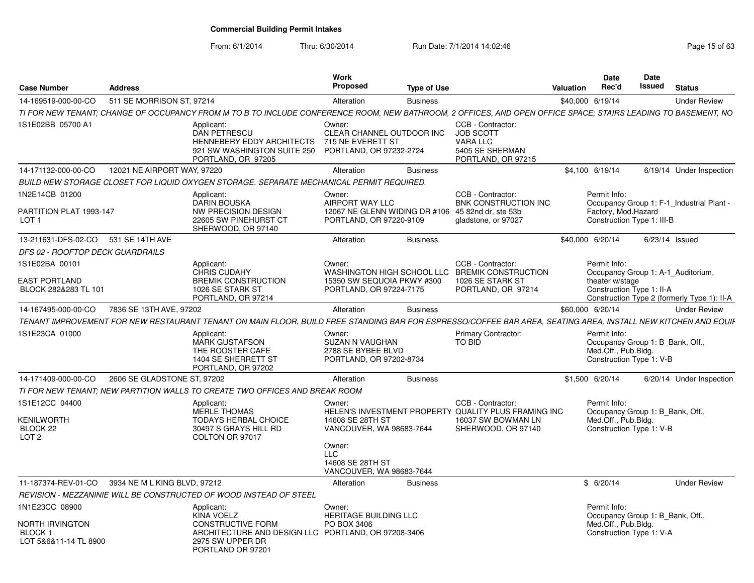| <b>Case Number</b>                                             | <b>Address</b>               |                                                                                                                                                               | <b>Work</b><br>Proposed                                                                                   | <b>Type of Use</b> |                                                                                                                       | <b>Valuation</b> | <b>Date</b><br>Rec'd                                                                                | <b>Date</b><br><b>Issued</b> | <b>Status</b>                               |
|----------------------------------------------------------------|------------------------------|---------------------------------------------------------------------------------------------------------------------------------------------------------------|-----------------------------------------------------------------------------------------------------------|--------------------|-----------------------------------------------------------------------------------------------------------------------|------------------|-----------------------------------------------------------------------------------------------------|------------------------------|---------------------------------------------|
| 14-169519-000-00-CO                                            | 511 SE MORRISON ST, 97214    |                                                                                                                                                               | Alteration                                                                                                | <b>Business</b>    |                                                                                                                       | \$40,000 6/19/14 |                                                                                                     |                              | <b>Under Review</b>                         |
|                                                                |                              | TI FOR NEW TENANT: CHANGE OF OCCUPANCY FROM M TO B TO INCLUDE CONFERENCE ROOM. NEW BATHROOM. 2 OFFICES. AND OPEN OFFICE SPACE: STAIRS LEADING TO BASEMENT. NO |                                                                                                           |                    |                                                                                                                       |                  |                                                                                                     |                              |                                             |
| 1S1E02BB 05700 A1                                              |                              | Applicant:<br><b>DAN PETRESCU</b><br><b>HENNEBERY EDDY ARCHITECTS</b><br>921 SW WASHINGTON SUITE 250<br>PORTLAND, OR 97205                                    | Owner:<br>CLEAR CHANNEL OUTDOOR INC<br>715 NE EVERETT ST<br>PORTLAND, OR 97232-2724                       |                    | CCB - Contractor:<br><b>JOB SCOTT</b><br><b>VARA LLC</b><br>5405 SE SHERMAN<br>PORTLAND, OR 97215                     |                  |                                                                                                     |                              |                                             |
| 14-171132-000-00-CO                                            | 12021 NE AIRPORT WAY, 97220  |                                                                                                                                                               | Alteration                                                                                                | <b>Business</b>    |                                                                                                                       | \$4.100 6/19/14  |                                                                                                     |                              | 6/19/14 Under Inspection                    |
|                                                                |                              | BUILD NEW STORAGE CLOSET FOR LIQUID OXYGEN STORAGE. SEPARATE MECHANICAL PERMIT REQUIRED.                                                                      |                                                                                                           |                    |                                                                                                                       |                  |                                                                                                     |                              |                                             |
| 1N2E14CB 01200<br>PARTITION PLAT 1993-147<br>LOT <sub>1</sub>  |                              | Applicant:<br><b>DARIN BOUSKA</b><br>NW PRECISION DESIGN<br>22605 SW PINEHURST CT<br>SHERWOOD, OR 97140                                                       | Owner:<br>AIRPORT WAY LLC<br>12067 NE GLENN WIDING DR #106 45 82nd dr. ste 53b<br>PORTLAND, OR 97220-9109 |                    | CCB - Contractor:<br><b>BNK CONSTRUCTION INC</b><br>gladstone, or 97027                                               |                  | Permit Info:<br>Factory, Mod.Hazard<br>Construction Type 1: III-B                                   |                              | Occupancy Group 1: F-1 Industrial Plant -   |
| 13-211631-DFS-02-CO                                            | 531 SE 14TH AVE              |                                                                                                                                                               | Alteration                                                                                                | <b>Business</b>    |                                                                                                                       | \$40,000 6/20/14 |                                                                                                     | $6/23/14$ Issued             |                                             |
| DFS 02 - ROOFTOP DECK GUARDRAILS                               |                              |                                                                                                                                                               |                                                                                                           |                    |                                                                                                                       |                  |                                                                                                     |                              |                                             |
| 1S1E02BA 00101<br><b>EAST PORTLAND</b>                         |                              | Applicant:<br><b>CHRIS CUDAHY</b><br><b>BREMIK CONSTRUCTION</b>                                                                                               | Owner:<br>15350 SW SEQUOIA PKWY #300                                                                      |                    | CCB - Contractor:<br>WASHINGTON HIGH SCHOOL LLC BREMIK CONSTRUCTION<br>1026 SE STARK ST                               |                  | Permit Info:<br>theater w/stage                                                                     |                              | Occupancy Group 1: A-1 Auditorium,          |
| BLOCK 282&283 TL 101                                           |                              | 1026 SE STARK ST<br>PORTLAND, OR 97214                                                                                                                        | PORTLAND, OR 97224-7175                                                                                   |                    | PORTLAND, OR 97214                                                                                                    |                  | Construction Type 1: II-A                                                                           |                              | Construction Type 2 (formerly Type 1): II-A |
| 14-167495-000-00-CO                                            | 7836 SE 13TH AVE, 97202      |                                                                                                                                                               | Alteration                                                                                                | <b>Business</b>    |                                                                                                                       | \$60,000 6/20/14 |                                                                                                     |                              | <b>Under Review</b>                         |
|                                                                |                              | TENANT IMPROVEMENT FOR NEW RESTAURANT TENANT ON MAIN FLOOR. BUILD FREE STANDING BAR FOR ESPRESSO/COFFEE BAR AREA. SEATING AREA. INSTALL NEW KITCHEN AND EQUIF |                                                                                                           |                    |                                                                                                                       |                  |                                                                                                     |                              |                                             |
| 1S1E23CA 01000                                                 |                              | Applicant:<br><b>MARK GUSTAFSON</b><br>THE ROOSTER CAFE<br>1404 SE SHERRETT ST<br>PORTLAND, OR 97202                                                          | Owner:<br>SUZAN N VAUGHAN<br>2788 SE BYBEE BLVD<br>PORTLAND, OR 97202-8734                                |                    | <b>Primary Contractor:</b><br>TO BID                                                                                  |                  | Permit Info:<br>Occupancy Group 1: B Bank, Off.,<br>Med.Off., Pub.Bldg.<br>Construction Type 1: V-B |                              |                                             |
| 14-171409-000-00-CO                                            | 2606 SE GLADSTONE ST, 97202  |                                                                                                                                                               | Alteration                                                                                                | <b>Business</b>    |                                                                                                                       | \$1,500 6/20/14  |                                                                                                     |                              | 6/20/14 Under Inspection                    |
|                                                                |                              | TI FOR NEW TENANT: NEW PARTITION WALLS TO CREATE TWO OFFICES AND BREAK ROOM                                                                                   |                                                                                                           |                    |                                                                                                                       |                  |                                                                                                     |                              |                                             |
| 1S1E12CC 04400<br>KENILWORTH<br>BLOCK 22<br>LOT <sub>2</sub>   |                              | Applicant:<br><b>MERLE THOMAS</b><br><b>TODAYS HERBAL CHOICE</b><br>30497 S GRAYS HILL RD<br>COLTON OR 97017                                                  | Owner:<br>14608 SE 28TH ST<br>VANCOUVER, WA 98683-7644                                                    |                    | CCB - Contractor:<br>HELEN'S INVESTMENT PROPERTY QUALITY PLUS FRAMING INC<br>16037 SW BOWMAN LN<br>SHERWOOD, OR 97140 |                  | Permit Info:<br>Occupancy Group 1: B Bank, Off.,<br>Med.Off., Pub.Bldg.<br>Construction Type 1: V-B |                              |                                             |
|                                                                |                              |                                                                                                                                                               | Owner:<br><b>LLC</b><br>14608 SE 28TH ST<br>VANCOUVER, WA 98683-7644                                      |                    |                                                                                                                       |                  |                                                                                                     |                              |                                             |
| 11-187374-REV-01-CO                                            | 3934 NE M L KING BLVD, 97212 |                                                                                                                                                               | Alteration                                                                                                | <b>Business</b>    |                                                                                                                       |                  | \$6/20/14                                                                                           |                              | <b>Under Review</b>                         |
|                                                                |                              | REVISION - MEZZANINIE WILL BE CONSTRUCTED OF WOOD INSTEAD OF STEEL                                                                                            |                                                                                                           |                    |                                                                                                                       |                  |                                                                                                     |                              |                                             |
| 1N1E23CC 08900                                                 |                              | Applicant:<br><b>KINA VOELZ</b>                                                                                                                               | Owner:<br>HERITAGE BUILDING LLC                                                                           |                    |                                                                                                                       |                  | Permit Info:<br>Occupancy Group 1: B Bank, Off.,                                                    |                              |                                             |
| NORTH IRVINGTON<br>BLOCK <sub>1</sub><br>LOT 5&6&11-14 TL 8900 |                              | <b>CONSTRUCTIVE FORM</b><br>ARCHITECTURE AND DESIGN LLC PORTLAND, OR 97208-3406<br>2975 SW UPPER DR<br>PORTLAND OR 97201                                      | PO BOX 3406                                                                                               |                    |                                                                                                                       |                  | Med.Off., Pub.Bldg.<br>Construction Type 1: V-A                                                     |                              |                                             |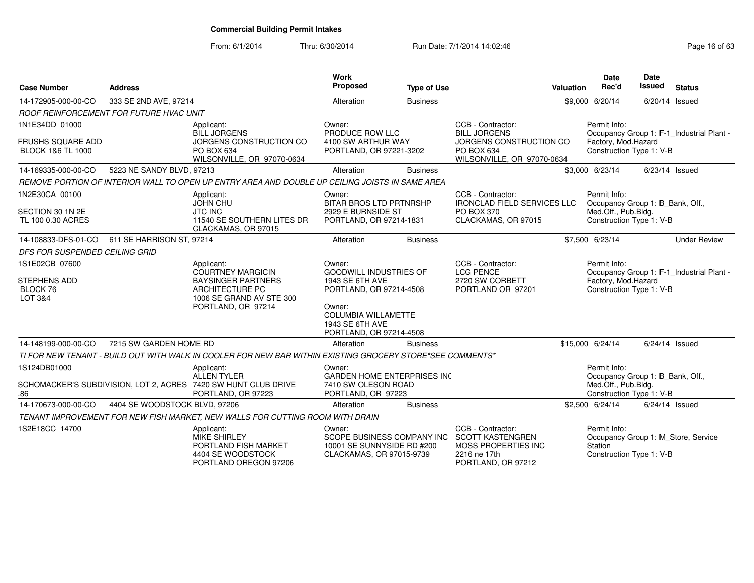| <b>Case Number</b>                                                         | <b>Address</b>                          |                                                                                                                                          | <b>Work</b><br>Proposed                                                                                                                                                     | <b>Type of Use</b> |                                                                                                                 | Valuation | <b>Date</b><br>Rec'd                                                                                | Date<br><b>Issued</b> | <b>Status</b>                             |
|----------------------------------------------------------------------------|-----------------------------------------|------------------------------------------------------------------------------------------------------------------------------------------|-----------------------------------------------------------------------------------------------------------------------------------------------------------------------------|--------------------|-----------------------------------------------------------------------------------------------------------------|-----------|-----------------------------------------------------------------------------------------------------|-----------------------|-------------------------------------------|
| 14-172905-000-00-CO                                                        | 333 SE 2ND AVE, 97214                   |                                                                                                                                          | Alteration                                                                                                                                                                  | <b>Business</b>    |                                                                                                                 |           | \$9,000 6/20/14                                                                                     | 6/20/14               | Issued                                    |
|                                                                            | ROOF REINFORCEMENT FOR FUTURE HVAC UNIT |                                                                                                                                          |                                                                                                                                                                             |                    |                                                                                                                 |           |                                                                                                     |                       |                                           |
| 1N1E34DD 01000<br><b>FRUSHS SQUARE ADD</b><br><b>BLOCK 1&amp;6 TL 1000</b> |                                         | Applicant:<br><b>BILL JORGENS</b><br>JORGENS CONSTRUCTION CO<br>PO BOX 634<br>WILSONVILLE, OR 97070-0634                                 | Owner:<br>PRODUCE ROW LLC<br>4100 SW ARTHUR WAY<br>PORTLAND, OR 97221-3202                                                                                                  |                    | CCB - Contractor:<br><b>BILL JORGENS</b><br>JORGENS CONSTRUCTION CO<br>PO BOX 634<br>WILSONVILLE, OR 97070-0634 |           | Permit Info:<br>Factory, Mod.Hazard<br>Construction Type 1: V-B                                     |                       | Occupancy Group 1: F-1_Industrial Plant - |
| 14-169335-000-00-CO                                                        | 5223 NE SANDY BLVD, 97213               |                                                                                                                                          | Alteration                                                                                                                                                                  | <b>Business</b>    |                                                                                                                 |           | \$3,000 6/23/14                                                                                     | 6/23/14 Issued        |                                           |
|                                                                            |                                         | REMOVE PORTION OF INTERIOR WALL TO OPEN UP ENTRY AREA AND DOUBLE UP CEILING JOISTS IN SAME AREA                                          |                                                                                                                                                                             |                    |                                                                                                                 |           |                                                                                                     |                       |                                           |
| 1N2E30CA 00100<br>SECTION 30 1N 2E<br>TL 100 0.30 ACRES                    |                                         | Applicant:<br><b>JOHN CHU</b><br><b>JTC INC</b><br>11540 SE SOUTHERN LITES DR<br>CLACKAMAS, OR 97015                                     | Owner:<br><b>BITAR BROS LTD PRTNRSHP</b><br>2929 E BURNSIDE ST<br>PORTLAND, OR 97214-1831                                                                                   |                    | CCB - Contractor:<br><b>IRONCLAD FIELD SERVICES LLC</b><br>PO BOX 370<br>CLACKAMAS, OR 97015                    |           | Permit Info:<br>Occupancy Group 1: B_Bank, Off.,<br>Med.Off., Pub.Bldg.<br>Construction Type 1: V-B |                       |                                           |
| 14-108833-DFS-01-CO                                                        | 611 SE HARRISON ST, 97214               |                                                                                                                                          | Alteration                                                                                                                                                                  | <b>Business</b>    |                                                                                                                 |           | \$7,500 6/23/14                                                                                     |                       | <b>Under Review</b>                       |
| DFS FOR SUSPENDED CEILING GRID                                             |                                         |                                                                                                                                          |                                                                                                                                                                             |                    |                                                                                                                 |           |                                                                                                     |                       |                                           |
| 1S1E02CB 07600<br><b>STEPHENS ADD</b><br>BLOCK 76<br>LOT 3&4               |                                         | Applicant:<br><b>COURTNEY MARGICIN</b><br><b>BAYSINGER PARTNERS</b><br>ARCHITECTURE PC<br>1006 SE GRAND AV STE 300<br>PORTLAND, OR 97214 | Owner:<br><b>GOODWILL INDUSTRIES OF</b><br>1943 SE 6TH AVE<br>PORTLAND, OR 97214-4508<br>Owner:<br><b>COLUMBIA WILLAMETTE</b><br>1943 SE 6TH AVE<br>PORTLAND, OR 97214-4508 |                    | CCB - Contractor:<br><b>LCG PENCE</b><br>2720 SW CORBETT<br>PORTLAND OR 97201                                   |           | Permit Info:<br>Factory, Mod.Hazard<br>Construction Type 1: V-B                                     |                       | Occupancy Group 1: F-1_Industrial Plant - |
| 14-148199-000-00-CO                                                        | 7215 SW GARDEN HOME RD                  |                                                                                                                                          | Alteration                                                                                                                                                                  | <b>Business</b>    |                                                                                                                 |           | \$15,000 6/24/14                                                                                    | $6/24/14$ Issued      |                                           |
|                                                                            |                                         | TI FOR NEW TENANT - BUILD OUT WITH WALK IN COOLER FOR NEW BAR WITHIN EXISTING GROCERY STORE*SEE COMMENTS*                                |                                                                                                                                                                             |                    |                                                                                                                 |           |                                                                                                     |                       |                                           |
| 1S124DB01000<br>.86                                                        |                                         | Applicant:<br><b>ALLEN TYLER</b><br>SCHOMACKER'S SUBDIVISION, LOT 2, ACRES 7420 SW HUNT CLUB DRIVE<br>PORTLAND, OR 97223                 | Owner:<br><b>GARDEN HOME ENTERPRISES INC</b><br>7410 SW OLESON ROAD<br>PORTLAND, OR 97223                                                                                   |                    |                                                                                                                 |           | Permit Info:<br>Occupancy Group 1: B_Bank, Off.,<br>Med.Off., Pub.Bldg.<br>Construction Type 1: V-B |                       |                                           |
| 14-170673-000-00-CO                                                        | 4404 SE WOODSTOCK BLVD, 97206           |                                                                                                                                          | Alteration                                                                                                                                                                  | <b>Business</b>    |                                                                                                                 |           | \$2,500 6/24/14                                                                                     | $6/24/14$ Issued      |                                           |
|                                                                            |                                         | TENANT IMPROVEMENT FOR NEW FISH MARKET, NEW WALLS FOR CUTTING ROOM WITH DRAIN                                                            |                                                                                                                                                                             |                    |                                                                                                                 |           |                                                                                                     |                       |                                           |
| 1S2E18CC 14700                                                             |                                         | Applicant:<br><b>MIKE SHIRLEY</b><br>PORTLAND FISH MARKET<br>4404 SE WOODSTOCK<br>PORTLAND OREGON 97206                                  | Owner:<br>SCOPE BUSINESS COMPANY INC<br>10001 SE SUNNYSIDE RD #200<br>CLACKAMAS, OR 97015-9739                                                                              |                    | CCB - Contractor:<br><b>SCOTT KASTENGREN</b><br>MOSS PROPERTIES INC<br>2216 ne 17th<br>PORTLAND, OR 97212       |           | Permit Info:<br>Station<br>Construction Type 1: V-B                                                 |                       | Occupancy Group 1: M_Store, Service       |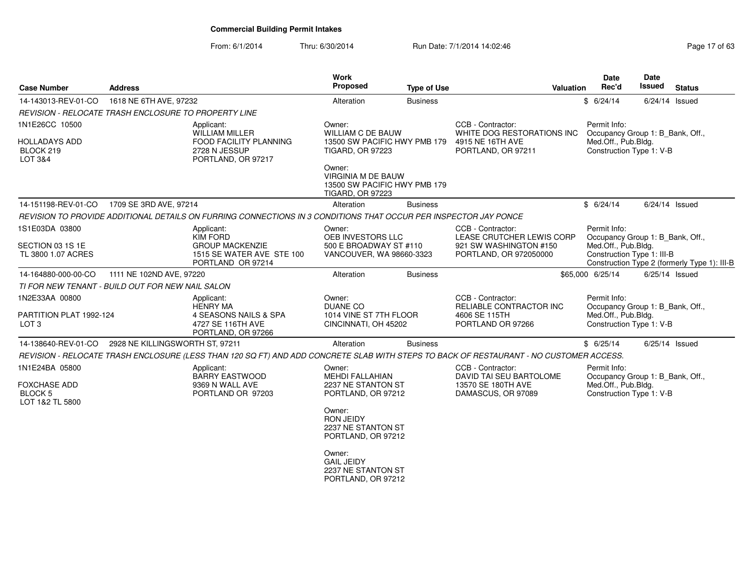| <b>Case Number</b>                                | <b>Address</b>                                       |                                                                                                                  | <b>Work</b><br>Proposed                                                                        | <b>Type of Use</b> | Valuation                                                                                                                              | <b>Date</b><br>Rec'd                              | <b>Date</b><br>Issued<br><b>Status</b>       |  |
|---------------------------------------------------|------------------------------------------------------|------------------------------------------------------------------------------------------------------------------|------------------------------------------------------------------------------------------------|--------------------|----------------------------------------------------------------------------------------------------------------------------------------|---------------------------------------------------|----------------------------------------------|--|
| 14-143013-REV-01-CO                               | 1618 NE 6TH AVE, 97232                               |                                                                                                                  | Alteration                                                                                     | <b>Business</b>    |                                                                                                                                        | \$6/24/14                                         | $6/24/14$ Issued                             |  |
|                                                   | REVISION - RELOCATE TRASH ENCLOSURE TO PROPERTY LINE |                                                                                                                  |                                                                                                |                    |                                                                                                                                        |                                                   |                                              |  |
| 1N1E26CC 10500                                    |                                                      | Applicant:<br>WILLIAM MILLER                                                                                     | Owner:<br><b>WILLIAM C DE BAUW</b>                                                             |                    | CCB - Contractor:<br>WHITE DOG RESTORATIONS INC                                                                                        | Permit Info:                                      | Occupancy Group 1: B_Bank, Off.,             |  |
| <b>HOLLADAYS ADD</b><br>BLOCK 219<br>LOT 3&4      |                                                      | FOOD FACILITY PLANNING<br>2728 N JESSUP<br>PORTLAND, OR 97217                                                    | 13500 SW PACIFIC HWY PMB 179<br><b>TIGARD, OR 97223</b>                                        |                    | 4915 NE 16TH AVE<br>PORTLAND, OR 97211                                                                                                 | Med.Off., Pub.Bldg.<br>Construction Type 1: V-B   |                                              |  |
|                                                   |                                                      |                                                                                                                  | Owner:<br><b>VIRGINIA M DE BAUW</b><br>13500 SW PACIFIC HWY PMB 179<br><b>TIGARD, OR 97223</b> |                    |                                                                                                                                        |                                                   |                                              |  |
| 14-151198-REV-01-CO                               | 1709 SE 3RD AVE, 97214                               |                                                                                                                  | Alteration                                                                                     | <b>Business</b>    |                                                                                                                                        | \$6/24/14                                         | $6/24/14$ Issued                             |  |
|                                                   |                                                      | REVISION TO PROVIDE ADDITIONAL DETAILS ON FURRING CONNECTIONS IN 3 CONDITIONS THAT OCCUR PER INSPECTOR JAY PONCE |                                                                                                |                    |                                                                                                                                        |                                                   |                                              |  |
| 1S1E03DA 03800                                    |                                                      | Applicant:<br><b>KIM FORD</b>                                                                                    | Owner:<br>OEB INVESTORS LLC                                                                    |                    | CCB - Contractor:<br>LEASE CRUTCHER LEWIS CORP                                                                                         | Permit Info:                                      | Occupancy Group 1: B Bank, Off.,             |  |
| SECTION 03 1S 1E<br>TL 3800 1.07 ACRES            |                                                      | <b>GROUP MACKENZIE</b><br>1515 SE WATER AVE STE 100<br>PORTLAND OR 97214                                         | 500 E BROADWAY ST #110<br>VANCOUVER, WA 98660-3323                                             |                    | 921 SW WASHINGTON #150<br>PORTLAND, OR 972050000                                                                                       | Med.Off., Pub.Bldg.<br>Construction Type 1: III-B | Construction Type 2 (formerly Type 1): III-B |  |
| 14-164880-000-00-CO                               | 1111 NE 102ND AVE, 97220                             |                                                                                                                  | Alteration                                                                                     | <b>Business</b>    |                                                                                                                                        | \$65,000 6/25/14                                  | $6/25/14$ Issued                             |  |
| TI FOR NEW TENANT - BUILD OUT FOR NEW NAIL SALON  |                                                      |                                                                                                                  |                                                                                                |                    |                                                                                                                                        |                                                   |                                              |  |
| 1N2E33AA 00800                                    |                                                      | Applicant:<br><b>HENRY MA</b>                                                                                    | Owner:<br><b>DUANE CO</b>                                                                      |                    | CCB - Contractor:<br>RELIABLE CONTRACTOR INC                                                                                           | Permit Info:                                      | Occupancy Group 1: B_Bank, Off.,             |  |
| PARTITION PLAT 1992-124<br>LOT <sub>3</sub>       |                                                      | 4 SEASONS NAILS & SPA<br>4727 SE 116TH AVE<br>PORTLAND, OR 97266                                                 | 1014 VINE ST 7TH FLOOR<br>CINCINNATI, OH 45202                                                 |                    | 4606 SE 115TH<br>PORTLAND OR 97266                                                                                                     | Med.Off., Pub.Bldg.<br>Construction Type 1: V-B   |                                              |  |
| 14-138640-REV-01-CO                               | 2928 NE KILLINGSWORTH ST. 97211                      |                                                                                                                  | Alteration                                                                                     | <b>Business</b>    |                                                                                                                                        | \$6/25/14                                         | $6/25/14$ Issued                             |  |
|                                                   |                                                      |                                                                                                                  |                                                                                                |                    | REVISION - RELOCATE TRASH ENCLOSURE (LESS THAN 120 SQ FT) AND ADD CONCRETE SLAB WITH STEPS TO BACK OF RESTAURANT - NO CUSTOMER ACCESS. |                                                   |                                              |  |
| 1N1E24BA 05800                                    |                                                      | Applicant:<br><b>BARRY EASTWOOD</b>                                                                              | Owner:<br><b>MEHDI FALLAHIAN</b>                                                               |                    | CCB - Contractor:<br>DAVID TAI SEU BARTOLOME                                                                                           | Permit Info:                                      | Occupancy Group 1: B_Bank, Off.,             |  |
| <b>FOXCHASE ADD</b><br>BLOCK 5<br>LOT 1&2 TL 5800 |                                                      | 9369 N WALL AVE<br>PORTLAND OR 97203                                                                             | 2237 NE STANTON ST<br>PORTLAND, OR 97212                                                       |                    | 13570 SE 180TH AVE<br>DAMASCUS, OR 97089                                                                                               | Med.Off., Pub.Bldg.<br>Construction Type 1: V-B   |                                              |  |
|                                                   |                                                      |                                                                                                                  | Owner:<br><b>RON JEIDY</b><br>2237 NE STANTON ST<br>PORTLAND, OR 97212                         |                    |                                                                                                                                        |                                                   |                                              |  |
|                                                   |                                                      |                                                                                                                  | Owner:<br><b>GAIL JEIDY</b><br>2237 NE STANTON ST<br>PORTLAND, OR 97212                        |                    |                                                                                                                                        |                                                   |                                              |  |
|                                                   |                                                      |                                                                                                                  |                                                                                                |                    |                                                                                                                                        |                                                   |                                              |  |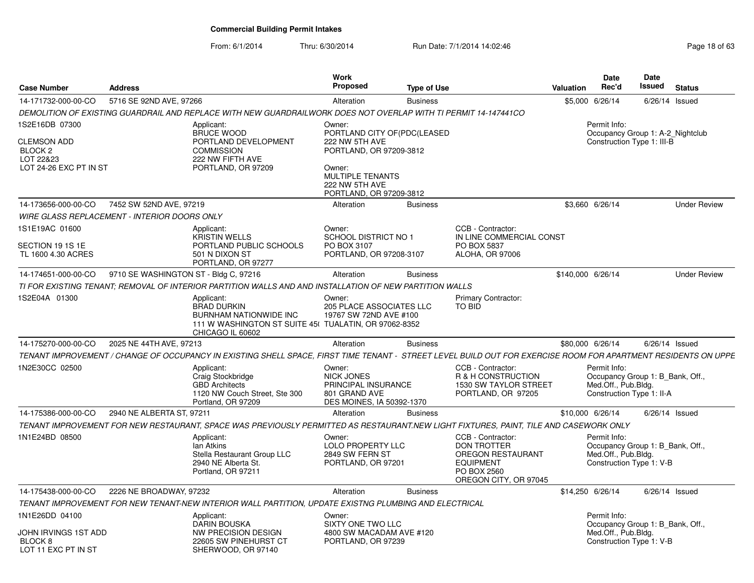| <b>Case Number</b>                                     | <b>Address</b>                        |                                                                                                                                                                | Work<br><b>Proposed</b>                                                                   | <b>Type of Use</b> |                                                                                                     | <b>Valuation</b>  | <b>Date</b><br>Rec'd                                                                                 | <b>Date</b><br>Issued | <b>Status</b>       |
|--------------------------------------------------------|---------------------------------------|----------------------------------------------------------------------------------------------------------------------------------------------------------------|-------------------------------------------------------------------------------------------|--------------------|-----------------------------------------------------------------------------------------------------|-------------------|------------------------------------------------------------------------------------------------------|-----------------------|---------------------|
| 14-171732-000-00-CO                                    | 5716 SE 92ND AVE, 97266               |                                                                                                                                                                | Alteration                                                                                | <b>Business</b>    |                                                                                                     |                   | \$5,000 6/26/14                                                                                      |                       | $6/26/14$ Issued    |
|                                                        |                                       | DEMOLITION OF EXISTING GUARDRAIL AND REPLACE WITH NEW GUARDRAILWORK DOES NOT OVERLAP WITH TI PERMIT 14-147441CO                                                |                                                                                           |                    |                                                                                                     |                   |                                                                                                      |                       |                     |
| 1S2E16DB 07300                                         |                                       | Applicant:<br><b>BRUCE WOOD</b>                                                                                                                                | Owner:<br>PORTLAND CITY OF(PDC(LEASED                                                     |                    |                                                                                                     |                   | Permit Info:<br>Occupancy Group 1: A-2_Nightclub                                                     |                       |                     |
| <b>CLEMSON ADD</b><br>BLOCK 2                          |                                       | PORTLAND DEVELOPMENT<br><b>COMMISSION</b>                                                                                                                      | 222 NW 5TH AVE<br>PORTLAND, OR 97209-3812                                                 |                    |                                                                                                     |                   | Construction Type 1: III-B                                                                           |                       |                     |
| LOT 22&23<br>LOT 24-26 EXC PT IN ST                    |                                       | 222 NW FIFTH AVE<br>PORTLAND, OR 97209                                                                                                                         | Owner:<br>MULTIPLE TENANTS<br>222 NW 5TH AVE<br>PORTLAND, OR 97209-3812                   |                    |                                                                                                     |                   |                                                                                                      |                       |                     |
| 14-173656-000-00-CO                                    | 7452 SW 52ND AVE, 97219               |                                                                                                                                                                | Alteration                                                                                | <b>Business</b>    |                                                                                                     |                   | \$3,660 6/26/14                                                                                      |                       | <b>Under Review</b> |
| <b>WIRE GLASS REPLACEMENT - INTERIOR DOORS ONLY</b>    |                                       |                                                                                                                                                                |                                                                                           |                    |                                                                                                     |                   |                                                                                                      |                       |                     |
| 1S1E19AC 01600                                         |                                       | Applicant:<br>KRISTIN WELLS                                                                                                                                    | Owner:<br>SCHOOL DISTRICT NO 1                                                            |                    | CCB - Contractor:<br>IN LINE COMMERCIAL CONST                                                       |                   |                                                                                                      |                       |                     |
| SECTION 19 1S 1E<br>TL 1600 4.30 ACRES                 |                                       | PORTLAND PUBLIC SCHOOLS<br>501 N DIXON ST<br>PORTLAND, OR 97277                                                                                                | PO BOX 3107<br>PORTLAND, OR 97208-3107                                                    |                    | PO BOX 5837<br><b>ALOHA, OR 97006</b>                                                               |                   |                                                                                                      |                       |                     |
| 14-174651-000-00-CO                                    | 9710 SE WASHINGTON ST - Bldg C, 97216 |                                                                                                                                                                | Alteration                                                                                | <b>Business</b>    |                                                                                                     | \$140,000 6/26/14 |                                                                                                      |                       | <b>Under Review</b> |
|                                                        |                                       | TI FOR EXISTING TENANT; REMOVAL OF INTERIOR PARTITION WALLS AND AND INSTALLATION OF NEW PARTITION WALLS                                                        |                                                                                           |                    |                                                                                                     |                   |                                                                                                      |                       |                     |
| 1S2E04A 01300                                          |                                       | Applicant:<br><b>BRAD DURKIN</b><br><b>BURNHAM NATIONWIDE INC</b><br>111 W WASHINGTON ST SUITE 45( TUALATIN, OR 97062-8352<br>CHICAGO IL 60602                 | Owner:<br><b>205 PLACE ASSOCIATES LLC</b><br>19767 SW 72ND AVE #100                       |                    | <b>Primary Contractor:</b><br><b>TO BID</b>                                                         |                   |                                                                                                      |                       |                     |
| 14-175270-000-00-CO                                    | 2025 NE 44TH AVE, 97213               |                                                                                                                                                                | Alteration                                                                                | <b>Business</b>    |                                                                                                     | \$80,000 6/26/14  |                                                                                                      |                       | $6/26/14$ Issued    |
|                                                        |                                       | TENANT IMPROVEMENT / CHANGE OF OCCUPANCY IN EXISTING SHELL SPACE, FIRST TIME TENANT - STREET LEVEL BUILD OUT FOR EXERCISE ROOM FOR APARTMENT RESIDENTS ON UPPE |                                                                                           |                    |                                                                                                     |                   |                                                                                                      |                       |                     |
| 1N2E30CC 02500                                         |                                       | Applicant:<br>Craig Stockbridge<br><b>GBD Architects</b><br>1120 NW Couch Street, Ste 300<br>Portland, OR 97209                                                | Owner:<br>NICK JONES<br>PRINCIPAL INSURANCE<br>801 GRAND AVE<br>DES MOINES, IA 50392-1370 |                    | CCB - Contractor:<br>R & H CONSTRUCTION<br>1530 SW TAYLOR STREET<br>PORTLAND, OR 97205              |                   | Permit Info:<br>Occupancy Group 1: B_Bank, Off.,<br>Med.Off., Pub.Bldg.<br>Construction Type 1: II-A |                       |                     |
| 14-175386-000-00-CO                                    | 2940 NE ALBERTA ST, 97211             |                                                                                                                                                                | Alteration                                                                                | <b>Business</b>    |                                                                                                     | \$10,000 6/26/14  |                                                                                                      |                       | $6/26/14$ Issued    |
|                                                        |                                       | TENANT IMPROVEMENT FOR NEW RESTAURANT, SPACE WAS PREVIOUSLY PERMITTED AS RESTAURANT.NEW LIGHT FIXTURES, PAINT, TILE AND CASEWORK ONLY                          |                                                                                           |                    |                                                                                                     |                   |                                                                                                      |                       |                     |
| 1N1E24BD 08500                                         |                                       | Applicant:                                                                                                                                                     | Owner:                                                                                    |                    | CCB - Contractor:                                                                                   |                   | Permit Info:                                                                                         |                       |                     |
|                                                        |                                       | lan Atkins<br>Stella Restaurant Group LLC<br>2940 NE Alberta St.<br>Portland, OR 97211                                                                         | LOLO PROPERTY LLC<br>2849 SW FERN ST<br>PORTLAND, OR 97201                                |                    | <b>DON TROTTER</b><br>OREGON RESTAURANT<br><b>EQUIPMENT</b><br>PO BOX 2560<br>OREGON CITY, OR 97045 |                   | Occupancy Group 1: B Bank, Off.,<br>Med.Off., Pub.Blda.<br>Construction Type 1: V-B                  |                       |                     |
| 14-175438-000-00-CO                                    | 2226 NE BROADWAY, 97232               |                                                                                                                                                                | Alteration                                                                                | <b>Business</b>    |                                                                                                     | \$14,250 6/26/14  |                                                                                                      |                       | $6/26/14$ Issued    |
|                                                        |                                       | TENANT IMPROVEMENT FOR NEW TENANT-NEW INTERIOR WALL PARTITION, UPDATE EXISTNG PLUMBING AND ELECTRICAL                                                          |                                                                                           |                    |                                                                                                     |                   |                                                                                                      |                       |                     |
| 1N1E26DD 04100                                         |                                       | Applicant:                                                                                                                                                     | Owner:                                                                                    |                    |                                                                                                     |                   | Permit Info:                                                                                         |                       |                     |
| JOHN IRVINGS 1ST ADD<br>BLOCK 8<br>LOT 11 EXC PT IN ST |                                       | <b>DARIN BOUSKA</b><br>NW PRECISION DESIGN<br>22605 SW PINEHURST CT<br>SHERWOOD, OR 97140                                                                      | SIXTY ONE TWO LLC<br>4800 SW MACADAM AVE #120<br>PORTLAND, OR 97239                       |                    |                                                                                                     |                   | Occupancy Group 1: B_Bank, Off.,<br>Med.Off., Pub.Bldg.<br>Construction Type 1: V-B                  |                       |                     |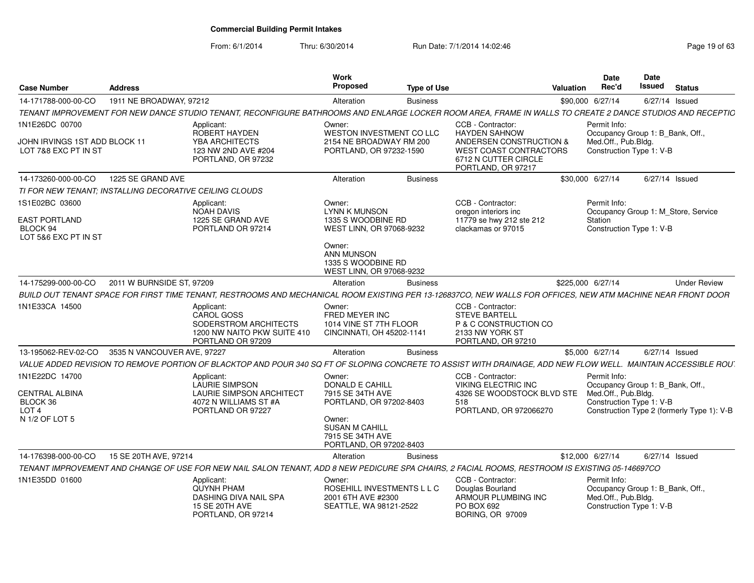From: 6/1/2014

| <b>Case Number</b>                                                                 | <b>Address</b>              |                                                                                                                                                                | Work<br>Proposed                                                                                                                                           | <b>Type of Use</b> |                                                                                                             | Valuation | <b>Date</b><br>Rec'd                                                                                | Date<br>Issued | <b>Status</b>                              |
|------------------------------------------------------------------------------------|-----------------------------|----------------------------------------------------------------------------------------------------------------------------------------------------------------|------------------------------------------------------------------------------------------------------------------------------------------------------------|--------------------|-------------------------------------------------------------------------------------------------------------|-----------|-----------------------------------------------------------------------------------------------------|----------------|--------------------------------------------|
| 14-171788-000-00-CO                                                                | 1911 NE BROADWAY, 97212     |                                                                                                                                                                | Alteration                                                                                                                                                 | <b>Business</b>    |                                                                                                             |           | \$90,000 6/27/14                                                                                    | 6/27/14 Issued |                                            |
|                                                                                    |                             | TENANT IMPROVEMENT FOR NEW DANCE STUDIO TENANT, RECONFIGURE BATHROOMS AND ENLARGE LOCKER ROOM AREA, FRAME IN WALLS TO CREATE 2 DANCE STUDIOS AND RECEPTIC      |                                                                                                                                                            |                    |                                                                                                             |           |                                                                                                     |                |                                            |
| 1N1E26DC 00700                                                                     |                             | Applicant:<br>ROBERT HAYDEN                                                                                                                                    | Owner:<br>WESTON INVESTMENT CO LLC                                                                                                                         |                    | CCB - Contractor:<br><b>HAYDEN SAHNOW</b>                                                                   |           | Permit Info:<br>Occupancy Group 1: B_Bank, Off.,                                                    |                |                                            |
| JOHN IRVINGS 1ST ADD BLOCK 11<br>LOT 7&8 EXC PT IN ST                              |                             | YBA ARCHITECTS<br>123 NW 2ND AVE #204<br>PORTLAND, OR 97232                                                                                                    | 2154 NE BROADWAY RM 200<br>PORTLAND, OR 97232-1590                                                                                                         |                    | ANDERSEN CONSTRUCTION &<br><b>WEST COAST CONTRACTORS</b><br>6712 N CUTTER CIRCLE<br>PORTLAND, OR 97217      |           | Med.Off., Pub.Bldg.<br>Construction Type 1: V-B                                                     |                |                                            |
| 14-173260-000-00-CO                                                                | 1225 SE GRAND AVE           |                                                                                                                                                                | Alteration                                                                                                                                                 | <b>Business</b>    |                                                                                                             |           | \$30,000 6/27/14                                                                                    | 6/27/14 Issued |                                            |
| TI FOR NEW TENANT: INSTALLING DECORATIVE CEILING CLOUDS                            |                             |                                                                                                                                                                |                                                                                                                                                            |                    |                                                                                                             |           |                                                                                                     |                |                                            |
| 1S1E02BC 03600                                                                     |                             | Applicant:<br><b>NOAH DAVIS</b>                                                                                                                                | Owner:<br>LYNN K MUNSON                                                                                                                                    |                    | CCB - Contractor:<br>oregon interiors inc                                                                   |           | Permit Info:<br>Occupancy Group 1: M_Store, Service                                                 |                |                                            |
| <b>EAST PORTLAND</b><br>BLOCK 94<br>LOT 5&6 EXC PT IN ST                           |                             | 1225 SE GRAND AVE<br>PORTLAND OR 97214                                                                                                                         | 1335 S WOODBINE RD<br>WEST LINN, OR 97068-9232                                                                                                             |                    | 11779 se hwy 212 ste 212<br>clackamas or 97015                                                              |           | Station<br>Construction Type 1: V-B                                                                 |                |                                            |
|                                                                                    |                             |                                                                                                                                                                | Owner:<br><b>ANN MUNSON</b><br>1335 S WOODBINE RD<br>WEST LINN, OR 97068-9232                                                                              |                    |                                                                                                             |           |                                                                                                     |                |                                            |
| 14-175299-000-00-CO                                                                | 2011 W BURNSIDE ST, 97209   |                                                                                                                                                                | Alteration                                                                                                                                                 | <b>Business</b>    |                                                                                                             |           | \$225,000 6/27/14                                                                                   |                | <b>Under Review</b>                        |
|                                                                                    |                             | BUILD OUT TENANT SPACE FOR FIRST TIME TENANT, RESTROOMS AND MECHANICAL ROOM EXISTING PER 13-126837CO, NEW WALLS FOR OFFICES, NEW ATM MACHINE NEAR FRONT DOOR   |                                                                                                                                                            |                    |                                                                                                             |           |                                                                                                     |                |                                            |
| 1N1E33CA 14500                                                                     |                             | Applicant:<br><b>CAROL GOSS</b><br>SODERSTROM ARCHITECTS<br>1200 NW NAITO PKW SUITE 410<br>PORTLAND OR 97209                                                   | Owner:<br>FRED MEYER INC<br>1014 VINE ST 7TH FLOOR<br>CINCINNATI, OH 45202-1141                                                                            |                    | CCB - Contractor:<br><b>STEVE BARTELL</b><br>P & C CONSTRUCTION CO<br>2133 NW YORK ST<br>PORTLAND, OR 97210 |           |                                                                                                     |                |                                            |
| 13-195062-REV-02-CO                                                                | 3535 N VANCOUVER AVE, 97227 |                                                                                                                                                                | Alteration                                                                                                                                                 | <b>Business</b>    |                                                                                                             |           | \$5,000 6/27/14                                                                                     | 6/27/14 Issued |                                            |
|                                                                                    |                             | VALUE ADDED REVISION TO REMOVE PORTION OF BLACKTOP AND POUR 340 SQ FT OF SLOPING CONCRETE TO ASSIST WITH DRAINAGE, ADD NEW FLOW WELL. MAINTAIN ACCESSIBLE ROU. |                                                                                                                                                            |                    |                                                                                                             |           |                                                                                                     |                |                                            |
| 1N1E22DC 14700<br>CENTRAL ALBINA<br>BLOCK 36<br>LOT <sub>4</sub><br>N 1/2 OF LOT 5 |                             | Applicant:<br>LAURIE SIMPSON<br>LAURIE SIMPSON ARCHITECT<br>4072 N WILLIAMS ST #A<br>PORTLAND OR 97227                                                         | Owner:<br>DONALD E CAHILL<br>7915 SE 34TH AVE<br>PORTLAND, OR 97202-8403<br>Owner:<br><b>SUSAN M CAHILL</b><br>7915 SE 34TH AVE<br>PORTLAND, OR 97202-8403 |                    | CCB - Contractor:<br>VIKING ELECTRIC INC<br>4326 SE WOODSTOCK BLVD STE<br>518<br>PORTLAND, OR 972066270     |           | Permit Info:<br>Occupancy Group 1: B_Bank, Off.,<br>Med.Off., Pub.Bldg.<br>Construction Type 1: V-B |                | Construction Type 2 (formerly Type 1): V-B |
| 14-176398-000-00-CO                                                                | 15 SE 20TH AVE, 97214       |                                                                                                                                                                | Alteration                                                                                                                                                 | <b>Business</b>    |                                                                                                             |           | \$12,000 6/27/14                                                                                    | 6/27/14 Issued |                                            |
|                                                                                    |                             | TENANT IMPROVEMENT AND CHANGE OF USE FOR NEW NAIL SALON TENANT, ADD 8 NEW PEDICURE SPA CHAIRS, 2 FACIAL ROOMS, RESTROOM IS EXISTING 05-146697CO                |                                                                                                                                                            |                    |                                                                                                             |           |                                                                                                     |                |                                            |
| 1N1E35DD 01600                                                                     |                             | Applicant:<br><b>QUYNH PHAM</b><br>DASHING DIVA NAIL SPA<br><b>15 SE 20TH AVE</b><br>PORTLAND, OR 97214                                                        | Owner:<br>ROSEHILL INVESTMENTS L L C<br>2001 6TH AVE #2300<br>SEATTLE, WA 98121-2522                                                                       |                    | CCB - Contractor:<br>Douglas Bourland<br>ARMOUR PLUMBING INC<br>PO BOX 692<br><b>BORING, OR 97009</b>       |           | Permit Info:<br>Occupancy Group 1: B_Bank, Off.,<br>Med.Off., Pub.Bldg.<br>Construction Type 1: V-B |                |                                            |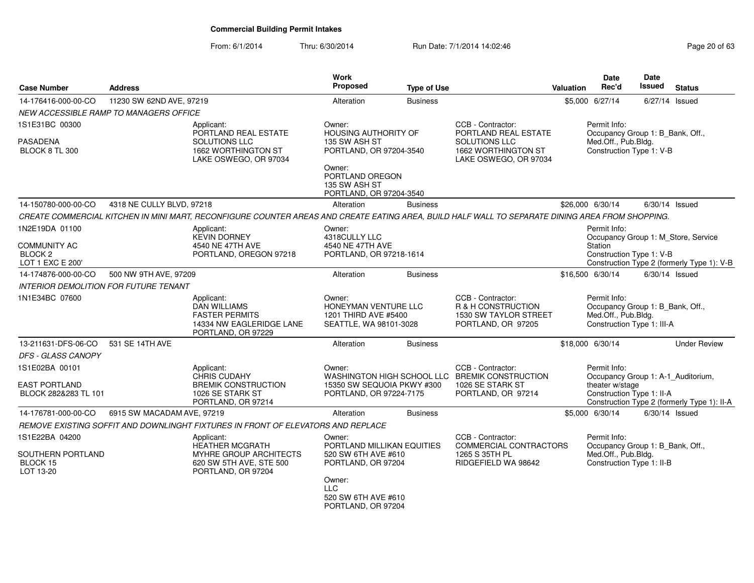| <b>Case Number</b>                                                              | <b>Address</b>             |                                                                                                                                                  | <b>Work</b><br>Proposed                                                                                           | <b>Type of Use</b> |                                                                                                               | <b>Valuation</b> | Date<br>Rec'd                                                                                         | Date<br><b>Issued</b> | <b>Status</b>                                                                     |
|---------------------------------------------------------------------------------|----------------------------|--------------------------------------------------------------------------------------------------------------------------------------------------|-------------------------------------------------------------------------------------------------------------------|--------------------|---------------------------------------------------------------------------------------------------------------|------------------|-------------------------------------------------------------------------------------------------------|-----------------------|-----------------------------------------------------------------------------------|
| 14-176416-000-00-CO                                                             | 11230 SW 62ND AVE, 97219   |                                                                                                                                                  | Alteration                                                                                                        | <b>Business</b>    |                                                                                                               |                  | \$5,000 6/27/14                                                                                       |                       | 6/27/14 Issued                                                                    |
| <i>NEW ACCESSIBLE RAMP TO MANAGERS OFFICE</i>                                   |                            |                                                                                                                                                  |                                                                                                                   |                    |                                                                                                               |                  |                                                                                                       |                       |                                                                                   |
| 1S1E31BC 00300                                                                  |                            | Applicant:<br>PORTLAND REAL ESTATE                                                                                                               | Owner:<br><b>HOUSING AUTHORITY OF</b>                                                                             |                    | CCB - Contractor:<br>PORTLAND REAL ESTATE                                                                     |                  | Permit Info:<br>Occupancy Group 1: B_Bank, Off.,                                                      |                       |                                                                                   |
| PASADENA<br>BLOCK 8 TL 300                                                      |                            | SOLUTIONS LLC<br>1662 WORTHINGTON ST<br>LAKE OSWEGO, OR 97034                                                                                    | 135 SW ASH ST<br>PORTLAND, OR 97204-3540<br>Owner:<br>PORTLAND OREGON<br>135 SW ASH ST<br>PORTLAND, OR 97204-3540 |                    | SOLUTIONS LLC<br>1662 WORTHINGTON ST<br>LAKE OSWEGO, OR 97034                                                 |                  | Med.Off., Pub.Bldg.<br>Construction Type 1: V-B                                                       |                       |                                                                                   |
| 14-150780-000-00-CO                                                             | 4318 NE CULLY BLVD, 97218  |                                                                                                                                                  | Alteration                                                                                                        | <b>Business</b>    |                                                                                                               |                  | \$26,000 6/30/14                                                                                      |                       | $6/30/14$ Issued                                                                  |
|                                                                                 |                            | CREATE COMMERCIAL KITCHEN IN MINI MART, RECONFIGURE COUNTER AREAS AND CREATE EATING AREA, BUILD HALF WALL TO SEPARATE DINING AREA FROM SHOPPING. |                                                                                                                   |                    |                                                                                                               |                  |                                                                                                       |                       |                                                                                   |
| 1N2E19DA 01100<br><b>COMMUNITY AC</b><br>BLOCK <sub>2</sub><br>LOT 1 EXC E 200' |                            | Applicant:<br><b>KEVIN DORNEY</b><br>4540 NE 47TH AVE<br>PORTLAND, OREGON 97218                                                                  | Owner:<br>4318CULLY LLC<br>4540 NE 47TH AVE<br>PORTLAND, OR 97218-1614                                            |                    |                                                                                                               |                  | Permit Info:<br><b>Station</b><br>Construction Type 1: V-B                                            |                       | Occupancy Group 1: M_Store, Service<br>Construction Type 2 (formerly Type 1): V-B |
| 14-174876-000-00-CO                                                             | 500 NW 9TH AVE, 97209      |                                                                                                                                                  | Alteration                                                                                                        | <b>Business</b>    |                                                                                                               |                  | \$16,500 6/30/14                                                                                      |                       | $6/30/14$ Issued                                                                  |
| <b>INTERIOR DEMOLITION FOR FUTURE TENANT</b>                                    |                            |                                                                                                                                                  |                                                                                                                   |                    |                                                                                                               |                  |                                                                                                       |                       |                                                                                   |
| 1N1E34BC 07600                                                                  |                            | Applicant:<br><b>DAN WILLIAMS</b><br><b>FASTER PERMITS</b><br>14334 NW EAGLERIDGE LANE<br>PORTLAND, OR 97229                                     | Owner:<br>HONEYMAN VENTURE LLC<br>1201 THIRD AVE #5400<br>SEATTLE, WA 98101-3028                                  |                    | CCB - Contractor:<br>R & H CONSTRUCTION<br>1530 SW TAYLOR STREET<br>PORTLAND, OR 97205                        |                  | Permit Info:<br>Occupancy Group 1: B_Bank, Off.,<br>Med.Off., Pub.Bldg.<br>Construction Type 1: III-A |                       |                                                                                   |
| 13-211631-DFS-06-CO                                                             | 531 SE 14TH AVE            |                                                                                                                                                  | Alteration                                                                                                        | <b>Business</b>    |                                                                                                               |                  | \$18,000 6/30/14                                                                                      |                       | <b>Under Review</b>                                                               |
| DFS - GLASS CANOPY                                                              |                            |                                                                                                                                                  |                                                                                                                   |                    |                                                                                                               |                  |                                                                                                       |                       |                                                                                   |
| 1S1E02BA 00101<br><b>EAST PORTLAND</b><br>BLOCK 282&283 TL 101                  |                            | Applicant:<br>CHRIS CUDAHY<br><b>BREMIK CONSTRUCTION</b><br>1026 SE STARK ST<br>PORTLAND, OR 97214                                               | Owner:<br>15350 SW SEQUOIA PKWY #300<br>PORTLAND, OR 97224-7175                                                   |                    | CCB - Contractor:<br>WASHINGTON HIGH SCHOOL LLC BREMIK CONSTRUCTION<br>1026 SE STARK ST<br>PORTLAND, OR 97214 |                  | Permit Info:<br>theater w/stage<br>Construction Type 1: II-A                                          |                       | Occupancy Group 1: A-1_Auditorium,<br>Construction Type 2 (formerly Type 1): II-A |
| 14-176781-000-00-CO                                                             | 6915 SW MACADAM AVE, 97219 |                                                                                                                                                  | Alteration                                                                                                        | <b>Business</b>    |                                                                                                               |                  | \$5,000 6/30/14                                                                                       |                       | $6/30/14$ Issued                                                                  |
|                                                                                 |                            | REMOVE EXISTING SOFFIT AND DOWNLINGHT FIXTURES IN FRONT OF ELEVATORS AND REPLACE                                                                 |                                                                                                                   |                    |                                                                                                               |                  |                                                                                                       |                       |                                                                                   |
| 1S1E22BA 04200<br>SOUTHERN PORTLAND<br>BLOCK 15<br>LOT 13-20                    |                            | Applicant:<br><b>HEATHER MCGRATH</b><br>MYHRE GROUP ARCHITECTS<br>620 SW 5TH AVE, STE 500<br>PORTLAND, OR 97204                                  | Owner:<br>PORTLAND MILLIKAN EQUITIES<br>520 SW 6TH AVE #610<br>PORTLAND, OR 97204<br>Owner:<br><b>LLC</b>         |                    | CCB - Contractor:<br>COMMERCIAL CONTRACTORS<br>1265 S 35TH PL<br>RIDGEFIELD WA 98642                          |                  | Permit Info:<br>Occupancy Group 1: B_Bank, Off.,<br>Med.Off., Pub.Bldg.<br>Construction Type 1: II-B  |                       |                                                                                   |
|                                                                                 |                            |                                                                                                                                                  | 520 SW 6TH AVE #610<br>PORTLAND, OR 97204                                                                         |                    |                                                                                                               |                  |                                                                                                       |                       |                                                                                   |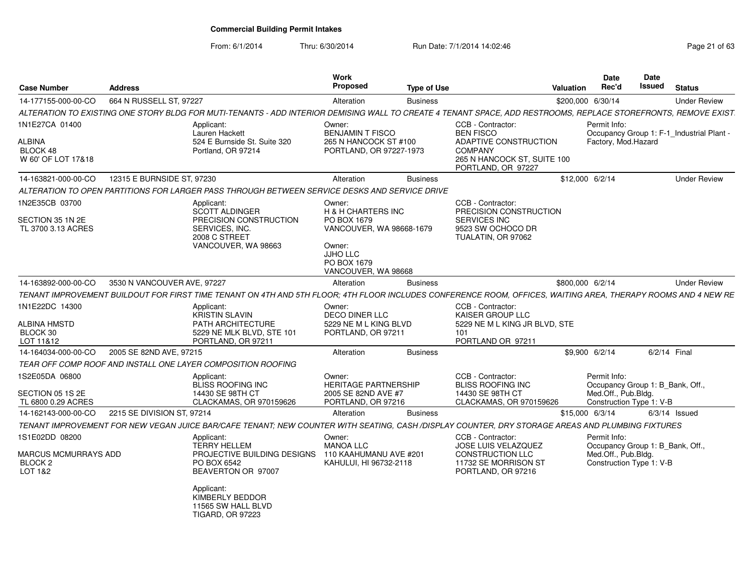From: 6/1/2014

| <b>Case Number</b>                                       | <b>Address</b>              |                                                                                                                                                                 | Work<br><b>Proposed</b>                                                                                                 | <b>Type of Use</b> |                                                                                                        | Valuation         | <b>Date</b><br>Rec'd                                                               | <b>Date</b><br>Issued | <b>Status</b>                           |
|----------------------------------------------------------|-----------------------------|-----------------------------------------------------------------------------------------------------------------------------------------------------------------|-------------------------------------------------------------------------------------------------------------------------|--------------------|--------------------------------------------------------------------------------------------------------|-------------------|------------------------------------------------------------------------------------|-----------------------|-----------------------------------------|
| 14-177155-000-00-CO                                      | 664 N RUSSELL ST, 97227     |                                                                                                                                                                 | Alteration                                                                                                              | <b>Business</b>    |                                                                                                        | \$200,000 6/30/14 |                                                                                    |                       | <b>Under Review</b>                     |
|                                                          |                             | ALTERATION TO EXISTING ONE STORY BLDG FOR MUTI-TENANTS - ADD INTERIOR DEMISING WALL TO CREATE 4 TENANT SPACE, ADD RESTROOMS, REPLACE STOREFRONTS, REMOVE EXIST. |                                                                                                                         |                    |                                                                                                        |                   |                                                                                    |                       |                                         |
| 1N1E27CA 01400<br>ALBINA<br>BLOCK 48                     |                             | Applicant:<br>Lauren Hackett<br>524 E Burnside St. Suite 320<br>Portland, OR 97214                                                                              | Owner:<br><b>BENJAMIN T FISCO</b><br>265 N HANCOCK ST #100<br>PORTLAND, OR 97227-1973                                   |                    | CCB - Contractor:<br><b>BEN FISCO</b><br>ADAPTIVE CONSTRUCTION<br><b>COMPANY</b>                       |                   | Permit Info:<br>Factory, Mod.Hazard                                                |                       | Occupancy Group 1: F-1 Industrial Plant |
| W 60' OF LOT 17&18                                       |                             |                                                                                                                                                                 |                                                                                                                         |                    | 265 N HANCOCK ST, SUITE 100<br>PORTLAND, OR 97227                                                      |                   |                                                                                    |                       |                                         |
| 14-163821-000-00-CO                                      | 12315 E BURNSIDE ST, 97230  |                                                                                                                                                                 | Alteration                                                                                                              | <b>Business</b>    |                                                                                                        | \$12,000 6/2/14   |                                                                                    |                       | <b>Under Review</b>                     |
|                                                          |                             | ALTERATION TO OPEN PARTITIONS FOR LARGER PASS THROUGH BETWEEN SERVICE DESKS AND SERVICE DRIVE                                                                   |                                                                                                                         |                    |                                                                                                        |                   |                                                                                    |                       |                                         |
| 1N2E35CB 03700<br>SECTION 35 1N 2E<br>TL 3700 3.13 ACRES |                             | Applicant:<br><b>SCOTT ALDINGER</b><br>PRECISION CONSTRUCTION<br>SERVICES, INC.<br>2008 C STREET<br>VANCOUVER, WA 98663                                         | Owner:<br><b>H &amp; H CHARTERS INC</b><br>PO BOX 1679<br>VANCOUVER, WA 98668-1679<br>Owner:<br>JJHO LLC<br>PO BOX 1679 |                    | CCB - Contractor:<br>PRECISION CONSTRUCTION<br>SERVICES INC<br>9523 SW OCHOCO DR<br>TUALATIN, OR 97062 |                   |                                                                                    |                       |                                         |
|                                                          |                             |                                                                                                                                                                 | VANCOUVER, WA 98668                                                                                                     |                    |                                                                                                        |                   |                                                                                    |                       |                                         |
| 14-163892-000-00-CO                                      | 3530 N VANCOUVER AVE, 97227 |                                                                                                                                                                 | Alteration                                                                                                              | <b>Business</b>    |                                                                                                        | \$800,000 6/2/14  |                                                                                    |                       | <b>Under Review</b>                     |
|                                                          |                             | TENANT IMPROVEMENT BUILDOUT FOR FIRST TIME TENANT ON 4TH AND 5TH FLOOR: 4TH FLOOR INCLUDES CONFERENCE ROOM. OFFICES, WAITING AREA, THERAPY ROOMS AND 4 NEW RE   |                                                                                                                         |                    |                                                                                                        |                   |                                                                                    |                       |                                         |
| 1N1E22DC 14300<br>ALBINA HMSTD<br>BLOCK 30<br>LOT 11&12  |                             | Applicant:<br><b>KRISTIN SLAVIN</b><br><b>PATH ARCHITECTURE</b><br>5229 NE MLK BLVD, STE 101<br>PORTLAND, OR 97211                                              | Owner:<br><b>DECO DINER LLC</b><br>5229 NE M L KING BLVD<br>PORTLAND, OR 97211                                          |                    | CCB - Contractor:<br>KAISER GROUP LLC<br>5229 NE M L KING JR BLVD, STE<br>101<br>PORTLAND OR 97211     |                   |                                                                                    |                       |                                         |
| 14-164034-000-00-CO                                      | 2005 SE 82ND AVE, 97215     |                                                                                                                                                                 | Alteration                                                                                                              | <b>Business</b>    |                                                                                                        | \$9,900 6/2/14    |                                                                                    |                       | 6/2/14 Final                            |
|                                                          |                             | TEAR OFF COMP ROOF AND INSTALL ONE LAYER COMPOSITION ROOFING                                                                                                    |                                                                                                                         |                    |                                                                                                        |                   |                                                                                    |                       |                                         |
| 1S2E05DA 06800                                           |                             | Applicant:<br><b>BLISS ROOFING INC</b>                                                                                                                          | Owner:<br><b>HERITAGE PARTNERSHIP</b>                                                                                   |                    | CCB - Contractor:<br><b>BLISS ROOFING INC</b>                                                          |                   | Permit Info:<br>Occupancy Group 1: B Bank, Off.                                    |                       |                                         |
| SECTION 05 1S 2E<br>TL 6800 0.29 ACRES                   |                             | 14430 SE 98TH CT<br>CLACKAMAS, OR 970159626                                                                                                                     | 2005 SE 82ND AVE #7<br>PORTLAND, OR 97216                                                                               |                    | 14430 SE 98TH CT<br>CLACKAMAS, OR 970159626                                                            |                   | Med.Off., Pub.Bldg.<br>Construction Type 1: V-B                                    |                       |                                         |
| 14-162143-000-00-CO                                      | 2215 SE DIVISION ST, 97214  |                                                                                                                                                                 | Alteration                                                                                                              | <b>Business</b>    |                                                                                                        | \$15,000 6/3/14   |                                                                                    |                       | $6/3/14$ Issued                         |
|                                                          |                             | TENANT IMPROVEMENT FOR NEW VEGAN JUICE BAR/CAFE TENANT; NEW COUNTER WITH SEATING, CASH /DISPLAY COUNTER, DRY STORAGE AREAS AND PLUMBING FIXTURES                |                                                                                                                         |                    |                                                                                                        |                   |                                                                                    |                       |                                         |
| 1S1E02DD 08200                                           |                             | Applicant:                                                                                                                                                      | Owner:                                                                                                                  |                    | CCB - Contractor:                                                                                      |                   | Permit Info:                                                                       |                       |                                         |
| MARCUS MCMURRAYS ADD<br>BLOCK <sub>2</sub><br>LOT 1&2    |                             | <b>TERRY HELLEM</b><br>PROJECTIVE BUILDING DESIGNS 110 KAAHUMANU AVE #201<br>PO BOX 6542<br>BEAVERTON OR 97007                                                  | <b>MANOA LLC</b><br>KAHULUI, HI 96732-2118                                                                              |                    | JOSE LUIS VELAZQUEZ<br>CONSTRUCTION LLC<br>11732 SE MORRISON ST<br>PORTLAND, OR 97216                  |                   | Occupancy Group 1: B Bank, Off.<br>Med.Off., Pub.Bldg.<br>Construction Type 1: V-B |                       |                                         |
|                                                          |                             | Applicant:<br>KIMBERLY BEDDOR<br>11565 SW HALL BLVD<br><b>TIGARD, OR 97223</b>                                                                                  |                                                                                                                         |                    |                                                                                                        |                   |                                                                                    |                       |                                         |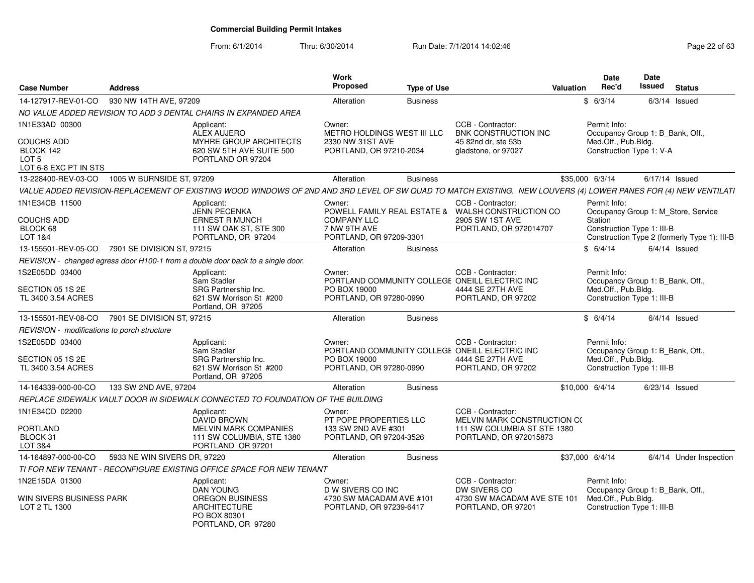| <b>Case Number</b>                                                          | <b>Address</b>               |                                                                                                                                                                | Work<br>Proposed                                              | <b>Type of Use</b> |                                                                        | Valuation | <b>Date</b><br>Rec'd                                                    | Date<br><b>Issued</b> | <b>Status</b>                                |
|-----------------------------------------------------------------------------|------------------------------|----------------------------------------------------------------------------------------------------------------------------------------------------------------|---------------------------------------------------------------|--------------------|------------------------------------------------------------------------|-----------|-------------------------------------------------------------------------|-----------------------|----------------------------------------------|
| 14-127917-REV-01-CO                                                         | 930 NW 14TH AVE, 97209       |                                                                                                                                                                | Alteration                                                    | <b>Business</b>    |                                                                        |           | \$6/3/14                                                                | $6/3/14$ Issued       |                                              |
|                                                                             |                              | NO VALUE ADDED REVISION TO ADD 3 DENTAL CHAIRS IN EXPANDED AREA                                                                                                |                                                               |                    |                                                                        |           |                                                                         |                       |                                              |
| 1N1E33AD 00300                                                              |                              | Applicant:<br><b>ALEX AUJERO</b>                                                                                                                               | Owner:<br>METRO HOLDINGS WEST III LLC                         |                    | CCB - Contractor:<br><b>BNK CONSTRUCTION INC</b>                       |           | Permit Info:<br>Occupancy Group 1: B_Bank, Off.,<br>Med.Off., Pub.Bldg. |                       |                                              |
| <b>COUCHS ADD</b><br>BLOCK 142<br>LOT <sub>5</sub><br>LOT 6-8 EXC PT IN STS |                              | MYHRE GROUP ARCHITECTS<br>620 SW 5TH AVE SUITE 500<br>PORTLAND OR 97204                                                                                        | 2330 NW 31ST AVE<br>PORTLAND, OR 97210-2034                   |                    | 45 82nd dr, ste 53b<br>gladstone, or 97027                             |           | Construction Type 1: V-A                                                |                       |                                              |
| 13-228400-REV-03-CO                                                         | 1005 W BURNSIDE ST, 97209    |                                                                                                                                                                | Alteration                                                    | <b>Business</b>    |                                                                        |           | \$35,000 6/3/14                                                         | 6/17/14 Issued        |                                              |
|                                                                             |                              | VALUE ADDED REVISION-REPLACEMENT OF EXISTING WOOD WINDOWS OF 2ND AND 3RD LEVEL OF SW QUAD TO MATCH EXISTING. NEW LOUVERS (4) LOWER PANES FOR (4) NEW VENTILATI |                                                               |                    |                                                                        |           |                                                                         |                       |                                              |
| 1N1E34CB 11500                                                              |                              | Applicant:<br><b>JENN PECENKA</b>                                                                                                                              | Owner:                                                        |                    | CCB - Contractor:<br>POWELL FAMILY REAL ESTATE & WALSH CONSTRUCTION CO |           | Permit Info:<br>Occupancy Group 1: M_Store, Service                     |                       |                                              |
| <b>COUCHS ADD</b><br>BLOCK 68<br>LOT 1&4                                    |                              | <b>ERNEST R MUNCH</b><br>111 SW OAK ST, STE 300<br>PORTLAND, OR 97204                                                                                          | <b>COMPANY LLC</b><br>7 NW 9TH AVE<br>PORTLAND, OR 97209-3301 |                    | 2905 SW 1ST AVE<br>PORTLAND, OR 972014707                              |           | Station<br>Construction Type 1: III-B                                   |                       | Construction Type 2 (formerly Type 1): III-B |
| 13-155501-REV-05-CO                                                         | 7901 SE DIVISION ST, 97215   |                                                                                                                                                                | Alteration                                                    | <b>Business</b>    |                                                                        |           | \$6/4/14                                                                | $6/4/14$ Issued       |                                              |
|                                                                             |                              | REVISION - changed egress door H100-1 from a double door back to a single door.                                                                                |                                                               |                    |                                                                        |           |                                                                         |                       |                                              |
| 1S2E05DD 03400                                                              |                              | Applicant:<br>Sam Stadler                                                                                                                                      | Owner:                                                        |                    | CCB - Contractor:<br>PORTLAND COMMUNITY COLLEGE ONEILL ELECTRIC INC    |           | Permit Info:<br>Occupancy Group 1: B_Bank, Off.,                        |                       |                                              |
| SECTION 05 1S 2E<br>TL 3400 3.54 ACRES                                      |                              | SRG Partnership Inc.<br>621 SW Morrison St #200<br>Portland, OR 97205                                                                                          | PO BOX 19000<br>PORTLAND, OR 97280-0990                       |                    | 4444 SE 27TH AVE<br>PORTLAND, OR 97202                                 |           | Med.Off., Pub.Bldg.<br>Construction Type 1: III-B                       |                       |                                              |
| 13-155501-REV-08-CO                                                         | 7901 SE DIVISION ST, 97215   |                                                                                                                                                                | Alteration                                                    | <b>Business</b>    |                                                                        |           | \$6/4/14                                                                | $6/4/14$ Issued       |                                              |
| REVISION - modifications to porch structure                                 |                              |                                                                                                                                                                |                                                               |                    |                                                                        |           |                                                                         |                       |                                              |
| 1S2E05DD 03400                                                              |                              | Applicant:<br>Sam Stadler                                                                                                                                      | Owner:                                                        |                    | CCB - Contractor:<br>PORTLAND COMMUNITY COLLEGE ONEILL ELECTRIC INC    |           | Permit Info:<br>Occupancy Group 1: B_Bank, Off.,                        |                       |                                              |
| SECTION 05 1S 2E<br>TL 3400 3.54 ACRES                                      |                              | SRG Partnership Inc.<br>621 SW Morrison St #200<br>Portland, OR 97205                                                                                          | PO BOX 19000<br>PORTLAND, OR 97280-0990                       |                    | 4444 SE 27TH AVE<br>PORTLAND, OR 97202                                 |           | Med.Off., Pub.Bldg.<br>Construction Type 1: III-B                       |                       |                                              |
| 14-164339-000-00-CO                                                         | 133 SW 2ND AVE, 97204        |                                                                                                                                                                | Alteration                                                    | <b>Business</b>    |                                                                        |           | \$10,000 6/4/14                                                         | $6/23/14$ Issued      |                                              |
|                                                                             |                              | REPLACE SIDEWALK VAULT DOOR IN SIDEWALK CONNECTED TO FOUNDATION OF THE BUILDING                                                                                |                                                               |                    |                                                                        |           |                                                                         |                       |                                              |
| 1N1E34CD 02200                                                              |                              | Applicant:<br><b>DAVID BROWN</b>                                                                                                                               | Owner:<br>PT POPE PROPERTIES LLC                              |                    | CCB - Contractor:<br>MELVIN MARK CONSTRUCTION CO                       |           |                                                                         |                       |                                              |
| <b>PORTLAND</b><br>BLOCK 31<br>LOT 3&4                                      |                              | MELVIN MARK COMPANIES<br>111 SW COLUMBIA, STE 1380<br>PORTLAND OR 97201                                                                                        | 133 SW 2ND AVE #301<br>PORTLAND, OR 97204-3526                |                    | 111 SW COLUMBIA ST STE 1380<br>PORTLAND, OR 972015873                  |           |                                                                         |                       |                                              |
| 14-164897-000-00-CO                                                         | 5933 NE WIN SIVERS DR, 97220 |                                                                                                                                                                | Alteration                                                    | <b>Business</b>    |                                                                        |           | \$37,000 6/4/14                                                         |                       | 6/4/14 Under Inspection                      |
|                                                                             |                              | TI FOR NEW TENANT - RECONFIGURE EXISTING OFFICE SPACE FOR NEW TENANT                                                                                           |                                                               |                    |                                                                        |           |                                                                         |                       |                                              |
| 1N2E15DA 01300                                                              |                              | Applicant:<br>DAN YOUNG                                                                                                                                        | Owner:<br>D W SIVERS CO INC                                   |                    | CCB - Contractor:<br>DW SIVERS CO                                      |           | Permit Info:<br>Occupancy Group 1: B Bank, Off.,                        |                       |                                              |
| WIN SIVERS BUSINESS PARK<br>LOT 2 TL 1300                                   |                              | <b>OREGON BUSINESS</b><br><b>ARCHITECTURE</b><br>PO BOX 80301<br>PORTLAND, OR 97280                                                                            | 4730 SW MACADAM AVE #101<br>PORTLAND, OR 97239-6417           |                    | 4730 SW MACADAM AVE STE 101<br>PORTLAND, OR 97201                      |           | Med.Off., Pub.Bldg.<br>Construction Type 1: III-B                       |                       |                                              |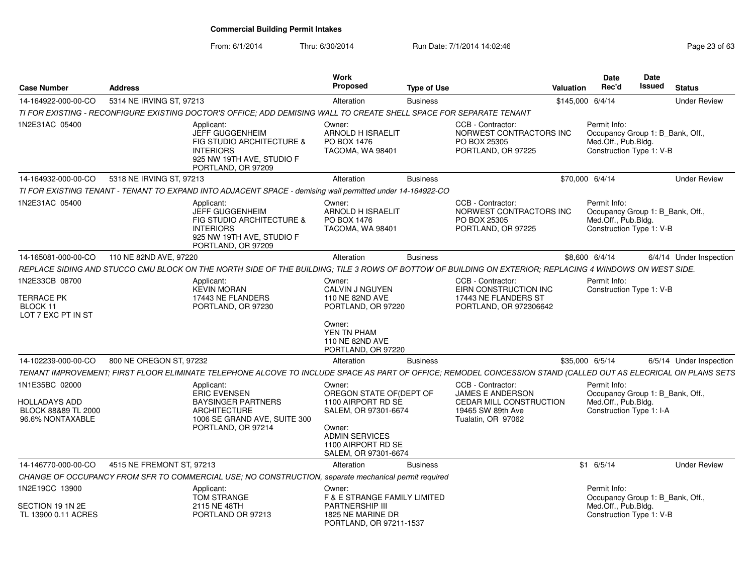From: 6/1/2014

| <b>Case Number</b>                                              | <b>Address</b>            |                                                                                                                                                                | Work<br>Proposed                                                              | <b>Type of Use</b> |                                                                                        | <b>Valuation</b> | Date<br>Rec'd                                                                                       | Date<br>Issued | <b>Status</b>           |
|-----------------------------------------------------------------|---------------------------|----------------------------------------------------------------------------------------------------------------------------------------------------------------|-------------------------------------------------------------------------------|--------------------|----------------------------------------------------------------------------------------|------------------|-----------------------------------------------------------------------------------------------------|----------------|-------------------------|
| 14-164922-000-00-CO                                             | 5314 NE IRVING ST, 97213  |                                                                                                                                                                | Alteration                                                                    | <b>Business</b>    |                                                                                        |                  | \$145,000 6/4/14                                                                                    |                | <b>Under Review</b>     |
|                                                                 |                           | TI FOR EXISTING - RECONFIGURE EXISTING DOCTOR'S OFFICE; ADD DEMISING WALL TO CREATE SHELL SPACE FOR SEPARATE TENANT                                            |                                                                               |                    |                                                                                        |                  |                                                                                                     |                |                         |
| 1N2E31AC 05400                                                  |                           | Applicant:<br><b>JEFF GUGGENHEIM</b><br>FIG STUDIO ARCHITECTURE &<br><b>INTERIORS</b><br>925 NW 19TH AVE, STUDIO F<br>PORTLAND, OR 97209                       | Owner:<br>ARNOLD H ISRAELIT<br>PO BOX 1476<br>TACOMA, WA 98401                |                    | CCB - Contractor:<br>NORWEST CONTRACTORS INC<br>PO BOX 25305<br>PORTLAND, OR 97225     |                  | Permit Info:<br>Occupancy Group 1: B_Bank, Off.,<br>Med.Off., Pub.Bldg.<br>Construction Type 1: V-B |                |                         |
| 14-164932-000-00-CO                                             | 5318 NE IRVING ST, 97213  |                                                                                                                                                                | Alteration                                                                    | <b>Business</b>    |                                                                                        |                  | \$70,000 6/4/14                                                                                     |                | <b>Under Review</b>     |
|                                                                 |                           | TI FOR EXISTING TENANT - TENANT TO EXPAND INTO ADJACENT SPACE - demising wall permitted under 14-164922-CO                                                     |                                                                               |                    |                                                                                        |                  |                                                                                                     |                |                         |
| 1N2E31AC 05400                                                  |                           | Applicant:<br><b>JEFF GUGGENHEIM</b><br>FIG STUDIO ARCHITECTURE &<br><b>INTERIORS</b><br>925 NW 19TH AVE, STUDIO F<br>PORTLAND, OR 97209                       | Owner:<br><b>ARNOLD H ISRAELIT</b><br>PO BOX 1476<br><b>TACOMA, WA 98401</b>  |                    | CCB - Contractor:<br>NORWEST CONTRACTORS INC<br>PO BOX 25305<br>PORTLAND, OR 97225     |                  | Permit Info:<br>Occupancy Group 1: B_Bank, Off.,<br>Med.Off., Pub.Bldg.<br>Construction Type 1: V-B |                |                         |
| 14-165081-000-00-CO                                             | 110 NE 82ND AVE, 97220    |                                                                                                                                                                | Alteration                                                                    | <b>Business</b>    |                                                                                        |                  | \$8,600 6/4/14                                                                                      |                | 6/4/14 Under Inspection |
|                                                                 |                           | REPLACE SIDING AND STUCCO CMU BLOCK ON THE NORTH SIDE OF THE BUILDING; TILE 3 ROWS OF BOTTOW OF BUILDING ON EXTERIOR; REPLACING 4 WINDOWS ON WEST SIDE.        |                                                                               |                    |                                                                                        |                  |                                                                                                     |                |                         |
| 1N2E33CB 08700                                                  |                           | Applicant:                                                                                                                                                     | Owner:                                                                        |                    | CCB - Contractor:                                                                      |                  | Permit Info:                                                                                        |                |                         |
| <b>TERRACE PK</b><br>BLOCK 11<br>LOT 7 EXC PT IN ST             |                           | <b>KEVIN MORAN</b><br>17443 NE FLANDERS<br>PORTLAND, OR 97230                                                                                                  | CALVIN J NGUYEN<br>110 NE 82ND AVE<br>PORTLAND, OR 97220                      |                    | EIRN CONSTRUCTION INC<br>17443 NE FLANDERS ST<br>PORTLAND, OR 972306642                |                  | Construction Type 1: V-B                                                                            |                |                         |
|                                                                 |                           |                                                                                                                                                                | Owner:<br>YEN TN PHAM<br>110 NE 82ND AVE<br>PORTLAND, OR 97220                |                    |                                                                                        |                  |                                                                                                     |                |                         |
| 14-102239-000-00-CO                                             | 800 NE OREGON ST, 97232   |                                                                                                                                                                | Alteration                                                                    | <b>Business</b>    |                                                                                        |                  | \$35,000 6/5/14                                                                                     |                | 6/5/14 Under Inspection |
|                                                                 |                           | TENANT IMPROVEMENT; FIRST FLOOR ELIMINATE TELEPHONE ALCOVE TO INCLUDE SPACE AS PART OF OFFICE; REMODEL CONCESSION STAND (CALLED OUT AS ELECRICAL ON PLANS SETS |                                                                               |                    |                                                                                        |                  |                                                                                                     |                |                         |
| 1N1E35BC 02000                                                  |                           | Applicant:                                                                                                                                                     | Owner:                                                                        |                    | CCB - Contractor:                                                                      |                  | Permit Info:                                                                                        |                |                         |
| <b>HOLLADAYS ADD</b><br>BLOCK 88&89 TL 2000<br>96.6% NONTAXABLE |                           | <b>ERIC EVENSEN</b><br><b>BAYSINGER PARTNERS</b><br><b>ARCHITECTURE</b><br>1006 SE GRAND AVE, SUITE 300                                                        | OREGON STATE OF (DEPT OF<br>1100 AIRPORT RD SE<br>SALEM, OR 97301-6674        |                    | JAMES E ANDERSON<br>CEDAR MILL CONSTRUCTION<br>19465 SW 89th Ave<br>Tualatin, OR 97062 |                  | Occupancy Group 1: B_Bank, Off.,<br>Med.Off., Pub.Bldg.<br>Construction Type 1: I-A                 |                |                         |
|                                                                 |                           | PORTLAND, OR 97214                                                                                                                                             | Owner:<br><b>ADMIN SERVICES</b><br>1100 AIRPORT RD SE<br>SALEM, OR 97301-6674 |                    |                                                                                        |                  |                                                                                                     |                |                         |
| 14-146770-000-00-CO                                             | 4515 NE FREMONT ST, 97213 |                                                                                                                                                                | Alteration                                                                    | <b>Business</b>    |                                                                                        |                  | $$1$ 6/5/14                                                                                         |                | <b>Under Review</b>     |
|                                                                 |                           | CHANGE OF OCCUPANCY FROM SFR TO COMMERCIAL USE; NO CONSTRUCTION, separate mechanical permit required                                                           |                                                                               |                    |                                                                                        |                  |                                                                                                     |                |                         |
| 1N2E19CC 13900                                                  |                           | Applicant:<br><b>TOM STRANGE</b>                                                                                                                               | Owner:<br><b>F &amp; E STRANGE FAMILY LIMITED</b>                             |                    |                                                                                        |                  | Permit Info:<br>Occupancy Group 1: B_Bank, Off.,                                                    |                |                         |
| SECTION 19 1N 2E<br>TL 13900 0.11 ACRES                         |                           | 2115 NE 48TH<br>PORTLAND OR 97213                                                                                                                              | <b>PARTNERSHIP III</b><br>1825 NE MARINE DR<br>PORTLAND, OR 97211-1537        |                    |                                                                                        |                  | Med.Off., Pub.Bldg.<br>Construction Type 1: V-B                                                     |                |                         |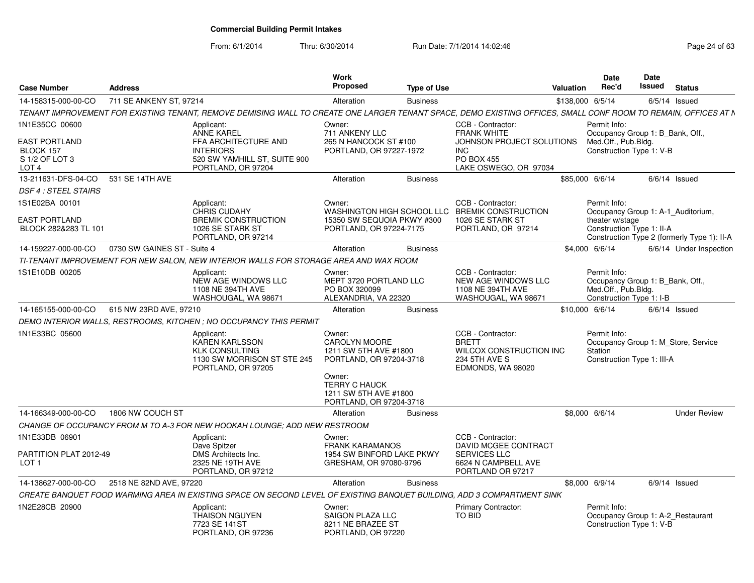| <b>Case Number</b>                                                    | <b>Address</b>              |                                                                                                                                                                | Work<br>Proposed                                                                                                                                                         | Type of Use     |                                                                                                               | Valuation        | Date<br>Rec'd                                                                                                                                     | Date<br>Issued | <b>Status</b>   |                         |
|-----------------------------------------------------------------------|-----------------------------|----------------------------------------------------------------------------------------------------------------------------------------------------------------|--------------------------------------------------------------------------------------------------------------------------------------------------------------------------|-----------------|---------------------------------------------------------------------------------------------------------------|------------------|---------------------------------------------------------------------------------------------------------------------------------------------------|----------------|-----------------|-------------------------|
| 14-158315-000-00-CO                                                   | 711 SE ANKENY ST. 97214     |                                                                                                                                                                | Alteration                                                                                                                                                               | <b>Business</b> |                                                                                                               | \$138,000 6/5/14 |                                                                                                                                                   |                | $6/5/14$ Issued |                         |
|                                                                       |                             | TENANT IMPROVEMENT FOR EXISTING TENANT, REMOVE DEMISING WALL TO CREATE ONE LARGER TENANT SPACE, DEMO EXISTING OFFICES, SMALL CONF ROOM TO REMAIN, OFFICES AT N |                                                                                                                                                                          |                 |                                                                                                               |                  |                                                                                                                                                   |                |                 |                         |
| 1N1E35CC 00600<br><b>EAST PORTLAND</b><br>BLOCK 157<br>S 1/2 OF LOT 3 |                             | Applicant:<br><b>ANNE KAREL</b><br>FFA ARCHITECTURE AND<br><b>INTERIORS</b><br>520 SW YAMHILL ST, SUITE 900                                                    | Owner:<br>711 ANKENY LLC<br>265 N HANCOCK ST #100<br>PORTLAND, OR 97227-1972                                                                                             |                 | CCB - Contractor:<br><b>FRANK WHITE</b><br>JOHNSON PROJECT SOLUTIONS<br><b>INC</b><br><b>PO BOX 455</b>       |                  | Permit Info:<br>Occupancy Group 1: B Bank, Off.,<br>Med.Off., Pub.Bldg.<br>Construction Type 1: V-B                                               |                |                 |                         |
| LOT <sub>4</sub>                                                      |                             | PORTLAND, OR 97204                                                                                                                                             |                                                                                                                                                                          |                 | LAKE OSWEGO, OR 97034                                                                                         |                  |                                                                                                                                                   |                |                 |                         |
| 13-211631-DFS-04-CO                                                   | 531 SE 14TH AVE             |                                                                                                                                                                | Alteration                                                                                                                                                               | <b>Business</b> |                                                                                                               |                  | \$85,000 6/6/14                                                                                                                                   |                | $6/6/14$ Issued |                         |
| <b>DSF 4 : STEEL STAIRS</b>                                           |                             |                                                                                                                                                                |                                                                                                                                                                          |                 |                                                                                                               |                  |                                                                                                                                                   |                |                 |                         |
| 1S1E02BA 00101<br><b>EAST PORTLAND</b><br>BLOCK 282&283 TL 101        |                             | Applicant:<br>CHRIS CUDAHY<br><b>BREMIK CONSTRUCTION</b><br>1026 SE STARK ST<br>PORTLAND, OR 97214                                                             | Owner:<br>15350 SW SEQUOIA PKWY #300<br>PORTLAND, OR 97224-7175                                                                                                          |                 | CCB - Contractor:<br>WASHINGTON HIGH SCHOOL LLC BREMIK CONSTRUCTION<br>1026 SE STARK ST<br>PORTLAND, OR 97214 |                  | Permit Info:<br>Occupancy Group 1: A-1 Auditorium,<br>theater w/stage<br>Construction Type 1: II-A<br>Construction Type 2 (formerly Type 1): II-A |                |                 |                         |
| 14-159227-000-00-CO                                                   | 0730 SW GAINES ST - Suite 4 |                                                                                                                                                                | Alteration                                                                                                                                                               | <b>Business</b> |                                                                                                               |                  | \$4,000 6/6/14                                                                                                                                    |                |                 | 6/6/14 Under Inspection |
|                                                                       |                             | TI-TENANT IMPROVEMENT FOR NEW SALON, NEW INTERIOR WALLS FOR STORAGE AREA AND WAX ROOM                                                                          |                                                                                                                                                                          |                 |                                                                                                               |                  |                                                                                                                                                   |                |                 |                         |
| 1S1E10DB 00205                                                        |                             | Applicant:<br>NEW AGE WINDOWS LLC<br>1108 NE 394TH AVE<br>WASHOUGAL, WA 98671                                                                                  | Owner:<br>MEPT 3720 PORTLAND LLC<br>PO BOX 320099<br>ALEXANDRIA, VA 22320                                                                                                |                 | CCB - Contractor:<br>NEW AGE WINDOWS LLC<br>1108 NE 394TH AVE<br>WASHOUGAL, WA 98671                          |                  | Permit Info:<br>Occupancy Group 1: B_Bank, Off.,<br>Med.Off., Pub.Bldg.<br>Construction Type 1: I-B                                               |                |                 |                         |
| 14-165155-000-00-CO                                                   | 615 NW 23RD AVE, 97210      |                                                                                                                                                                | Alteration                                                                                                                                                               | <b>Business</b> |                                                                                                               | \$10,000 6/6/14  |                                                                                                                                                   |                | $6/6/14$ Issued |                         |
|                                                                       |                             | DEMO INTERIOR WALLS, RESTROOMS, KITCHEN ; NO OCCUPANCY THIS PERMIT                                                                                             |                                                                                                                                                                          |                 |                                                                                                               |                  |                                                                                                                                                   |                |                 |                         |
| 1N1E33BC 05600                                                        |                             | Applicant:<br>KAREN KARLSSON<br><b>KLK CONSULTING</b><br>1130 SW MORRISON ST STE 245<br>PORTLAND, OR 97205                                                     | Owner:<br><b>CAROLYN MOORE</b><br>1211 SW 5TH AVE #1800<br>PORTLAND, OR 97204-3718<br>Owner:<br><b>TERRY C HAUCK</b><br>1211 SW 5TH AVE #1800<br>PORTLAND, OR 97204-3718 |                 | CCB - Contractor:<br><b>BRETT</b><br>WILCOX CONSTRUCTION INC<br>234 5TH AVE S<br>EDMONDS, WA 98020            |                  | Permit Info:<br>Occupancy Group 1: M Store, Service<br><b>Station</b><br>Construction Type 1: III-A                                               |                |                 |                         |
| 14-166349-000-00-CO                                                   | 1806 NW COUCH ST            |                                                                                                                                                                | Alteration                                                                                                                                                               | <b>Business</b> |                                                                                                               |                  | \$8,000 6/6/14                                                                                                                                    |                |                 | <b>Under Review</b>     |
|                                                                       |                             | CHANGE OF OCCUPANCY FROM M TO A-3 FOR NEW HOOKAH LOUNGE: ADD NEW RESTROOM                                                                                      |                                                                                                                                                                          |                 |                                                                                                               |                  |                                                                                                                                                   |                |                 |                         |
| 1N1E33DB 06901                                                        |                             | Applicant:<br>Dave Spitzer                                                                                                                                     | Owner:<br><b>FRANK KARAMANOS</b>                                                                                                                                         |                 | CCB - Contractor:<br>DAVID MCGEE CONTRACT                                                                     |                  |                                                                                                                                                   |                |                 |                         |
| PARTITION PLAT 2012-49<br>LOT <sub>1</sub>                            |                             | DMS Architects Inc.<br>2325 NE 19TH AVE<br>PORTLAND, OR 97212                                                                                                  | 1954 SW BINFORD LAKE PKWY<br>GRESHAM, OR 97080-9796                                                                                                                      |                 | <b>SERVICES LLC</b><br>6624 N CAMPBELL AVE<br>PORTLAND OR 97217                                               |                  |                                                                                                                                                   |                |                 |                         |
| 14-138627-000-00-CO                                                   | 2518 NE 82ND AVE, 97220     |                                                                                                                                                                | Alteration                                                                                                                                                               | <b>Business</b> |                                                                                                               |                  | \$8,000 6/9/14                                                                                                                                    |                | $6/9/14$ Issued |                         |
|                                                                       |                             | CREATE BANQUET FOOD WARMING AREA IN EXISTING SPACE ON SECOND LEVEL OF EXISTING BANQUET BUILDING. ADD 3 COMPARTMENT SINK                                        |                                                                                                                                                                          |                 |                                                                                                               |                  |                                                                                                                                                   |                |                 |                         |
| 1N2E28CB 20900                                                        |                             | Applicant:<br>THAISON NGUYEN<br>7723 SE 141ST<br>PORTLAND, OR 97236                                                                                            | Owner:<br><b>SAIGON PLAZA LLC</b><br>8211 NE BRAZEE ST<br>PORTLAND, OR 97220                                                                                             |                 | <b>Primary Contractor:</b><br><b>TO BID</b>                                                                   |                  | Permit Info:<br>Occupancy Group 1: A-2_Restaurant<br>Construction Type 1: V-B                                                                     |                |                 |                         |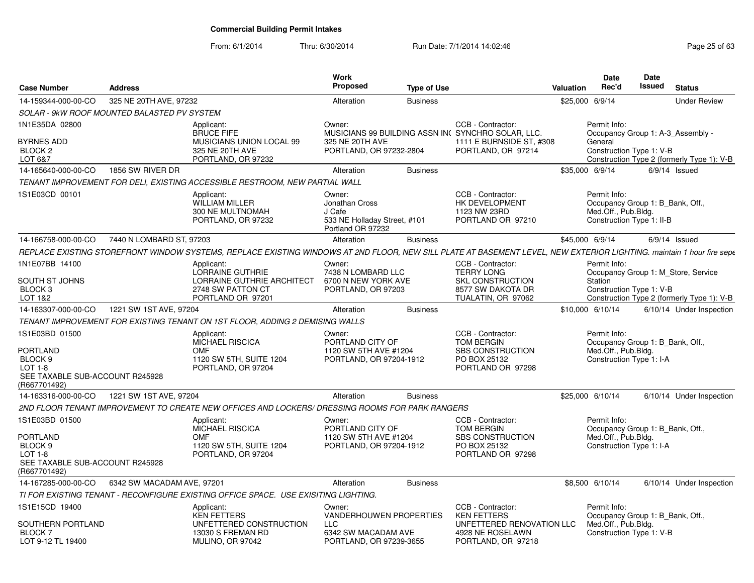| <b>Case Number</b>                                                                                                           | <b>Address</b>             |                                                                                                                                                                       | Work<br><b>Proposed</b>                                                                 | <b>Type of Use</b> |                                                                                                                          | Valuation        | Date<br>Rec'd                                                                                        | <b>Date</b><br><b>Issued</b> | <b>Status</b>                                                                     |
|------------------------------------------------------------------------------------------------------------------------------|----------------------------|-----------------------------------------------------------------------------------------------------------------------------------------------------------------------|-----------------------------------------------------------------------------------------|--------------------|--------------------------------------------------------------------------------------------------------------------------|------------------|------------------------------------------------------------------------------------------------------|------------------------------|-----------------------------------------------------------------------------------|
| 14-159344-000-00-CO                                                                                                          | 325 NE 20TH AVE, 97232     |                                                                                                                                                                       | Alteration                                                                              | <b>Business</b>    |                                                                                                                          | \$25,000 6/9/14  |                                                                                                      |                              | <b>Under Review</b>                                                               |
| SOLAR - 9kW ROOF MOUNTED BALASTED PV SYSTEM                                                                                  |                            |                                                                                                                                                                       |                                                                                         |                    |                                                                                                                          |                  |                                                                                                      |                              |                                                                                   |
| 1N1E35DA 02800<br><b>BYRNES ADD</b><br>BLOCK <sub>2</sub><br>LOT 6&7                                                         |                            | Applicant:<br><b>BRUCE FIFE</b><br>MUSICIANS UNION LOCAL 99<br>325 NE 20TH AVE<br>PORTLAND, OR 97232                                                                  | Owner:<br>325 NE 20TH AVE<br>PORTLAND, OR 97232-2804                                    |                    | CCB - Contractor:<br>MUSICIANS 99 BUILDING ASSN IN(SYNCHRO SOLAR, LLC.<br>1111 E BURNSIDE ST, #308<br>PORTLAND, OR 97214 |                  | Permit Info:<br>General<br>Construction Type 1: V-B                                                  |                              | Occupancy Group 1: A-3 Assembly -<br>Construction Type 2 (formerly Type 1): V-B   |
| 14-165640-000-00-CO                                                                                                          | 1856 SW RIVER DR           |                                                                                                                                                                       | Alteration                                                                              | <b>Business</b>    |                                                                                                                          | \$35,000 6/9/14  |                                                                                                      |                              | $6/9/14$ Issued                                                                   |
|                                                                                                                              |                            | TENANT IMPROVEMENT FOR DELI, EXISTING ACCESSIBLE RESTROOM, NEW PARTIAL WALL                                                                                           |                                                                                         |                    |                                                                                                                          |                  |                                                                                                      |                              |                                                                                   |
| 1S1E03CD 00101                                                                                                               |                            | Applicant:<br><b>WILLIAM MILLER</b><br>300 NE MULTNOMAH<br>PORTLAND, OR 97232                                                                                         | Owner:<br>Jonathan Cross<br>J Cafe<br>533 NE Holladay Street, #101<br>Portland OR 97232 |                    | CCB - Contractor:<br>HK DEVELOPMENT<br>1123 NW 23RD<br>PORTLAND OR 97210                                                 |                  | Permit Info:<br>Occupancy Group 1: B Bank, Off.,<br>Med.Off., Pub.Bldg.<br>Construction Type 1: II-B |                              |                                                                                   |
| 14-166758-000-00-CO                                                                                                          | 7440 N LOMBARD ST, 97203   |                                                                                                                                                                       | Alteration                                                                              | <b>Business</b>    |                                                                                                                          | \$45,000 6/9/14  |                                                                                                      |                              | $6/9/14$ Issued                                                                   |
|                                                                                                                              |                            | REPLACE EXISTING STOREFRONT WINDOW SYSTEMS, REPLACE EXISTING WINDOWS AT 2ND FLOOR, NEW SILL PLATE AT BASEMENT LEVEL, NEW EXTERIOR LIGHTING, maintain 1 hour fire sepe |                                                                                         |                    |                                                                                                                          |                  |                                                                                                      |                              |                                                                                   |
| 1N1E07BB 14100<br>SOUTH ST JOHNS<br>BLOCK <sub>3</sub><br>LOT 1&2                                                            |                            | Applicant:<br>LORRAINE GUTHRIE<br>LORRAINE GUTHRIE ARCHITECT<br>2748 SW PATTON CT<br>PORTLAND OR 97201                                                                | Owner:<br>7438 N LOMBARD LLC<br>6700 N NEW YORK AVE<br>PORTLAND, OR 97203               |                    | CCB - Contractor:<br><b>TERRY LONG</b><br><b>SKL CONSTRUCTION</b><br>8577 SW DAKOTA DR<br>TUALATIN, OR 97062             |                  | Permit Info:<br>Station<br>Construction Type 1: V-B                                                  |                              | Occupancy Group 1: M Store, Service<br>Construction Type 2 (formerly Type 1): V-B |
| 14-163307-000-00-CO                                                                                                          | 1221 SW 1ST AVE, 97204     |                                                                                                                                                                       | Alteration                                                                              | <b>Business</b>    |                                                                                                                          | \$10,000 6/10/14 |                                                                                                      |                              | 6/10/14 Under Inspection                                                          |
|                                                                                                                              |                            | TENANT IMPROVEMENT FOR EXISTING TENANT ON 1ST FLOOR, ADDING 2 DEMISING WALLS                                                                                          |                                                                                         |                    |                                                                                                                          |                  |                                                                                                      |                              |                                                                                   |
| 1S1E03BD 01500<br><b>PORTLAND</b><br>BLOCK <sub>9</sub><br><b>LOT 1-8</b><br>SEE TAXABLE SUB-ACCOUNT R245928<br>(R667701492) |                            | Applicant:<br><b>MICHAEL RISCICA</b><br>OMF<br>1120 SW 5TH, SUITE 1204<br>PORTLAND, OR 97204                                                                          | Owner:<br>PORTLAND CITY OF<br>1120 SW 5TH AVE #1204<br>PORTLAND, OR 97204-1912          |                    | CCB - Contractor:<br><b>TOM BERGIN</b><br><b>SBS CONSTRUCTION</b><br>PO BOX 25132<br>PORTLAND OR 97298                   |                  | Permit Info:<br>Occupancy Group 1: B Bank, Off.,<br>Med.Off., Pub.Bldg.<br>Construction Type 1: I-A  |                              |                                                                                   |
| 14-163316-000-00-CO                                                                                                          | 1221 SW 1ST AVE, 97204     |                                                                                                                                                                       | Alteration                                                                              | <b>Business</b>    |                                                                                                                          | \$25,000 6/10/14 |                                                                                                      |                              | 6/10/14 Under Inspection                                                          |
|                                                                                                                              |                            | 2ND FLOOR TENANT IMPROVEMENT TO CREATE NEW OFFICES AND LOCKERS/ DRESSING ROOMS FOR PARK RANGERS                                                                       |                                                                                         |                    |                                                                                                                          |                  |                                                                                                      |                              |                                                                                   |
| 1S1E03BD 01500<br>PORTLAND<br>BLOCK <sub>9</sub><br>LOT 1-8<br>SEE TAXABLE SUB-ACCOUNT R245928<br>(R667701492)               |                            | Applicant:<br><b>MICHAEL RISCICA</b><br><b>OMF</b><br>1120 SW 5TH, SUITE 1204<br>PORTLAND, OR 97204                                                                   | Owner:<br>PORTLAND CITY OF<br>1120 SW 5TH AVE #1204<br>PORTLAND, OR 97204-1912          |                    | CCB - Contractor:<br><b>TOM BERGIN</b><br><b>SBS CONSTRUCTION</b><br>PO BOX 25132<br>PORTLAND OR 97298                   |                  | Permit Info:<br>Occupancy Group 1: B_Bank, Off.,<br>Med.Off., Pub.Bldg.<br>Construction Type 1: I-A  |                              |                                                                                   |
| 14-167285-000-00-CO                                                                                                          | 6342 SW MACADAM AVE, 97201 |                                                                                                                                                                       | Alteration                                                                              | <b>Business</b>    |                                                                                                                          |                  | \$8,500 6/10/14                                                                                      |                              | 6/10/14 Under Inspection                                                          |
|                                                                                                                              |                            | TI FOR EXISTING TENANT - RECONFIGURE EXISTING OFFICE SPACE. USE EXISITING LIGHTING.                                                                                   |                                                                                         |                    |                                                                                                                          |                  |                                                                                                      |                              |                                                                                   |
| 1S1E15CD 19400<br>SOUTHERN PORTLAND<br>BLOCK 7                                                                               |                            | Applicant:<br><b>KEN FETTERS</b><br>UNFETTERED CONSTRUCTION<br>13030 S FREMAN RD                                                                                      | Owner:<br><b>VANDERHOUWEN PROPERTIES</b><br>LLC<br>6342 SW MACADAM AVE                  |                    | CCB - Contractor:<br><b>KEN FETTERS</b><br>UNFETTERED RENOVATION LLC<br>4928 NE ROSELAWN                                 |                  | Permit Info:<br>Occupancy Group 1: B Bank, Off.,<br>Med.Off., Pub.Bldg.<br>Construction Type 1: V-B  |                              |                                                                                   |
| LOT 9-12 TL 19400                                                                                                            |                            | MULINO, OR 97042                                                                                                                                                      | PORTLAND, OR 97239-3655                                                                 |                    | PORTLAND, OR 97218                                                                                                       |                  |                                                                                                      |                              |                                                                                   |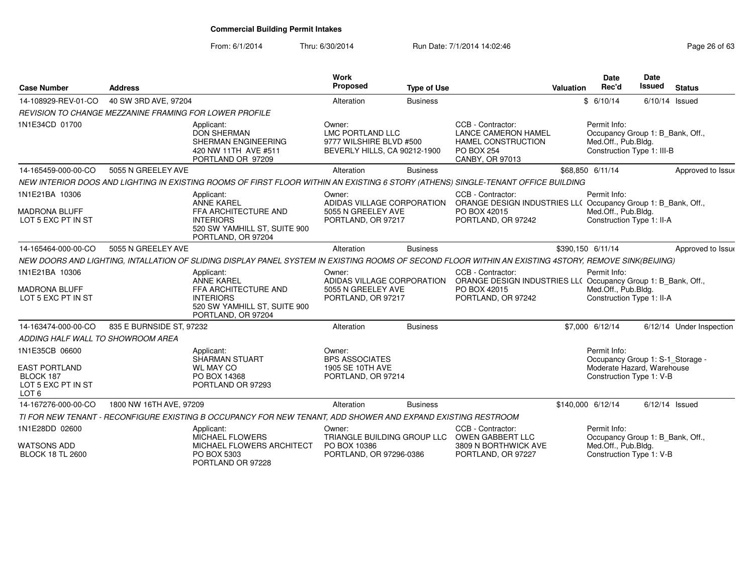| <b>Case Number</b>                                                                            | <b>Address</b>           |                                                                                                                                                       | <b>Work</b><br>Proposed                                                                      | <b>Type of Use</b> |                                                                                                                          | Valuation | Date<br>Rec'd                                                                                              | <b>Date</b><br><b>Issued</b> | <b>Status</b>            |
|-----------------------------------------------------------------------------------------------|--------------------------|-------------------------------------------------------------------------------------------------------------------------------------------------------|----------------------------------------------------------------------------------------------|--------------------|--------------------------------------------------------------------------------------------------------------------------|-----------|------------------------------------------------------------------------------------------------------------|------------------------------|--------------------------|
| 14-108929-REV-01-CO                                                                           | 40 SW 3RD AVE, 97204     |                                                                                                                                                       | Alteration                                                                                   | <b>Business</b>    |                                                                                                                          |           | \$6/10/14                                                                                                  | $6/10/14$ Issued             |                          |
| REVISION TO CHANGE MEZZANINE FRAMING FOR LOWER PROFILE                                        |                          |                                                                                                                                                       |                                                                                              |                    |                                                                                                                          |           |                                                                                                            |                              |                          |
| 1N1E34CD 01700                                                                                |                          | Applicant:<br><b>DON SHERMAN</b><br>SHERMAN ENGINEERING<br>420 NW 11TH AVE #511<br>PORTLAND OR 97209                                                  | Owner:<br><b>LMC PORTLAND LLC</b><br>9777 WILSHIRE BLVD #500<br>BEVERLY HILLS, CA 90212-1900 |                    | CCB - Contractor:<br><b>LANCE CAMERON HAMEL</b><br>HAMEL CONSTRUCTION<br><b>PO BOX 254</b><br>CANBY, OR 97013            |           | Permit Info:<br>Occupancy Group 1: B_Bank, Off.,<br>Med.Off., Pub.Bldg.<br>Construction Type 1: III-B      |                              |                          |
| 14-165459-000-00-CO                                                                           | 5055 N GREELEY AVE       |                                                                                                                                                       | Alteration                                                                                   | <b>Business</b>    |                                                                                                                          |           | \$68,850 6/11/14                                                                                           |                              | Approved to Issue        |
|                                                                                               |                          | NEW INTERIOR DOOS AND LIGHTING IN EXISTING ROOMS OF FIRST FLOOR WITHIN AN EXISTING 6 STORY (ATHENS) SINGLE-TENANT OFFICE BUILDING                     |                                                                                              |                    |                                                                                                                          |           |                                                                                                            |                              |                          |
| 1N1E21BA 10306<br><b>MADRONA BLUFF</b><br>LOT 5 EXC PT IN ST                                  |                          | Applicant:<br><b>ANNE KAREL</b><br>FFA ARCHITECTURE AND<br><b>INTERIORS</b><br>520 SW YAMHILL ST, SUITE 900<br>PORTLAND, OR 97204                     | Owner:<br>ADIDAS VILLAGE CORPORATION<br>5055 N GREELEY AVE<br>PORTLAND, OR 97217             |                    | CCB - Contractor:<br>ORANGE DESIGN INDUSTRIES LL( Occupancy Group 1: B_Bank, Off.,<br>PO BOX 42015<br>PORTLAND, OR 97242 |           | Permit Info:<br>Med.Off., Pub.Bldg.<br>Construction Type 1: II-A                                           |                              |                          |
| 14-165464-000-00-CO                                                                           | 5055 N GREELEY AVE       |                                                                                                                                                       | Alteration                                                                                   | <b>Business</b>    |                                                                                                                          |           | \$390,150 6/11/14                                                                                          |                              | Approved to Issue        |
|                                                                                               |                          | NEW DOORS AND LIGHTING, INTALLATION OF SLIDING DISPLAY PANEL SYSTEM IN EXISTING ROOMS OF SECOND FLOOR WITHIN AN EXISTING 4STORY, REMOVE SINK(BEIJING) |                                                                                              |                    |                                                                                                                          |           |                                                                                                            |                              |                          |
| 1N1E21BA 10306<br><b>MADRONA BLUFF</b><br>LOT 5 EXC PT IN ST                                  |                          | Applicant:<br><b>ANNE KAREL</b><br>FFA ARCHITECTURE AND<br><b>INTERIORS</b><br>520 SW YAMHILL ST, SUITE 900<br>PORTLAND, OR 97204                     | Owner:<br>ADIDAS VILLAGE CORPORATION<br>5055 N GREELEY AVE<br>PORTLAND, OR 97217             |                    | CCB - Contractor:<br>ORANGE DESIGN INDUSTRIES LL( Occupancy Group 1: B_Bank, Off.,<br>PO BOX 42015<br>PORTLAND, OR 97242 |           | Permit Info:<br>Med.Off., Pub.Bldg.<br>Construction Type 1: II-A                                           |                              |                          |
| 14-163474-000-00-CO                                                                           | 835 E BURNSIDE ST, 97232 |                                                                                                                                                       | Alteration                                                                                   | <b>Business</b>    |                                                                                                                          |           | \$7,000 6/12/14                                                                                            |                              | 6/12/14 Under Inspection |
| ADDING HALF WALL TO SHOWROOM AREA                                                             |                          |                                                                                                                                                       |                                                                                              |                    |                                                                                                                          |           |                                                                                                            |                              |                          |
| 1N1E35CB 06600<br><b>EAST PORTLAND</b><br>BLOCK 187<br>LOT 5 EXC PT IN ST<br>LOT <sub>6</sub> |                          | Applicant:<br><b>SHARMAN STUART</b><br><b>WL MAY CO</b><br>PO BOX 14368<br>PORTLAND OR 97293                                                          | Owner:<br><b>BPS ASSOCIATES</b><br>1905 SE 10TH AVE<br>PORTLAND, OR 97214                    |                    |                                                                                                                          |           | Permit Info:<br>Occupancy Group 1: S-1_Storage -<br>Moderate Hazard, Warehouse<br>Construction Type 1: V-B |                              |                          |
| 14-167276-000-00-CO                                                                           | 1800 NW 16TH AVE, 97209  |                                                                                                                                                       | Alteration                                                                                   | <b>Business</b>    |                                                                                                                          |           | \$140,000 6/12/14                                                                                          | $6/12/14$ Issued             |                          |
|                                                                                               |                          | TI FOR NEW TENANT - RECONFIGURE EXISTING B OCCUPANCY FOR NEW TENANT, ADD SHOWER AND EXPAND EXISTING RESTROOM                                          |                                                                                              |                    |                                                                                                                          |           |                                                                                                            |                              |                          |
| 1N1E28DD 02600<br><b>WATSONS ADD</b>                                                          |                          | Applicant:<br><b>MICHAEL FLOWERS</b>                                                                                                                  | Owner:<br>TRIANGLE BUILDING GROUP LLC<br>PO BOX 10386                                        |                    | CCB - Contractor:<br><b>OWEN GABBERT LLC</b><br>3809 N BORTHWICK AVE                                                     |           | Permit Info:<br>Occupancy Group 1: B_Bank, Off.,<br>Med.Off., Pub.Bldg.                                    |                              |                          |
| <b>BLOCK 18 TL 2600</b>                                                                       |                          | MICHAEL FLOWERS ARCHITECT<br>PO BOX 5303<br>PORTLAND OR 97228                                                                                         | PORTLAND, OR 97296-0386                                                                      |                    | PORTLAND, OR 97227                                                                                                       |           | Construction Type 1: V-B                                                                                   |                              |                          |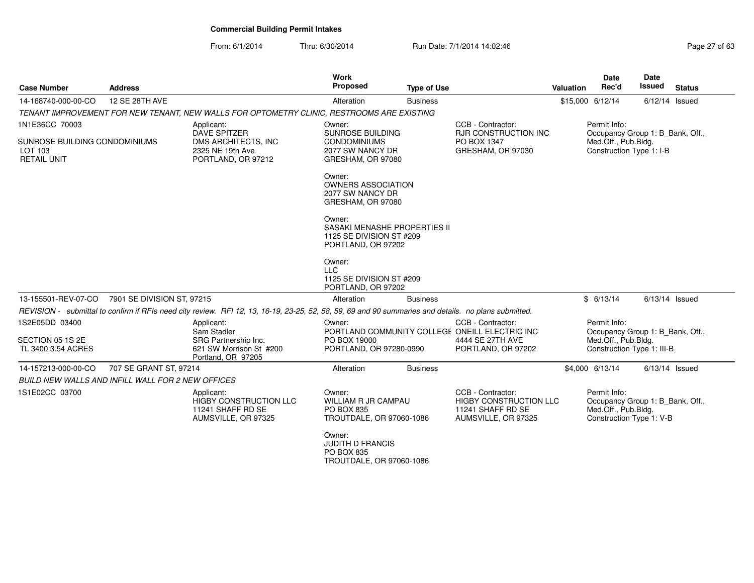| <b>Case Number</b>                                                               | <b>Address</b>                                    |                                                                                                                                                      | Work<br>Proposed                                                                           | <b>Type of Use</b> |                                                                                                               | <b>Valuation</b> | <b>Date</b><br>Rec'd                                                                                  | Date<br><b>Issued</b> | <b>Status</b> |
|----------------------------------------------------------------------------------|---------------------------------------------------|------------------------------------------------------------------------------------------------------------------------------------------------------|--------------------------------------------------------------------------------------------|--------------------|---------------------------------------------------------------------------------------------------------------|------------------|-------------------------------------------------------------------------------------------------------|-----------------------|---------------|
| 14-168740-000-00-CO                                                              | 12 SE 28TH AVE                                    |                                                                                                                                                      | Alteration                                                                                 | <b>Business</b>    |                                                                                                               |                  | \$15,000 6/12/14                                                                                      | $6/12/14$ Issued      |               |
|                                                                                  |                                                   | TENANT IMPROVEMENT FOR NEW TENANT, NEW WALLS FOR OPTOMETRY CLINIC, RESTROOMS ARE EXISTING                                                            |                                                                                            |                    |                                                                                                               |                  |                                                                                                       |                       |               |
| 1N1E36CC 70003<br>SUNROSE BUILDING CONDOMINIUMS<br>LOT 103<br><b>RETAIL UNIT</b> |                                                   | Applicant:<br><b>DAVE SPITZER</b><br>DMS ARCHITECTS, INC<br>2325 NE 19th Ave<br>PORTLAND, OR 97212                                                   | Owner:<br>SUNROSE BUILDING<br><b>CONDOMINIUMS</b><br>2077 SW NANCY DR<br>GRESHAM, OR 97080 |                    | CCB - Contractor:<br><b>RJR CONSTRUCTION INC</b><br>PO BOX 1347<br>GRESHAM, OR 97030                          |                  | Permit Info:<br>Occupancy Group 1: B Bank, Off.,<br>Med.Off., Pub.Bldg.<br>Construction Type 1: I-B   |                       |               |
|                                                                                  |                                                   |                                                                                                                                                      | Owner:<br><b>OWNERS ASSOCIATION</b><br>2077 SW NANCY DR<br>GRESHAM, OR 97080               |                    |                                                                                                               |                  |                                                                                                       |                       |               |
|                                                                                  |                                                   |                                                                                                                                                      | Owner:<br>SASAKI MENASHE PROPERTIES II<br>1125 SE DIVISION ST #209<br>PORTLAND, OR 97202   |                    |                                                                                                               |                  |                                                                                                       |                       |               |
|                                                                                  |                                                   |                                                                                                                                                      | Owner:<br><b>LLC</b><br>1125 SE DIVISION ST #209<br>PORTLAND, OR 97202                     |                    |                                                                                                               |                  |                                                                                                       |                       |               |
| 13-155501-REV-07-CO                                                              | 7901 SE DIVISION ST, 97215                        |                                                                                                                                                      | Alteration                                                                                 | <b>Business</b>    |                                                                                                               |                  | \$6/13/14                                                                                             | $6/13/14$ Issued      |               |
|                                                                                  |                                                   | REVISION - submittal to confirm if RFIs need city review. RFI 12, 13, 16-19, 23-25, 52, 58, 59, 69 and 90 summaries and details. no plans submitted. |                                                                                            |                    |                                                                                                               |                  |                                                                                                       |                       |               |
| 1S2E05DD 03400<br>SECTION 05 1S 2E<br>TL 3400 3.54 ACRES                         |                                                   | Applicant:<br>Sam Stadler<br>SRG Partnership Inc.<br>621 SW Morrison St #200<br>Portland, OR 97205                                                   | Owner:<br>PO BOX 19000<br>PORTLAND, OR 97280-0990                                          |                    | CCB - Contractor:<br>PORTLAND COMMUNITY COLLEGE ONEILL ELECTRIC INC<br>4444 SE 27TH AVE<br>PORTLAND, OR 97202 |                  | Permit Info:<br>Occupancy Group 1: B_Bank, Off.,<br>Med.Off., Pub.Bldg.<br>Construction Type 1: III-B |                       |               |
| 14-157213-000-00-CO                                                              | 707 SE GRANT ST, 97214                            |                                                                                                                                                      | Alteration                                                                                 | <b>Business</b>    |                                                                                                               |                  | \$4,000 6/13/14                                                                                       | $6/13/14$ Issued      |               |
|                                                                                  | BUILD NEW WALLS AND INFILL WALL FOR 2 NEW OFFICES |                                                                                                                                                      |                                                                                            |                    |                                                                                                               |                  |                                                                                                       |                       |               |
| 1S1E02CC 03700                                                                   |                                                   | Applicant:<br><b>HIGBY CONSTRUCTION LLC</b><br>11241 SHAFF RD SE<br>AUMSVILLE, OR 97325                                                              | Owner:<br>WILLIAM R JR CAMPAU<br><b>PO BOX 835</b><br>TROUTDALE, OR 97060-1086             |                    | CCB - Contractor:<br><b>HIGBY CONSTRUCTION LLC</b><br>11241 SHAFF RD SE<br>AUMSVILLE, OR 97325                |                  | Permit Info:<br>Occupancy Group 1: B_Bank, Off.,<br>Med.Off., Pub.Bldg.<br>Construction Type 1: V-B   |                       |               |
|                                                                                  |                                                   |                                                                                                                                                      | Owner:<br><b>JUDITH D FRANCIS</b><br>PO BOX 835<br>TROUTDALE, OR 97060-1086                |                    |                                                                                                               |                  |                                                                                                       |                       |               |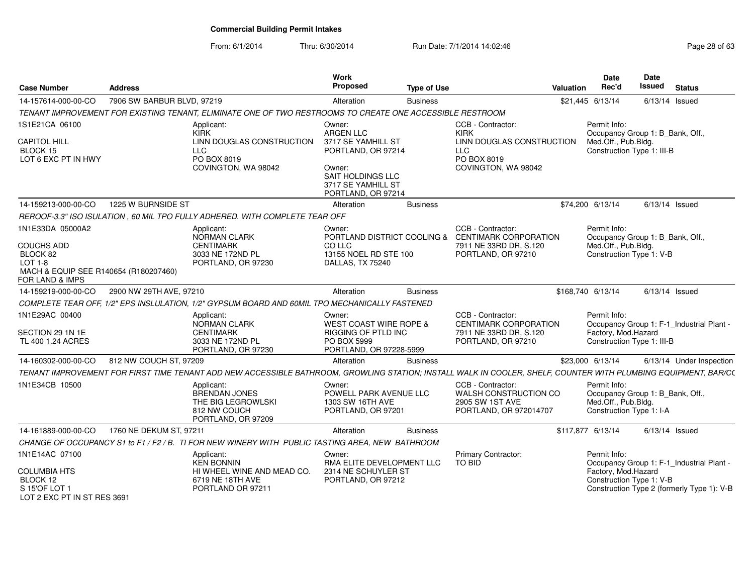| <b>Case Number</b>                                                                  | Address                    |                                                                                                                                                                | Work<br>Proposed                                                           | <b>Type of Use</b> |                                                                                         | Valuation | Date<br>Rec'd                                                                                       | Date<br>Issued   | <b>Status</b>                              |
|-------------------------------------------------------------------------------------|----------------------------|----------------------------------------------------------------------------------------------------------------------------------------------------------------|----------------------------------------------------------------------------|--------------------|-----------------------------------------------------------------------------------------|-----------|-----------------------------------------------------------------------------------------------------|------------------|--------------------------------------------|
| 14-157614-000-00-CO                                                                 | 7906 SW BARBUR BLVD, 97219 |                                                                                                                                                                | Alteration                                                                 | <b>Business</b>    |                                                                                         |           | \$21,445 6/13/14                                                                                    | $6/13/14$ Issued |                                            |
|                                                                                     |                            | TENANT IMPROVEMENT FOR EXISTING TENANT, ELIMINATE ONE OF TWO RESTROOMS TO CREATE ONE ACCESSIBLE RESTROOM                                                       |                                                                            |                    |                                                                                         |           |                                                                                                     |                  |                                            |
| 1S1E21CA 06100                                                                      |                            | Applicant:<br>KIRK                                                                                                                                             | Owner:<br>ARGEN LLC                                                        |                    | CCB - Contractor:<br><b>KIRK</b>                                                        |           | Permit Info:<br>Occupancy Group 1: B_Bank, Off.,                                                    |                  |                                            |
| <b>CAPITOL HILL</b><br>BLOCK 15<br>LOT 6 EXC PT IN HWY                              |                            | LINN DOUGLAS CONSTRUCTION<br><b>LLC</b><br>PO BOX 8019                                                                                                         | 3717 SE YAMHILL ST<br>PORTLAND, OR 97214                                   |                    | LINN DOUGLAS CONSTRUCTION<br><b>LLC</b><br>PO BOX 8019                                  |           | Med.Off., Pub.Bldg.<br>Construction Type 1: III-B                                                   |                  |                                            |
|                                                                                     |                            | COVINGTON, WA 98042                                                                                                                                            | Owner:<br>SAIT HOLDINGS LLC<br>3717 SE YAMHILL ST<br>PORTLAND, OR 97214    |                    | COVINGTON, WA 98042                                                                     |           |                                                                                                     |                  |                                            |
| 14-159213-000-00-CO                                                                 | 1225 W BURNSIDE ST         |                                                                                                                                                                | Alteration                                                                 | <b>Business</b>    |                                                                                         |           | \$74,200 6/13/14                                                                                    | $6/13/14$ Issued |                                            |
|                                                                                     |                            | REROOF-3.3" ISO ISULATION, 60 MIL TPO FULLY ADHERED. WITH COMPLETE TEAR OFF                                                                                    |                                                                            |                    |                                                                                         |           |                                                                                                     |                  |                                            |
| 1N1E33DA 05000A2                                                                    |                            | Applicant:<br>NORMAN CLARK                                                                                                                                     | Owner:<br>PORTLAND DISTRICT COOLING &                                      |                    | CCB - Contractor:<br><b>CENTIMARK CORPORATION</b>                                       |           | Permit Info:<br>Occupancy Group 1: B_Bank, Off.,                                                    |                  |                                            |
| <b>COUCHS ADD</b><br>BLOCK 82<br>$LOT 1-8$<br>MACH & EQUIP SEE R140654 (R180207460) |                            | <b>CENTIMARK</b><br>3033 NE 172ND PL<br>PORTLAND, OR 97230                                                                                                     | CO LLC<br>13155 NOEL RD STE 100<br>DALLAS, TX 75240                        |                    | 7911 NE 33RD DR, S.120<br>PORTLAND, OR 97210                                            |           | Med.Off., Pub.Bldg.<br>Construction Type 1: V-B                                                     |                  |                                            |
| FOR LAND & IMPS                                                                     |                            |                                                                                                                                                                |                                                                            |                    |                                                                                         |           |                                                                                                     |                  |                                            |
| 14-159219-000-00-CO                                                                 | 2900 NW 29TH AVE, 97210    |                                                                                                                                                                | Alteration                                                                 | <b>Business</b>    |                                                                                         |           | \$168,740 6/13/14                                                                                   | $6/13/14$ Issued |                                            |
|                                                                                     |                            | COMPLETE TEAR OFF, 1/2" EPS INSLULATION, 1/2" GYPSUM BOARD AND 60MIL TPO MECHANICALLY FASTENED                                                                 |                                                                            |                    |                                                                                         |           |                                                                                                     |                  |                                            |
| 1N1E29AC 00400                                                                      |                            | Applicant:<br>NORMAN CLARK                                                                                                                                     | Owner:<br>WEST COAST WIRE ROPE &                                           |                    | CCB - Contractor:<br><b>CENTIMARK CORPORATION</b>                                       |           | Permit Info:                                                                                        |                  | Occupancy Group 1: F-1_Industrial Plant -  |
| SECTION 29 1N 1E<br>TL 400 1.24 ACRES                                               |                            | <b>CENTIMARK</b><br>3033 NE 172ND PL<br>PORTLAND, OR 97230                                                                                                     | RIGGING OF PTLD INC<br>PO BOX 5999<br>PORTLAND, OR 97228-5999              |                    | 7911 NE 33RD DR. S.120<br>PORTLAND, OR 97210                                            |           | Factory, Mod.Hazard<br>Construction Type 1: III-B                                                   |                  |                                            |
| 14-160302-000-00-CO                                                                 | 812 NW COUCH ST, 97209     |                                                                                                                                                                | Alteration                                                                 | <b>Business</b>    |                                                                                         |           | \$23,000 6/13/14                                                                                    |                  | 6/13/14 Under Inspection                   |
|                                                                                     |                            | TENANT IMPROVEMENT FOR FIRST TIME TENANT ADD NEW ACCESSIBLE BATHROOM, GROWLING STATION; INSTALL WALK IN COOLER, SHELF, COUNTER WITH PLUMBING EQUIPMENT, BAR/C( |                                                                            |                    |                                                                                         |           |                                                                                                     |                  |                                            |
| 1N1E34CB 10500                                                                      |                            | Applicant:<br><b>BRENDAN JONES</b><br>THE BIG LEGROWLSKI<br>812 NW COUCH<br>PORTLAND, OR 97209                                                                 | Owner:<br>POWELL PARK AVENUE LLC<br>1303 SW 16TH AVE<br>PORTLAND, OR 97201 |                    | CCB - Contractor:<br>WALSH CONSTRUCTION CO<br>2905 SW 1ST AVE<br>PORTLAND, OR 972014707 |           | Permit Info:<br>Occupancy Group 1: B_Bank, Off.,<br>Med.Off., Pub.Bldg.<br>Construction Type 1: I-A |                  |                                            |
| 14-161889-000-00-CO                                                                 | 1760 NE DEKUM ST, 97211    |                                                                                                                                                                | Alteration                                                                 | <b>Business</b>    |                                                                                         |           | \$117,877 6/13/14                                                                                   | $6/13/14$ Issued |                                            |
|                                                                                     |                            | CHANGE OF OCCUPANCY S1 to F1 / F2 / B. TI FOR NEW WINERY WITH PUBLIC TASTING AREA, NEW BATHROOM                                                                |                                                                            |                    |                                                                                         |           |                                                                                                     |                  |                                            |
| 1N1E14AC 07100                                                                      |                            | Applicant:<br><b>KEN BONNIN</b>                                                                                                                                | Owner:<br>RMA ELITE DEVELOPMENT LLC                                        |                    | <b>Primary Contractor:</b><br>TO BID                                                    |           | Permit Info:                                                                                        |                  | Occupancy Group 1: F-1 Industrial Plant -  |
| <b>COLUMBIA HTS</b><br>BLOCK 12<br>S 15'OF LOT 1<br>LOT 2 FXC PT IN ST RES 3691     |                            | HI WHEEL WINE AND MEAD CO.<br>6719 NE 18TH AVE<br>PORTLAND OR 97211                                                                                            | 2314 NE SCHUYLER ST<br>PORTLAND, OR 97212                                  |                    |                                                                                         |           | Factory, Mod.Hazard<br>Construction Type 1: V-B                                                     |                  | Construction Type 2 (formerly Type 1): V-B |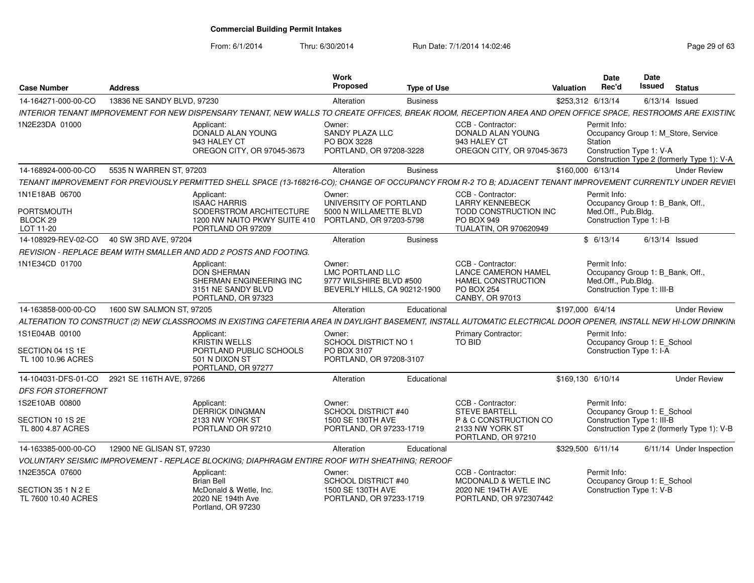| <b>Case Number</b>                                       | <b>Address</b>             |                                                                                                                                                                  | <b>Work</b><br>Proposed                                                               | <b>Type of Use</b> |                                                                                                              | <b>Valuation</b>  | <b>Date</b><br>Rec'd                                                                                  | Date<br>Issued   | <b>Status</b>                                                                     |
|----------------------------------------------------------|----------------------------|------------------------------------------------------------------------------------------------------------------------------------------------------------------|---------------------------------------------------------------------------------------|--------------------|--------------------------------------------------------------------------------------------------------------|-------------------|-------------------------------------------------------------------------------------------------------|------------------|-----------------------------------------------------------------------------------|
| 14-164271-000-00-CO                                      | 13836 NE SANDY BLVD, 97230 |                                                                                                                                                                  | Alteration                                                                            | <b>Business</b>    |                                                                                                              | \$253,312 6/13/14 |                                                                                                       | $6/13/14$ Issued |                                                                                   |
|                                                          |                            | INTERIOR TENANT IMPROVEMENT FOR NEW DISPENSARY TENANT, NEW WALLS TO CREATE OFFICES, BREAK ROOM, RECEPTION AREA AND OPEN OFFICE SPACE, RESTROOMS ARE EXISTIN(     |                                                                                       |                    |                                                                                                              |                   |                                                                                                       |                  |                                                                                   |
| 1N2E23DA 01000                                           |                            | Applicant:<br>DONALD ALAN YOUNG<br>943 HALEY CT<br>OREGON CITY, OR 97045-3673                                                                                    | Owner:<br>SANDY PLAZA LLC<br>PO BOX 3228<br>PORTLAND, OR 97208-3228                   |                    | CCB - Contractor:<br>DONALD ALAN YOUNG<br>943 HALEY CT<br>OREGON CITY, OR 97045-3673                         |                   | Permit Info:<br>Station<br>Construction Type 1: V-A                                                   |                  | Occupancy Group 1: M Store, Service<br>Construction Type 2 (formerly Type 1): V-A |
| 14-168924-000-00-CO                                      | 5535 N WARREN ST, 97203    |                                                                                                                                                                  | Alteration                                                                            | <b>Business</b>    |                                                                                                              | \$160,000 6/13/14 |                                                                                                       |                  | <b>Under Review</b>                                                               |
|                                                          |                            | TENANT IMPROVEMENT FOR PREVIOUSLY PERMITTED SHELL SPACE (13-168216-CO); CHANGE OF OCCUPANCY FROM R-2 TO B; ADJACENT TENANT IMPROVEMENT CURRENTLY UNDER REVIEI    |                                                                                       |                    |                                                                                                              |                   |                                                                                                       |                  |                                                                                   |
| 1N1E18AB 06700<br>PORTSMOUTH<br>BLOCK 29<br>LOT 11-20    |                            | Applicant:<br><b>ISAAC HARRIS</b><br>SODERSTROM ARCHITECTURE<br>1200 NW NAITO PKWY SUITE 410<br>PORTLAND OR 97209                                                | Owner:<br>UNIVERSITY OF PORTLAND<br>5000 N WILLAMETTE BLVD<br>PORTLAND, OR 97203-5798 |                    | CCB - Contractor:<br><b>LARRY KENNEBECK</b><br>TODD CONSTRUCTION INC<br>PO BOX 949<br>TUALATIN, OR 970620949 |                   | Permit Info:<br>Occupancy Group 1: B_Bank, Off.,<br>Med.Off., Pub.Bldg.<br>Construction Type 1: I-B   |                  |                                                                                   |
| 14-108929-REV-02-CO                                      | 40 SW 3RD AVE, 97204       |                                                                                                                                                                  | Alteration                                                                            | <b>Business</b>    |                                                                                                              |                   | \$6/13/14                                                                                             | $6/13/14$ Issued |                                                                                   |
|                                                          |                            | REVISION - REPLACE BEAM WITH SMALLER AND ADD 2 POSTS AND FOOTING.                                                                                                |                                                                                       |                    |                                                                                                              |                   |                                                                                                       |                  |                                                                                   |
| 1N1E34CD 01700                                           |                            | Applicant:<br><b>DON SHERMAN</b><br>SHERMAN ENGINEERING INC<br>3151 NE SANDY BLVD<br>PORTLAND, OR 97323                                                          | Owner:<br>LMC PORTLAND LLC<br>9777 WILSHIRE BLVD #500<br>BEVERLY HILLS, CA 90212-1900 |                    | CCB - Contractor:<br>LANCE CAMERON HAMEL<br>HAMEL CONSTRUCTION<br><b>PO BOX 254</b><br>CANBY, OR 97013       |                   | Permit Info:<br>Occupancy Group 1: B_Bank, Off.,<br>Med.Off., Pub.Bldg.<br>Construction Type 1: III-B |                  |                                                                                   |
| 14-163858-000-00-CO                                      | 1600 SW SALMON ST, 97205   |                                                                                                                                                                  | Alteration                                                                            | Educational        |                                                                                                              | \$197,000 6/4/14  |                                                                                                       |                  | <b>Under Review</b>                                                               |
|                                                          |                            | ALTERATION TO CONSTRUCT (2) NEW CLASSROOMS IN EXISTING CAFETERIA AREA IN DAYLIGHT BASEMENT, INSTALL AUTOMATIC ELECTRICAL DOOR OPENER, INSTALL NEW HI-LOW DRINKIN |                                                                                       |                    |                                                                                                              |                   |                                                                                                       |                  |                                                                                   |
| 1S1E04AB 00100<br>SECTION 04 1S 1E<br>TL 100 10.96 ACRES |                            | Applicant:<br><b>KRISTIN WELLS</b><br>PORTLAND PUBLIC SCHOOLS<br>501 N DIXON ST<br>PORTLAND, OR 97277                                                            | Owner:<br>SCHOOL DISTRICT NO 1<br>PO BOX 3107<br>PORTLAND, OR 97208-3107              |                    | <b>Primary Contractor:</b><br>TO BID                                                                         |                   | Permit Info:<br>Occupancy Group 1: E_School<br>Construction Type 1: I-A                               |                  |                                                                                   |
| 14-104031-DFS-01-CO                                      | 2921 SE 116TH AVE, 97266   |                                                                                                                                                                  | Alteration                                                                            | Educational        |                                                                                                              | \$169,130 6/10/14 |                                                                                                       |                  | <b>Under Review</b>                                                               |
| <b>DFS FOR STOREFRONT</b>                                |                            |                                                                                                                                                                  |                                                                                       |                    |                                                                                                              |                   |                                                                                                       |                  |                                                                                   |
| 1S2E10AB 00800<br>SECTION 10 1S 2E<br>TL 800 4.87 ACRES  |                            | Applicant:<br><b>DERRICK DINGMAN</b><br>2133 NW YORK ST<br>PORTLAND OR 97210                                                                                     | Owner:<br><b>SCHOOL DISTRICT #40</b><br>1500 SE 130TH AVE<br>PORTLAND, OR 97233-1719  |                    | CCB - Contractor:<br><b>STEVE BARTELL</b><br>P & C CONSTRUCTION CO<br>2133 NW YORK ST<br>PORTLAND, OR 97210  |                   | Permit Info:<br>Occupancy Group 1: E School<br>Construction Type 1: III-B                             |                  | Construction Type 2 (formerly Type 1): V-B                                        |
| 14-163385-000-00-CO                                      | 12900 NE GLISAN ST, 97230  |                                                                                                                                                                  | Alteration                                                                            | Educational        |                                                                                                              | \$329,500 6/11/14 |                                                                                                       |                  | 6/11/14 Under Inspection                                                          |
|                                                          |                            | VOLUNTARY SEISMIC IMPROVEMENT - REPLACE BLOCKING; DIAPHRAGM ENTIRE ROOF WITH SHEATHING; REROOF                                                                   |                                                                                       |                    |                                                                                                              |                   |                                                                                                       |                  |                                                                                   |
| 1N2E35CA 07600                                           |                            | Applicant:<br><b>Brian Bell</b>                                                                                                                                  | Owner:<br>SCHOOL DISTRICT #40                                                         |                    | CCB - Contractor:<br>MCDONALD & WETLE INC                                                                    |                   | Permit Info:<br>Occupancy Group 1: E_School                                                           |                  |                                                                                   |
| SECTION 35 1 N 2 E<br>TL 7600 10.40 ACRES                |                            | McDonald & Wetle, Inc.<br>2020 NE 194th Ave<br>Portland, OR 97230                                                                                                | 1500 SE 130TH AVE<br>PORTLAND, OR 97233-1719                                          |                    | 2020 NE 194TH AVE<br>PORTLAND, OR 972307442                                                                  |                   | Construction Type 1: V-B                                                                              |                  |                                                                                   |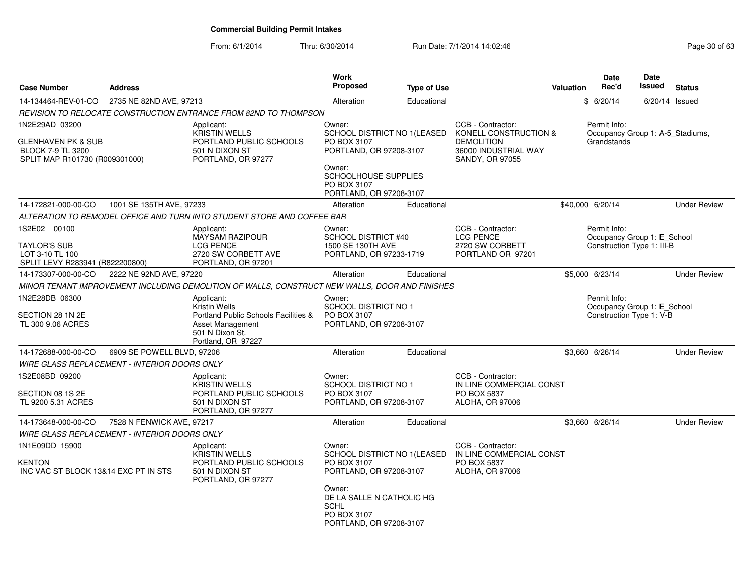| <b>Case Number</b>                                                                          | <b>Address</b>                                      |                                                                                                       | <b>Work</b><br><b>Proposed</b>                                                               | <b>Type of Use</b> |                                                                                       | <b>Valuation</b> | <b>Date</b><br>Rec'd                                                      | <b>Date</b><br>Issued | <b>Status</b>       |
|---------------------------------------------------------------------------------------------|-----------------------------------------------------|-------------------------------------------------------------------------------------------------------|----------------------------------------------------------------------------------------------|--------------------|---------------------------------------------------------------------------------------|------------------|---------------------------------------------------------------------------|-----------------------|---------------------|
| 14-134464-REV-01-CO                                                                         | 2735 NE 82ND AVE, 97213                             |                                                                                                       | Alteration                                                                                   | Educational        |                                                                                       |                  | \$6/20/14                                                                 | 6/20/14 Issued        |                     |
|                                                                                             |                                                     | REVISION TO RELOCATE CONSTRUCTION ENTRANCE FROM 82ND TO THOMPSON                                      |                                                                                              |                    |                                                                                       |                  |                                                                           |                       |                     |
| 1N2E29AD 03200                                                                              |                                                     | Applicant:                                                                                            | Owner:                                                                                       |                    | CCB - Contractor:                                                                     |                  | Permit Info:                                                              |                       |                     |
| <b>GLENHAVEN PK &amp; SUB</b><br><b>BLOCK 7-9 TL 3200</b><br>SPLIT MAP R101730 (R009301000) |                                                     | <b>KRISTIN WELLS</b><br>PORTLAND PUBLIC SCHOOLS<br>501 N DIXON ST<br>PORTLAND, OR 97277               | SCHOOL DISTRICT NO 1(LEASED<br>PO BOX 3107<br>PORTLAND, OR 97208-3107                        |                    | KONELL CONSTRUCTION &<br><b>DEMOLITION</b><br>36000 INDUSTRIAL WAY<br>SANDY, OR 97055 |                  | Occupancy Group 1: A-5 Stadiums,<br>Grandstands                           |                       |                     |
|                                                                                             |                                                     |                                                                                                       | Owner:<br>SCHOOLHOUSE SUPPLIES<br>PO BOX 3107<br>PORTLAND, OR 97208-3107                     |                    |                                                                                       |                  |                                                                           |                       |                     |
| 14-172821-000-00-CO                                                                         | 1001 SE 135TH AVE, 97233                            |                                                                                                       | Alteration                                                                                   | Educational        |                                                                                       |                  | \$40,000 6/20/14                                                          |                       | <b>Under Review</b> |
|                                                                                             |                                                     | ALTERATION TO REMODEL OFFICE AND TURN INTO STUDENT STORE AND COFFEE BAR                               |                                                                                              |                    |                                                                                       |                  |                                                                           |                       |                     |
| 1S2E02 00100<br><b>TAYLOR'S SUB</b><br>LOT 3-10 TL 100<br>SPLIT LEVY R283941 (R822200800)   |                                                     | Applicant:<br><b>MAYSAM RAZIPOUR</b><br><b>LCG PENCE</b><br>2720 SW CORBETT AVE<br>PORTLAND, OR 97201 | Owner:<br><b>SCHOOL DISTRICT #40</b><br>1500 SE 130TH AVE<br>PORTLAND, OR 97233-1719         |                    | CCB - Contractor:<br><b>LCG PENCE</b><br>2720 SW CORBETT<br>PORTLAND OR 97201         |                  | Permit Info:<br>Occupancy Group 1: E_School<br>Construction Type 1: III-B |                       |                     |
| 14-173307-000-00-CO                                                                         | 2222 NE 92ND AVE, 97220                             |                                                                                                       | Alteration                                                                                   | Educational        |                                                                                       |                  | \$5,000 6/23/14                                                           |                       | <b>Under Review</b> |
|                                                                                             |                                                     | MINOR TENANT IMPROVEMENT INCLUDING DEMOLITION OF WALLS, CONSTRUCT NEW WALLS, DOOR AND FINISHES        |                                                                                              |                    |                                                                                       |                  |                                                                           |                       |                     |
| 1N2E28DB 06300<br>SECTION 28 1N 2E                                                          |                                                     | Applicant:<br><b>Kristin Wells</b><br>Portland Public Schools Facilities &                            | Owner:<br><b>SCHOOL DISTRICT NO 1</b><br>PO BOX 3107                                         |                    |                                                                                       |                  | Permit Info:<br>Occupancy Group 1: E_School<br>Construction Type 1: V-B   |                       |                     |
| TL 300 9.06 ACRES                                                                           |                                                     | Asset Management<br>501 N Dixon St.<br>Portland, OR 97227                                             | PORTLAND, OR 97208-3107                                                                      |                    |                                                                                       |                  |                                                                           |                       |                     |
| 14-172688-000-00-CO                                                                         | 6909 SE POWELL BLVD, 97206                          |                                                                                                       | Alteration                                                                                   | Educational        |                                                                                       |                  | \$3.660 6/26/14                                                           |                       | <b>Under Review</b> |
|                                                                                             | WIRE GLASS REPLACEMENT - INTERIOR DOORS ONLY        |                                                                                                       |                                                                                              |                    |                                                                                       |                  |                                                                           |                       |                     |
| 1S2E08BD 09200                                                                              |                                                     | Applicant:<br>KRISTIN WELLS                                                                           | Owner:<br>SCHOOL DISTRICT NO 1                                                               |                    | CCB - Contractor:<br>IN LINE COMMERCIAL CONST                                         |                  |                                                                           |                       |                     |
| SECTION 08 1S 2E<br>TL 9200 5.31 ACRES                                                      |                                                     | PORTLAND PUBLIC SCHOOLS<br>501 N DIXON ST<br>PORTLAND, OR 97277                                       | PO BOX 3107<br>PORTLAND, OR 97208-3107                                                       |                    | PO BOX 5837<br>ALOHA, OR 97006                                                        |                  |                                                                           |                       |                     |
| 14-173648-000-00-CO                                                                         | 7528 N FENWICK AVE, 97217                           |                                                                                                       | Alteration                                                                                   | Educational        |                                                                                       |                  | \$3,660 6/26/14                                                           |                       | <b>Under Review</b> |
|                                                                                             | <b>WIRE GLASS REPLACEMENT - INTERIOR DOORS ONLY</b> |                                                                                                       |                                                                                              |                    |                                                                                       |                  |                                                                           |                       |                     |
| 1N1E09DD 15900                                                                              |                                                     | Applicant:<br><b>KRISTIN WELLS</b>                                                                    | Owner:<br>SCHOOL DISTRICT NO 1(LEASED                                                        |                    | CCB - Contractor:<br>IN LINE COMMERCIAL CONST                                         |                  |                                                                           |                       |                     |
| KENTON<br>INC VAC ST BLOCK 13&14 EXC PT IN STS                                              |                                                     | PORTLAND PUBLIC SCHOOLS<br>501 N DIXON ST<br>PORTLAND, OR 97277                                       | PO BOX 3107<br>PORTLAND, OR 97208-3107                                                       |                    | PO BOX 5837<br><b>ALOHA, OR 97006</b>                                                 |                  |                                                                           |                       |                     |
|                                                                                             |                                                     |                                                                                                       | Owner:<br>DE LA SALLE N CATHOLIC HG<br><b>SCHL</b><br>PO BOX 3107<br>PORTLAND, OR 97208-3107 |                    |                                                                                       |                  |                                                                           |                       |                     |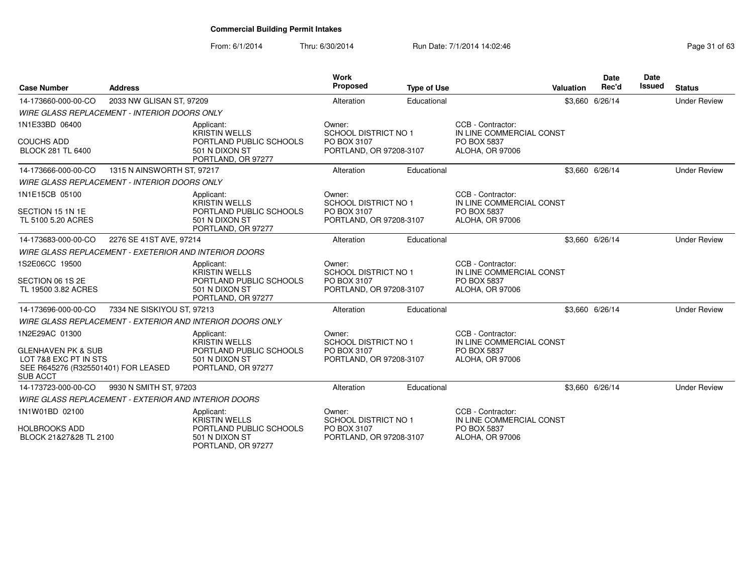| <b>Case Number</b>                                                                                                                 | <b>Address</b>                                               |                                                                                                       | <b>Work</b><br>Proposed                                                         | <b>Type of Use</b> |                                                                                        | Valuation | <b>Date</b><br>Rec'd | <b>Date</b><br>Issued | <b>Status</b>       |
|------------------------------------------------------------------------------------------------------------------------------------|--------------------------------------------------------------|-------------------------------------------------------------------------------------------------------|---------------------------------------------------------------------------------|--------------------|----------------------------------------------------------------------------------------|-----------|----------------------|-----------------------|---------------------|
| 14-173660-000-00-CO                                                                                                                | 2033 NW GLISAN ST, 97209                                     |                                                                                                       | Alteration                                                                      | Educational        |                                                                                        |           | \$3,660 6/26/14      |                       | <b>Under Review</b> |
|                                                                                                                                    | <b>WIRE GLASS REPLACEMENT - INTERIOR DOORS ONLY</b>          |                                                                                                       |                                                                                 |                    |                                                                                        |           |                      |                       |                     |
| 1N1E33BD 06400<br><b>COUCHS ADD</b><br><b>BLOCK 281 TL 6400</b>                                                                    |                                                              | Applicant:<br><b>KRISTIN WELLS</b><br>PORTLAND PUBLIC SCHOOLS<br>501 N DIXON ST                       | Owner:<br><b>SCHOOL DISTRICT NO 1</b><br>PO BOX 3107<br>PORTLAND, OR 97208-3107 |                    | CCB - Contractor:<br>IN LINE COMMERCIAL CONST<br>PO BOX 5837<br>ALOHA, OR 97006        |           |                      |                       |                     |
| 14-173666-000-00-CO                                                                                                                | 1315 N AINSWORTH ST, 97217                                   | PORTLAND, OR 97277                                                                                    | Alteration                                                                      | Educational        |                                                                                        |           | \$3,660 6/26/14      |                       | <b>Under Review</b> |
|                                                                                                                                    | <b>WIRE GLASS REPLACEMENT - INTERIOR DOORS ONLY</b>          |                                                                                                       |                                                                                 |                    |                                                                                        |           |                      |                       |                     |
| 1N1E15CB 05100<br>SECTION 15 1N 1E<br>TL 5100 5.20 ACRES                                                                           |                                                              | Applicant:<br><b>KRISTIN WELLS</b><br>PORTLAND PUBLIC SCHOOLS<br>501 N DIXON ST<br>PORTLAND, OR 97277 | Owner:<br><b>SCHOOL DISTRICT NO 1</b><br>PO BOX 3107<br>PORTLAND, OR 97208-3107 |                    | CCB - Contractor:<br>IN LINE COMMERCIAL CONST<br>PO BOX 5837<br><b>ALOHA, OR 97006</b> |           |                      |                       |                     |
| 14-173683-000-00-CO                                                                                                                | 2276 SE 41ST AVE, 97214                                      |                                                                                                       | Alteration                                                                      | Educational        |                                                                                        |           | \$3,660 6/26/14      |                       | <b>Under Review</b> |
|                                                                                                                                    | <b>WIRE GLASS REPLACEMENT - EXETERIOR AND INTERIOR DOORS</b> |                                                                                                       |                                                                                 |                    |                                                                                        |           |                      |                       |                     |
| 1S2E06CC 19500<br>SECTION 06 1S 2E<br>TL 19500 3.82 ACRES                                                                          |                                                              | Applicant:<br>KRISTIN WELLS<br>PORTLAND PUBLIC SCHOOLS<br>501 N DIXON ST<br>PORTLAND, OR 97277        | Owner:<br>SCHOOL DISTRICT NO 1<br>PO BOX 3107<br>PORTLAND, OR 97208-3107        |                    | CCB - Contractor:<br>IN LINE COMMERCIAL CONST<br>PO BOX 5837<br><b>ALOHA, OR 97006</b> |           |                      |                       |                     |
| 14-173696-000-00-CO                                                                                                                | 7334 NE SISKIYOU ST, 97213                                   |                                                                                                       | Alteration                                                                      | Educational        |                                                                                        |           | \$3.660 6/26/14      |                       | <b>Under Review</b> |
|                                                                                                                                    |                                                              | <b>WIRE GLASS REPLACEMENT - EXTERIOR AND INTERIOR DOORS ONLY</b>                                      |                                                                                 |                    |                                                                                        |           |                      |                       |                     |
| 1N2E29AC 01300<br><b>GLENHAVEN PK &amp; SUB</b><br>LOT 7&8 EXC PT IN STS<br>SEE R645276 (R325501401) FOR LEASED<br><b>SUB ACCT</b> |                                                              | Applicant:<br><b>KRISTIN WELLS</b><br>PORTLAND PUBLIC SCHOOLS<br>501 N DIXON ST<br>PORTLAND, OR 97277 | Owner:<br><b>SCHOOL DISTRICT NO 1</b><br>PO BOX 3107<br>PORTLAND, OR 97208-3107 |                    | CCB - Contractor:<br>IN LINE COMMERCIAL CONST<br>PO BOX 5837<br>ALOHA, OR 97006        |           |                      |                       |                     |
| 14-173723-000-00-CO                                                                                                                | 9930 N SMITH ST, 97203                                       |                                                                                                       | Alteration                                                                      | Educational        |                                                                                        |           | \$3,660 6/26/14      |                       | <b>Under Review</b> |
|                                                                                                                                    | <b>WIRE GLASS REPLACEMENT - EXTERIOR AND INTERIOR DOORS</b>  |                                                                                                       |                                                                                 |                    |                                                                                        |           |                      |                       |                     |
| 1N1W01BD 02100<br><b>HOLBROOKS ADD</b><br>BLOCK 21&27&28 TL 2100                                                                   |                                                              | Applicant:<br><b>KRISTIN WELLS</b><br>PORTLAND PUBLIC SCHOOLS<br>501 N DIXON ST<br>PORTLAND, OR 97277 | Owner:<br><b>SCHOOL DISTRICT NO 1</b><br>PO BOX 3107<br>PORTLAND, OR 97208-3107 |                    | CCB - Contractor:<br>IN LINE COMMERCIAL CONST<br>PO BOX 5837<br>ALOHA, OR 97006        |           |                      |                       |                     |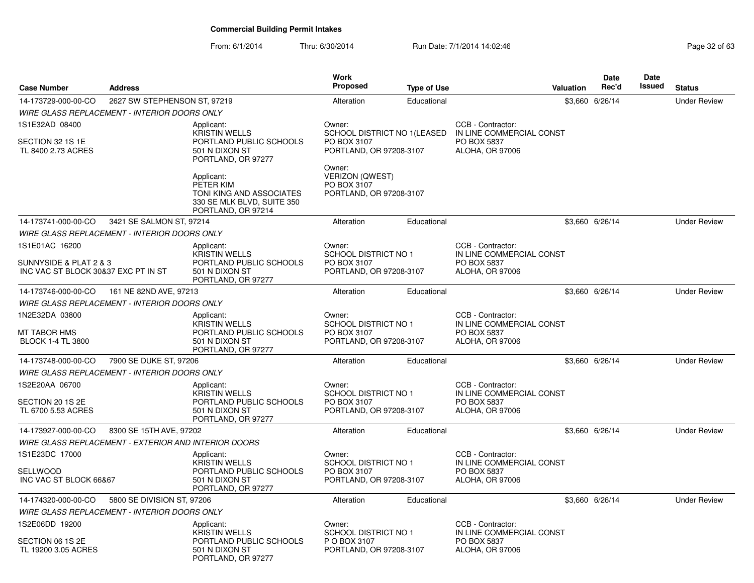| <b>Case Number</b>                                                              | <b>Address</b>                                              |                                                                                                         | Work<br><b>Proposed</b>                                                         | <b>Type of Use</b> |                                                                                 | <b>Valuation</b> | Date<br>Rec'd   | <b>Date</b><br><b>Issued</b> | <b>Status</b>       |
|---------------------------------------------------------------------------------|-------------------------------------------------------------|---------------------------------------------------------------------------------------------------------|---------------------------------------------------------------------------------|--------------------|---------------------------------------------------------------------------------|------------------|-----------------|------------------------------|---------------------|
| 14-173729-000-00-CO                                                             | 2627 SW STEPHENSON ST, 97219                                |                                                                                                         | Alteration                                                                      | Educational        |                                                                                 |                  | \$3,660 6/26/14 |                              | <b>Under Review</b> |
|                                                                                 | WIRE GLASS REPLACEMENT - INTERIOR DOORS ONLY                |                                                                                                         |                                                                                 |                    |                                                                                 |                  |                 |                              |                     |
| 1S1E32AD 08400<br>SECTION 32 1S 1E<br>TL 8400 2.73 ACRES                        |                                                             | Applicant:<br><b>KRISTIN WELLS</b><br>PORTLAND PUBLIC SCHOOLS<br>501 N DIXON ST<br>PORTLAND, OR 97277   | Owner:<br>SCHOOL DISTRICT NO 1(LEASED<br>PO BOX 3107<br>PORTLAND, OR 97208-3107 |                    | CCB - Contractor:<br>IN LINE COMMERCIAL CONST<br>PO BOX 5837<br>ALOHA, OR 97006 |                  |                 |                              |                     |
|                                                                                 |                                                             | Applicant:<br>PETER KIM<br>TONI KING AND ASSOCIATES<br>330 SE MLK BLVD, SUITE 350<br>PORTLAND, OR 97214 | Owner:<br><b>VERIZON (QWEST)</b><br>PO BOX 3107<br>PORTLAND, OR 97208-3107      |                    |                                                                                 |                  |                 |                              |                     |
| 14-173741-000-00-CO                                                             | 3421 SE SALMON ST, 97214                                    |                                                                                                         | Alteration                                                                      | Educational        |                                                                                 |                  | \$3,660 6/26/14 |                              | <b>Under Review</b> |
|                                                                                 | WIRE GLASS REPLACEMENT - INTERIOR DOORS ONLY                |                                                                                                         |                                                                                 |                    |                                                                                 |                  |                 |                              |                     |
| 1S1E01AC 16200<br>SUNNYSIDE & PLAT 2 & 3<br>INC VAC ST BLOCK 30&37 EXC PT IN ST |                                                             | Applicant:<br><b>KRISTIN WELLS</b><br>PORTLAND PUBLIC SCHOOLS<br>501 N DIXON ST<br>PORTLAND, OR 97277   | Owner:<br><b>SCHOOL DISTRICT NO 1</b><br>PO BOX 3107<br>PORTLAND, OR 97208-3107 |                    | CCB - Contractor:<br>IN LINE COMMERCIAL CONST<br>PO BOX 5837<br>ALOHA, OR 97006 |                  |                 |                              |                     |
| 14-173746-000-00-CO                                                             | 161 NE 82ND AVE, 97213                                      |                                                                                                         | Alteration                                                                      | Educational        |                                                                                 |                  | \$3,660 6/26/14 |                              | <b>Under Review</b> |
|                                                                                 | <b>WIRE GLASS REPLACEMENT - INTERIOR DOORS ONLY</b>         |                                                                                                         |                                                                                 |                    |                                                                                 |                  |                 |                              |                     |
| 1N2E32DA 03800<br>MT TABOR HMS<br><b>BLOCK 1-4 TL 3800</b>                      |                                                             | Applicant:<br><b>KRISTIN WELLS</b><br>PORTLAND PUBLIC SCHOOLS<br>501 N DIXON ST<br>PORTLAND, OR 97277   | Owner:<br><b>SCHOOL DISTRICT NO 1</b><br>PO BOX 3107<br>PORTLAND, OR 97208-3107 |                    | CCB - Contractor:<br>IN LINE COMMERCIAL CONST<br>PO BOX 5837<br>ALOHA, OR 97006 |                  |                 |                              |                     |
| 14-173748-000-00-CO                                                             | 7900 SE DUKE ST, 97206                                      |                                                                                                         | Alteration                                                                      | Educational        |                                                                                 |                  | \$3.660 6/26/14 |                              | <b>Under Review</b> |
|                                                                                 | <b>WIRE GLASS REPLACEMENT - INTERIOR DOORS ONLY</b>         |                                                                                                         |                                                                                 |                    |                                                                                 |                  |                 |                              |                     |
| 1S2E20AA 06700<br>SECTION 20 1S 2E<br>TL 6700 5.53 ACRES                        |                                                             | Applicant:<br><b>KRISTIN WELLS</b><br>PORTLAND PUBLIC SCHOOLS<br>501 N DIXON ST                         | Owner:<br><b>SCHOOL DISTRICT NO 1</b><br>PO BOX 3107<br>PORTLAND, OR 97208-3107 |                    | CCB - Contractor:<br>IN LINE COMMERCIAL CONST<br>PO BOX 5837<br>ALOHA, OR 97006 |                  |                 |                              |                     |
|                                                                                 |                                                             | PORTLAND, OR 97277                                                                                      |                                                                                 |                    |                                                                                 |                  |                 |                              |                     |
| 14-173927-000-00-CO                                                             | 8300 SE 15TH AVE, 97202                                     |                                                                                                         | Alteration                                                                      | Educational        |                                                                                 |                  | \$3.660 6/26/14 |                              | <b>Under Review</b> |
|                                                                                 | <b>WIRE GLASS REPLACEMENT - EXTERIOR AND INTERIOR DOORS</b> |                                                                                                         |                                                                                 |                    |                                                                                 |                  |                 |                              |                     |
| 1S1E23DC 17000<br><b>SELLWOOD</b><br>INC VAC ST BLOCK 66&67                     |                                                             | Applicant:<br><b>KRISTIN WELLS</b><br>PORTLAND PUBLIC SCHOOLS<br>501 N DIXON ST<br>PORTLAND, OR 97277   | Owner:<br><b>SCHOOL DISTRICT NO 1</b><br>PO BOX 3107<br>PORTLAND, OR 97208-3107 |                    | CCB - Contractor:<br>IN LINE COMMERCIAL CONST<br>PO BOX 5837<br>ALOHA, OR 97006 |                  |                 |                              |                     |
| 14-174320-000-00-CO                                                             | 5800 SE DIVISION ST, 97206                                  |                                                                                                         | Alteration                                                                      | Educational        |                                                                                 |                  | \$3,660 6/26/14 |                              | <b>Under Review</b> |
|                                                                                 | <b>WIRE GLASS REPLACEMENT - INTERIOR DOORS ONLY</b>         |                                                                                                         |                                                                                 |                    |                                                                                 |                  |                 |                              |                     |
| 1S2E06DD 19200                                                                  |                                                             | Applicant:                                                                                              | Owner:                                                                          |                    | CCB - Contractor:                                                               |                  |                 |                              |                     |
| SECTION 06 1S 2E<br>TL 19200 3.05 ACRES                                         |                                                             | <b>KRISTIN WELLS</b><br>PORTLAND PUBLIC SCHOOLS<br>501 N DIXON ST<br>PORTLAND, OR 97277                 | <b>SCHOOL DISTRICT NO 1</b><br>P O BOX 3107<br>PORTLAND, OR 97208-3107          |                    | IN LINE COMMERCIAL CONST<br>PO BOX 5837<br><b>ALOHA, OR 97006</b>               |                  |                 |                              |                     |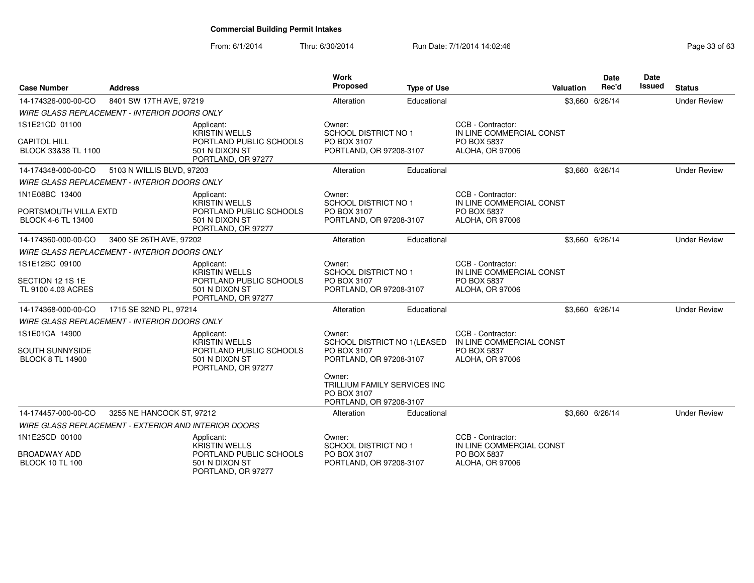| <b>Case Number</b>                                                  | <b>Address</b>                                              |                                                                                                       | <b>Work</b><br><b>Proposed</b>                                                                                                                                      | <b>Type of Use</b> |                                                                                 | Valuation | Date<br>Rec'd   | Date<br>Issued | <b>Status</b>       |
|---------------------------------------------------------------------|-------------------------------------------------------------|-------------------------------------------------------------------------------------------------------|---------------------------------------------------------------------------------------------------------------------------------------------------------------------|--------------------|---------------------------------------------------------------------------------|-----------|-----------------|----------------|---------------------|
| 14-174326-000-00-CO                                                 | 8401 SW 17TH AVE, 97219                                     |                                                                                                       | Alteration                                                                                                                                                          | Educational        |                                                                                 |           | \$3.660 6/26/14 |                | <b>Under Review</b> |
|                                                                     | <b>WIRE GLASS REPLACEMENT - INTERIOR DOORS ONLY</b>         |                                                                                                       |                                                                                                                                                                     |                    |                                                                                 |           |                 |                |                     |
| 1S1E21CD 01100<br><b>CAPITOL HILL</b><br>BLOCK 33&38 TL 1100        |                                                             | Applicant:<br><b>KRISTIN WELLS</b><br>PORTLAND PUBLIC SCHOOLS<br>501 N DIXON ST<br>PORTLAND, OR 97277 | Owner:<br>SCHOOL DISTRICT NO 1<br>PO BOX 3107<br>PORTLAND, OR 97208-3107                                                                                            |                    | CCB - Contractor:<br>IN LINE COMMERCIAL CONST<br>PO BOX 5837<br>ALOHA, OR 97006 |           |                 |                |                     |
| 14-174348-000-00-CO                                                 | 5103 N WILLIS BLVD, 97203                                   |                                                                                                       | Alteration                                                                                                                                                          | Educational        |                                                                                 |           | \$3,660 6/26/14 |                | <b>Under Review</b> |
|                                                                     | <b>WIRE GLASS REPLACEMENT - INTERIOR DOORS ONLY</b>         |                                                                                                       |                                                                                                                                                                     |                    |                                                                                 |           |                 |                |                     |
| 1N1E08BC 13400<br>PORTSMOUTH VILLA EXTD<br>BLOCK 4-6 TL 13400       |                                                             | Applicant:<br><b>KRISTIN WELLS</b><br>PORTLAND PUBLIC SCHOOLS<br>501 N DIXON ST<br>PORTLAND, OR 97277 | Owner:<br><b>SCHOOL DISTRICT NO 1</b><br>PO BOX 3107<br>PORTLAND, OR 97208-3107                                                                                     |                    | CCB - Contractor:<br>IN LINE COMMERCIAL CONST<br>PO BOX 5837<br>ALOHA, OR 97006 |           |                 |                |                     |
| 14-174360-000-00-CO                                                 | 3400 SE 26TH AVE, 97202                                     |                                                                                                       | Alteration                                                                                                                                                          | Educational        |                                                                                 |           | \$3,660 6/26/14 |                | <b>Under Review</b> |
|                                                                     | <b>WIRE GLASS REPLACEMENT - INTERIOR DOORS ONLY</b>         |                                                                                                       |                                                                                                                                                                     |                    |                                                                                 |           |                 |                |                     |
| 1S1E12BC 09100<br>SECTION 12 1S 1E<br>TL 9100 4.03 ACRES            |                                                             | Applicant:<br><b>KRISTIN WELLS</b><br>PORTLAND PUBLIC SCHOOLS<br>501 N DIXON ST<br>PORTLAND, OR 97277 | Owner:<br><b>SCHOOL DISTRICT NO 1</b><br>PO BOX 3107<br>PORTLAND, OR 97208-3107                                                                                     |                    | CCB - Contractor:<br>IN LINE COMMERCIAL CONST<br>PO BOX 5837<br>ALOHA, OR 97006 |           |                 |                |                     |
| 14-174368-000-00-CO                                                 | 1715 SE 32ND PL, 97214                                      |                                                                                                       | Alteration                                                                                                                                                          | Educational        |                                                                                 |           | \$3.660 6/26/14 |                | <b>Under Review</b> |
|                                                                     | <b>WIRE GLASS REPLACEMENT - INTERIOR DOORS ONLY</b>         |                                                                                                       |                                                                                                                                                                     |                    |                                                                                 |           |                 |                |                     |
| 1S1E01CA 14900<br><b>SOUTH SUNNYSIDE</b><br><b>BLOCK 8 TL 14900</b> |                                                             | Applicant:<br><b>KRISTIN WELLS</b><br>PORTLAND PUBLIC SCHOOLS<br>501 N DIXON ST<br>PORTLAND, OR 97277 | Owner:<br>SCHOOL DISTRICT NO 1(LEASED<br>PO BOX 3107<br>PORTLAND, OR 97208-3107<br>Owner:<br>TRILLIUM FAMILY SERVICES INC<br>PO BOX 3107<br>PORTLAND, OR 97208-3107 |                    | CCB - Contractor:<br>IN LINE COMMERCIAL CONST<br>PO BOX 5837<br>ALOHA, OR 97006 |           |                 |                |                     |
| 14-174457-000-00-CO                                                 | 3255 NE HANCOCK ST, 97212                                   |                                                                                                       | Alteration                                                                                                                                                          | Educational        |                                                                                 |           | \$3,660 6/26/14 |                | <b>Under Review</b> |
|                                                                     | <b>WIRE GLASS REPLACEMENT - EXTERIOR AND INTERIOR DOORS</b> |                                                                                                       |                                                                                                                                                                     |                    |                                                                                 |           |                 |                |                     |
| 1N1E25CD 00100                                                      |                                                             | Applicant:<br><b>KRISTIN WELLS</b>                                                                    | Owner:<br>SCHOOL DISTRICT NO 1                                                                                                                                      |                    | CCB - Contractor:<br>IN LINE COMMERCIAL CONST                                   |           |                 |                |                     |
| <b>BROADWAY ADD</b><br><b>BLOCK 10 TL 100</b>                       |                                                             | PORTLAND PUBLIC SCHOOLS<br>501 N DIXON ST<br>PORTLAND, OR 97277                                       | PO BOX 3107<br>PORTLAND, OR 97208-3107                                                                                                                              |                    | PO BOX 5837<br><b>ALOHA, OR 97006</b>                                           |           |                 |                |                     |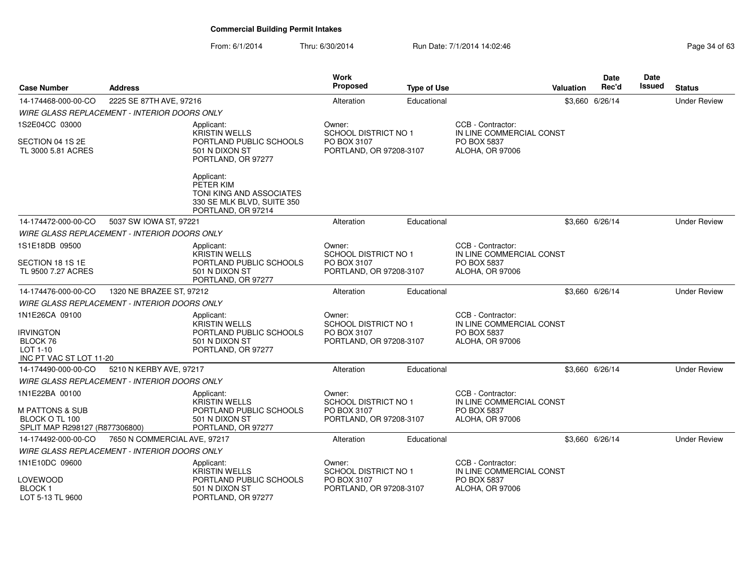| <b>Case Number</b>                                  | Address                      |                                                                                                         | <b>Work</b><br><b>Proposed</b>         | <b>Type of Use</b> |                                               | Valuation | Date<br>Rec'd   | Date<br>Issued | <b>Status</b>       |
|-----------------------------------------------------|------------------------------|---------------------------------------------------------------------------------------------------------|----------------------------------------|--------------------|-----------------------------------------------|-----------|-----------------|----------------|---------------------|
| 14-174468-000-00-CO                                 | 2225 SE 87TH AVE, 97216      |                                                                                                         | Alteration                             | Educational        |                                               |           | \$3,660 6/26/14 |                | <b>Under Review</b> |
| <b>WIRE GLASS REPLACEMENT - INTERIOR DOORS ONLY</b> |                              |                                                                                                         |                                        |                    |                                               |           |                 |                |                     |
| 1S2E04CC 03000                                      |                              | Applicant:<br><b>KRISTIN WELLS</b>                                                                      | Owner:<br><b>SCHOOL DISTRICT NO 1</b>  |                    | CCB - Contractor:<br>IN LINE COMMERCIAL CONST |           |                 |                |                     |
| SECTION 04 1S 2E<br>TL 3000 5.81 ACRES              |                              | PORTLAND PUBLIC SCHOOLS<br>501 N DIXON ST<br>PORTLAND, OR 97277                                         | PO BOX 3107<br>PORTLAND, OR 97208-3107 |                    | PO BOX 5837<br>ALOHA, OR 97006                |           |                 |                |                     |
|                                                     |                              | Applicant:<br>PETER KIM<br>TONI KING AND ASSOCIATES<br>330 SE MLK BLVD, SUITE 350<br>PORTLAND, OR 97214 |                                        |                    |                                               |           |                 |                |                     |
| 14-174472-000-00-CO                                 | 5037 SW IOWA ST, 97221       |                                                                                                         | Alteration                             | Educational        |                                               |           | \$3,660 6/26/14 |                | <b>Under Review</b> |
| <b>WIRE GLASS REPLACEMENT - INTERIOR DOORS ONLY</b> |                              |                                                                                                         |                                        |                    |                                               |           |                 |                |                     |
| 1S1E18DB 09500                                      |                              | Applicant:<br><b>KRISTIN WELLS</b>                                                                      | Owner:<br><b>SCHOOL DISTRICT NO 1</b>  |                    | CCB - Contractor:<br>IN LINE COMMERCIAL CONST |           |                 |                |                     |
| SECTION 18 1S 1E                                    |                              | PORTLAND PUBLIC SCHOOLS                                                                                 | PO BOX 3107                            |                    | PO BOX 5837                                   |           |                 |                |                     |
| TL 9500 7.27 ACRES                                  |                              | 501 N DIXON ST<br>PORTLAND, OR 97277                                                                    | PORTLAND, OR 97208-3107                |                    | ALOHA, OR 97006                               |           |                 |                |                     |
| 14-174476-000-00-CO                                 | 1320 NE BRAZEE ST, 97212     |                                                                                                         | Alteration                             | Educational        |                                               |           | \$3,660 6/26/14 |                | <b>Under Review</b> |
| <b>WIRE GLASS REPLACEMENT - INTERIOR DOORS ONLY</b> |                              |                                                                                                         |                                        |                    |                                               |           |                 |                |                     |
| 1N1E26CA 09100                                      |                              | Applicant:<br><b>KRISTIN WELLS</b>                                                                      | Owner:<br><b>SCHOOL DISTRICT NO 1</b>  |                    | CCB - Contractor:<br>IN LINE COMMERCIAL CONST |           |                 |                |                     |
| <b>IRVINGTON</b><br>BLOCK 76                        |                              | PORTLAND PUBLIC SCHOOLS<br>501 N DIXON ST                                                               | PO BOX 3107<br>PORTLAND, OR 97208-3107 |                    | PO BOX 5837<br>ALOHA, OR 97006                |           |                 |                |                     |
| LOT 1-10                                            |                              | PORTLAND, OR 97277                                                                                      |                                        |                    |                                               |           |                 |                |                     |
| INC PT VAC ST LOT 11-20                             |                              |                                                                                                         |                                        |                    |                                               |           |                 |                |                     |
| 14-174490-000-00-CO                                 | 5210 N KERBY AVE, 97217      |                                                                                                         | Alteration                             | Educational        |                                               |           | \$3.660 6/26/14 |                | <b>Under Review</b> |
| <b>WIRE GLASS REPLACEMENT - INTERIOR DOORS ONLY</b> |                              |                                                                                                         |                                        |                    |                                               |           |                 |                |                     |
| 1N1E22BA 00100                                      |                              | Applicant:<br><b>KRISTIN WELLS</b>                                                                      | Owner:<br><b>SCHOOL DISTRICT NO 1</b>  |                    | CCB - Contractor:<br>IN LINE COMMERCIAL CONST |           |                 |                |                     |
| <b>M PATTONS &amp; SUB</b>                          |                              | PORTLAND PUBLIC SCHOOLS                                                                                 | PO BOX 3107                            |                    | <b>PO BOX 5837</b>                            |           |                 |                |                     |
| BLOCK O TL 100<br>SPLIT MAP R298127 (R877306800)    |                              | 501 N DIXON ST<br>PORTLAND, OR 97277                                                                    | PORTLAND, OR 97208-3107                |                    | ALOHA, OR 97006                               |           |                 |                |                     |
| 14-174492-000-00-CO                                 | 7650 N COMMERCIAL AVE, 97217 |                                                                                                         | Alteration                             | Educational        |                                               |           | \$3,660 6/26/14 |                | <b>Under Review</b> |
| <b>WIRE GLASS REPLACEMENT - INTERIOR DOORS ONLY</b> |                              |                                                                                                         |                                        |                    |                                               |           |                 |                |                     |
| 1N1E10DC 09600                                      |                              | Applicant:                                                                                              | Owner:                                 |                    | CCB - Contractor:                             |           |                 |                |                     |
|                                                     |                              | <b>KRISTIN WELLS</b>                                                                                    | <b>SCHOOL DISTRICT NO 1</b>            |                    | IN LINE COMMERCIAL CONST                      |           |                 |                |                     |
| LOVEWOOD<br><b>BLOCK1</b>                           |                              | PORTLAND PUBLIC SCHOOLS<br>501 N DIXON ST                                                               | PO BOX 3107<br>PORTLAND, OR 97208-3107 |                    | PO BOX 5837                                   |           |                 |                |                     |
| LOT 5-13 TL 9600                                    |                              | PORTLAND, OR 97277                                                                                      |                                        |                    | ALOHA, OR 97006                               |           |                 |                |                     |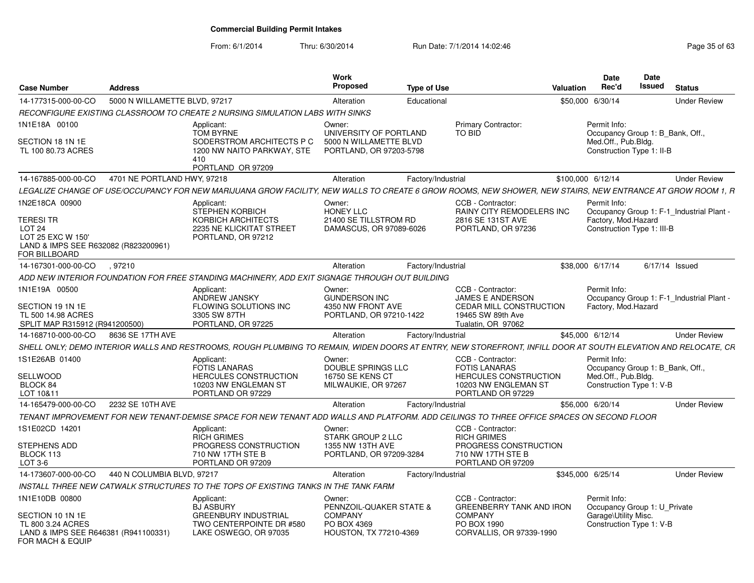|                                                          |                               |                                                                                                                                                                | Work<br><b>Proposed</b>                           |                    |                                                |                   | <b>Date</b><br>Rec'd                             | Date<br>Issued   |                                           |
|----------------------------------------------------------|-------------------------------|----------------------------------------------------------------------------------------------------------------------------------------------------------------|---------------------------------------------------|--------------------|------------------------------------------------|-------------------|--------------------------------------------------|------------------|-------------------------------------------|
| <b>Case Number</b>                                       | <b>Address</b>                |                                                                                                                                                                |                                                   | <b>Type of Use</b> |                                                | <b>Valuation</b>  |                                                  |                  | <b>Status</b>                             |
| 14-177315-000-00-CO                                      | 5000 N WILLAMETTE BLVD, 97217 |                                                                                                                                                                | Alteration                                        | Educational        |                                                | \$50,000 6/30/14  |                                                  |                  | <b>Under Review</b>                       |
|                                                          |                               | RECONFIGURE EXISTING CLASSROOM TO CREATE 2 NURSING SIMULATION LABS WITH SINKS                                                                                  |                                                   |                    |                                                |                   |                                                  |                  |                                           |
| 1N1E18A 00100                                            |                               | Applicant:<br><b>TOM BYRNE</b>                                                                                                                                 | Owner:<br>UNIVERSITY OF PORTLAND                  |                    | Primary Contractor:<br>TO BID                  |                   | Permit Info:<br>Occupancy Group 1: B_Bank, Off., |                  |                                           |
| SECTION 18 1N 1E<br>TL 100 80.73 ACRES                   |                               | SODERSTROM ARCHITECTS P C<br>1200 NW NAITO PARKWAY, STE<br>410<br>PORTLAND OR 97209                                                                            | 5000 N WILLAMETTE BLVD<br>PORTLAND, OR 97203-5798 |                    |                                                |                   | Med.Off., Pub.Bldg.<br>Construction Type 1: II-B |                  |                                           |
| 14-167885-000-00-CO                                      | 4701 NE PORTLAND HWY, 97218   |                                                                                                                                                                | Alteration                                        | Factory/Industrial |                                                | \$100,000 6/12/14 |                                                  |                  | <b>Under Review</b>                       |
|                                                          |                               |                                                                                                                                                                |                                                   |                    |                                                |                   |                                                  |                  |                                           |
|                                                          |                               | LEGALIZE CHANGE OF USE/OCCUPANCY FOR NEW MARIJUANA GROW FACILITY, NEW WALLS TO CREATE 6 GROW ROOMS, NEW SHOWER, NEW STAIRS, NEW ENTRANCE AT GROW ROOM 1, R     |                                                   |                    |                                                |                   |                                                  |                  |                                           |
| 1N2E18CA 00900                                           |                               | Applicant:<br>STEPHEN KORBICH                                                                                                                                  | Owner:<br><b>HONEY LLC</b>                        |                    | CCB - Contractor:<br>RAINY CITY REMODELERS INC |                   | Permit Info:                                     |                  |                                           |
| TERESI TR                                                |                               | KORBICH ARCHITECTS                                                                                                                                             | 21400 SE TILLSTROM RD                             |                    | 2816 SE 131ST AVE                              |                   | Factory, Mod. Hazard                             |                  | Occupancy Group 1: F-1_Industrial Plant - |
| LOT <sub>24</sub>                                        |                               | 2235 NE KLICKITAT STREET                                                                                                                                       | DAMASCUS, OR 97089-6026                           |                    | PORTLAND, OR 97236                             |                   | Construction Type 1: III-B                       |                  |                                           |
| LOT 25 EXC W 150'                                        |                               | PORTLAND, OR 97212                                                                                                                                             |                                                   |                    |                                                |                   |                                                  |                  |                                           |
| LAND & IMPS SEE R632082 (R823200961)<br>FOR BILLBOARD    |                               |                                                                                                                                                                |                                                   |                    |                                                |                   |                                                  |                  |                                           |
| 14-167301-000-00-CO                                      | .97210                        |                                                                                                                                                                | Alteration                                        | Factory/Industrial |                                                | \$38,000 6/17/14  |                                                  | $6/17/14$ Issued |                                           |
|                                                          |                               | ADD NEW INTERIOR FOUNDATION FOR FREE STANDING MACHINERY. ADD EXIT SIGNAGE THROUGH OUT BUILDING                                                                 |                                                   |                    |                                                |                   |                                                  |                  |                                           |
| 1N1E19A 00500                                            |                               | Applicant:                                                                                                                                                     | Owner:                                            |                    | CCB - Contractor:                              |                   | Permit Info:                                     |                  |                                           |
|                                                          |                               | ANDREW JANSKY                                                                                                                                                  | <b>GUNDERSON INC</b>                              |                    | JAMES E ANDERSON                               |                   |                                                  |                  | Occupancy Group 1: F-1 Industrial Plant - |
| SECTION 19 1N 1E                                         |                               | FLOWING SOLUTIONS INC                                                                                                                                          | 4350 NW FRONT AVE                                 |                    | CEDAR MILL CONSTRUCTION                        |                   | Factory, Mod. Hazard                             |                  |                                           |
| TL 500 14.98 ACRES                                       |                               | 3305 SW 87TH                                                                                                                                                   | PORTLAND, OR 97210-1422                           |                    | 19465 SW 89th Ave                              |                   |                                                  |                  |                                           |
| SPLIT MAP R315912 (R941200500)                           |                               | PORTLAND, OR 97225                                                                                                                                             |                                                   |                    | Tualatin, OR 97062                             |                   |                                                  |                  |                                           |
| 14-168710-000-00-CO                                      | 8636 SE 17TH AVE              |                                                                                                                                                                | Alteration                                        | Factory/Industrial |                                                | \$45,000 6/12/14  |                                                  |                  | <b>Under Review</b>                       |
|                                                          |                               | SHELL ONLY; DEMO INTERIOR WALLS AND RESTROOMS, ROUGH PLUMBING TO REMAIN, WIDEN DOORS AT ENTRY, NEW STOREFRONT, INFILL DOOR AT SOUTH ELEVATION AND RELOCATE, CR |                                                   |                    |                                                |                   |                                                  |                  |                                           |
| 1S1E26AB 01400                                           |                               | Applicant:                                                                                                                                                     | Owner:                                            |                    | CCB - Contractor:                              |                   | Permit Info:                                     |                  |                                           |
|                                                          |                               | <b>FOTIS LANARAS</b>                                                                                                                                           | DOUBLE SPRINGS LLC                                |                    | <b>FOTIS LANARAS</b>                           |                   | Occupancy Group 1: B_Bank, Off.,                 |                  |                                           |
| SELLWOOD                                                 |                               | HERCULES CONSTRUCTION                                                                                                                                          | 16750 SE KENS CT                                  |                    | HERCULES CONSTRUCTION                          |                   | Med.Off., Pub.Bldg.                              |                  |                                           |
| BLOCK 84                                                 |                               | 10203 NW ENGLEMAN ST                                                                                                                                           | MILWAUKIE, OR 97267                               |                    | 10203 NW ENGLEMAN ST                           |                   | Construction Type 1: V-B                         |                  |                                           |
| LOT 10&11                                                |                               | PORTLAND OR 97229                                                                                                                                              |                                                   |                    | PORTLAND OR 97229                              |                   |                                                  |                  |                                           |
| 14-165479-000-00-CO                                      | 2232 SE 10TH AVE              |                                                                                                                                                                | Alteration                                        | Factory/Industrial |                                                | \$56,000 6/20/14  |                                                  |                  | <b>Under Review</b>                       |
|                                                          |                               | TENANT IMPROVEMENT FOR NEW TENANT-DEMISE SPACE FOR NEW TENANT ADD WALLS AND PLATFORM. ADD CEILINGS TO THREE OFFICE SPACES ON SECOND FLOOR                      |                                                   |                    |                                                |                   |                                                  |                  |                                           |
| 1S1E02CD 14201                                           |                               | Applicant:                                                                                                                                                     | Owner:                                            |                    | CCB - Contractor:                              |                   |                                                  |                  |                                           |
|                                                          |                               | <b>RICH GRIMES</b>                                                                                                                                             | STARK GROUP 2 LLC                                 |                    | <b>RICH GRIMES</b>                             |                   |                                                  |                  |                                           |
| STEPHENS ADD                                             |                               | PROGRESS CONSTRUCTION                                                                                                                                          | 1355 NW 13TH AVE                                  |                    | PROGRESS CONSTRUCTION                          |                   |                                                  |                  |                                           |
| BLOCK 113                                                |                               | 710 NW 17TH STE B                                                                                                                                              | PORTLAND, OR 97209-3284                           |                    | 710 NW 17TH STE B                              |                   |                                                  |                  |                                           |
| LOT 3-6                                                  |                               | PORTLAND OR 97209                                                                                                                                              |                                                   |                    | PORTLAND OR 97209                              |                   |                                                  |                  |                                           |
| 14-173607-000-00-CO                                      | 440 N COLUMBIA BLVD, 97217    |                                                                                                                                                                | Alteration                                        | Factory/Industrial |                                                | \$345,000 6/25/14 |                                                  |                  | <b>Under Review</b>                       |
|                                                          |                               | INSTALL THREE NEW CATWALK STRUCTURES TO THE TOPS OF EXISTING TANKS IN THE TANK FARM                                                                            |                                                   |                    |                                                |                   |                                                  |                  |                                           |
| 1N1E10DB 00800                                           |                               | Applicant:                                                                                                                                                     | Owner:                                            |                    | CCB - Contractor:                              |                   | Permit Info:                                     |                  |                                           |
|                                                          |                               | <b>BJ ASBURY</b>                                                                                                                                               | PENNZOIL-QUAKER STATE &                           |                    | <b>GREENBERRY TANK AND IRON</b>                |                   | Occupancy Group 1: U Private                     |                  |                                           |
| SECTION 10 1N 1E                                         |                               | <b>GREENBURY INDUSTRIAL</b>                                                                                                                                    | <b>COMPANY</b>                                    |                    | <b>COMPANY</b>                                 |                   | Garage\Utility Misc.                             |                  |                                           |
| TL 800 3.24 ACRES                                        |                               | TWO CENTERPOINTE DR #580                                                                                                                                       | PO BOX 4369                                       |                    | PO BOX 1990                                    |                   | Construction Type 1: V-B                         |                  |                                           |
| LAND & IMPS SEE R646381 (R941100331)<br>FOR MACH & EQUIP |                               | LAKE OSWEGO, OR 97035                                                                                                                                          | HOUSTON, TX 77210-4369                            |                    | CORVALLIS, OR 97339-1990                       |                   |                                                  |                  |                                           |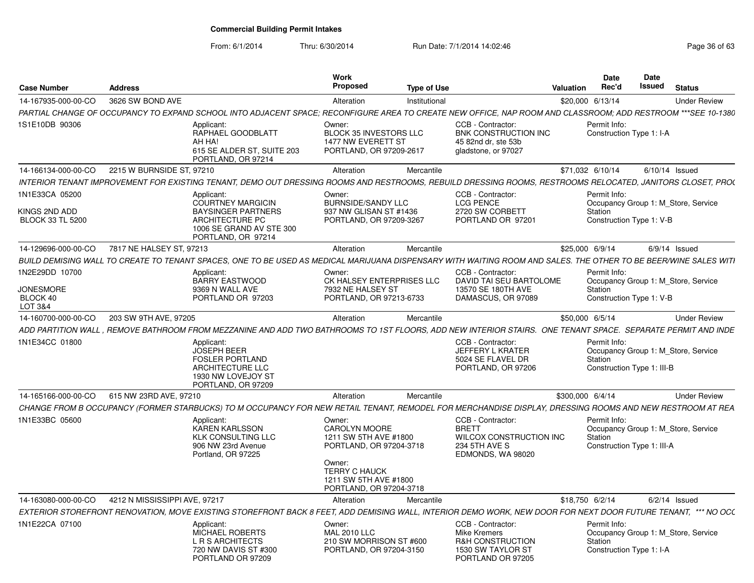| <b>Case Number</b>                                         | <b>Address</b>                |                                                                                                                                                                  | Work<br>Proposed                                                                             | <b>Type of Use</b> |                                                                                                            | Valuation        | <b>Date</b><br>Rec'd                                                                         | <b>Date</b><br>Issued | <b>Status</b>   |                     |
|------------------------------------------------------------|-------------------------------|------------------------------------------------------------------------------------------------------------------------------------------------------------------|----------------------------------------------------------------------------------------------|--------------------|------------------------------------------------------------------------------------------------------------|------------------|----------------------------------------------------------------------------------------------|-----------------------|-----------------|---------------------|
| 14-167935-000-00-CO                                        | 3626 SW BOND AVE              |                                                                                                                                                                  | Alteration                                                                                   | Institutional      |                                                                                                            | \$20,000 6/13/14 |                                                                                              |                       |                 | <b>Under Review</b> |
|                                                            |                               | PARTIAL CHANGE OF OCCUPANCY TO EXPAND SCHOOL INTO ADJACENT SPACE; RECONFIGURE AREA TO CREATE NEW OFFICE. NAP ROOM AND CLASSROOM: ADD RESTROOM ***SEE 10-1380     |                                                                                              |                    |                                                                                                            |                  |                                                                                              |                       |                 |                     |
| 1S1E10DB 90306                                             |                               | Applicant<br>RAPHAEL GOODBLATT<br>AH HA!<br>615 SE ALDER ST, SUITE 203<br>PORTLAND, OR 97214                                                                     | Owner:<br><b>BLOCK 35 INVESTORS LLC</b><br>1477 NW EVERETT ST<br>PORTLAND, OR 97209-2617     |                    | CCB - Contractor:<br>BNK CONSTRUCTION INC<br>45 82nd dr. ste 53b<br>gladstone, or 97027                    |                  | Permit Info:<br>Construction Type 1: I-A                                                     |                       |                 |                     |
| 14-166134-000-00-CO                                        | 2215 W BURNSIDE ST, 97210     |                                                                                                                                                                  | Alteration                                                                                   | Mercantile         |                                                                                                            | \$71,032 6/10/14 |                                                                                              | $6/10/14$ Issued      |                 |                     |
|                                                            |                               | INTERIOR TENANT IMPROVEMENT FOR EXISTING TENANT, DEMO OUT DRESSING ROOMS AND RESTROOMS, REBUILD DRESSING ROOMS, RESTROOMS RELOCATED, JANITORS CLOSET, PRO(       |                                                                                              |                    |                                                                                                            |                  |                                                                                              |                       |                 |                     |
| 1N1E33CA 05200<br>KINGS 2ND ADD<br><b>BLOCK 33 TL 5200</b> |                               | Applicant<br><b>COURTNEY MARGICIN</b><br><b>BAYSINGER PARTNERS</b><br>ARCHITECTURE PC<br>1006 SE GRAND AV STE 300<br>PORTLAND, OR 97214                          | Owner:<br>BURNSIDE/SANDY LLC<br>937 NW GLISAN ST #1436<br>PORTLAND, OR 97209-3267            |                    | CCB - Contractor:<br><b>LCG PENCE</b><br>2720 SW CORBETT<br>PORTLAND OR 97201                              |                  | Permit Info:<br>Occupancy Group 1: M_Store, Service<br>Station<br>Construction Type 1: V-B   |                       |                 |                     |
| 14-129696-000-00-CO                                        | 7817 NE HALSEY ST. 97213      |                                                                                                                                                                  | Alteration                                                                                   | Mercantile         |                                                                                                            | \$25,000 6/9/14  |                                                                                              |                       | $6/9/14$ Issued |                     |
|                                                            |                               | BUILD DEMISING WALL TO CREATE TO TENANT SPACES, ONE TO BE USED AS MEDICAL MARIJUANA DISPENSARY WITH WAITING ROOM AND SALES. THE OTHER TO BE BEER/WINE SALES WITI |                                                                                              |                    |                                                                                                            |                  |                                                                                              |                       |                 |                     |
| 1N2E29DD 10700                                             |                               | Applicant<br><b>BARRY EASTWOOD</b>                                                                                                                               | Owner:<br>CK HALSEY ENTERPRISES LLC                                                          |                    | CCB - Contractor:<br>DAVID TAI SEU BARTOLOME                                                               |                  | Permit Info:<br>Occupancy Group 1: M Store, Service                                          |                       |                 |                     |
| <b>JONESMORE</b><br>BLOCK 40<br>LOT 3&4                    |                               | 9369 N WALL AVE<br>PORTLAND OR 97203                                                                                                                             | 7932 NE HALSEY ST<br>PORTLAND, OR 97213-6733                                                 |                    | 13570 SE 180TH AVE<br>DAMASCUS, OR 97089                                                                   |                  | Station<br>Construction Type 1: V-B                                                          |                       |                 |                     |
| 14-160700-000-00-CO                                        | 203 SW 9TH AVE, 97205         |                                                                                                                                                                  | Alteration                                                                                   | Mercantile         |                                                                                                            | \$50,000 6/5/14  |                                                                                              |                       |                 | <b>Under Review</b> |
|                                                            |                               | ADD PARTITION WALL . REMOVE BATHROOM FROM MEZZANINE AND ADD TWO BATHROOMS TO 1ST FLOORS. ADD NEW INTERIOR STAIRS.  ONE TENANT SPACE.  SEPARATE PERMIT AND INDE   |                                                                                              |                    |                                                                                                            |                  |                                                                                              |                       |                 |                     |
| 1N1E34CC 01800                                             |                               | Applicant:<br><b>JOSEPH BEER</b><br><b>FOSLER PORTLAND</b><br><b>ARCHITECTURE LLC</b><br>1930 NW LOVEJOY ST<br>PORTLAND, OR 97209                                |                                                                                              |                    | CCB - Contractor:<br>JEFFERY L KRATER<br>5024 SE FLAVEL DR<br>PORTLAND, OR 97206                           |                  | Permit Info:<br>Occupancy Group 1: M_Store, Service<br>Station<br>Construction Type 1: III-B |                       |                 |                     |
| 14-165166-000-00-CO                                        | 615 NW 23RD AVE, 97210        |                                                                                                                                                                  | Alteration                                                                                   | Mercantile         |                                                                                                            | \$300,000 6/4/14 |                                                                                              |                       |                 | <b>Under Review</b> |
|                                                            |                               | CHANGE FROM B OCCUPANCY (FORMER STARBUCKS) TO M OCCUPANCY FOR NEW RETAIL TENANT, REMODEL FOR MERCHANDISE DISPLAY, DRESSING ROOMS AND NEW RESTROOM AT REA         |                                                                                              |                    |                                                                                                            |                  |                                                                                              |                       |                 |                     |
| 1N1E33BC 05600                                             |                               | Applicant:<br><b>KAREN KARLSSON</b><br><b>KLK CONSULTING LLC</b><br>906 NW 23rd Avenue<br>Portland, OR 97225                                                     | Owner:<br><b>CAROLYN MOORE</b><br>1211 SW 5TH AVE #1800<br>PORTLAND, OR 97204-3718<br>Owner: |                    | CCB - Contractor:<br><b>BRETT</b><br>WILCOX CONSTRUCTION INC<br>234 5TH AVE S<br>EDMONDS, WA 98020         |                  | Permit Info:<br>Occupancy Group 1: M Store, Service<br>Station<br>Construction Type 1: III-A |                       |                 |                     |
|                                                            |                               |                                                                                                                                                                  | <b>TERRY C HAUCK</b><br>1211 SW 5TH AVE #1800<br>PORTLAND, OR 97204-3718                     |                    |                                                                                                            |                  |                                                                                              |                       |                 |                     |
| 14-163080-000-00-CO                                        | 4212 N MISSISSIPPI AVE, 97217 |                                                                                                                                                                  | Alteration                                                                                   | Mercantile         |                                                                                                            | \$18,750 6/2/14  |                                                                                              |                       | $6/2/14$ Issued |                     |
|                                                            |                               | EXTERIOR STOREFRONT RENOVATION, MOVE EXISTING STOREFRONT BACK 8 FEET, ADD DEMISING WALL, INTERIOR DEMO WORK, NEW DOOR FOR NEXT DOOR FUTURE TENANT, *** NO OCL    |                                                                                              |                    |                                                                                                            |                  |                                                                                              |                       |                 |                     |
| 1N1E22CA 07100                                             |                               | Applicant:<br><b>MICHAEL ROBERTS</b><br><b>L R S ARCHITECTS</b><br>720 NW DAVIS ST #300<br>PORTLAND OR 97209                                                     | Owner:<br><b>MAL 2010 LLC</b><br>210 SW MORRISON ST #600<br>PORTLAND, OR 97204-3150          |                    | CCB - Contractor:<br>Mike Kremers<br><b>R&amp;H CONSTRUCTION</b><br>1530 SW TAYLOR ST<br>PORTLAND OR 97205 |                  | Permit Info:<br>Occupancy Group 1: M Store, Service<br>Station<br>Construction Type 1: I-A   |                       |                 |                     |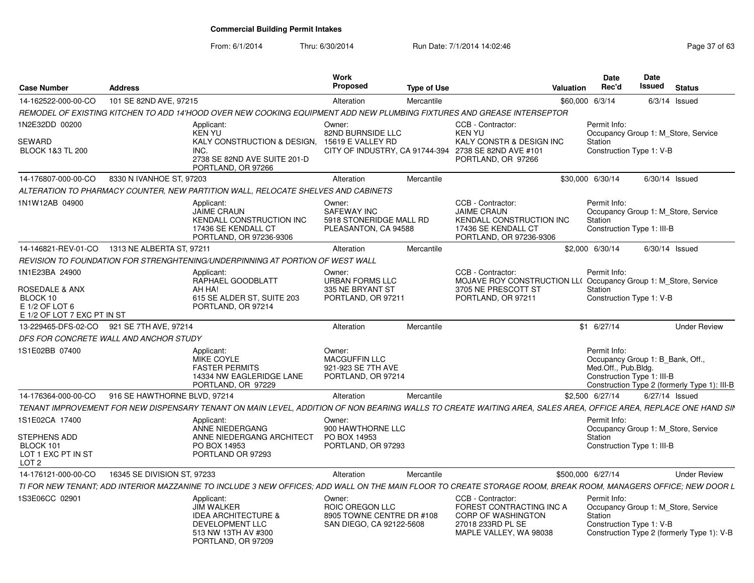From: 6/1/2014

| <b>Case Number</b>                                                                     | <b>Address</b>                            |                                                                                                                                                                 | Work<br><b>Proposed</b>                                                            | <b>Type of Use</b> |                                                                                                                          | <b>Valuation</b> | Date<br>Rec'd                                                                                                                                        | Date<br>Issued  | <b>Status</b>       |
|----------------------------------------------------------------------------------------|-------------------------------------------|-----------------------------------------------------------------------------------------------------------------------------------------------------------------|------------------------------------------------------------------------------------|--------------------|--------------------------------------------------------------------------------------------------------------------------|------------------|------------------------------------------------------------------------------------------------------------------------------------------------------|-----------------|---------------------|
| 14-162522-000-00-CO                                                                    | 101 SE 82ND AVE, 97215                    |                                                                                                                                                                 | Alteration                                                                         | Mercantile         |                                                                                                                          |                  | \$60,000 6/3/14                                                                                                                                      | $6/3/14$ Issued |                     |
|                                                                                        |                                           | REMODEL OF EXISTING KITCHEN TO ADD 14'HOOD OVER NEW COOKING EQUIPMENT ADD NEW PLUMBING FIXTURES AND GREASE INTERSEPTOR                                          |                                                                                    |                    |                                                                                                                          |                  |                                                                                                                                                      |                 |                     |
| 1N2E32DD 00200<br>SEWARD<br><b>BLOCK 1&amp;3 TL 200</b>                                |                                           | Applicant:<br>KEN YU<br>KALY CONSTRUCTION & DESIGN, 15619 E VALLEY RD<br>INC.<br>2738 SE 82ND AVE SUITE 201-D<br>PORTLAND, OR 97266                             | Owner:<br>82ND BURNSIDE LLC<br>CITY OF INDUSTRY, CA 91744-394                      |                    | CCB - Contractor:<br>KEN YU<br>KALY CONSTR & DESIGN INC<br>2738 SE 82ND AVE #101<br>PORTLAND, OR 97266                   |                  | Permit Info:<br>Occupancy Group 1: M Store, Service<br>Station<br>Construction Type 1: V-B                                                           |                 |                     |
| 14-176807-000-00-CO                                                                    | 8330 N IVANHOE ST, 97203                  |                                                                                                                                                                 | Alteration                                                                         | Mercantile         |                                                                                                                          |                  | \$30,000 6/30/14                                                                                                                                     | 6/30/14 Issued  |                     |
|                                                                                        |                                           | ALTERATION TO PHARMACY COUNTER. NEW PARTITION WALL. RELOCATE SHELVES AND CABINETS                                                                               |                                                                                    |                    |                                                                                                                          |                  |                                                                                                                                                      |                 |                     |
| 1N1W12AB 04900                                                                         |                                           | Applicant:<br><b>JAIME CRAUN</b><br><b>KENDALL CONSTRUCTION INC</b><br>17436 SE KENDALL CT<br>PORTLAND, OR 97236-9306                                           | Owner:<br><b>SAFEWAY INC</b><br>5918 STONERIDGE MALL RD<br>PLEASANTON, CA 94588    |                    | CCB - Contractor<br><b>JAIME CRAUN</b><br>KENDALL CONSTRUCTION INC<br>17436 SE KENDALL CT<br>PORTLAND, OR 97236-9306     |                  | Permit Info:<br>Occupancy Group 1: M Store, Service<br>Station<br>Construction Type 1: III-B                                                         |                 |                     |
| 14-146821-REV-01-CO                                                                    | 1313 NE ALBERTA ST, 97211                 |                                                                                                                                                                 | Alteration                                                                         | Mercantile         |                                                                                                                          |                  | \$2,000 6/30/14                                                                                                                                      | 6/30/14 Issued  |                     |
|                                                                                        |                                           | REVISION TO FOUNDATION FOR STRENGHTENING/UNDERPINNING AT PORTION OF WEST WALL                                                                                   |                                                                                    |                    |                                                                                                                          |                  |                                                                                                                                                      |                 |                     |
| 1N1E23BA 24900                                                                         |                                           | Applicant:<br>RAPHAEL GOODBLATT                                                                                                                                 | Owner:<br><b>URBAN FORMS LLC</b>                                                   |                    | CCB - Contractor:<br>MOJAVE ROY CONSTRUCTION LL( Occupancy Group 1: M_Store, Service                                     |                  | Permit Info:                                                                                                                                         |                 |                     |
| <b>ROSEDALE &amp; ANX</b><br>BLOCK 10<br>E 1/2 OF LOT 6<br>E 1/2 OF LOT 7 EXC PT IN ST |                                           | AH HA!<br>615 SE ALDER ST, SUITE 203<br>PORTLAND, OR 97214                                                                                                      | 335 NE BRYANT ST<br>PORTLAND, OR 97211                                             |                    | 3705 NE PRESCOTT ST<br>PORTLAND, OR 97211                                                                                |                  | Station<br>Construction Type 1: V-B                                                                                                                  |                 |                     |
|                                                                                        | 13-229465-DFS-02-CO 921 SE 7TH AVE, 97214 |                                                                                                                                                                 | Alteration                                                                         | Mercantile         |                                                                                                                          |                  | \$1 6/27/14                                                                                                                                          |                 | <b>Under Review</b> |
|                                                                                        | DFS FOR CONCRETE WALL AND ANCHOR STUDY    |                                                                                                                                                                 |                                                                                    |                    |                                                                                                                          |                  |                                                                                                                                                      |                 |                     |
| 1S1E02BB 07400                                                                         |                                           | Applicant:<br><b>MIKE COYLE</b><br><b>FASTER PERMITS</b><br>14334 NW EAGLERIDGE LANE<br>PORTLAND, OR 97229                                                      | Owner:<br>MACGUFFIN LLC<br>921-923 SE 7TH AVE<br>PORTLAND, OR 97214                |                    |                                                                                                                          |                  | Permit Info:<br>Occupancy Group 1: B Bank, Off.<br>Med.Off., Pub.Bldg.<br>Construction Type 1: III-B<br>Construction Type 2 (formerly Type 1): III-B |                 |                     |
| 14-176364-000-00-CO                                                                    | 916 SE HAWTHORNE BLVD, 97214              |                                                                                                                                                                 | Alteration                                                                         | Mercantile         |                                                                                                                          |                  | \$2,500 6/27/14                                                                                                                                      | 6/27/14 Issued  |                     |
|                                                                                        |                                           | TENANT IMPROVEMENT FOR NEW DISPENSARY TENANT ON MAIN LEVEL. ADDITION OF NON BEARING WALLS TO CREATE WAITING AREA. SALES AREA. OFFICE AREA. REPLACE ONE HAND SIN |                                                                                    |                    |                                                                                                                          |                  |                                                                                                                                                      |                 |                     |
| 1S1E02CA 17400                                                                         |                                           | Applicant:<br>ANNE NIEDERGANG                                                                                                                                   | Owner:<br>900 HAWTHORNE LLC                                                        |                    |                                                                                                                          |                  | Permit Info:<br>Occupancy Group 1: M_Store, Service                                                                                                  |                 |                     |
| <b>STEPHENS ADD</b><br>BLOCK 101<br>LOT 1 EXC PT IN ST<br>LOT <sub>2</sub>             |                                           | ANNE NIEDERGANG ARCHITECT<br>PO BOX 14953<br>PORTLAND OR 97293                                                                                                  | PO BOX 14953<br>PORTLAND, OR 97293                                                 |                    |                                                                                                                          |                  | <b>Station</b><br>Construction Type 1: III-B                                                                                                         |                 |                     |
| 14-176121-000-00-CO                                                                    | 16345 SE DIVISION ST, 97233               |                                                                                                                                                                 | Alteration                                                                         | Mercantile         |                                                                                                                          |                  | \$500,000 6/27/14                                                                                                                                    |                 | <b>Under Review</b> |
|                                                                                        |                                           | TI FOR NEW TENANT; ADD INTERIOR MAZZANINE TO INCLUDE 3 NEW OFFICES; ADD WALL ON THE MAIN FLOOR TO CREATE STORAGE ROOM, BREAK ROOM, MANAGERS OFFICE; NEW DOOR L  |                                                                                    |                    |                                                                                                                          |                  |                                                                                                                                                      |                 |                     |
| 1S3E06CC 02901                                                                         |                                           | Applicant:<br><b>JIM WALKER</b><br><b>IDEA ARCHITECTURE &amp;</b><br>DEVELOPMENT LLC<br>513 NW 13TH AV #300<br>PORTLAND, OR 97209                               | Owner:<br>ROIC OREGON LLC<br>8905 TOWNE CENTRE DR #108<br>SAN DIEGO, CA 92122-5608 |                    | CCB - Contractor<br>FOREST CONTRACTING INC A<br><b>CORP OF WASHINGTON</b><br>27018 233RD PL SE<br>MAPLE VALLEY, WA 98038 |                  | Permit Info:<br>Occupancy Group 1: M Store, Service<br>Station<br>Construction Type 1: V-B<br>Construction Type 2 (formerly Type 1): V-B             |                 |                     |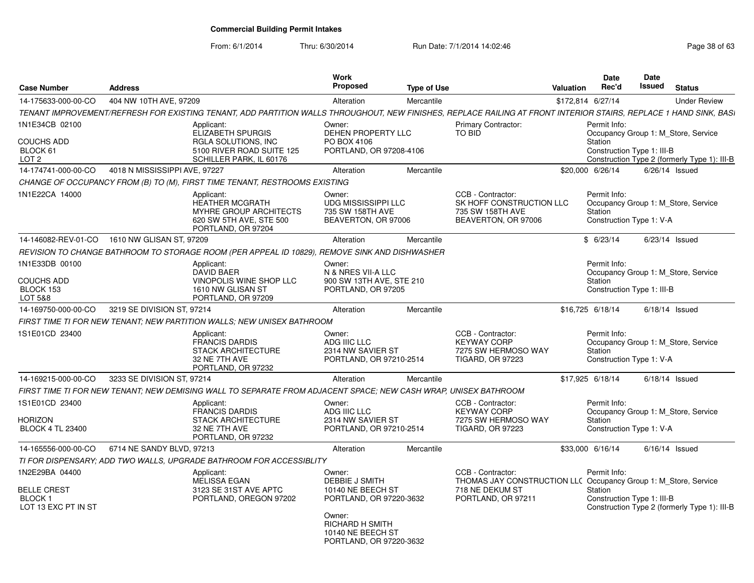| <b>Case Number</b>                                                           | <b>Address</b>                |                                                                                                                                                                   | Work<br>Proposed                                                                                                                                             | <b>Type of Use</b> |                                                                                                                               | <b>Valuation</b> | Date<br>Rec'd                                         | Date<br>Issued | <b>Status</b>                                                                       |
|------------------------------------------------------------------------------|-------------------------------|-------------------------------------------------------------------------------------------------------------------------------------------------------------------|--------------------------------------------------------------------------------------------------------------------------------------------------------------|--------------------|-------------------------------------------------------------------------------------------------------------------------------|------------------|-------------------------------------------------------|----------------|-------------------------------------------------------------------------------------|
| 14-175633-000-00-CO                                                          | 404 NW 10TH AVE, 97209        |                                                                                                                                                                   | Alteration                                                                                                                                                   | Mercantile         |                                                                                                                               |                  | \$172.814 6/27/14                                     |                | <b>Under Review</b>                                                                 |
|                                                                              |                               | TENANT IMPROVEMENT/REFRESH FOR EXISTING TENANT, ADD PARTITION WALLS THROUGHOUT, NEW FINISHES, REPLACE RAILING AT FRONT INTERIOR STAIRS, REPLACE 1 HAND SINK, BASI |                                                                                                                                                              |                    |                                                                                                                               |                  |                                                       |                |                                                                                     |
| 1N1E34CB 02100<br><b>COUCHS ADD</b><br>BLOCK 61<br>LOT <sub>2</sub>          |                               | Applicant:<br>ELIZABETH SPURGIS<br><b>RGLA SOLUTIONS, INC.</b><br>5100 RIVER ROAD SUITE 125<br>SCHILLER PARK, IL 60176                                            | Owner:<br>DEHEN PROPERTY LLC<br>PO BOX 4106<br>PORTLAND, OR 97208-4106                                                                                       |                    | Primary Contractor:<br>TO BID                                                                                                 |                  | Permit Info:<br>Station<br>Construction Type 1: III-B |                | Occupancy Group 1: M Store, Service<br>Construction Type 2 (formerly Type 1): III-B |
| 14-174741-000-00-CO                                                          | 4018 N MISSISSIPPI AVE, 97227 |                                                                                                                                                                   | Alteration                                                                                                                                                   | Mercantile         |                                                                                                                               |                  | \$20,000 6/26/14                                      |                | $6/26/14$ Issued                                                                    |
|                                                                              |                               | CHANGE OF OCCUPANCY FROM (B) TO (M), FIRST TIME TENANT, RESTROOMS EXISTING                                                                                        |                                                                                                                                                              |                    |                                                                                                                               |                  |                                                       |                |                                                                                     |
| 1N1E22CA 14000                                                               |                               | Applicant:<br><b>HEATHER MCGRATH</b><br><b>MYHRE GROUP ARCHITECTS</b><br>620 SW 5TH AVE, STE 500<br>PORTLAND, OR 97204                                            | Owner:<br><b>UDG MISSISSIPPI LLC</b><br>735 SW 158TH AVE<br>BEAVERTON, OR 97006                                                                              |                    | CCB - Contractor:<br>SK HOFF CONSTRUCTION LLC<br>735 SW 158TH AVE<br>BEAVERTON, OR 97006                                      |                  | Permit Info:<br>Station<br>Construction Type 1: V-A   |                | Occupancy Group 1: M Store, Service                                                 |
| 14-146082-REV-01-CO                                                          | 1610 NW GLISAN ST, 97209      |                                                                                                                                                                   | Alteration                                                                                                                                                   | Mercantile         |                                                                                                                               |                  | \$6/23/14                                             |                | $6/23/14$ Issued                                                                    |
|                                                                              |                               | REVISION TO CHANGE BATHROOM TO STORAGE ROOM (PER APPEAL ID 10829), REMOVE SINK AND DISHWASHER                                                                     |                                                                                                                                                              |                    |                                                                                                                               |                  |                                                       |                |                                                                                     |
| 1N1E33DB 00100<br><b>COUCHS ADD</b><br>BLOCK 153<br>LOT 5&8                  |                               | Applicant:<br><b>DAVID BAER</b><br>VINOPOLIS WINE SHOP LLC<br>1610 NW GLISAN ST<br>PORTLAND, OR 97209                                                             | Owner:<br>N & NRES VII-A LLC<br>900 SW 13TH AVE, STE 210<br>PORTLAND, OR 97205                                                                               |                    |                                                                                                                               |                  | Permit Info:<br>Station<br>Construction Type 1: III-B |                | Occupancy Group 1: M Store, Service                                                 |
| 14-169750-000-00-CO                                                          | 3219 SE DIVISION ST, 97214    |                                                                                                                                                                   | Alteration                                                                                                                                                   | Mercantile         |                                                                                                                               |                  | \$16,725 6/18/14                                      |                | $6/18/14$ Issued                                                                    |
|                                                                              |                               | FIRST TIME TI FOR NEW TENANT: NEW PARTITION WALLS: NEW UNISEX BATHROOM                                                                                            |                                                                                                                                                              |                    |                                                                                                                               |                  |                                                       |                |                                                                                     |
| 1S1E01CD 23400                                                               |                               | Applicant:<br><b>FRANCIS DARDIS</b><br><b>STACK ARCHITECTURE</b><br>32 NE 7TH AVE<br>PORTLAND, OR 97232                                                           | Owner:<br>ADG IIIC LLC<br>2314 NW SAVIER ST<br>PORTLAND, OR 97210-2514                                                                                       |                    | CCB - Contractor:<br>KEYWAY CORP<br>7275 SW HERMOSO WAY<br><b>TIGARD, OR 97223</b>                                            |                  | Permit Info:<br>Station<br>Construction Type 1: V-A   |                | Occupancy Group 1: M Store, Service                                                 |
| 14-169215-000-00-CO                                                          | 3233 SE DIVISION ST, 97214    |                                                                                                                                                                   | Alteration                                                                                                                                                   | Mercantile         |                                                                                                                               |                  | \$17,925 6/18/14                                      |                | $6/18/14$ Issued                                                                    |
|                                                                              |                               | FIRST TIME TI FOR NEW TENANT; NEW DEMISING WALL TO SEPARATE FROM ADJACENT SPACE; NEW CASH WRAP, UNISEX BATHROOM                                                   |                                                                                                                                                              |                    |                                                                                                                               |                  |                                                       |                |                                                                                     |
| 1S1E01CD 23400<br><b>HORIZON</b><br><b>BLOCK 4 TL 23400</b>                  |                               | Applicant:<br><b>FRANCIS DARDIS</b><br><b>STACK ARCHITECTURE</b><br>32 NE 7TH AVE<br>PORTLAND, OR 97232                                                           | Owner:<br>ADG IIIC LLC<br>2314 NW SAVIER ST<br>PORTLAND, OR 97210-2514                                                                                       |                    | CCB - Contractor:<br><b>KEYWAY CORP</b><br>7275 SW HERMOSO WAY<br><b>TIGARD, OR 97223</b>                                     |                  | Permit Info:<br>Station<br>Construction Type 1: V-A   |                | Occupancy Group 1: M Store, Service                                                 |
| 14-165556-000-00-CO                                                          | 6714 NE SANDY BLVD, 97213     |                                                                                                                                                                   | Alteration                                                                                                                                                   | Mercantile         |                                                                                                                               |                  | \$33,000 6/16/14                                      |                | $6/16/14$ Issued                                                                    |
|                                                                              |                               | TI FOR DISPENSARY: ADD TWO WALLS, UPGRADE BATHROOM FOR ACCESSIBLITY                                                                                               |                                                                                                                                                              |                    |                                                                                                                               |                  |                                                       |                |                                                                                     |
| 1N2E29BA 04400<br><b>BELLE CREST</b><br><b>BLOCK1</b><br>LOT 13 EXC PT IN ST |                               | Applicant:<br><b>MELISSA EGAN</b><br>3123 SE 31ST AVE APTC<br>PORTLAND, OREGON 97202                                                                              | Owner:<br>DEBBIE J SMITH<br>10140 NE BEECH ST<br>PORTLAND, OR 97220-3632<br>Owner:<br><b>RICHARD H SMITH</b><br>10140 NE BEECH ST<br>PORTLAND, OR 97220-3632 |                    | CCB - Contractor:<br>THOMAS JAY CONSTRUCTION LLC Occupancy Group 1: M_Store, Service<br>718 NE DEKUM ST<br>PORTLAND, OR 97211 |                  | Permit Info:<br>Station<br>Construction Type 1: III-B |                | Construction Type 2 (formerly Type 1): III-B                                        |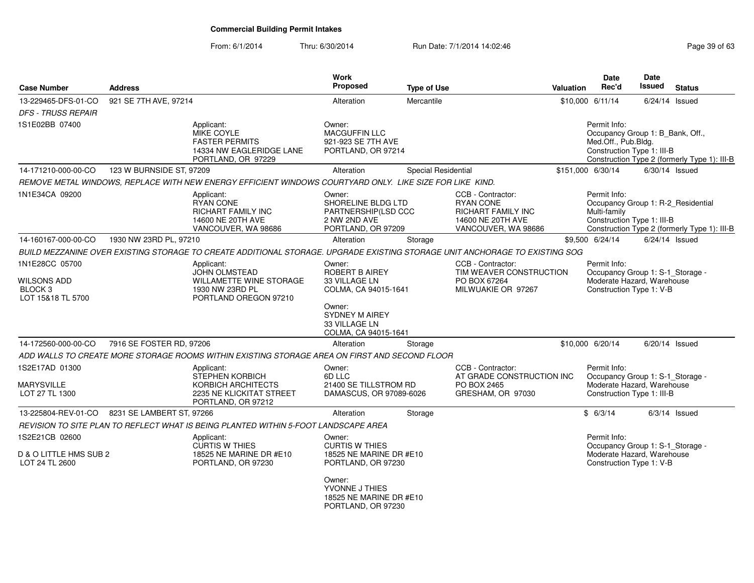| <b>Case Number</b>                                                              | <b>Address</b>            |                                                                                                                             | <b>Work</b><br><b>Proposed</b>                                                            | <b>Type of Use</b>  |                                                                                                         | Valuation | <b>Date</b><br>Rec'd                                                                                         | Date<br><b>Issued</b> | <b>Status</b>                                                                      |
|---------------------------------------------------------------------------------|---------------------------|-----------------------------------------------------------------------------------------------------------------------------|-------------------------------------------------------------------------------------------|---------------------|---------------------------------------------------------------------------------------------------------|-----------|--------------------------------------------------------------------------------------------------------------|-----------------------|------------------------------------------------------------------------------------|
| 13-229465-DFS-01-CO                                                             | 921 SE 7TH AVE, 97214     |                                                                                                                             | Alteration                                                                                | Mercantile          |                                                                                                         |           | \$10,000 6/11/14                                                                                             | $6/24/14$ Issued      |                                                                                    |
| <b>DFS - TRUSS REPAIR</b>                                                       |                           |                                                                                                                             |                                                                                           |                     |                                                                                                         |           |                                                                                                              |                       |                                                                                    |
| 1S1E02BB 07400                                                                  |                           | Applicant:<br>MIKE COYLE<br><b>FASTER PERMITS</b><br>14334 NW EAGLERIDGE LANE<br>PORTLAND, OR 97229                         | Owner:<br><b>MACGUFFIN LLC</b><br>921-923 SE 7TH AVE<br>PORTLAND, OR 97214                |                     |                                                                                                         |           | Permit Info:<br>Occupancy Group 1: B_Bank, Off.,<br>Med.Off., Pub.Bldg.<br>Construction Type 1: III-B        |                       | Construction Type 2 (formerly Type 1): III-B                                       |
| 14-171210-000-00-CO                                                             | 123 W BURNSIDE ST, 97209  |                                                                                                                             | Alteration                                                                                | Special Residential |                                                                                                         |           | \$151,000 6/30/14                                                                                            | $6/30/14$ Issued      |                                                                                    |
|                                                                                 |                           | REMOVE METAL WINDOWS, REPLACE WITH NEW ENERGY EFFICIENT WINDOWS COURTYARD ONLY. LIKE SIZE FOR LIKE KIND.                    |                                                                                           |                     |                                                                                                         |           |                                                                                                              |                       |                                                                                    |
| 1N1E34CA 09200                                                                  |                           | Applicant:<br>RYAN CONE<br>RICHART FAMILY INC<br>14600 NE 20TH AVE<br>VANCOUVER, WA 98686                                   | Owner:<br>SHORELINE BLDG LTD<br>PARTNERSHIP(LSD CCC<br>2 NW 2ND AVE<br>PORTLAND, OR 97209 |                     | CCB - Contractor:<br><b>RYAN CONE</b><br>RICHART FAMILY INC<br>14600 NE 20TH AVE<br>VANCOUVER, WA 98686 |           | Permit Info:<br>Multi-family<br>Construction Type 1: III-B                                                   |                       | Occupancy Group 1: R-2_Residential<br>Construction Type 2 (formerly Type 1): III-B |
| 14-160167-000-00-CO                                                             | 1930 NW 23RD PL, 97210    |                                                                                                                             | Alteration                                                                                | Storage             |                                                                                                         |           | \$9,500 6/24/14                                                                                              | $6/24/14$ Issued      |                                                                                    |
|                                                                                 |                           | BUILD MEZZANINE OVER EXISTING STORAGE TO CREATE ADDITIONAL STORAGE. UPGRADE EXISTING STORAGE UNIT ANCHORAGE TO EXISTING SOG |                                                                                           |                     |                                                                                                         |           |                                                                                                              |                       |                                                                                    |
| 1N1E28CC 05700<br><b>WILSONS ADD</b><br>BLOCK <sub>3</sub><br>LOT 15&18 TL 5700 |                           | Applicant:<br><b>JOHN OLMSTEAD</b><br>WILLAMETTE WINE STORAGE<br>1930 NW 23RD PL<br>PORTLAND OREGON 97210                   | Owner:<br><b>ROBERT B AIREY</b><br>33 VILLAGE LN<br>COLMA, CA 94015-1641<br>Owner:        |                     | CCB - Contractor:<br>TIM WEAVER CONSTRUCTION<br>PO BOX 67264<br>MILWUAKIE OR 97267                      |           | Permit Info:<br>Occupancy Group 1: S-1_Storage -<br>Moderate Hazard, Warehouse<br>Construction Type 1: V-B   |                       |                                                                                    |
|                                                                                 |                           |                                                                                                                             | <b>SYDNEY M AIREY</b><br>33 VILLAGE LN<br>COLMA, CA 94015-1641                            |                     |                                                                                                         |           |                                                                                                              |                       |                                                                                    |
| 14-172560-000-00-CO                                                             | 7916 SE FOSTER RD, 97206  |                                                                                                                             | Alteration                                                                                | Storage             |                                                                                                         |           | \$10,000 6/20/14                                                                                             | $6/20/14$ Issued      |                                                                                    |
|                                                                                 |                           | ADD WALLS TO CREATE MORE STORAGE ROOMS WITHIN EXISTING STORAGE AREA ON FIRST AND SECOND FLOOR                               |                                                                                           |                     |                                                                                                         |           |                                                                                                              |                       |                                                                                    |
| 1S2E17AD 01300<br><b>MARYSVILLE</b><br>LOT 27 TL 1300                           |                           | Applicant:<br><b>STEPHEN KORBICH</b><br>KORBICH ARCHITECTS<br>2235 NE KLICKITAT STREET<br>PORTLAND, OR 97212                | Owner:<br>6D LLC<br>21400 SE TILLSTROM RD<br>DAMASCUS, OR 97089-6026                      |                     | CCB - Contractor:<br>AT GRADE CONSTRUCTION INC<br>PO BOX 2465<br>GRESHAM, OR 97030                      |           | Permit Info:<br>Occupancy Group 1: S-1_Storage -<br>Moderate Hazard, Warehouse<br>Construction Type 1: III-B |                       |                                                                                    |
| 13-225804-REV-01-CO                                                             | 8231 SE LAMBERT ST, 97266 |                                                                                                                             | Alteration                                                                                | Storage             |                                                                                                         |           | \$6/3/14                                                                                                     |                       | $6/3/14$ Issued                                                                    |
|                                                                                 |                           | REVISION TO SITE PLAN TO REFLECT WHAT IS BEING PLANTED WITHIN 5-FOOT LANDSCAPE AREA                                         |                                                                                           |                     |                                                                                                         |           |                                                                                                              |                       |                                                                                    |
| 1S2E21CB 02600<br>D & O LITTLE HMS SUB 2<br>LOT 24 TL 2600                      |                           | Applicant:<br><b>CURTIS W THIES</b><br>18525 NE MARINE DR #E10<br>PORTLAND, OR 97230                                        | Owner:<br><b>CURTIS W THIES</b><br>18525 NE MARINE DR #E10<br>PORTLAND, OR 97230          |                     |                                                                                                         |           | Permit Info:<br>Occupancy Group 1: S-1_Storage -<br>Moderate Hazard, Warehouse<br>Construction Type 1: V-B   |                       |                                                                                    |
|                                                                                 |                           |                                                                                                                             | Owner:<br>YVONNE J THIES<br>18525 NE MARINE DR #E10<br>PORTLAND, OR 97230                 |                     |                                                                                                         |           |                                                                                                              |                       |                                                                                    |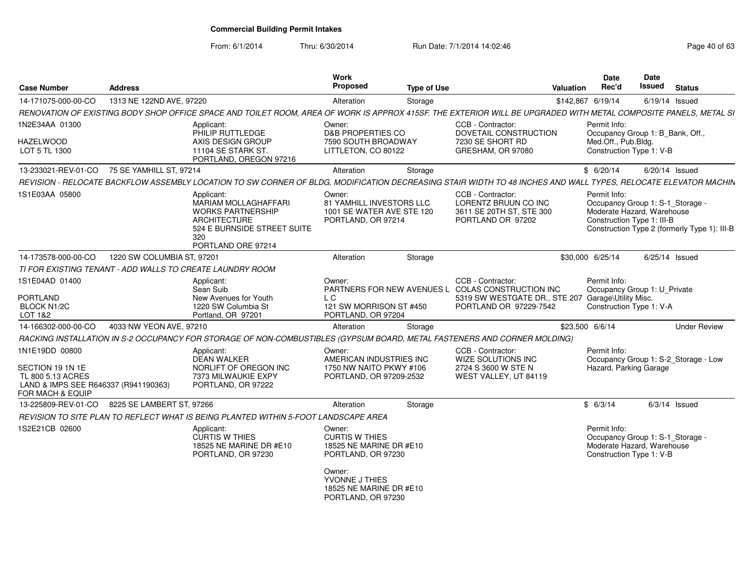From: 6/1/2014

| <b>Case Number</b>                                       | <b>Address</b>             |                                                                                                                                                                  | Work<br><b>Proposed</b>                                                                 | <b>Type of Use</b> |                                                                                                                              | Valuation         | <b>Date</b><br>Rec'd                                                                                         | Date<br><b>Issued</b> | <b>Status</b>                                |
|----------------------------------------------------------|----------------------------|------------------------------------------------------------------------------------------------------------------------------------------------------------------|-----------------------------------------------------------------------------------------|--------------------|------------------------------------------------------------------------------------------------------------------------------|-------------------|--------------------------------------------------------------------------------------------------------------|-----------------------|----------------------------------------------|
| 14-171075-000-00-CO                                      | 1313 NE 122ND AVE, 97220   |                                                                                                                                                                  | Alteration                                                                              | Storage            |                                                                                                                              | \$142,867 6/19/14 |                                                                                                              |                       | 6/19/14 Issued                               |
|                                                          |                            | RENOVATION OF EXISTING BODY SHOP OFFICE SPACE AND TOILET ROOM, AREA OF WORK IS APPROX 415SF. THE EXTERIOR WILL BE UPGRADED WITH METAL COMPOSITE PANELS, METAL SI |                                                                                         |                    |                                                                                                                              |                   |                                                                                                              |                       |                                              |
| 1N2E34AA 01300                                           |                            | Applicant:<br>PHILIP RUTTLEDGE                                                                                                                                   | Owner:<br><b>D&amp;B PROPERTIES CO</b>                                                  |                    | CCB - Contractor:<br>DOVETAIL CONSTRUCTION                                                                                   |                   | Permit Info:<br>Occupancy Group 1: B Bank, Off.,                                                             |                       |                                              |
| <b>HAZELWOOD</b><br>LOT 5 TL 1300                        |                            | AXIS DESIGN GROUP<br>11104 SE STARK ST.<br>PORTLAND, OREGON 97216                                                                                                | 7590 SOUTH BROADWAY<br>LITTLETON, CO 80122                                              |                    | 7230 SE SHORT RD<br>GRESHAM, OR 97080                                                                                        |                   | Med.Off., Pub.Bldg.<br>Construction Type 1: V-B                                                              |                       |                                              |
| 13-233021-REV-01-CO                                      | 75 SE YAMHILL ST, 97214    |                                                                                                                                                                  | Alteration                                                                              | Storage            |                                                                                                                              |                   | \$6/20/14                                                                                                    |                       | $6/20/14$ Issued                             |
|                                                          |                            | REVISION - RELOCATE BACKFLOW ASSEMBLY LOCATION TO SW CORNER OF BLDG, MODIFICATION DECREASING STAIR WIDTH TO 48 INCHES AND WALL TYPES, RELOCATE ELEVATOR MACHIN   |                                                                                         |                    |                                                                                                                              |                   |                                                                                                              |                       |                                              |
| 1S1E03AA 05800                                           |                            | Applicant:<br>MARIAM MOLLAGHAFFARI<br><b>WORKS PARTNERSHIP</b><br><b>ARCHITECTURE</b><br>524 E BURNSIDE STREET SUITE<br>320<br>PORTLAND ORE 97214                | Owner:<br>81 YAMHILL INVESTORS LLC<br>1001 SE WATER AVE STE 120<br>PORTLAND, OR 97214   |                    | CCB - Contractor:<br>LORENTZ BRUUN CO INC<br>3611 SE 20TH ST, STE 300<br>PORTLAND OR 97202                                   |                   | Permit Info:<br>Occupancy Group 1: S-1_Storage -<br>Moderate Hazard, Warehouse<br>Construction Type 1: III-B |                       | Construction Type 2 (formerly Type 1): III-B |
| 14-173578-000-00-CO                                      | 1220 SW COLUMBIA ST, 97201 |                                                                                                                                                                  | Alteration                                                                              | Storage            |                                                                                                                              |                   | \$30,000 6/25/14                                                                                             |                       | $6/25/14$ Issued                             |
|                                                          |                            | TI FOR EXISTING TENANT - ADD WALLS TO CREATE LAUNDRY ROOM                                                                                                        |                                                                                         |                    |                                                                                                                              |                   |                                                                                                              |                       |                                              |
| 1S1E04AD 01400<br><b>PORTLAND</b>                        |                            | Applicant:<br>Sean Suib<br>New Avenues for Youth                                                                                                                 | Owner:<br>L C                                                                           |                    | CCB - Contractor:<br>PARTNERS FOR NEW AVENUES L COLAS CONSTRUCTION INC<br>5319 SW WESTGATE DR., STE 207 Garage\Utility Misc. |                   | Permit Info:<br>Occupancy Group 1: U_Private                                                                 |                       |                                              |
| <b>BLOCK N1/2C</b><br>LOT 1&2                            |                            | 1220 SW Columbia St<br>Portland, OR 97201                                                                                                                        | 121 SW MORRISON ST #450<br>PORTLAND, OR 97204                                           |                    | PORTLAND OR 97229-7542                                                                                                       |                   | Construction Type 1: V-A                                                                                     |                       |                                              |
| 14-166302-000-00-CO                                      | 4033 NW YEON AVE, 97210    |                                                                                                                                                                  | Alteration                                                                              | Storage            |                                                                                                                              | \$23,500 6/6/14   |                                                                                                              |                       | <b>Under Review</b>                          |
|                                                          |                            | RACKING INSTALLATION IN S-2 OCCUPANCY FOR STORAGE OF NON-COMBUSTIBLES (GYPSUM BOARD, METAL FASTENERS AND CORNER MOLDING)                                         |                                                                                         |                    |                                                                                                                              |                   |                                                                                                              |                       |                                              |
| 1N1E19DD 00800<br>SECTION 19 1N 1E<br>TL 800 5.13 ACRES  |                            | Applicant:<br><b>DEAN WALKER</b><br>NORLIFT OF OREGON INC<br>7373 MILWAUKIE EXPY                                                                                 | Owner:<br>AMERICAN INDUSTRIES INC<br>1750 NW NAITO PKWY #106<br>PORTLAND, OR 97209-2532 |                    | CCB - Contractor:<br>WIZE SOLUTIONS INC<br>2724 S 3600 W STE N<br>WEST VALLEY, UT 84119                                      |                   | Permit Info:<br>Hazard, Parking Garage                                                                       |                       | Occupancy Group 1: S-2_Storage - Low         |
| LAND & IMPS SEE R646337 (R941190363)<br>FOR MACH & EQUIP |                            | PORTLAND, OR 97222                                                                                                                                               |                                                                                         |                    |                                                                                                                              |                   |                                                                                                              |                       |                                              |
| 13-225809-REV-01-CO                                      | 8225 SE LAMBERT ST. 97266  |                                                                                                                                                                  | Alteration                                                                              | Storage            |                                                                                                                              |                   | \$6/3/14                                                                                                     |                       | $6/3/14$ Issued                              |
|                                                          |                            | REVISION TO SITE PLAN TO REFLECT WHAT IS BEING PLANTED WITHIN 5-FOOT LANDSCAPE AREA                                                                              |                                                                                         |                    |                                                                                                                              |                   |                                                                                                              |                       |                                              |
| 1S2E21CB 02600                                           |                            | Applicant:<br>CURTIS W THIES<br>18525 NE MARINE DR #E10<br>PORTLAND, OR 97230                                                                                    | Owner:<br><b>CURTIS W THIES</b><br>18525 NE MARINE DR #E10<br>PORTLAND, OR 97230        |                    |                                                                                                                              |                   | Permit Info:<br>Occupancy Group 1: S-1_Storage -<br>Moderate Hazard, Warehouse<br>Construction Type 1: V-B   |                       |                                              |
|                                                          |                            |                                                                                                                                                                  | Owner:<br>YVONNE J THIES<br>18525 NE MARINE DR #E10<br>PORTLAND, OR 97230               |                    |                                                                                                                              |                   |                                                                                                              |                       |                                              |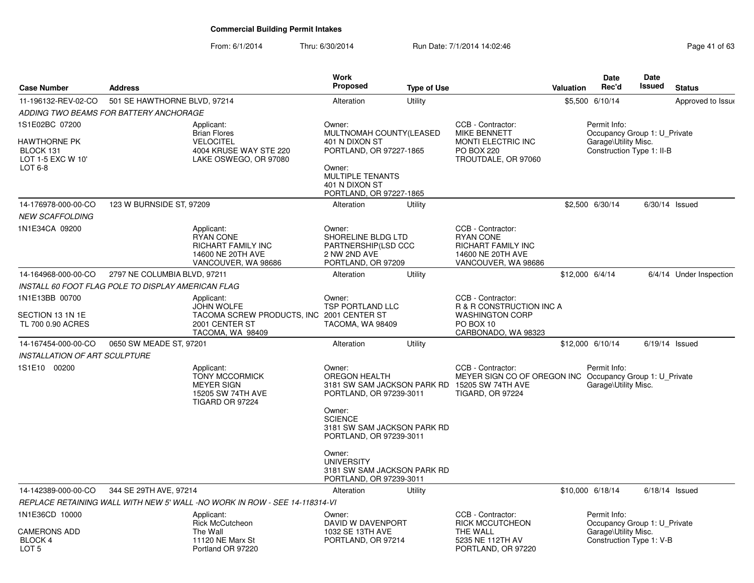| <b>Case Number</b>                                                           | <b>Address</b>                                     |                                                                                                          | <b>Work</b><br><b>Proposed</b>                                                                                                                                   | <b>Type of Use</b> |                                                                                                                              | <b>Valuation</b> | <b>Date</b><br>Rec'd                                                                              | Date<br>Issued | <b>Status</b>           |
|------------------------------------------------------------------------------|----------------------------------------------------|----------------------------------------------------------------------------------------------------------|------------------------------------------------------------------------------------------------------------------------------------------------------------------|--------------------|------------------------------------------------------------------------------------------------------------------------------|------------------|---------------------------------------------------------------------------------------------------|----------------|-------------------------|
| 11-196132-REV-02-CO                                                          | 501 SE HAWTHORNE BLVD, 97214                       |                                                                                                          | Alteration                                                                                                                                                       | Utility            |                                                                                                                              |                  | \$5,500 6/10/14                                                                                   |                | Approved to Issue       |
|                                                                              | ADDING TWO BEAMS FOR BATTERY ANCHORAGE             |                                                                                                          |                                                                                                                                                                  |                    |                                                                                                                              |                  |                                                                                                   |                |                         |
| 1S1E02BC 07200<br>HAWTHORNE PK<br>BLOCK 131<br>LOT 1-5 EXC W 10'<br>$LOT6-8$ |                                                    | Applicant:<br><b>Brian Flores</b><br><b>VELOCITEL</b><br>4004 KRUSE WAY STE 220<br>LAKE OSWEGO, OR 97080 | Owner:<br>MULTNOMAH COUNTY(LEASED<br>401 N DIXON ST<br>PORTLAND, OR 97227-1865<br>Owner:<br><b>MULTIPLE TENANTS</b><br>401 N DIXON ST<br>PORTLAND, OR 97227-1865 |                    | CCB - Contractor:<br><b>MIKE BENNETT</b><br>MONTI ELECTRIC INC<br><b>PO BOX 220</b><br>TROUTDALE, OR 97060                   |                  | Permit Info:<br>Occupancy Group 1: U Private<br>Garage\Utility Misc.<br>Construction Type 1: II-B |                |                         |
| 14-176978-000-00-CO                                                          | 123 W BURNSIDE ST, 97209                           |                                                                                                          | Alteration                                                                                                                                                       | Utility            |                                                                                                                              |                  | \$2,500 6/30/14                                                                                   |                | $6/30/14$ Issued        |
| <b>NEW SCAFFOLDING</b>                                                       |                                                    |                                                                                                          |                                                                                                                                                                  |                    |                                                                                                                              |                  |                                                                                                   |                |                         |
| 1N1E34CA 09200                                                               |                                                    | Applicant:<br><b>RYAN CONE</b><br>RICHART FAMILY INC<br>14600 NE 20TH AVE<br>VANCOUVER, WA 98686         | Owner:<br>SHORELINE BLDG LTD<br>PARTNERSHIP(LSD CCC<br>2 NW 2ND AVE<br>PORTLAND, OR 97209                                                                        |                    | CCB - Contractor:<br><b>RYAN CONE</b><br><b>RICHART FAMILY INC</b><br>14600 NE 20TH AVE<br>VANCOUVER, WA 98686               |                  |                                                                                                   |                |                         |
| 14-164968-000-00-CO                                                          | 2797 NE COLUMBIA BLVD, 97211                       |                                                                                                          | Alteration                                                                                                                                                       | Utility            |                                                                                                                              | \$12,000 6/4/14  |                                                                                                   |                | 6/4/14 Under Inspection |
|                                                                              | INSTALL 60 FOOT FLAG POLE TO DISPLAY AMERICAN FLAG |                                                                                                          |                                                                                                                                                                  |                    |                                                                                                                              |                  |                                                                                                   |                |                         |
| 1N1E13BB 00700                                                               |                                                    | Applicant:                                                                                               | Owner:                                                                                                                                                           |                    | CCB - Contractor:                                                                                                            |                  |                                                                                                   |                |                         |
| SECTION 13 1N 1E<br>TL 700 0.90 ACRES                                        |                                                    | <b>JOHN WOLFE</b><br>TACOMA SCREW PRODUCTS, INC 2001 CENTER ST<br>2001 CENTER ST<br>TACOMA, WA 98409     | <b>TSP PORTLAND LLC</b><br>TACOMA, WA 98409                                                                                                                      |                    | R & R CONSTRUCTION INC A<br><b>WASHINGTON CORP</b><br>PO BOX 10<br>CARBONADO, WA 98323                                       |                  |                                                                                                   |                |                         |
| 14-167454-000-00-CO                                                          | 0650 SW MEADE ST, 97201                            |                                                                                                          | Alteration                                                                                                                                                       | Utility            |                                                                                                                              |                  | \$12,000 6/10/14                                                                                  |                | $6/19/14$ Issued        |
| <b>INSTALLATION OF ART SCULPTURE</b>                                         |                                                    |                                                                                                          |                                                                                                                                                                  |                    |                                                                                                                              |                  |                                                                                                   |                |                         |
| 1S1E10 00200                                                                 |                                                    | Applicant:<br><b>TONY MCCORMICK</b><br><b>MEYER SIGN</b><br>15205 SW 74TH AVE<br>TIGARD OR 97224         | Owner:<br><b>OREGON HEALTH</b><br>PORTLAND, OR 97239-3011<br>Owner:<br><b>SCIENCE</b><br>3181 SW SAM JACKSON PARK RD<br>PORTLAND, OR 97239-3011                  |                    | CCB - Contractor:<br>MEYER SIGN CO OF OREGON INC<br>3181 SW SAM JACKSON PARK RD 15205 SW 74TH AVE<br><b>TIGARD, OR 97224</b> |                  | Permit Info:<br>Occupancy Group 1: U Private<br>Garage\Utility Misc.                              |                |                         |
|                                                                              |                                                    |                                                                                                          | Owner:<br><b>UNIVERSITY</b><br>3181 SW SAM JACKSON PARK RD<br>PORTLAND, OR 97239-3011                                                                            |                    |                                                                                                                              |                  |                                                                                                   |                |                         |
| 14-142389-000-00-CO                                                          | 344 SE 29TH AVE, 97214                             |                                                                                                          | Alteration                                                                                                                                                       | Utility            |                                                                                                                              |                  | \$10,000 6/18/14                                                                                  |                | $6/18/14$ Issued        |
|                                                                              |                                                    | REPLACE RETAINING WALL WITH NEW 5' WALL -NO WORK IN ROW - SEE 14-118314-VI                               |                                                                                                                                                                  |                    |                                                                                                                              |                  |                                                                                                   |                |                         |
| 1N1E36CD 10000<br><b>CAMERONS ADD</b><br>BLOCK 4                             |                                                    | Applicant:<br><b>Rick McCutcheon</b><br>The Wall<br>11120 NE Marx St                                     | Owner:<br>DAVID W DAVENPORT<br>1032 SE 13TH AVE<br>PORTLAND, OR 97214                                                                                            |                    | CCB - Contractor:<br><b>RICK MCCUTCHEON</b><br>THE WALL<br>5235 NE 112TH AV                                                  |                  | Permit Info:<br>Occupancy Group 1: U Private<br>Garage\Utility Misc.<br>Construction Type 1: V-B  |                |                         |
| LOT <sub>5</sub>                                                             |                                                    | Portland OR 97220                                                                                        |                                                                                                                                                                  |                    | PORTLAND, OR 97220                                                                                                           |                  |                                                                                                   |                |                         |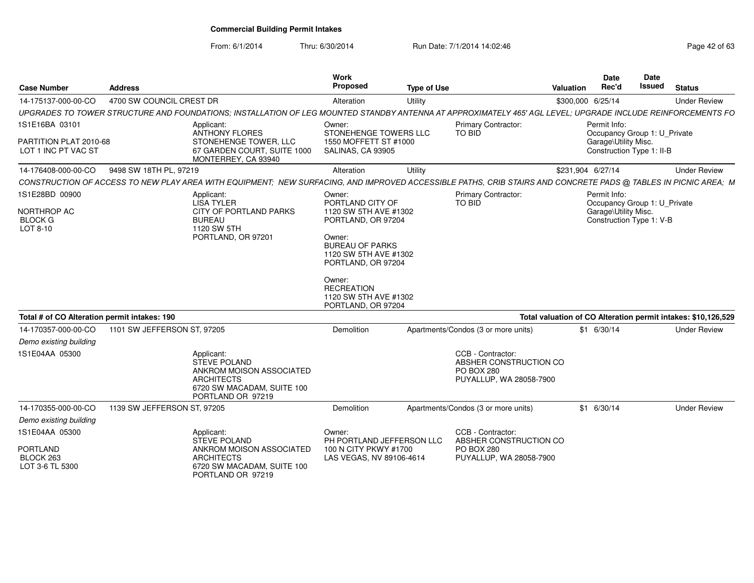From: 6/1/2014

| <b>Case Number</b>                                              | <b>Address</b>              |                                                                                                                                                                | Work<br>Proposed                                                                                                                                                                                                                           | <b>Type of Use</b> |                                                                                             | <b>Valuation</b> | Date<br>Rec'd                        | Date<br>Issued                                            | <b>Status</b>                                                 |
|-----------------------------------------------------------------|-----------------------------|----------------------------------------------------------------------------------------------------------------------------------------------------------------|--------------------------------------------------------------------------------------------------------------------------------------------------------------------------------------------------------------------------------------------|--------------------|---------------------------------------------------------------------------------------------|------------------|--------------------------------------|-----------------------------------------------------------|---------------------------------------------------------------|
| 14-175137-000-00-CO                                             | 4700 SW COUNCIL CREST DR    |                                                                                                                                                                | Alteration                                                                                                                                                                                                                                 | Utility            |                                                                                             |                  | \$300,000 6/25/14                    |                                                           | <b>Under Review</b>                                           |
|                                                                 |                             | UPGRADES TO TOWER STRUCTURE AND FOUNDATIONS; INSTALLATION OF LEG MOUNTED STANDBY ANTENNA AT APPROXIMATELY 465' AGL LEVEL; UPGRADE INCLUDE REINFORCEMENTS FO    |                                                                                                                                                                                                                                            |                    |                                                                                             |                  |                                      |                                                           |                                                               |
| 1S1E16BA 03101<br>PARTITION PLAT 2010-68<br>LOT 1 INC PT VAC ST |                             | Applicant:<br><b>ANTHONY FLORES</b><br>STONEHENGE TOWER, LLC<br>67 GARDEN COURT, SUITE 1000<br>MONTERREY, CA 93940                                             | Owner:<br>STONEHENGE TOWERS LLC<br>1550 MOFFETT ST #1000<br>SALINAS, CA 93905                                                                                                                                                              |                    | Primary Contractor:<br>TO BID                                                               |                  | Permit Info:<br>Garage\Utility Misc. | Occupancy Group 1: U Private<br>Construction Type 1: II-B |                                                               |
| 14-176408-000-00-CO                                             | 9498 SW 18TH PL, 97219      |                                                                                                                                                                | Alteration                                                                                                                                                                                                                                 | Utility            |                                                                                             |                  | \$231,904 6/27/14                    |                                                           | <b>Under Review</b>                                           |
|                                                                 |                             | CONSTRUCTION OF ACCESS TO NEW PLAY AREA WITH EQUIPMENT; NEW SURFACING, AND IMPROVED ACCESSIBLE PATHS, CRIB STAIRS AND CONCRETE PADS @ TABLES IN PICNIC AREA; M |                                                                                                                                                                                                                                            |                    |                                                                                             |                  |                                      |                                                           |                                                               |
| 1S1E28BD 00900<br>NORTHROP AC<br><b>BLOCK G</b><br>LOT 8-10     |                             | Applicant:<br><b>LISA TYLER</b><br>CITY OF PORTLAND PARKS<br><b>BUREAU</b><br>1120 SW 5TH<br>PORTLAND, OR 97201                                                | Owner:<br>PORTLAND CITY OF<br>1120 SW 5TH AVE #1302<br>PORTLAND, OR 97204<br>Owner:<br><b>BUREAU OF PARKS</b><br>1120 SW 5TH AVE #1302<br>PORTLAND, OR 97204<br>Owner:<br><b>RECREATION</b><br>1120 SW 5TH AVE #1302<br>PORTLAND, OR 97204 |                    | <b>Primary Contractor:</b><br>TO BID                                                        |                  | Permit Info:<br>Garage\Utility Misc. | Occupancy Group 1: U_Private<br>Construction Type 1: V-B  |                                                               |
| Total # of CO Alteration permit intakes: 190                    |                             |                                                                                                                                                                |                                                                                                                                                                                                                                            |                    |                                                                                             |                  |                                      |                                                           | Total valuation of CO Alteration permit intakes: \$10,126,529 |
| 14-170357-000-00-CO                                             | 1101 SW JEFFERSON ST, 97205 |                                                                                                                                                                | Demolition                                                                                                                                                                                                                                 |                    | Apartments/Condos (3 or more units)                                                         |                  | $$1$ 6/30/14                         |                                                           | <b>Under Review</b>                                           |
| Demo existing building<br>1S1E04AA 05300                        |                             | Applicant:<br><b>STEVE POLAND</b><br>ANKROM MOISON ASSOCIATED<br><b>ARCHITECTS</b><br>6720 SW MACADAM, SUITE 100<br>PORTLAND OR 97219                          |                                                                                                                                                                                                                                            |                    | CCB - Contractor:<br>ABSHER CONSTRUCTION CO<br><b>PO BOX 280</b><br>PUYALLUP, WA 28058-7900 |                  |                                      |                                                           |                                                               |
| 14-170355-000-00-CO                                             | 1139 SW JEFFERSON ST, 97205 |                                                                                                                                                                | Demolition                                                                                                                                                                                                                                 |                    | Apartments/Condos (3 or more units)                                                         |                  | $$1$ 6/30/14                         |                                                           | <b>Under Review</b>                                           |
| Demo existing building                                          |                             |                                                                                                                                                                |                                                                                                                                                                                                                                            |                    |                                                                                             |                  |                                      |                                                           |                                                               |
| 1S1E04AA 05300                                                  |                             | Applicant:<br><b>STEVE POLAND</b>                                                                                                                              | Owner:<br>PH PORTLAND JEFFERSON LLC                                                                                                                                                                                                        |                    | CCB - Contractor:<br>ABSHER CONSTRUCTION CO                                                 |                  |                                      |                                                           |                                                               |
| <b>PORTLAND</b><br>BLOCK 263<br>LOT 3-6 TL 5300                 |                             | ANKROM MOISON ASSOCIATED<br><b>ARCHITECTS</b><br>6720 SW MACADAM, SUITE 100<br>PORTLAND OR 97219                                                               | 100 N CITY PKWY #1700<br>LAS VEGAS, NV 89106-4614                                                                                                                                                                                          |                    | <b>PO BOX 280</b><br>PUYALLUP, WA 28058-7900                                                |                  |                                      |                                                           |                                                               |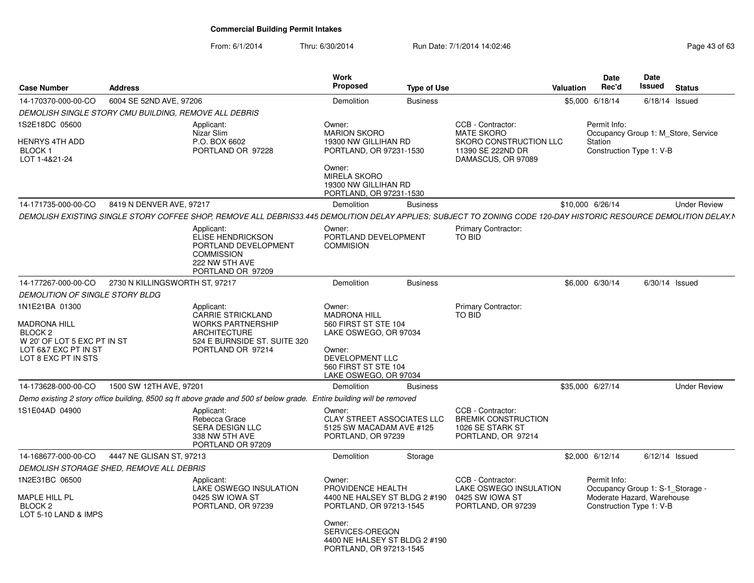| <b>Case Number</b>                                                                                                                        | <b>Address</b>                 |                                                                                                                                                                   | Work<br>Proposed                                                                                                                                                                 | <b>Type of Use</b> |                                                                                                             | Valuation        | <b>Date</b><br>Rec'd                                                   | Date<br>Issued | <b>Status</b>                       |
|-------------------------------------------------------------------------------------------------------------------------------------------|--------------------------------|-------------------------------------------------------------------------------------------------------------------------------------------------------------------|----------------------------------------------------------------------------------------------------------------------------------------------------------------------------------|--------------------|-------------------------------------------------------------------------------------------------------------|------------------|------------------------------------------------------------------------|----------------|-------------------------------------|
| 14-170370-000-00-CO                                                                                                                       | 6004 SE 52ND AVE, 97206        |                                                                                                                                                                   | Demolition                                                                                                                                                                       | <b>Business</b>    |                                                                                                             |                  | \$5,000 6/18/14                                                        |                | $6/18/14$ Issued                    |
| DEMOLISH SINGLE STORY CMU BUILDING, REMOVE ALL DEBRIS                                                                                     |                                |                                                                                                                                                                   |                                                                                                                                                                                  |                    |                                                                                                             |                  |                                                                        |                |                                     |
| 1S2E18DC 05600<br><b>HENRYS 4TH ADD</b><br>BLOCK 1<br>LOT 1-4&21-24                                                                       |                                | Applicant:<br>Nizar Slim<br>P.O. BOX 6602<br>PORTLAND OR 97228                                                                                                    | Owner:<br><b>MARION SKORO</b><br>19300 NW GILLIHAN RD<br>PORTLAND, OR 97231-1530<br>Owner:<br><b>MIRELA SKORO</b><br>19300 NW GILLIHAN RD                                        |                    | CCB - Contractor:<br><b>MATE SKORO</b><br>SKORO CONSTRUCTION LLC<br>11390 SE 222ND DR<br>DAMASCUS, OR 97089 |                  | Permit Info:<br>Station<br>Construction Type 1: V-B                    |                | Occupancy Group 1: M Store, Service |
|                                                                                                                                           |                                |                                                                                                                                                                   | PORTLAND, OR 97231-1530                                                                                                                                                          |                    |                                                                                                             |                  |                                                                        |                |                                     |
| 14-171735-000-00-CO                                                                                                                       | 8419 N DENVER AVE, 97217       |                                                                                                                                                                   | Demolition                                                                                                                                                                       | <b>Business</b>    |                                                                                                             | \$10,000 6/26/14 |                                                                        |                | <b>Under Review</b>                 |
|                                                                                                                                           |                                | DEMOLISH EXISTING SINGLE STORY COFFEE SHOP, REMOVE ALL DEBRIS33.445 DEMOLITION DELAY APPLIES; SUBJECT TO ZONING CODE 120-DAY HISTORIC RESOURCE DEMOLITION DELAY.N |                                                                                                                                                                                  |                    |                                                                                                             |                  |                                                                        |                |                                     |
|                                                                                                                                           |                                | Applicant:<br>ELISE HENDRICKSON<br>PORTLAND DEVELOPMENT<br><b>COMMISSION</b><br>222 NW 5TH AVE<br>PORTLAND OR 97209                                               | Owner:<br>PORTLAND DEVELOPMENT<br><b>COMMISION</b>                                                                                                                               |                    | <b>Primary Contractor:</b><br>TO BID                                                                        |                  |                                                                        |                |                                     |
| 14-177267-000-00-CO                                                                                                                       | 2730 N KILLINGSWORTH ST, 97217 |                                                                                                                                                                   | Demolition                                                                                                                                                                       | <b>Business</b>    |                                                                                                             |                  | \$6,000 6/30/14                                                        |                | $6/30/14$ Issued                    |
| DEMOLITION OF SINGLE STORY BLDG                                                                                                           |                                |                                                                                                                                                                   |                                                                                                                                                                                  |                    |                                                                                                             |                  |                                                                        |                |                                     |
| 1N1E21BA 01300<br><b>MADRONA HILL</b><br>BLOCK <sub>2</sub><br>W 20' OF LOT 5 EXC PT IN ST<br>LOT 6&7 EXC PT IN ST<br>LOT 8 EXC PT IN STS |                                | Applicant:<br><b>CARRIE STRICKLAND</b><br><b>WORKS PARTNERSHIP</b><br>ARCHITECTURE<br>524 E BURNSIDE ST. SUITE 320<br>PORTLAND OR 97214                           | Owner:<br><b>MADRONA HILL</b><br>560 FIRST ST STE 104<br>LAKE OSWEGO, OR 97034<br>Owner:<br>DEVELOPMENT LLC<br>560 FIRST ST STE 104                                              |                    | <b>Primary Contractor:</b><br>TO BID                                                                        |                  |                                                                        |                |                                     |
| 14-173628-000-00-CO                                                                                                                       | 1500 SW 12TH AVE, 97201        |                                                                                                                                                                   | LAKE OSWEGO, OR 97034<br>Demolition                                                                                                                                              |                    |                                                                                                             | \$35,000 6/27/14 |                                                                        |                | <b>Under Review</b>                 |
|                                                                                                                                           |                                | Demo existing 2 story office building, 8500 sq ft above grade and 500 sf below grade. Entire building will be removed                                             |                                                                                                                                                                                  | <b>Business</b>    |                                                                                                             |                  |                                                                        |                |                                     |
| 1S1E04AD 04900                                                                                                                            |                                | Applicant:<br>Rebecca Grace<br><b>SERA DESIGN LLC</b><br>338 NW 5TH AVE<br>PORTLAND OR 97209                                                                      | Owner:<br><b>CLAY STREET ASSOCIATES LLC</b><br>5125 SW MACADAM AVE #125<br>PORTLAND, OR 97239                                                                                    |                    | CCB - Contractor:<br><b>BREMIK CONSTRUCTION</b><br>1026 SE STARK ST<br>PORTLAND, OR 97214                   |                  |                                                                        |                |                                     |
| 14-168677-000-00-CO                                                                                                                       | 4447 NE GLISAN ST, 97213       |                                                                                                                                                                   | Demolition                                                                                                                                                                       | Storage            |                                                                                                             |                  | \$2,000 6/12/14                                                        |                | $6/12/14$ Issued                    |
| DEMOLISH STORAGE SHED, REMOVE ALL DEBRIS                                                                                                  |                                |                                                                                                                                                                   |                                                                                                                                                                                  |                    |                                                                                                             |                  |                                                                        |                |                                     |
| 1N2E31BC 06500<br>MAPLE HILL PL<br>BLOCK <sub>2</sub><br>LOT 5-10 LAND & IMPS                                                             |                                | Applicant:<br>LAKE OSWEGO INSULATION<br>0425 SW IOWA ST<br>PORTLAND, OR 97239                                                                                     | Owner:<br>PROVIDENCE HEALTH<br>4400 NE HALSEY ST BLDG 2 #190<br>PORTLAND, OR 97213-1545<br>Owner:<br>SERVICES-OREGON<br>4400 NE HALSEY ST BLDG 2 #190<br>PORTLAND, OR 97213-1545 |                    | CCB - Contractor:<br>LAKE OSWEGO INSULATION<br>0425 SW IOWA ST<br>PORTLAND, OR 97239                        |                  | Permit Info:<br>Moderate Hazard, Warehouse<br>Construction Type 1: V-B |                | Occupancy Group 1: S-1 Storage -    |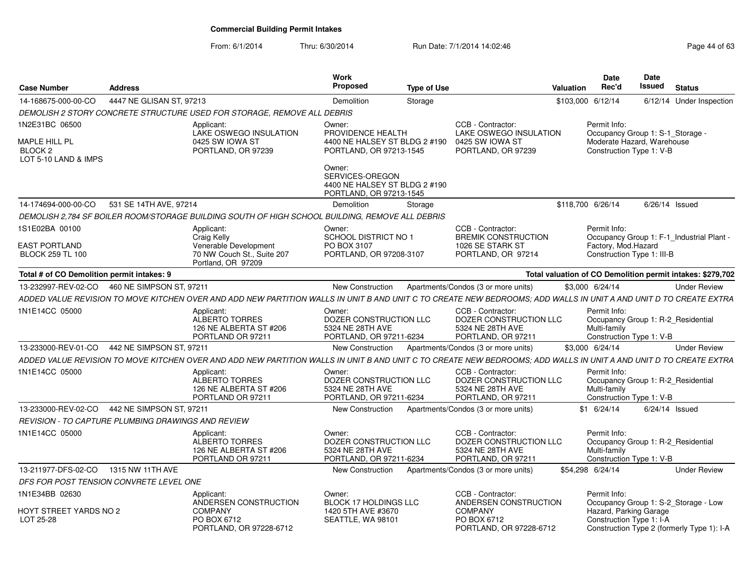| <b>Case Number</b>                                                            | <b>Address</b>                                     |                                                                                                                                                                   | Work<br><b>Proposed</b>                                                                 | <b>Type of Use</b> |                                                                                             | <b>Valuation</b>  | <b>Date</b><br>Rec'd                                                                                       | Date<br>Issued | <b>Status</b>                                              |
|-------------------------------------------------------------------------------|----------------------------------------------------|-------------------------------------------------------------------------------------------------------------------------------------------------------------------|-----------------------------------------------------------------------------------------|--------------------|---------------------------------------------------------------------------------------------|-------------------|------------------------------------------------------------------------------------------------------------|----------------|------------------------------------------------------------|
| 14-168675-000-00-CO                                                           | 4447 NE GLISAN ST, 97213                           |                                                                                                                                                                   | Demolition                                                                              | Storage            |                                                                                             | \$103,000 6/12/14 |                                                                                                            |                | 6/12/14 Under Inspection                                   |
|                                                                               |                                                    | DEMOLISH 2 STORY CONCRETE STRUCTURE USED FOR STORAGE, REMOVE ALL DEBRIS                                                                                           |                                                                                         |                    |                                                                                             |                   |                                                                                                            |                |                                                            |
| 1N2E31BC 06500<br>MAPLE HILL PL<br>BLOCK <sub>2</sub><br>LOT 5-10 LAND & IMPS |                                                    | Applicant:<br>LAKE OSWEGO INSULATION<br>0425 SW IOWA ST<br>PORTLAND, OR 97239                                                                                     | Owner:<br>PROVIDENCE HEALTH<br>4400 NE HALSEY ST BLDG 2 #190<br>PORTLAND, OR 97213-1545 |                    | CCB - Contractor:<br><b>LAKE OSWEGO INSULATION</b><br>0425 SW IOWA ST<br>PORTLAND, OR 97239 |                   | Permit Info:<br>Occupancy Group 1: S-1_Storage -<br>Moderate Hazard, Warehouse<br>Construction Type 1: V-B |                |                                                            |
|                                                                               |                                                    |                                                                                                                                                                   | Owner:<br>SERVICES-OREGON<br>4400 NE HALSEY ST BLDG 2 #190<br>PORTLAND, OR 97213-1545   |                    |                                                                                             |                   |                                                                                                            |                |                                                            |
| 14-174694-000-00-CO                                                           | 531 SE 14TH AVE, 97214                             |                                                                                                                                                                   | Demolition                                                                              | Storage            |                                                                                             | \$118,700 6/26/14 |                                                                                                            |                | 6/26/14 Issued                                             |
|                                                                               |                                                    | DEMOLISH 2.784 SF BOILER ROOM/STORAGE BUILDING SOUTH OF HIGH SCHOOL BUILDING, REMOVE ALL DEBRIS                                                                   |                                                                                         |                    |                                                                                             |                   |                                                                                                            |                |                                                            |
| 1S1E02BA 00100<br>EAST PORTLAND<br><b>BLOCK 259 TL 100</b>                    |                                                    | Applicant:<br>Craig Kelly<br>Venerable Development<br>70 NW Couch St., Suite 207<br>Portland, OR 97209                                                            | Owner:<br>SCHOOL DISTRICT NO 1<br>PO BOX 3107<br>PORTLAND, OR 97208-3107                |                    | CCB - Contractor:<br><b>BREMIK CONSTRUCTION</b><br>1026 SE STARK ST<br>PORTLAND, OR 97214   |                   | Permit Info:<br>Factory, Mod.Hazard<br>Construction Type 1: III-B                                          |                | Occupancy Group 1: F-1_Industrial Plant -                  |
| Total # of CO Demolition permit intakes: 9                                    |                                                    |                                                                                                                                                                   |                                                                                         |                    |                                                                                             |                   |                                                                                                            |                | Total valuation of CO Demolition permit intakes: \$279,702 |
| 13-232997-REV-02-CO                                                           | 460 NE SIMPSON ST, 97211                           |                                                                                                                                                                   | <b>New Construction</b>                                                                 |                    | Apartments/Condos (3 or more units)                                                         |                   | \$3,000 6/24/14                                                                                            |                | <b>Under Review</b>                                        |
|                                                                               |                                                    | ADDED VALUE REVISION TO MOVE KITCHEN OVER AND ADD NEW PARTITION WALLS IN UNIT B AND UNIT C TO CREATE NEW BEDROOMS; ADD WALLS IN UNIT A AND UNIT D TO CREATE EXTRA |                                                                                         |                    |                                                                                             |                   |                                                                                                            |                |                                                            |
| 1N1E14CC 05000                                                                |                                                    | Applicant:<br><b>ALBERTO TORRES</b><br>126 NE ALBERTA ST #206<br>PORTLAND OR 97211                                                                                | Owner:<br>DOZER CONSTRUCTION LLC<br>5324 NE 28TH AVE<br>PORTLAND, OR 97211-6234         |                    | CCB - Contractor:<br>DOZER CONSTRUCTION LLC<br>5324 NE 28TH AVE<br>PORTLAND, OR 97211       |                   | Permit Info:<br>Occupancy Group 1: R-2 Residential<br>Multi-family<br>Construction Type 1: V-B             |                |                                                            |
| 13-233000-REV-01-CO                                                           | 442 NE SIMPSON ST, 97211                           |                                                                                                                                                                   | <b>New Construction</b>                                                                 |                    | Apartments/Condos (3 or more units)                                                         |                   | \$3,000 6/24/14                                                                                            |                | <b>Under Review</b>                                        |
|                                                                               |                                                    | ADDED VALUE REVISION TO MOVE KITCHEN OVER AND ADD NEW PARTITION WALLS IN UNIT B AND UNIT C TO CREATE NEW BEDROOMS: ADD WALLS IN UNIT A AND UNIT D TO CREATE EXTRA |                                                                                         |                    |                                                                                             |                   |                                                                                                            |                |                                                            |
| 1N1E14CC 05000                                                                |                                                    | Applicant:<br><b>ALBERTO TORRES</b><br>126 NE ALBERTA ST #206<br>PORTLAND OR 97211                                                                                | Owner:<br>DOZER CONSTRUCTION LLC<br>5324 NE 28TH AVE<br>PORTLAND, OR 97211-6234         |                    | CCB - Contractor:<br>DOZER CONSTRUCTION LLC<br>5324 NE 28TH AVE<br>PORTLAND, OR 97211       |                   | Permit Info:<br>Occupancy Group 1: R-2 Residential<br>Multi-family<br>Construction Type 1: V-B             |                |                                                            |
| 13-233000-REV-02-CO                                                           | 442 NE SIMPSON ST, 97211                           |                                                                                                                                                                   | New Construction                                                                        |                    | Apartments/Condos (3 or more units)                                                         |                   | $$1\quad 6/24/14$                                                                                          |                | $6/24/14$ Issued                                           |
|                                                                               | REVISION - TO CAPTURE PLUMBING DRAWINGS AND REVIEW |                                                                                                                                                                   |                                                                                         |                    |                                                                                             |                   |                                                                                                            |                |                                                            |
| 1N1E14CC 05000                                                                |                                                    | Applicant:<br>ALBERTO TORRES<br>126 NE ALBERTA ST #206<br>PORTLAND OR 97211                                                                                       | Owner:<br>DOZER CONSTRUCTION LLC<br>5324 NE 28TH AVE<br>PORTLAND, OR 97211-6234         |                    | CCB - Contractor:<br>DOZER CONSTRUCTION LLC<br>5324 NE 28TH AVE<br>PORTLAND, OR 97211       |                   | Permit Info:<br>Occupancy Group 1: R-2 Residential<br>Multi-family<br>Construction Type 1: V-B             |                |                                                            |
| 13-211977-DFS-02-CO                                                           | 1315 NW 11TH AVE                                   |                                                                                                                                                                   | <b>New Construction</b>                                                                 |                    | Apartments/Condos (3 or more units)                                                         | \$54,298 6/24/14  |                                                                                                            |                | <b>Under Review</b>                                        |
|                                                                               | DFS FOR POST TENSION CONVRETE LEVEL ONE            |                                                                                                                                                                   |                                                                                         |                    |                                                                                             |                   |                                                                                                            |                |                                                            |
| 1N1E34BB 02630<br>HOYT STREET YARDS NO 2<br>LOT 25-28                         |                                                    | Applicant:<br>ANDERSEN CONSTRUCTION<br><b>COMPANY</b><br>PO BOX 6712                                                                                              | Owner:<br><b>BLOCK 17 HOLDINGS LLC</b><br>1420 5TH AVE #3670<br>SEATTLE, WA 98101       |                    | CCB - Contractor:<br>ANDERSEN CONSTRUCTION<br><b>COMPANY</b><br>PO BOX 6712                 |                   | Permit Info:<br>Hazard, Parking Garage<br>Construction Type 1: I-A                                         |                | Occupancy Group 1: S-2_Storage - Low                       |
|                                                                               |                                                    | PORTLAND, OR 97228-6712                                                                                                                                           |                                                                                         |                    | PORTLAND, OR 97228-6712                                                                     |                   |                                                                                                            |                | Construction Type 2 (formerly Type 1): I-A                 |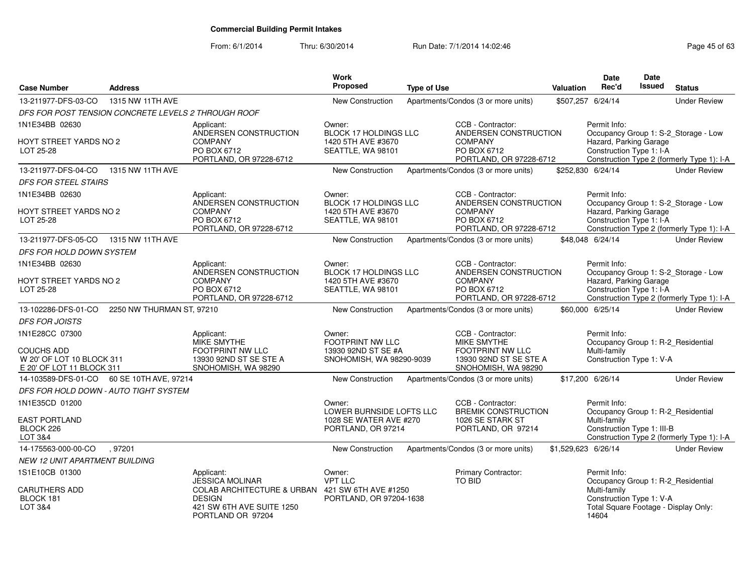| <b>Case Number</b>                                                          | <b>Address</b>            |                                                                                                          | <b>Work</b><br><b>Proposed</b>                                           | <b>Type of Use</b> |                                                                                   | <b>Valuation</b> | <b>Date</b><br>Rec'd                                                                      | <b>Date</b><br>Issued | <b>Status</b>                                                                      |
|-----------------------------------------------------------------------------|---------------------------|----------------------------------------------------------------------------------------------------------|--------------------------------------------------------------------------|--------------------|-----------------------------------------------------------------------------------|------------------|-------------------------------------------------------------------------------------------|-----------------------|------------------------------------------------------------------------------------|
| 13-211977-DFS-03-CO                                                         | 1315 NW 11TH AVE          |                                                                                                          | <b>New Construction</b>                                                  |                    | Apartments/Condos (3 or more units)                                               |                  | \$507,257 6/24/14                                                                         |                       | <b>Under Review</b>                                                                |
| DFS FOR POST TENSION CONCRETE LEVELS 2 THROUGH ROOF                         |                           |                                                                                                          |                                                                          |                    |                                                                                   |                  |                                                                                           |                       |                                                                                    |
| 1N1E34BB 02630                                                              |                           | Applicant:                                                                                               | Owner:                                                                   |                    | CCB - Contractor:                                                                 |                  | Permit Info:                                                                              |                       |                                                                                    |
| HOYT STREET YARDS NO 2<br>LOT 25-28                                         |                           | ANDERSEN CONSTRUCTION<br><b>COMPANY</b><br>PO BOX 6712<br>PORTLAND, OR 97228-6712                        | BLOCK 17 HOLDINGS LLC<br>1420 5TH AVE #3670<br>SEATTLE, WA 98101         |                    | ANDERSEN CONSTRUCTION<br><b>COMPANY</b><br>PO BOX 6712<br>PORTLAND, OR 97228-6712 |                  | Hazard, Parking Garage<br>Construction Type 1: I-A                                        |                       | Occupancy Group 1: S-2_Storage - Low<br>Construction Type 2 (formerly Type 1): I-A |
| 13-211977-DFS-04-CO                                                         | 1315 NW 11TH AVE          |                                                                                                          | <b>New Construction</b>                                                  |                    | Apartments/Condos (3 or more units)                                               |                  | \$252,830 6/24/14                                                                         |                       | <b>Under Review</b>                                                                |
| <b>DFS FOR STEEL STAIRS</b>                                                 |                           |                                                                                                          |                                                                          |                    |                                                                                   |                  |                                                                                           |                       |                                                                                    |
| 1N1E34BB 02630                                                              |                           | Applicant:                                                                                               | Owner:                                                                   |                    | CCB - Contractor:                                                                 |                  | Permit Info:                                                                              |                       |                                                                                    |
| HOYT STREET YARDS NO 2<br>LOT 25-28                                         |                           | ANDERSEN CONSTRUCTION<br><b>COMPANY</b><br>PO BOX 6712<br>PORTLAND, OR 97228-6712                        | BLOCK 17 HOLDINGS LLC<br>1420 5TH AVE #3670<br>SEATTLE, WA 98101         |                    | ANDERSEN CONSTRUCTION<br><b>COMPANY</b><br>PO BOX 6712<br>PORTLAND, OR 97228-6712 |                  | Hazard, Parking Garage<br>Construction Type 1: I-A                                        |                       | Occupancy Group 1: S-2_Storage - Low<br>Construction Type 2 (formerly Type 1): I-A |
| 13-211977-DFS-05-CO                                                         | 1315 NW 11TH AVE          |                                                                                                          | New Construction                                                         |                    | Apartments/Condos (3 or more units)                                               |                  | \$48,048 6/24/14                                                                          |                       | <b>Under Review</b>                                                                |
| <b>DFS FOR HOLD DOWN SYSTEM</b>                                             |                           |                                                                                                          |                                                                          |                    |                                                                                   |                  |                                                                                           |                       |                                                                                    |
| 1N1E34BB 02630                                                              |                           | Applicant:<br>ANDERSEN CONSTRUCTION                                                                      | Owner:<br>BLOCK 17 HOLDINGS LLC                                          |                    | CCB - Contractor:<br>ANDERSEN CONSTRUCTION                                        |                  | Permit Info:                                                                              |                       | Occupancy Group 1: S-2_Storage - Low                                               |
| HOYT STREET YARDS NO 2<br>LOT 25-28                                         |                           | <b>COMPANY</b><br>PO BOX 6712<br>PORTLAND, OR 97228-6712                                                 | 1420 5TH AVE #3670<br>SEATTLE, WA 98101                                  |                    | <b>COMPANY</b><br>PO BOX 6712<br>PORTLAND, OR 97228-6712                          |                  | Hazard, Parking Garage<br>Construction Type 1: I-A                                        |                       | Construction Type 2 (formerly Type 1): I-A                                         |
| 13-102286-DFS-01-CO                                                         | 2250 NW THURMAN ST, 97210 |                                                                                                          | New Construction                                                         |                    | Apartments/Condos (3 or more units)                                               |                  | \$60,000 6/25/14                                                                          |                       | <b>Under Review</b>                                                                |
| <b>DFS FOR JOISTS</b>                                                       |                           |                                                                                                          |                                                                          |                    |                                                                                   |                  |                                                                                           |                       |                                                                                    |
| 1N1E28CC 07300                                                              |                           | Applicant:<br>MIKE SMYTHE                                                                                | Owner:<br><b>FOOTPRINT NW LLC</b>                                        |                    | CCB - Contractor:<br><b>MIKE SMYTHE</b>                                           |                  | Permit Info:<br>Occupancy Group 1: R-2_Residential                                        |                       |                                                                                    |
| <b>COUCHS ADD</b><br>W 20' OF LOT 10 BLOCK 311<br>E 20' OF LOT 11 BLOCK 311 |                           | FOOTPRINT NW LLC<br>13930 92ND ST SE STE A<br>SNOHOMISH, WA 98290                                        | 13930 92ND ST SE #A<br>SNOHOMISH, WA 98290-9039                          |                    | FOOTPRINT NW LLC<br>13930 92ND ST SE STE A<br>SNOHOMISH, WA 98290                 |                  | Multi-family<br>Construction Type 1: V-A                                                  |                       |                                                                                    |
| 14-103589-DFS-01-CO                                                         | 60 SE 10TH AVE, 97214     |                                                                                                          | New Construction                                                         |                    | Apartments/Condos (3 or more units)                                               |                  | \$17,200 6/26/14                                                                          |                       | <b>Under Review</b>                                                                |
| DFS FOR HOLD DOWN - AUTO TIGHT SYSTEM                                       |                           |                                                                                                          |                                                                          |                    |                                                                                   |                  |                                                                                           |                       |                                                                                    |
| 1N1E35CD 01200                                                              |                           |                                                                                                          | Owner:                                                                   |                    | CCB - Contractor:                                                                 |                  | Permit Info:                                                                              |                       |                                                                                    |
| <b>EAST PORTLAND</b><br>BLOCK 226<br><b>LOT 3&amp;4</b>                     |                           |                                                                                                          | LOWER BURNSIDE LOFTS LLC<br>1028 SE WATER AVE #270<br>PORTLAND, OR 97214 |                    | <b>BREMIK CONSTRUCTION</b><br>1026 SE STARK ST<br>PORTLAND, OR 97214              |                  | Occupancy Group 1: R-2_Residential<br>Multi-family<br>Construction Type 1: III-B          |                       | Construction Type 2 (formerly Type 1): I-A                                         |
| 14-175563-000-00-CO                                                         | .97201                    |                                                                                                          | New Construction                                                         |                    | Apartments/Condos (3 or more units)                                               |                  | \$1,529,623 6/26/14                                                                       |                       | <b>Under Review</b>                                                                |
| <b>NEW 12 UNIT APARTMENT BUILDING</b>                                       |                           |                                                                                                          |                                                                          |                    |                                                                                   |                  |                                                                                           |                       |                                                                                    |
| 1S1E10CB 01300                                                              |                           | Applicant:<br><b>JESSICA MOLINAR</b>                                                                     | Owner:<br><b>VPT LLC</b>                                                 |                    | Primary Contractor:<br>TO BID                                                     |                  | Permit Info:<br>Occupancy Group 1: R-2_Residential                                        |                       |                                                                                    |
| <b>CARUTHERS ADD</b><br>BLOCK 181<br>LOT 3&4                                |                           | <b>COLAB ARCHITECTURE &amp; URBAN</b><br><b>DESIGN</b><br>421 SW 6TH AVE SUITE 1250<br>PORTLAND OR 97204 | 421 SW 6TH AVE #1250<br>PORTLAND, OR 97204-1638                          |                    |                                                                                   |                  | Multi-family<br>Construction Type 1: V-A<br>Total Square Footage - Display Only:<br>14604 |                       |                                                                                    |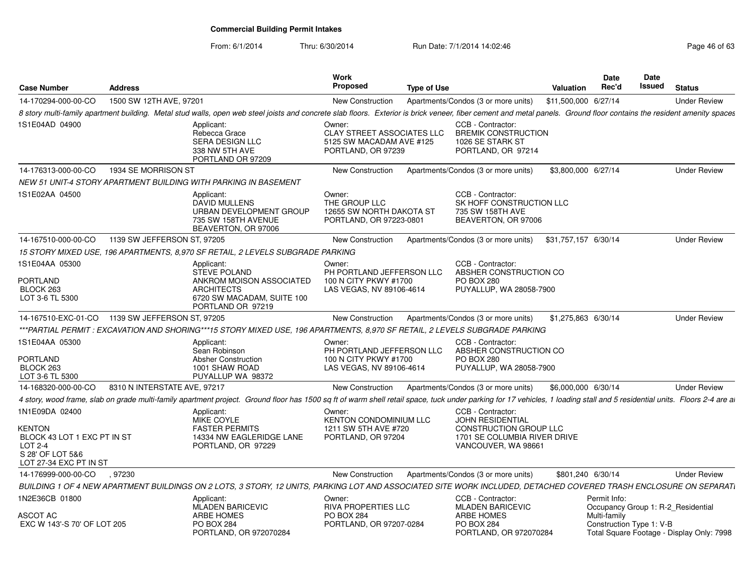| <b>Case Number</b>                                                                                                      | <b>Address</b>               |                                                                                                                                                                                                                           | <b>Work</b><br><b>Proposed</b>                                                                | <b>Type of Use</b> |                                                                                                                               | <b>Valuation</b>     | <b>Date</b><br>Rec'd                     | Date<br>Issued | <b>Status</b>                             |
|-------------------------------------------------------------------------------------------------------------------------|------------------------------|---------------------------------------------------------------------------------------------------------------------------------------------------------------------------------------------------------------------------|-----------------------------------------------------------------------------------------------|--------------------|-------------------------------------------------------------------------------------------------------------------------------|----------------------|------------------------------------------|----------------|-------------------------------------------|
| 14-170294-000-00-CO                                                                                                     | 1500 SW 12TH AVE, 97201      |                                                                                                                                                                                                                           | <b>New Construction</b>                                                                       |                    | Apartments/Condos (3 or more units)                                                                                           | \$11,500,000 6/27/14 |                                          |                | <b>Under Review</b>                       |
|                                                                                                                         |                              | 8 story multi-family apartment building. Metal stud walls, open web steel joists and concrete slab floors. Exterior is brick veneer, fiber cement and metal panels. Ground floor contains the resident amenity spaces     |                                                                                               |                    |                                                                                                                               |                      |                                          |                |                                           |
| 1S1E04AD 04900                                                                                                          |                              | Applicant:<br>Rebecca Grace<br>SERA DESIGN LLC<br>338 NW 5TH AVE<br>PORTLAND OR 97209                                                                                                                                     | Owner:<br><b>CLAY STREET ASSOCIATES LLC</b><br>5125 SW MACADAM AVE #125<br>PORTLAND, OR 97239 |                    | CCB - Contractor:<br><b>BREMIK CONSTRUCTION</b><br>1026 SE STARK ST<br>PORTLAND, OR 97214                                     |                      |                                          |                |                                           |
| 14-176313-000-00-CO                                                                                                     | 1934 SE MORRISON ST          |                                                                                                                                                                                                                           | <b>New Construction</b>                                                                       |                    | Apartments/Condos (3 or more units)                                                                                           | \$3,800,000 6/27/14  |                                          |                | <b>Under Review</b>                       |
|                                                                                                                         |                              | NEW 51 UNIT-4 STORY APARTMENT BUILDING WITH PARKING IN BASEMENT                                                                                                                                                           |                                                                                               |                    |                                                                                                                               |                      |                                          |                |                                           |
| 1S1E02AA 04500                                                                                                          |                              | Applicant:<br>DAVID MULLENS<br>URBAN DEVELOPMENT GROUP<br>735 SW 158TH AVENUE<br>BEAVERTON, OR 97006                                                                                                                      | Owner:<br>THE GROUP LLC<br>12655 SW NORTH DAKOTA ST<br>PORTLAND, OR 97223-0801                |                    | CCB - Contractor:<br>SK HOFF CONSTRUCTION LLC<br>735 SW 158TH AVE<br>BEAVERTON, OR 97006                                      |                      |                                          |                |                                           |
| 14-167510-000-00-CO                                                                                                     | 1139 SW JEFFERSON ST, 97205  |                                                                                                                                                                                                                           | New Construction                                                                              |                    | Apartments/Condos (3 or more units)                                                                                           | \$31,757,157 6/30/14 |                                          |                | <b>Under Review</b>                       |
|                                                                                                                         |                              | 15 STORY MIXED USE, 196 APARTMENTS, 8,970 SF RETAIL, 2 LEVELS SUBGRADE PARKING                                                                                                                                            |                                                                                               |                    |                                                                                                                               |                      |                                          |                |                                           |
| 1S1E04AA 05300<br><b>PORTLAND</b><br>BLOCK 263                                                                          |                              | Applicant:<br><b>STEVE POLAND</b><br>ANKROM MOISON ASSOCIATED<br><b>ARCHITECTS</b>                                                                                                                                        | Owner:<br>PH PORTLAND JEFFERSON LLC<br>100 N CITY PKWY #1700<br>LAS VEGAS, NV 89106-4614      |                    | CCB - Contractor:<br>ABSHER CONSTRUCTION CO<br><b>PO BOX 280</b><br>PUYALLUP, WA 28058-7900                                   |                      |                                          |                |                                           |
| LOT 3-6 TL 5300                                                                                                         |                              | 6720 SW MACADAM, SUITE 100<br>PORTLAND OR 97219                                                                                                                                                                           |                                                                                               |                    |                                                                                                                               |                      |                                          |                |                                           |
| 14-167510-EXC-01-CO  1139 SW JEFFERSON ST, 97205                                                                        |                              |                                                                                                                                                                                                                           | New Construction                                                                              |                    | Apartments/Condos (3 or more units)                                                                                           | \$1,275,863 6/30/14  |                                          |                | <b>Under Review</b>                       |
|                                                                                                                         |                              | ***PARTIAL PERMIT : EXCAVATION AND SHORING***15 STORY MIXED USE, 196 APARTMENTS, 8,970 SF RETAIL, 2 LEVELS SUBGRADE PARKING                                                                                               |                                                                                               |                    |                                                                                                                               |                      |                                          |                |                                           |
| 1S1E04AA 05300<br>PORTLAND<br>BLOCK 263                                                                                 |                              | Applicant:<br>Sean Robinson<br>Absher Construction<br>1001 SHAW ROAD                                                                                                                                                      | Owner:<br>PH PORTLAND JEFFERSON LLC<br>100 N CITY PKWY #1700<br>LAS VEGAS, NV 89106-4614      |                    | CCB - Contractor:<br>ABSHER CONSTRUCTION CO<br><b>PO BOX 280</b><br>PUYALLUP, WA 28058-7900                                   |                      |                                          |                |                                           |
| LOT 3-6 TL 5300                                                                                                         |                              | PUYALLUP WA 98372                                                                                                                                                                                                         |                                                                                               |                    |                                                                                                                               |                      |                                          |                |                                           |
| 14-168320-000-00-CO                                                                                                     | 8310 N INTERSTATE AVE, 97217 |                                                                                                                                                                                                                           | New Construction                                                                              |                    | Apartments/Condos (3 or more units)                                                                                           | \$6,000,000 6/30/14  |                                          |                | <b>Under Review</b>                       |
|                                                                                                                         |                              | 4 story, wood frame, slab on grade multi-family apartment project. Ground floor has 1500 sq ft of warm shell retail space, tuck under parking for 17 vehicles, 1 loading stall and 5 residential units. Floors 2-4 are at |                                                                                               |                    |                                                                                                                               |                      |                                          |                |                                           |
| 1N1E09DA 02400<br><b>KENTON</b><br>BLOCK 43 LOT 1 EXC PT IN ST<br>LOT 2-4<br>S 28' OF LOT 5&6<br>LOT 27-34 EXC PT IN ST |                              | Applicant:<br>MIKE COYLE<br><b>FASTER PERMITS</b><br>14334 NW EAGLERIDGE LANE<br>PORTLAND, OR 97229                                                                                                                       | Owner:<br><b>KENTON CONDOMINIUM LLC</b><br>1211 SW 5TH AVE #720<br>PORTLAND, OR 97204         |                    | CCB - Contractor:<br><b>JOHN RESIDENTIAL</b><br>CONSTRUCTION GROUP LLC<br>1701 SE COLUMBIA RIVER DRIVE<br>VANCOUVER, WA 98661 |                      |                                          |                |                                           |
| 14-176999-000-00-CO                                                                                                     | .97230                       |                                                                                                                                                                                                                           | <b>New Construction</b>                                                                       |                    | Apartments/Condos (3 or more units)                                                                                           | \$801,240 6/30/14    |                                          |                | <b>Under Review</b>                       |
|                                                                                                                         |                              | BUILDING 1 OF 4 NEW APARTMENT BUILDINGS ON 2 LOTS, 3 STORY, 12 UNITS, PARKING LOT AND ASSOCIATED SITE WORK INCLUDED, DETACHED COVERED TRASH ENCLOSURE ON SEPARATI                                                         |                                                                                               |                    |                                                                                                                               |                      |                                          |                |                                           |
| 1N2E36CB 01800                                                                                                          |                              | Applicant:<br><b>MLADEN BARICEVIC</b>                                                                                                                                                                                     | Owner:<br><b>RIVA PROPERTIES LLC</b>                                                          |                    | CCB - Contractor:<br><b>MLADEN BARICEVIC</b>                                                                                  |                      | Permit Info:                             |                | Occupancy Group 1: R-2 Residential        |
| ASCOT AC<br>EXC W 143'-S 70' OF LOT 205                                                                                 |                              | <b>ARBE HOMES</b><br><b>PO BOX 284</b><br>PORTLAND, OR 972070284                                                                                                                                                          | <b>PO BOX 284</b><br>PORTLAND, OR 97207-0284                                                  |                    | <b>ARBE HOMES</b><br><b>PO BOX 284</b><br>PORTLAND, OR 972070284                                                              |                      | Multi-family<br>Construction Type 1: V-B |                | Total Square Footage - Display Only: 7998 |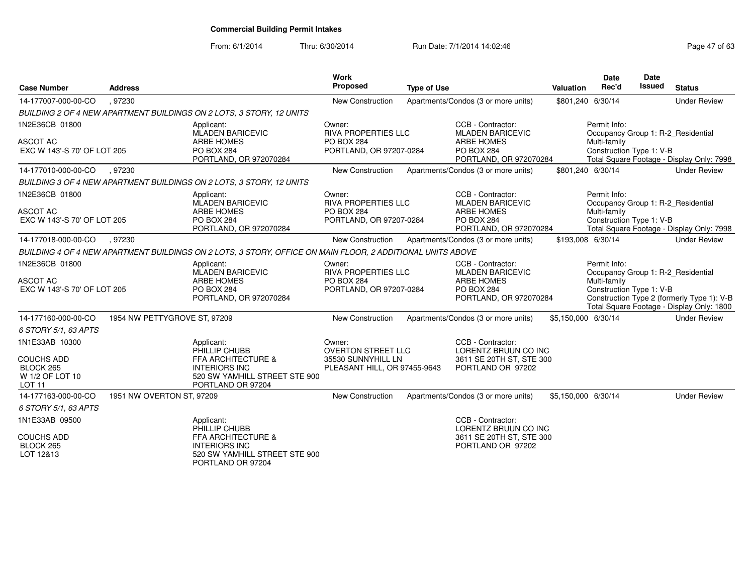| <b>Case Number</b>                                                                                               | <b>Address</b>               |                                                                                                                                 | Work<br><b>Proposed</b>                                                                   | <b>Type of Use</b> |                                                                                                                  | Valuation           | <b>Date</b><br>Rec'd                                                                           | <b>Date</b><br>Issued | <b>Status</b>                                                                           |
|------------------------------------------------------------------------------------------------------------------|------------------------------|---------------------------------------------------------------------------------------------------------------------------------|-------------------------------------------------------------------------------------------|--------------------|------------------------------------------------------------------------------------------------------------------|---------------------|------------------------------------------------------------------------------------------------|-----------------------|-----------------------------------------------------------------------------------------|
| 14-177007-000-00-CO                                                                                              | .97230                       |                                                                                                                                 | <b>New Construction</b>                                                                   |                    | Apartments/Condos (3 or more units)                                                                              |                     | \$801,240 6/30/14                                                                              |                       | <b>Under Review</b>                                                                     |
|                                                                                                                  |                              | BUILDING 2 OF 4 NEW APARTMENT BUILDINGS ON 2 LOTS, 3 STORY, 12 UNITS                                                            |                                                                                           |                    |                                                                                                                  |                     |                                                                                                |                       |                                                                                         |
| 1N2E36CB 01800<br><b>ASCOT AC</b><br>EXC W 143'-S 70' OF LOT 205                                                 |                              | Applicant:<br><b>MLADEN BARICEVIC</b><br><b>ARBE HOMES</b><br>PO BOX 284<br>PORTLAND, OR 972070284                              | Owner:<br><b>RIVA PROPERTIES LLC</b><br>PO BOX 284<br>PORTLAND, OR 97207-0284             |                    | CCB - Contractor:<br><b>MLADEN BARICEVIC</b><br><b>ARBE HOMES</b><br><b>PO BOX 284</b><br>PORTLAND, OR 972070284 |                     | Permit Info:<br>Occupancy Group 1: R-2_Residential<br>Multi-family<br>Construction Type 1: V-B |                       | Total Square Footage - Display Only: 7998                                               |
| 14-177010-000-00-CO                                                                                              | .97230                       |                                                                                                                                 | New Construction                                                                          |                    | Apartments/Condos (3 or more units)                                                                              |                     | \$801,240 6/30/14                                                                              |                       | <b>Under Review</b>                                                                     |
|                                                                                                                  |                              | BUILDING 3 OF 4 NEW APARTMENT BUILDINGS ON 2 LOTS, 3 STORY, 12 UNITS                                                            |                                                                                           |                    |                                                                                                                  |                     |                                                                                                |                       |                                                                                         |
| 1N2E36CB 01800<br><b>ASCOT AC</b><br>EXC W 143'-S 70' OF LOT 205                                                 |                              | Applicant:<br><b>MLADEN BARICEVIC</b><br><b>ARBE HOMES</b><br><b>PO BOX 284</b><br>PORTLAND, OR 972070284                       | Owner:<br><b>RIVA PROPERTIES LLC</b><br>PO BOX 284<br>PORTLAND, OR 97207-0284             |                    | CCB - Contractor:<br><b>MLADEN BARICEVIC</b><br><b>ARBE HOMES</b><br>PO BOX 284<br>PORTLAND, OR 972070284        |                     | Permit Info:<br>Occupancy Group 1: R-2 Residential<br>Multi-family<br>Construction Type 1: V-B |                       | Total Square Footage - Display Only: 7998                                               |
| 14-177018-000-00-CO                                                                                              | .97230                       |                                                                                                                                 | New Construction                                                                          |                    | Apartments/Condos (3 or more units)                                                                              |                     | \$193,008 6/30/14                                                                              |                       | <b>Under Review</b>                                                                     |
|                                                                                                                  |                              | BUILDING 4 OF 4 NEW APARTMENT BUILDINGS ON 2 LOTS, 3 STORY, OFFICE ON MAIN FLOOR, 2 ADDITIONAL UNITS ABOVE                      |                                                                                           |                    |                                                                                                                  |                     |                                                                                                |                       |                                                                                         |
| 1N2E36CB 01800<br><b>ASCOT AC</b><br>EXC W 143'-S 70' OF LOT 205                                                 |                              | Applicant:<br><b>MLADEN BARICEVIC</b><br><b>ARBE HOMES</b><br>PO BOX 284<br>PORTLAND, OR 972070284                              | Owner:<br><b>RIVA PROPERTIES LLC</b><br><b>PO BOX 284</b><br>PORTLAND, OR 97207-0284      |                    | CCB - Contractor:<br><b>MLADEN BARICEVIC</b><br><b>ARBE HOMES</b><br><b>PO BOX 284</b><br>PORTLAND, OR 972070284 |                     | Permit Info:<br>Occupancy Group 1: R-2_Residential<br>Multi-family<br>Construction Type 1: V-B |                       | Construction Type 2 (formerly Type 1): V-B<br>Total Square Footage - Display Only: 1800 |
| 14-177160-000-00-CO                                                                                              | 1954 NW PETTYGROVE ST, 97209 |                                                                                                                                 | New Construction                                                                          |                    | Apartments/Condos (3 or more units)                                                                              | \$5,150,000 6/30/14 |                                                                                                |                       | <b>Under Review</b>                                                                     |
| 6 STORY 5/1, 63 APTS<br>1N1E33AB 10300<br><b>COUCHS ADD</b><br>BLOCK 265<br>W 1/2 OF LOT 10<br>LOT <sub>11</sub> |                              | Applicant:<br>PHILLIP CHUBB<br>FFA ARCHITECTURE &<br><b>INTERIORS INC</b><br>520 SW YAMHILL STREET STE 900<br>PORTLAND OR 97204 | Owner:<br><b>OVERTON STREET LLC</b><br>35530 SUNNYHILL LN<br>PLEASANT HILL, OR 97455-9643 |                    | CCB - Contractor:<br>LORENTZ BRUUN CO INC<br>3611 SE 20TH ST, STE 300<br>PORTLAND OR 97202                       |                     |                                                                                                |                       |                                                                                         |
| 14-177163-000-00-CO                                                                                              | 1951 NW OVERTON ST, 97209    |                                                                                                                                 | <b>New Construction</b>                                                                   |                    | Apartments/Condos (3 or more units)                                                                              | \$5,150,000 6/30/14 |                                                                                                |                       | <b>Under Review</b>                                                                     |
| 6 STORY 5/1, 63 APTS                                                                                             |                              |                                                                                                                                 |                                                                                           |                    |                                                                                                                  |                     |                                                                                                |                       |                                                                                         |
| 1N1E33AB 09500<br><b>COUCHS ADD</b><br>BLOCK 265<br>LOT 12&13                                                    |                              | Applicant:<br>PHILLIP CHUBB<br>FFA ARCHITECTURE &<br><b>INTERIORS INC</b><br>520 SW YAMHILL STREET STE 900<br>PORTLAND OR 97204 |                                                                                           |                    | CCB - Contractor:<br>LORENTZ BRUUN CO INC<br>3611 SE 20TH ST, STE 300<br>PORTLAND OR 97202                       |                     |                                                                                                |                       |                                                                                         |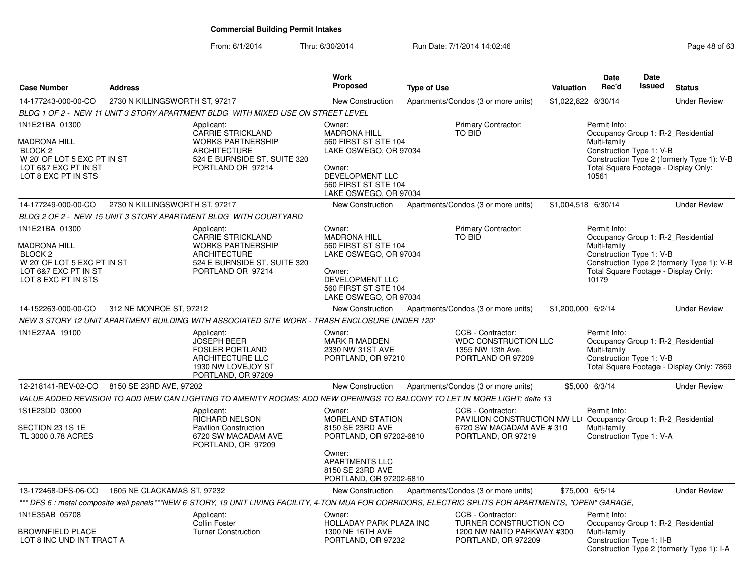| <b>Case Number</b>                                                                                                                 | <b>Address</b>                 |                                                                                                                                                | <b>Work</b><br><b>Proposed</b>                                                                                                                                     | <b>Type of Use</b>                                                                                                                                      | Valuation           | Date<br>Rec'd                                                     | Date<br>Issued | <b>Status</b>                                                                                                            |
|------------------------------------------------------------------------------------------------------------------------------------|--------------------------------|------------------------------------------------------------------------------------------------------------------------------------------------|--------------------------------------------------------------------------------------------------------------------------------------------------------------------|---------------------------------------------------------------------------------------------------------------------------------------------------------|---------------------|-------------------------------------------------------------------|----------------|--------------------------------------------------------------------------------------------------------------------------|
| 14-177243-000-00-CO                                                                                                                | 2730 N KILLINGSWORTH ST, 97217 |                                                                                                                                                | New Construction                                                                                                                                                   | Apartments/Condos (3 or more units)                                                                                                                     | \$1,022,822 6/30/14 |                                                                   |                | <b>Under Review</b>                                                                                                      |
|                                                                                                                                    |                                | BLDG 1 OF 2 - NEW 11 UNIT 3 STORY APARTMENT BLDG WITH MIXED USE ON STREET LEVEL                                                                |                                                                                                                                                                    |                                                                                                                                                         |                     |                                                                   |                |                                                                                                                          |
| 1N1E21BA 01300<br>MADRONA HILL<br>BLOCK 2<br>W 20' OF LOT 5 EXC PT IN ST<br>LOT 6&7 EXC PT IN ST<br>LOT 8 EXC PT IN STS            |                                | Applicant:<br>CARRIE STRICKLAND<br><b>WORKS PARTNERSHIP</b><br><b>ARCHITECTURE</b><br>524 E BURNSIDE ST. SUITE 320<br>PORTLAND OR 97214        | Owner:<br><b>MADRONA HILL</b><br>560 FIRST ST STE 104<br>LAKE OSWEGO, OR 97034<br>Owner:<br>DEVELOPMENT LLC<br>560 FIRST ST STE 104<br>LAKE OSWEGO, OR 97034       | Primary Contractor:<br>TO BID                                                                                                                           |                     | Permit Info:<br>Multi-family<br>Construction Type 1: V-B<br>10561 |                | Occupancy Group 1: R-2_Residential<br>Construction Type 2 (formerly Type 1): V-B<br>Total Square Footage - Display Only: |
| 14-177249-000-00-CO                                                                                                                | 2730 N KILLINGSWORTH ST, 97217 |                                                                                                                                                | <b>New Construction</b>                                                                                                                                            | Apartments/Condos (3 or more units)                                                                                                                     | \$1,004,518 6/30/14 |                                                                   |                | <b>Under Review</b>                                                                                                      |
|                                                                                                                                    |                                | BLDG 2 OF 2 - NEW 15 UNIT 3 STORY APARTMENT BLDG WITH COURTYARD                                                                                |                                                                                                                                                                    |                                                                                                                                                         |                     |                                                                   |                |                                                                                                                          |
| 1N1E21BA 01300<br>MADRONA HILL<br>BLOCK <sub>2</sub><br>W 20' OF LOT 5 EXC PT IN ST<br>LOT 6&7 EXC PT IN ST<br>LOT 8 EXC PT IN STS |                                | Applicant:<br><b>CARRIE STRICKLAND</b><br><b>WORKS PARTNERSHIP</b><br><b>ARCHITECTURE</b><br>524 E BURNSIDE ST. SUITE 320<br>PORTLAND OR 97214 | Owner:<br><b>MADRONA HILL</b><br>560 FIRST ST STE 104<br>LAKE OSWEGO, OR 97034<br>Owner:<br>DEVELOPMENT LLC<br>560 FIRST ST STE 104<br>LAKE OSWEGO, OR 97034       | Primary Contractor:<br><b>TO BID</b>                                                                                                                    |                     | Permit Info:<br>Multi-family<br>Construction Type 1: V-B<br>10179 |                | Occupancy Group 1: R-2 Residential<br>Construction Type 2 (formerly Type 1): V-B<br>Total Square Footage - Display Only: |
| 14-152263-000-00-CO                                                                                                                | 312 NE MONROE ST, 97212        |                                                                                                                                                | <b>New Construction</b>                                                                                                                                            | Apartments/Condos (3 or more units)                                                                                                                     | \$1,200,000 6/2/14  |                                                                   |                | <b>Under Review</b>                                                                                                      |
|                                                                                                                                    |                                | NEW 3 STORY 12 UNIT APARTMENT BUILDING WITH ASSOCIATED SITE WORK - TRASH ENCLOSURE UNDER 120'                                                  |                                                                                                                                                                    |                                                                                                                                                         |                     |                                                                   |                |                                                                                                                          |
| 1N1E27AA 19100                                                                                                                     |                                | Applicant:<br>JOSEPH BEER<br><b>FOSLER PORTLAND</b><br>ARCHITECTURE LLC<br>1930 NW LOVEJOY ST<br>PORTLAND, OR 97209                            | Owner:<br><b>MARK R MADDEN</b><br>2330 NW 31ST AVE<br>PORTLAND, OR 97210                                                                                           | CCB - Contractor:<br><b>WDC CONSTRUCTION LLC</b><br>1355 NW 13th Ave.<br>PORTLAND OR 97209                                                              |                     | Permit Info:<br>Multi-family<br>Construction Type 1: V-B          |                | Occupancy Group 1: R-2 Residential<br>Total Square Footage - Display Only: 7869                                          |
| 12-218141-REV-02-CO 8150 SE 23RD AVE, 97202                                                                                        |                                |                                                                                                                                                | <b>New Construction</b>                                                                                                                                            | Apartments/Condos (3 or more units)                                                                                                                     |                     | \$5,000 6/3/14                                                    |                | <b>Under Review</b>                                                                                                      |
|                                                                                                                                    |                                |                                                                                                                                                |                                                                                                                                                                    | VALUE ADDED REVISION TO ADD NEW CAN LIGHTING TO AMENITY ROOMS; ADD NEW OPENINGS TO BALCONY TO LET IN MORE LIGHT; delta 13                               |                     |                                                                   |                |                                                                                                                          |
| 1S1E23DD 03000<br>SECTION 23 1S 1E<br>TL 3000 0.78 ACRES                                                                           |                                | Applicant:<br><b>RICHARD NELSON</b><br><b>Pavilion Construction</b><br>6720 SW MACADAM AVE<br>PORTLAND, OR 97209                               | Owner:<br><b>MORELAND STATION</b><br>8150 SE 23RD AVE<br>PORTLAND, OR 97202-6810<br>Owner:<br><b>APARTMENTS LLC</b><br>8150 SE 23RD AVE<br>PORTLAND, OR 97202-6810 | CCB - Contractor:<br>PAVILION CONSTRUCTION NW LL( Occupancy Group 1: R-2_Residential<br>6720 SW MACADAM AVE #310<br>PORTLAND, OR 97219                  |                     | Permit Info:<br>Multi-family<br>Construction Type 1: V-A          |                |                                                                                                                          |
| 13-172468-DFS-06-CO                                                                                                                | 1605 NE CLACKAMAS ST, 97232    |                                                                                                                                                | New Construction                                                                                                                                                   | Apartments/Condos (3 or more units)                                                                                                                     | \$75,000 6/5/14     |                                                                   |                | <b>Under Review</b>                                                                                                      |
|                                                                                                                                    |                                |                                                                                                                                                |                                                                                                                                                                    | *** DFS 6 : metal composite wall panels***NEW 6 STORY, 19 UNIT LIVING FACILITY, 4-TON MUA FOR CORRIDORS, ELECTRIC SPLITS FOR APARTMENTS, "OPEN" GARAGE, |                     |                                                                   |                |                                                                                                                          |
| 1N1E35AB 05708<br>BROWNFIELD PLACE<br>LOT 8 INC UND INT TRACT A                                                                    |                                | Applicant:<br>Collin Foster<br><b>Turner Construction</b>                                                                                      | Owner:<br>HOLLADAY PARK PLAZA INC<br>1300 NE 16TH AVE<br>PORTLAND, OR 97232                                                                                        | CCB - Contractor:<br>TURNER CONSTRUCTION CO<br>1200 NW NAITO PARKWAY #300<br>PORTLAND, OR 972209                                                        |                     | Permit Info:<br>Multi-family<br>Construction Type 1: II-B         |                | Occupancy Group 1: R-2_Residential                                                                                       |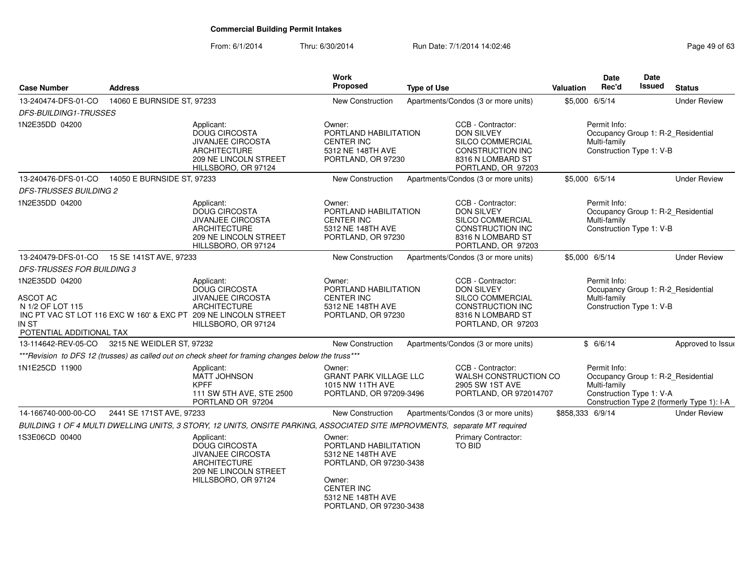From: 6/1/2014Thru: 6/30/2014 Run Date: 7/1/2014 14:02:46

| Page 49 of 63 |  |  |  |
|---------------|--|--|--|
|---------------|--|--|--|

| <b>Case Number</b>                                                                         | <b>Address</b>                              |                                                                                                                                                                          | Work<br><b>Proposed</b>                                                                                                                                        | <b>Type of Use</b> |                                                                                                                           | <b>Valuation</b> | <b>Date</b><br>Rec'd                                     | <b>Date</b><br>Issued | <b>Status</b>                                                                    |
|--------------------------------------------------------------------------------------------|---------------------------------------------|--------------------------------------------------------------------------------------------------------------------------------------------------------------------------|----------------------------------------------------------------------------------------------------------------------------------------------------------------|--------------------|---------------------------------------------------------------------------------------------------------------------------|------------------|----------------------------------------------------------|-----------------------|----------------------------------------------------------------------------------|
| 13-240474-DFS-01-CO                                                                        | 14060 E BURNSIDE ST, 97233                  |                                                                                                                                                                          | <b>New Construction</b>                                                                                                                                        |                    | Apartments/Condos (3 or more units)                                                                                       |                  | \$5,000 6/5/14                                           |                       | <b>Under Review</b>                                                              |
| <b>DFS-BUILDING1-TRUSSES</b>                                                               |                                             |                                                                                                                                                                          |                                                                                                                                                                |                    |                                                                                                                           |                  |                                                          |                       |                                                                                  |
| 1N2E35DD 04200                                                                             |                                             | Applicant:<br>DOUG CIRCOSTA<br><b>JIVANJEE CIRCOSTA</b><br>ARCHITECTURE<br>209 NE LINCOLN STREET<br>HILLSBORO, OR 97124                                                  | Owner:<br>PORTLAND HABILITATION<br><b>CENTER INC</b><br>5312 NE 148TH AVE<br>PORTLAND, OR 97230                                                                |                    | CCB - Contractor:<br><b>DON SILVEY</b><br>SILCO COMMERCIAL<br>CONSTRUCTION INC<br>8316 N LOMBARD ST<br>PORTLAND, OR 97203 |                  | Permit Info:<br>Multi-family<br>Construction Type 1: V-B |                       | Occupancy Group 1: R-2_Residential                                               |
| 13-240476-DFS-01-CO                                                                        | 14050 E BURNSIDE ST, 97233                  |                                                                                                                                                                          | <b>New Construction</b>                                                                                                                                        |                    | Apartments/Condos (3 or more units)                                                                                       |                  | \$5,000 6/5/14                                           |                       | <b>Under Review</b>                                                              |
| <b>DFS-TRUSSES BUILDING 2</b>                                                              |                                             |                                                                                                                                                                          |                                                                                                                                                                |                    |                                                                                                                           |                  |                                                          |                       |                                                                                  |
| 1N2E35DD 04200                                                                             |                                             | Applicant:<br><b>DOUG CIRCOSTA</b><br>JIVANJEE CIRCOSTA<br><b>ARCHITECTURE</b><br>209 NE LINCOLN STREET<br>HILLSBORO, OR 97124                                           | Owner:<br>PORTLAND HABILITATION<br><b>CENTER INC</b><br>5312 NE 148TH AVE<br>PORTLAND, OR 97230                                                                |                    | CCB - Contractor:<br><b>DON SILVEY</b><br>SILCO COMMERCIAL<br>CONSTRUCTION INC<br>8316 N LOMBARD ST<br>PORTLAND, OR 97203 |                  | Permit Info:<br>Multi-family<br>Construction Type 1: V-B |                       | Occupancy Group 1: R-2_Residential                                               |
|                                                                                            | 13-240479-DFS-01-CO  15 SE 141ST AVE, 97233 |                                                                                                                                                                          | New Construction                                                                                                                                               |                    | Apartments/Condos (3 or more units)                                                                                       | \$5,000 6/5/14   |                                                          |                       | <b>Under Review</b>                                                              |
| <b>DFS-TRUSSES FOR BUILDING 3</b>                                                          |                                             |                                                                                                                                                                          |                                                                                                                                                                |                    |                                                                                                                           |                  |                                                          |                       |                                                                                  |
| 1N2E35DD 04200<br><b>ASCOT AC</b><br>N 1/2 OF LOT 115<br>IN ST<br>POTENTIAL ADDITIONAL TAX |                                             | Applicant:<br>DOUG CIRCOSTA<br><b>JIVANJEE CIRCOSTA</b><br><b>ARCHITECTURE</b><br>INC PT VAC ST LOT 116 EXC W 160' & EXC PT 209 NE LINCOLN STREET<br>HILLSBORO, OR 97124 | Owner:<br>PORTLAND HABILITATION<br><b>CENTER INC</b><br>5312 NE 148TH AVE<br>PORTLAND, OR 97230                                                                |                    | CCB - Contractor:<br><b>DON SILVEY</b><br>SILCO COMMERCIAL<br>CONSTRUCTION INC<br>8316 N LOMBARD ST<br>PORTLAND, OR 97203 |                  | Permit Info:<br>Multi-family<br>Construction Type 1: V-B |                       | Occupancy Group 1: R-2_Residential                                               |
| 13-114642-REV-05-CO                                                                        | 3215 NE WEIDLER ST, 97232                   |                                                                                                                                                                          | New Construction                                                                                                                                               |                    | Apartments/Condos (3 or more units)                                                                                       |                  | \$6/6/14                                                 |                       | Approved to Issue                                                                |
|                                                                                            |                                             | *** Revision to DFS 12 (trusses) as called out on check sheet for framing changes below the truss***                                                                     |                                                                                                                                                                |                    |                                                                                                                           |                  |                                                          |                       |                                                                                  |
| 1N1E25CD 11900                                                                             |                                             | Applicant:<br><b>MATT JOHNSON</b><br><b>KPFF</b><br>111 SW 5TH AVE, STE 2500<br>PORTLAND OR 97204                                                                        | Owner:<br><b>GRANT PARK VILLAGE LLC</b><br>1015 NW 11TH AVE<br>PORTLAND, OR 97209-3496                                                                         |                    | CCB - Contractor:<br>WALSH CONSTRUCTION CO<br>2905 SW 1ST AVE<br>PORTLAND, OR 972014707                                   |                  | Permit Info:<br>Multi-family<br>Construction Type 1: V-A |                       | Occupancy Group 1: R-2_Residential<br>Construction Type 2 (formerly Type 1): I-A |
| 14-166740-000-00-CO                                                                        | 2441 SE 171ST AVE, 97233                    |                                                                                                                                                                          | New Construction                                                                                                                                               |                    | Apartments/Condos (3 or more units)                                                                                       | \$858,333 6/9/14 |                                                          |                       | <b>Under Review</b>                                                              |
|                                                                                            |                                             | BUILDING 1 OF 4 MULTI DWELLING UNITS, 3 STORY, 12 UNITS, ONSITE PARKING, ASSOCIATED SITE IMPROVMENTS, separate MT required                                               |                                                                                                                                                                |                    |                                                                                                                           |                  |                                                          |                       |                                                                                  |
| 1S3E06CD 00400                                                                             |                                             | Applicant:<br>DOUG CIRCOSTA<br>JIVANJEE CIRCOSTA<br><b>ARCHITECTURE</b><br>209 NE LINCOLN STREET<br>HILLSBORO, OR 97124                                                  | Owner:<br>PORTLAND HABILITATION<br>5312 NE 148TH AVE<br>PORTLAND, OR 97230-3438<br>Owner:<br><b>CENTER INC</b><br>5312 NE 148TH AVE<br>PORTLAND, OR 97230-3438 |                    | Primary Contractor:<br>TO BID                                                                                             |                  |                                                          |                       |                                                                                  |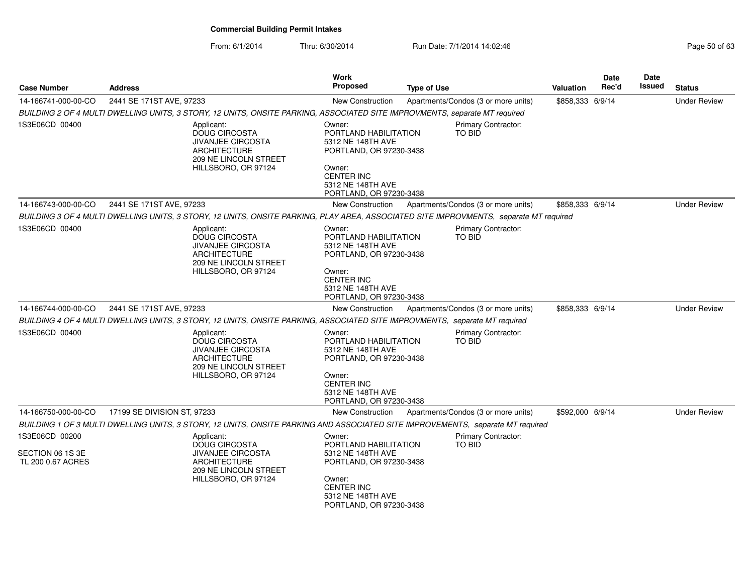From: 6/1/2014Thru: 6/30/2014 **Run Date: 7/1/2014 14:02:46** Run Date: 7/1/2014 14:02:46

**Case NumberStatusDate Rec'd Issued DateIssued Type of Use ValuationWork** Proposed **AddressS** *BUILDING 2 OF 4 MULTI DWELLING UNITS, 3 STORY, 12 UNITS, ONSITE PARKING, ASSOCIATED SITE IMPROVMENTS, separate MT required* Primary Contractor:Under Review1S3E06CD 00400 Applicant: DOUG CIRCOSTA JIVANJEE CIRCOSTAARCHITECTURE 209 NE LINCOLN STREETHILLSBORO, OR 97124Owner: PORTLAND HABILITATION5312 NE 148TH AVE PORTLAND, OR 97230-3438Owner: CENTER INC 5312 NE 148TH AVE PORTLAND, OR 97230-3438Q 2441 SE 171ST AVE, 97233 COM STREET ARE NEW Construction Apartments/Condos (3 or more units) \$858,333 6/9/14 TO BID14-166741-000-00-CO 2441 SE 171ST AVE, 97233 New Construction Apartments/Condos (3 or more units) \$858,333 6/9/14 *BUILDING 3 OF 4 MULTI DWELLING UNITS, 3 STORY, 12 UNITS, ONSITE PARKING, PLAY AREA, ASSOCIATED SITE IMPROVMENTS, separate MT required*Under Review1S3E06CD 00400 Applicant: DOUG CIRCOSTA JIVANJEE CIRCOSTAARCHITECTURE 209 NE LINCOLN STREETHILLSBORO, OR 97124Owner: PORTLAND HABILITATION5312 NE 148TH AVE PORTLAND, OR 97230-3438Owner: CENTER INC 5312 NE 148TH AVE PORTLAND, OR 97230-3438Q 2441 SE 171ST AVE, 97233 COM STREET ARE NEW Construction Apartments/Condos (3 or more units) \$858,333 6/9/14 Primary Contractor:TO BID14-166743-000-00-CO*BUILDING 4 OF 4 MULTI DWELLING UNITS, 3 STORY, 12 UNITS, ONSITE PARKING, ASSOCIATED SITE IMPROVMENTS, separate MT required* Primary Contractor:Under Review1S3E06CD 00400 Applicant: DOUG CIRCOSTA JIVANJEE CIRCOSTAARCHITECTURE 209 NE LINCOLN STREETHILLSBORO, OR 97124Owner: PORTLAND HABILITATION5312 NE 148TH AVE PORTLAND, OR 97230-3438Owner: CENTER INC 5312 NE 148TH AVE PORTLAND, OR 97230-3438O 17199 SE DIVISION ST, 97233 CHEEN CONSTRUCTION Apartments/Condos (3 or more units) \$592,000 6/9/14 TO BID14-166744-000-00-CO*BUILDING 1 OF 3 MULTI DWELLING UNITS, 3 STORY, 12 UNITS, ONSITE PARKING AND ASSOCIATED SITE IMPROVEMENTS, separate MT required*Under Review1S3E06CD 00200SECTION 06 1S 3E TL 200 0.67 ACRESApplicant: DOUG CIRCOSTA JIVANJEE CIRCOSTAARCHITECTURE 209 NE LINCOLN STREETHILLSBORO, OR 97124Owner: PORTLAND HABILITATION5312 NE 148TH AVE PORTLAND, OR 97230-3438Owner: CENTER INC 5312 NE 148TH AVE PORTLAND, OR 97230-3438Primary Contractor:TO BID14-166750-000-00-CO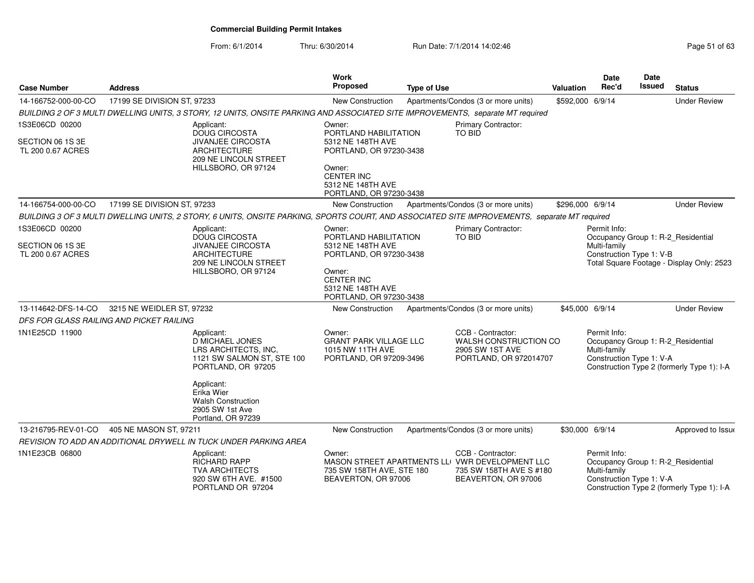| <b>Case Number</b>                    | <b>Address</b>                                                                                                                               | Work                                 | <b>Proposed</b>                                                              | <b>Type of Use</b> |                                                                                                                        | <b>Valuation</b> | <b>Date</b><br>Rec'd                                     | Date<br>Issued | <b>Status</b>                                                                    |
|---------------------------------------|----------------------------------------------------------------------------------------------------------------------------------------------|--------------------------------------|------------------------------------------------------------------------------|--------------------|------------------------------------------------------------------------------------------------------------------------|------------------|----------------------------------------------------------|----------------|----------------------------------------------------------------------------------|
| 14-166752-000-00-CO                   | 17199 SE DIVISION ST, 97233                                                                                                                  |                                      | New Construction                                                             |                    | Apartments/Condos (3 or more units)                                                                                    | \$592,000 6/9/14 |                                                          |                | <b>Under Review</b>                                                              |
|                                       | BUILDING 2 OF 3 MULTI DWELLING UNITS, 3 STORY, 12 UNITS, ONSITE PARKING AND ASSOCIATED SITE IMPROVEMENTS, separate MT required               |                                      |                                                                              |                    |                                                                                                                        |                  |                                                          |                |                                                                                  |
| 1S3E06CD 00200                        | Applicant:<br><b>DOUG CIRCOSTA</b>                                                                                                           | Owner:                               | PORTLAND HABILITATION                                                        |                    | <b>Primary Contractor:</b><br><b>TO BID</b>                                                                            |                  |                                                          |                |                                                                                  |
| SECTION 06 1S 3E<br>TL 200 0.67 ACRES | <b>JIVANJEE CIRCOSTA</b><br><b>ARCHITECTURE</b>                                                                                              | 209 NE LINCOLN STREET                | 5312 NE 148TH AVE<br>PORTLAND, OR 97230-3438                                 |                    |                                                                                                                        |                  |                                                          |                |                                                                                  |
|                                       | HILLSBORO, OR 97124                                                                                                                          | Owner:<br><b>CENTER INC</b>          | 5312 NE 148TH AVE<br>PORTLAND, OR 97230-3438                                 |                    |                                                                                                                        |                  |                                                          |                |                                                                                  |
| 14-166754-000-00-CO                   | 17199 SE DIVISION ST, 97233                                                                                                                  |                                      | New Construction                                                             |                    | Apartments/Condos (3 or more units)                                                                                    | \$296,000 6/9/14 |                                                          |                | <b>Under Review</b>                                                              |
|                                       | BUILDING 3 OF 3 MULTI DWELLING UNITS, 2 STORY, 6 UNITS, ONSITE PARKING, SPORTS COURT, AND ASSOCIATED SITE IMPROVEMENTS, separate MT required |                                      |                                                                              |                    |                                                                                                                        |                  |                                                          |                |                                                                                  |
| 1S3E06CD 00200                        | Applicant:<br><b>DOUG CIRCOSTA</b>                                                                                                           | Owner:                               | PORTLAND HABILITATION                                                        |                    | Primary Contractor:<br>TO BID                                                                                          |                  | Permit Info:                                             |                | Occupancy Group 1: R-2 Residential                                               |
| SECTION 06 1S 3E<br>TL 200 0.67 ACRES | <b>JIVANJEE CIRCOSTA</b><br><b>ARCHITECTURE</b>                                                                                              | 209 NE LINCOLN STREET                | 5312 NE 148TH AVE<br>PORTLAND, OR 97230-3438                                 |                    |                                                                                                                        |                  | Multi-family<br>Construction Type 1: V-B                 |                | Total Square Footage - Display Only: 2523                                        |
|                                       | HILLSBORO, OR 97124                                                                                                                          | Owner:<br><b>CENTER INC</b>          | 5312 NE 148TH AVE<br>PORTLAND, OR 97230-3438                                 |                    |                                                                                                                        |                  |                                                          |                |                                                                                  |
| 13-114642-DFS-14-CO                   | 3215 NE WEIDLER ST, 97232                                                                                                                    |                                      | New Construction                                                             |                    | Apartments/Condos (3 or more units)                                                                                    | \$45,000 6/9/14  |                                                          |                | <b>Under Review</b>                                                              |
|                                       | DFS FOR GLASS RAILING AND PICKET RAILING                                                                                                     |                                      |                                                                              |                    |                                                                                                                        |                  |                                                          |                |                                                                                  |
| 1N1E25CD 11900                        | Applicant:<br><b>D MICHAEL JONES</b><br>LRS ARCHITECTS, INC.<br>PORTLAND, OR 97205                                                           | Owner:<br>1121 SW SALMON ST, STE 100 | <b>GRANT PARK VILLAGE LLC</b><br>1015 NW 11TH AVE<br>PORTLAND, OR 97209-3496 |                    | CCB - Contractor:<br>WALSH CONSTRUCTION CO<br>2905 SW 1ST AVE<br>PORTLAND, OR 972014707                                |                  | Permit Info:<br>Multi-family<br>Construction Type 1: V-A |                | Occupancy Group 1: R-2_Residential<br>Construction Type 2 (formerly Type 1): I-A |
|                                       | Applicant:<br>Erika Wier<br><b>Walsh Construction</b><br>2905 SW 1st Ave<br>Portland, OR 97239                                               |                                      |                                                                              |                    |                                                                                                                        |                  |                                                          |                |                                                                                  |
| 13-216795-REV-01-CO                   | 405 NE MASON ST, 97211                                                                                                                       |                                      | New Construction                                                             |                    | Apartments/Condos (3 or more units)                                                                                    | \$30,000 6/9/14  |                                                          |                | Approved to Issue                                                                |
|                                       | REVISION TO ADD AN ADDITIONAL DRYWELL IN TUCK UNDER PARKING AREA                                                                             |                                      |                                                                              |                    |                                                                                                                        |                  |                                                          |                |                                                                                  |
| 1N1E23CB 06800                        | Applicant:<br>RICHARD RAPP<br><b>TVA ARCHITECTS</b><br>920 SW 6TH AVE. #1500<br>PORTLAND OR 97204                                            | Owner:                               | 735 SW 158TH AVE, STE 180<br>BEAVERTON, OR 97006                             |                    | CCB - Contractor:<br>MASON STREET APARTMENTS LLI VWR DEVELOPMENT LLC<br>735 SW 158TH AVE S #180<br>BEAVERTON, OR 97006 |                  | Permit Info:<br>Multi-family<br>Construction Type 1: V-A |                | Occupancy Group 1: R-2_Residential<br>Construction Type 2 (formerly Type 1): I-A |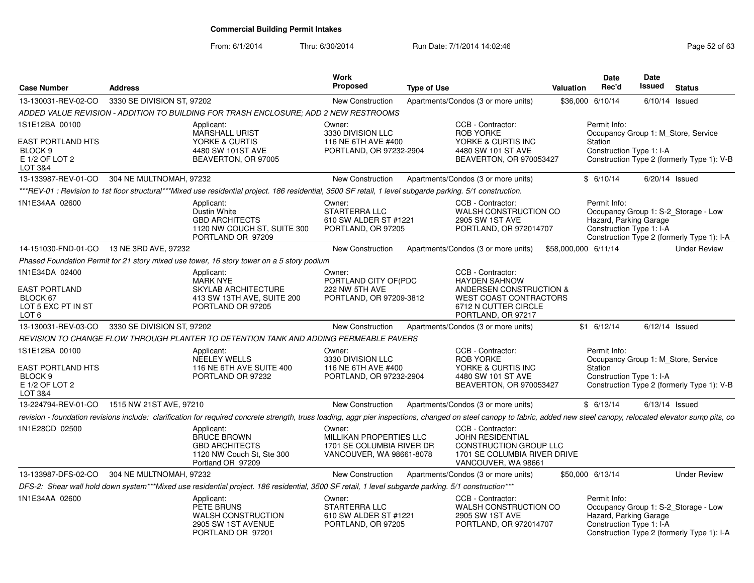From: 6/1/2014

| <b>Case Number</b>                                                                            | <b>Address</b>                              |                                                                                                                                                                                                                          | Work<br><b>Proposed</b>                                                                    | <b>Type of Use</b> |                                                                                                                                                     | <b>Valuation</b>     | Date<br>Rec'd                                                                              | Date<br>Issued   | <b>Status</b>                                                                      |
|-----------------------------------------------------------------------------------------------|---------------------------------------------|--------------------------------------------------------------------------------------------------------------------------------------------------------------------------------------------------------------------------|--------------------------------------------------------------------------------------------|--------------------|-----------------------------------------------------------------------------------------------------------------------------------------------------|----------------------|--------------------------------------------------------------------------------------------|------------------|------------------------------------------------------------------------------------|
| 13-130031-REV-02-CO                                                                           | 3330 SE DIVISION ST, 97202                  |                                                                                                                                                                                                                          | New Construction                                                                           |                    | Apartments/Condos (3 or more units)                                                                                                                 | \$36,000             | 6/10/14                                                                                    | $6/10/14$ Issued |                                                                                    |
|                                                                                               |                                             | ADDED VALUE REVISION - ADDITION TO BUILDING FOR TRASH ENCLOSURE: ADD 2 NEW RESTROOMS                                                                                                                                     |                                                                                            |                    |                                                                                                                                                     |                      |                                                                                            |                  |                                                                                    |
| 1S1E12BA 00100<br><b>EAST PORTLAND HTS</b><br>BLOCK <sub>9</sub><br>E 1/2 OF LOT 2<br>LOT 3&4 |                                             | Applicant:<br><b>MARSHALL URIST</b><br>YORKE & CURTIS<br>4480 SW 101ST AVE<br>BEAVERTON, OR 97005                                                                                                                        | Owner:<br>3330 DIVISION LLC<br>116 NE 6TH AVE #400<br>PORTLAND, OR 97232-2904              |                    | CCB - Contractor:<br><b>ROB YORKE</b><br>YORKE & CURTIS INC<br>4480 SW 101 ST AVE<br>BEAVERTON, OR 970053427                                        |                      | Permit Info:<br>Occupancy Group 1: M_Store, Service<br>Station<br>Construction Type 1: I-A |                  | Construction Type 2 (formerly Type 1): V-B                                         |
| 13-133987-REV-01-CO                                                                           | 304 NE MULTNOMAH, 97232                     |                                                                                                                                                                                                                          | New Construction                                                                           |                    | Apartments/Condos (3 or more units)                                                                                                                 |                      | \$6/10/14                                                                                  | $6/20/14$ Issued |                                                                                    |
|                                                                                               |                                             | ***REV-01 : Revision to 1st floor structural***Mixed use residential project. 186 residential, 3500 SF retail, 1 level subgarde parking. 5/1 construction.                                                               |                                                                                            |                    |                                                                                                                                                     |                      |                                                                                            |                  |                                                                                    |
| 1N1E34AA 02600                                                                                |                                             | Applicant:<br>Dustin White<br><b>GBD ARCHITECTS</b><br>1120 NW COUCH ST, SUITE 300<br>PORTLAND OR 97209                                                                                                                  | Owner:<br>STARTERRA LLC<br>610 SW ALDER ST #1221<br>PORTLAND, OR 97205                     |                    | CCB - Contractor:<br>WALSH CONSTRUCTION CO<br>2905 SW 1ST AVE<br>PORTLAND, OR 972014707                                                             |                      | Permit Info:<br>Hazard, Parking Garage<br>Construction Type 1: I-A                         |                  | Occupancy Group 1: S-2_Storage - Low<br>Construction Type 2 (formerly Type 1): I-A |
| 14-151030-FND-01-CO 13 NE 3RD AVE, 97232                                                      |                                             |                                                                                                                                                                                                                          | New Construction                                                                           |                    | Apartments/Condos (3 or more units)                                                                                                                 | \$58,000,000 6/11/14 |                                                                                            |                  | <b>Under Review</b>                                                                |
|                                                                                               |                                             | Phased Foundation Permit for 21 story mixed use tower, 16 story tower on a 5 story podium                                                                                                                                |                                                                                            |                    |                                                                                                                                                     |                      |                                                                                            |                  |                                                                                    |
| 1N1E34DA 02400<br><b>EAST PORTLAND</b><br>BLOCK 67<br>LOT 5 EXC PT IN ST<br>LOT 6             |                                             | Applicant:<br><b>MARK NYE</b><br>SKYLAB ARCHITECTURE<br>413 SW 13TH AVE, SUITE 200<br>PORTLAND OR 97205                                                                                                                  | Owner:<br>PORTLAND CITY OF(PDC<br>222 NW 5TH AVE<br>PORTLAND, OR 97209-3812                |                    | CCB - Contractor:<br><b>HAYDEN SAHNOW</b><br>ANDERSEN CONSTRUCTION &<br><b>WEST COAST CONTRACTORS</b><br>6712 N CUTTER CIRCLE<br>PORTLAND, OR 97217 |                      |                                                                                            |                  |                                                                                    |
| 13-130031-REV-03-CO                                                                           | 3330 SE DIVISION ST, 97202                  |                                                                                                                                                                                                                          | New Construction                                                                           |                    | Apartments/Condos (3 or more units)                                                                                                                 |                      | $$1 \t6/12/14$                                                                             | $6/12/14$ Issued |                                                                                    |
|                                                                                               |                                             | REVISION TO CHANGE FLOW THROUGH PLANTER TO DETENTION TANK AND ADDING PERMEABLE PAVERS                                                                                                                                    |                                                                                            |                    |                                                                                                                                                     |                      |                                                                                            |                  |                                                                                    |
| 1S1E12BA 00100<br><b>EAST PORTLAND HTS</b><br>BLOCK 9<br>E 1/2 OF LOT 2<br>LOT 3&4            |                                             | Applicant:<br><b>NEELEY WELLS</b><br>116 NE 6TH AVE SUITE 400<br>PORTLAND OR 97232                                                                                                                                       | Owner:<br>3330 DIVISION LLC<br>116 NE 6TH AVE #400<br>PORTLAND, OR 97232-2904              |                    | CCB - Contractor:<br><b>ROB YORKE</b><br>YORKE & CURTIS INC<br>4480 SW 101 ST AVE<br>BEAVERTON, OR 970053427                                        |                      | Permit Info:<br>Occupancy Group 1: M_Store, Service<br>Station<br>Construction Type 1: I-A |                  | Construction Type 2 (formerly Type 1): V-B                                         |
|                                                                                               | 13-224794-REV-01-CO 1515 NW 21ST AVE, 97210 |                                                                                                                                                                                                                          | New Construction                                                                           |                    | Apartments/Condos (3 or more units)                                                                                                                 |                      | \$6/13/14                                                                                  | $6/13/14$ Issued |                                                                                    |
|                                                                                               |                                             | revision - foundation revisions include: clarification for required concrete strength, truss loading, aggr pier inspections, changed on steel canopy to fabric, added new steel canopy, relocated elevator sump pits, co |                                                                                            |                    |                                                                                                                                                     |                      |                                                                                            |                  |                                                                                    |
| 1N1E28CD 02500                                                                                |                                             | Applicant:<br><b>BRUCE BROWN</b><br><b>GBD ARCHITECTS</b><br>1120 NW Couch St, Ste 300<br>Portland OR 97209                                                                                                              | Owner:<br>MILLIKAN PROPERTIES LLC<br>1701 SE COLUMBIA RIVER DR<br>VANCOUVER, WA 98661-8078 |                    | CCB - Contractor:<br><b>JOHN RESIDENTIAL</b><br>CONSTRUCTION GROUP LLC<br>1701 SE COLUMBIA RIVER DRIVE<br>VANCOUVER, WA 98661                       |                      |                                                                                            |                  |                                                                                    |
| 13-133987-DFS-02-CO                                                                           | 304 NE MULTNOMAH, 97232                     |                                                                                                                                                                                                                          | New Construction                                                                           |                    | Apartments/Condos (3 or more units)                                                                                                                 |                      | \$50,000 6/13/14                                                                           |                  | <b>Under Review</b>                                                                |
|                                                                                               |                                             | DFS-2: Shear wall hold down system***Mixed use residential project. 186 residential, 3500 SF retail, 1 level subgarde parking. 5/1 construction***                                                                       |                                                                                            |                    |                                                                                                                                                     |                      |                                                                                            |                  |                                                                                    |
| 1N1E34AA 02600                                                                                |                                             | Applicant:<br>PETE BRUNS<br><b>WALSH CONSTRUCTION</b><br>2905 SW 1ST AVENUE<br>PORTLAND OR 97201                                                                                                                         | Owner:<br>STARTERRA LLC<br>610 SW ALDER ST #1221<br>PORTLAND, OR 97205                     |                    | CCB - Contractor:<br>WALSH CONSTRUCTION CO<br>2905 SW 1ST AVE<br>PORTLAND, OR 972014707                                                             |                      | Permit Info:<br>Hazard, Parking Garage<br>Construction Type 1: I-A                         |                  | Occupancy Group 1: S-2_Storage - Low<br>Construction Type 2 (formerly Type 1): I-A |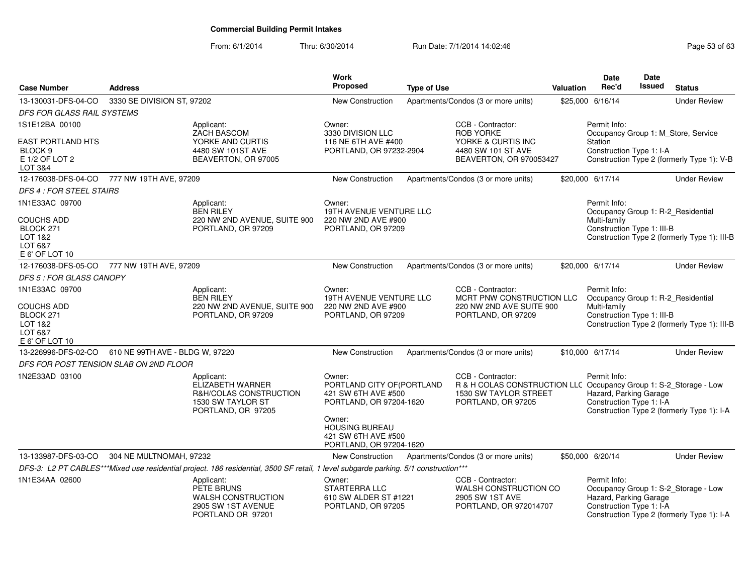| <b>Case Number</b>                     |                                 |                                                                                                                                     | Work<br><b>Proposed</b>                                                            |                    |                                                                                            |              | Date<br>Rec'd                                                  | <b>Date</b><br>Issued |                                              |
|----------------------------------------|---------------------------------|-------------------------------------------------------------------------------------------------------------------------------------|------------------------------------------------------------------------------------|--------------------|--------------------------------------------------------------------------------------------|--------------|----------------------------------------------------------------|-----------------------|----------------------------------------------|
|                                        | <b>Address</b>                  |                                                                                                                                     |                                                                                    | <b>Type of Use</b> |                                                                                            | Valuation    |                                                                |                       | <b>Status</b>                                |
| 13-130031-DFS-04-CO                    | 3330 SE DIVISION ST, 97202      |                                                                                                                                     | <b>New Construction</b>                                                            |                    | Apartments/Condos (3 or more units)                                                        |              | \$25,000 6/16/14                                               |                       | <b>Under Review</b>                          |
| DFS FOR GLASS RAIL SYSTEMS             |                                 |                                                                                                                                     |                                                                                    |                    |                                                                                            |              |                                                                |                       |                                              |
| 1S1E12BA 00100                         |                                 | Applicant:<br><b>ZACH BASCOM</b>                                                                                                    | Owner:<br>3330 DIVISION LLC                                                        |                    | CCB - Contractor:<br><b>ROB YORKE</b>                                                      |              | Permit Info:                                                   |                       |                                              |
| <b>EAST PORTLAND HTS</b>               |                                 | YORKE AND CURTIS                                                                                                                    | 116 NE 6TH AVE #400                                                                |                    | YORKE & CURTIS INC                                                                         |              | Station                                                        |                       | Occupancy Group 1: M_Store, Service          |
| BLOCK <sub>9</sub>                     |                                 | 4480 SW 101ST AVE                                                                                                                   | PORTLAND, OR 97232-2904                                                            |                    | 4480 SW 101 ST AVE                                                                         |              | Construction Type 1: I-A                                       |                       |                                              |
| E 1/2 OF LOT 2                         |                                 | BEAVERTON, OR 97005                                                                                                                 |                                                                                    |                    | BEAVERTON, OR 970053427                                                                    |              |                                                                |                       | Construction Type 2 (formerly Type 1): V-B   |
| LOT 3&4<br>12-176038-DFS-04-CO         | 777 NW 19TH AVE, 97209          |                                                                                                                                     | <b>New Construction</b>                                                            |                    | Apartments/Condos (3 or more units)                                                        |              | \$20,000 6/17/14                                               |                       | <b>Under Review</b>                          |
| <b>DFS 4: FOR STEEL STAIRS</b>         |                                 |                                                                                                                                     |                                                                                    |                    |                                                                                            |              |                                                                |                       |                                              |
| 1N1E33AC 09700                         |                                 | Applicant:                                                                                                                          | Owner:                                                                             |                    |                                                                                            |              | Permit Info:                                                   |                       |                                              |
|                                        |                                 | <b>BEN RILEY</b>                                                                                                                    | 19TH AVENUE VENTURE LLC                                                            |                    |                                                                                            |              |                                                                |                       | Occupancy Group 1: R-2_Residential           |
| <b>COUCHS ADD</b>                      |                                 | 220 NW 2ND AVENUE, SUITE 900                                                                                                        | 220 NW 2ND AVE #900                                                                |                    |                                                                                            |              | Multi-family                                                   |                       |                                              |
| BLOCK 271<br>LOT 1&2                   |                                 | PORTLAND, OR 97209                                                                                                                  | PORTLAND, OR 97209                                                                 |                    |                                                                                            |              | Construction Type 1: III-B                                     |                       | Construction Type 2 (formerly Type 1): III-B |
| LOT 6&7                                |                                 |                                                                                                                                     |                                                                                    |                    |                                                                                            |              |                                                                |                       |                                              |
| E 6' OF LOT 10                         |                                 |                                                                                                                                     |                                                                                    |                    |                                                                                            |              |                                                                |                       |                                              |
| 12-176038-DFS-05-CO                    | 777 NW 19TH AVE, 97209          |                                                                                                                                     | <b>New Construction</b>                                                            |                    | Apartments/Condos (3 or more units)                                                        |              | \$20,000 6/17/14                                               |                       | <b>Under Review</b>                          |
| <b>DFS 5 : FOR GLASS CANOPY</b>        |                                 |                                                                                                                                     |                                                                                    |                    |                                                                                            |              |                                                                |                       |                                              |
| 1N1E33AC 09700                         |                                 | Applicant:<br><b>BEN RILEY</b>                                                                                                      | Owner:                                                                             |                    | CCB - Contractor:                                                                          |              | Permit Info:                                                   |                       |                                              |
| <b>COUCHS ADD</b>                      | 220 NW 2ND AVENUE, SUITE 900    |                                                                                                                                     | 19TH AVENUE VENTURE LLC<br>220 NW 2ND AVE #900                                     |                    | MCRT PNW CONSTRUCTION LLC<br>220 NW 2ND AVE SUITE 900                                      |              | Occupancy Group 1: R-2_Residential<br>Multi-family             |                       |                                              |
| BLOCK 271                              |                                 | PORTLAND, OR 97209                                                                                                                  | PORTLAND, OR 97209                                                                 |                    | PORTLAND, OR 97209                                                                         |              | Construction Type 1: III-B                                     |                       |                                              |
| LOT 1&2<br>LOT 6&7                     |                                 |                                                                                                                                     |                                                                                    |                    |                                                                                            |              |                                                                |                       | Construction Type 2 (formerly Type 1): III-B |
| E 6' OF LOT 10                         |                                 |                                                                                                                                     |                                                                                    |                    |                                                                                            |              |                                                                |                       |                                              |
| 13-226996-DFS-02-CO                    | 610 NE 99TH AVE - BLDG W, 97220 |                                                                                                                                     | <b>New Construction</b>                                                            |                    | Apartments/Condos (3 or more units)                                                        |              | \$10,000 6/17/14                                               |                       | <b>Under Review</b>                          |
| DFS FOR POST TENSION SLAB ON 2ND FLOOR |                                 |                                                                                                                                     |                                                                                    |                    |                                                                                            |              |                                                                |                       |                                              |
| 1N2E33AD 03100                         |                                 | Applicant:                                                                                                                          | Owner:                                                                             |                    | CCB - Contractor:                                                                          |              | Permit Info:                                                   |                       |                                              |
|                                        |                                 | <b>ELIZABETH WARNER</b><br>R&H/COLAS CONSTRUCTION                                                                                   | PORTLAND CITY OF (PORTLAND<br>421 SW 6TH AVE #500                                  |                    | R & H COLAS CONSTRUCTION LLC Occupancy Group 1: S-2_Storage - Low<br>1530 SW TAYLOR STREET |              | Hazard, Parking Garage                                         |                       |                                              |
|                                        |                                 | 1530 SW TAYLOR ST                                                                                                                   | PORTLAND, OR 97204-1620                                                            |                    | PORTLAND, OR 97205                                                                         |              | Construction Type 1: I-A                                       |                       |                                              |
|                                        |                                 | PORTLAND, OR 97205                                                                                                                  |                                                                                    |                    |                                                                                            |              |                                                                |                       | Construction Type 2 (formerly Type 1): I-A   |
|                                        |                                 |                                                                                                                                     | Owner:<br><b>HOUSING BUREAU</b>                                                    |                    |                                                                                            |              |                                                                |                       |                                              |
|                                        |                                 |                                                                                                                                     | 421 SW 6TH AVE #500                                                                |                    |                                                                                            |              |                                                                |                       |                                              |
|                                        |                                 |                                                                                                                                     | PORTLAND, OR 97204-1620                                                            |                    |                                                                                            |              |                                                                |                       |                                              |
| 13-133987-DFS-03-CO                    | 304 NE MULTNOMAH, 97232         |                                                                                                                                     | New Construction                                                                   |                    | Apartments/Condos (3 or more units)                                                        |              | \$50,000 6/20/14                                               |                       | <b>Under Review</b>                          |
|                                        |                                 | DFS-3: L2 PT CABLES***Mixed use residential project. 186 residential, 3500 SF retail, 1 level subgarde parking. 5/1 construction*** |                                                                                    |                    |                                                                                            |              |                                                                |                       |                                              |
| 1N1E34AA 02600                         |                                 | Applicant:                                                                                                                          | CCB - Contractor:<br>Owner:                                                        |                    |                                                                                            | Permit Info: |                                                                |                       |                                              |
|                                        |                                 | PETE BRUNS<br><b>WALSH CONSTRUCTION</b>                                                                                             | STARTERRA LLC<br>WALSH CONSTRUCTION CO<br>610 SW ALDER ST #1221<br>2905 SW 1ST AVE |                    |                                                                                            |              | Occupancy Group 1: S-2_Storage - Low<br>Hazard, Parking Garage |                       |                                              |
|                                        |                                 | 2905 SW 1ST AVENUE                                                                                                                  | PORTLAND, OR 97205                                                                 |                    | PORTLAND, OR 972014707                                                                     |              | Construction Type 1: I-A                                       |                       |                                              |
|                                        |                                 | PORTLAND OR 97201                                                                                                                   |                                                                                    |                    |                                                                                            |              |                                                                |                       | Construction Type 2 (formerly Type 1): I-A   |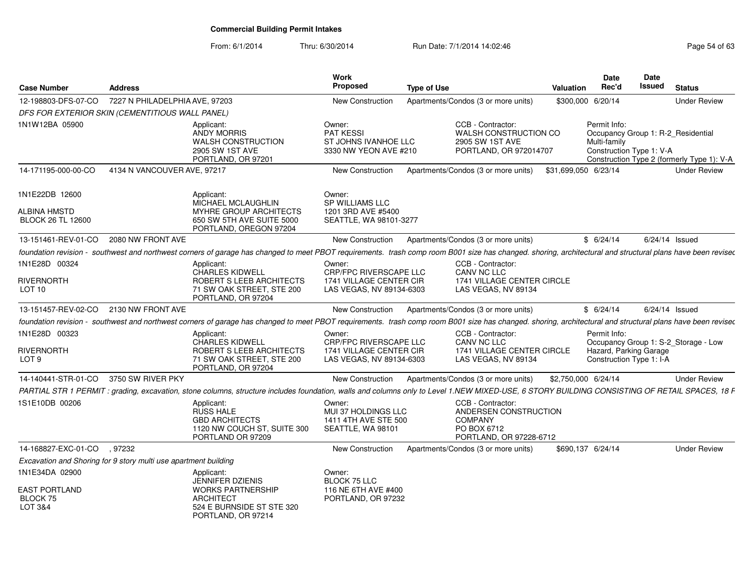|                                                                 |                |                                                                                                                                                                                                             | Work                                                                       |                    |                                                                                                        | Date                                                                                           | <b>Date</b>    |                                            |
|-----------------------------------------------------------------|----------------|-------------------------------------------------------------------------------------------------------------------------------------------------------------------------------------------------------------|----------------------------------------------------------------------------|--------------------|--------------------------------------------------------------------------------------------------------|------------------------------------------------------------------------------------------------|----------------|--------------------------------------------|
| <b>Case Number</b>                                              | <b>Address</b> |                                                                                                                                                                                                             | Proposed                                                                   | <b>Type of Use</b> |                                                                                                        | Rec'd<br>Valuation                                                                             | Issued         | <b>Status</b>                              |
| 12-198803-DFS-07-CO 7227 N PHILADELPHIA AVE, 97203              |                |                                                                                                                                                                                                             | New Construction                                                           |                    | Apartments/Condos (3 or more units)                                                                    | \$300,000 6/20/14                                                                              |                | <b>Under Review</b>                        |
| DFS FOR EXTERIOR SKIN (CEMENTITIOUS WALL PANEL)                 |                |                                                                                                                                                                                                             |                                                                            |                    |                                                                                                        |                                                                                                |                |                                            |
| 1N1W12BA 05900                                                  |                | Applicant:<br><b>ANDY MORRIS</b><br><b>WALSH CONSTRUCTION</b><br>2905 SW 1ST AVE<br>PORTLAND, OR 97201                                                                                                      | Owner:<br>PAT KESSI<br>ST JOHNS IVANHOE LLC<br>3330 NW YEON AVE #210       |                    | CCB - Contractor:<br>WALSH CONSTRUCTION CO<br>2905 SW 1ST AVE<br>PORTLAND, OR 972014707                | Permit Info:<br>Occupancy Group 1: R-2_Residential<br>Multi-family<br>Construction Type 1: V-A |                | Construction Type 2 (formerly Type 1): V-A |
| 14-171195-000-00-CO 4134 N VANCOUVER AVE, 97217                 |                |                                                                                                                                                                                                             | New Construction                                                           |                    | Apartments/Condos (3 or more units) \$31,699,050 6/23/14                                               |                                                                                                |                | <b>Under Review</b>                        |
|                                                                 |                |                                                                                                                                                                                                             |                                                                            |                    |                                                                                                        |                                                                                                |                |                                            |
| 1N1E22DB 12600<br>ALBINA HMSTD                                  |                | Applicant:<br>MICHAEL MCLAUGHLIN<br>MYHRE GROUP ARCHITECTS                                                                                                                                                  | Owner:<br>SP WILLIAMS LLC<br>1201 3RD AVE #5400                            |                    |                                                                                                        |                                                                                                |                |                                            |
| <b>BLOCK 26 TL 12600</b>                                        |                | 650 SW 5TH AVE SUITE 5000<br>PORTLAND, OREGON 97204                                                                                                                                                         | SEATTLE, WA 98101-3277                                                     |                    |                                                                                                        |                                                                                                |                |                                            |
| 13-151461-REV-01-CO  2080 NW FRONT AVE                          |                |                                                                                                                                                                                                             |                                                                            |                    | New Construction Apartments/Condos (3 or more units)                                                   | \$6/24/14                                                                                      | 6/24/14 Issued |                                            |
|                                                                 |                | foundation revision - southwest and northwest corners of garage has changed to meet PBOT requirements. trash comp room B001 size has changed. shoring, architectural and structural plans have been revised |                                                                            |                    |                                                                                                        |                                                                                                |                |                                            |
| 1N1E28D 00324                                                   |                | Applicant:<br>CHARLES KIDWELL                                                                                                                                                                               | Owner:<br>CRP/FPC RIVERSCAPE LLC                                           |                    | CCB - Contractor:<br><b>CANV NC LLC</b>                                                                |                                                                                                |                |                                            |
| RIVERNORTH<br>LOT 10                                            |                | ROBERT S LEEB ARCHITECTS<br>71 SW OAK STREET, STE 200<br>PORTLAND, OR 97204                                                                                                                                 | 1741 VILLAGE CENTER CIR<br>LAS VEGAS, NV 89134-6303                        |                    | 1741 VILLAGE CENTER CIRCLE<br>LAS VEGAS, NV 89134                                                      |                                                                                                |                |                                            |
| 13-151457-REV-02-CO 2130 NW FRONT AVE                           |                |                                                                                                                                                                                                             |                                                                            |                    | New Construction Apartments/Condos (3 or more units)                                                   | \$6/24/14                                                                                      | 6/24/14 Issued |                                            |
|                                                                 |                | foundation revision - southwest and northwest corners of garage has changed to meet PBOT requirements. trash comp room B001 size has changed. shoring, architectural and structural plans have been revised |                                                                            |                    |                                                                                                        |                                                                                                |                |                                            |
| 1N1E28D 00323                                                   |                | Applicant:                                                                                                                                                                                                  | Owner:                                                                     |                    | CCB - Contractor:                                                                                      | Permit Info:                                                                                   |                |                                            |
| RIVERNORTH                                                      |                | CHARLES KIDWELL<br>ROBERT S LEEB ARCHITECTS                                                                                                                                                                 | CRP/FPC RIVERSCAPE LLC<br>1741 VILLAGE CENTER CIR                          |                    | CANV NC LLC<br>1741 VILLAGE CENTER CIRCLE                                                              | Hazard, Parking Garage                                                                         |                | Occupancy Group 1: S-2_Storage - Low       |
| LOT <sub>9</sub>                                                |                | 71 SW OAK STREET, STE 200<br>PORTLAND, OR 97204                                                                                                                                                             | LAS VEGAS, NV 89134-6303                                                   |                    | LAS VEGAS, NV 89134                                                                                    | Construction Type 1: I-A                                                                       |                |                                            |
| 14-140441-STR-01-CO 3750 SW RIVER PKY                           |                |                                                                                                                                                                                                             |                                                                            |                    | New Construction Apartments/Condos (3 or more units)                                                   | \$2,750,000 6/24/14                                                                            |                | <b>Under Review</b>                        |
|                                                                 |                | PARTIAL STR 1 PERMIT : grading, excavation, stone columns, structure includes foundation, walls and columns only to Level 1.NEW MIXED-USE, 6 STORY BUILDING CONSISTING OF RETAIL SPACES, 18 F               |                                                                            |                    |                                                                                                        |                                                                                                |                |                                            |
| 1S1E10DB 00206                                                  |                | Applicant:<br>RUSS HALE<br><b>GBD ARCHITECTS</b><br>1120 NW COUCH ST, SUITE 300<br>PORTLAND OR 97209                                                                                                        | Owner:<br>MUI 37 HOLDINGS LLC<br>1411 4TH AVE STE 500<br>SEATTLE, WA 98101 |                    | CCB - Contractor:<br>ANDERSEN CONSTRUCTION<br><b>COMPANY</b><br>PO BOX 6712<br>PORTLAND, OR 97228-6712 |                                                                                                |                |                                            |
| 14-168827-EXC-01-CO , 97232                                     |                |                                                                                                                                                                                                             | New Construction                                                           |                    | Apartments/Condos (3 or more units)                                                                    | \$690.137 6/24/14                                                                              |                | <b>Under Review</b>                        |
| Excavation and Shoring for 9 story multi use apartment building |                |                                                                                                                                                                                                             |                                                                            |                    |                                                                                                        |                                                                                                |                |                                            |
| 1N1E34DA 02900                                                  |                | Applicant:<br>JENNIFER DZIENIS                                                                                                                                                                              | Owner:<br>BLOCK 75 LLC                                                     |                    |                                                                                                        |                                                                                                |                |                                            |
| <b>EAST PORTLAND</b>                                            |                | <b>WORKS PARTNERSHIP</b>                                                                                                                                                                                    | 116 NE 6TH AVE #400                                                        |                    |                                                                                                        |                                                                                                |                |                                            |
| BLOCK 75<br>LOT 3&4                                             |                | <b>ARCHITECT</b><br>524 E BURNSIDE ST STE 320<br>PORTLAND, OR 97214                                                                                                                                         | PORTLAND, OR 97232                                                         |                    |                                                                                                        |                                                                                                |                |                                            |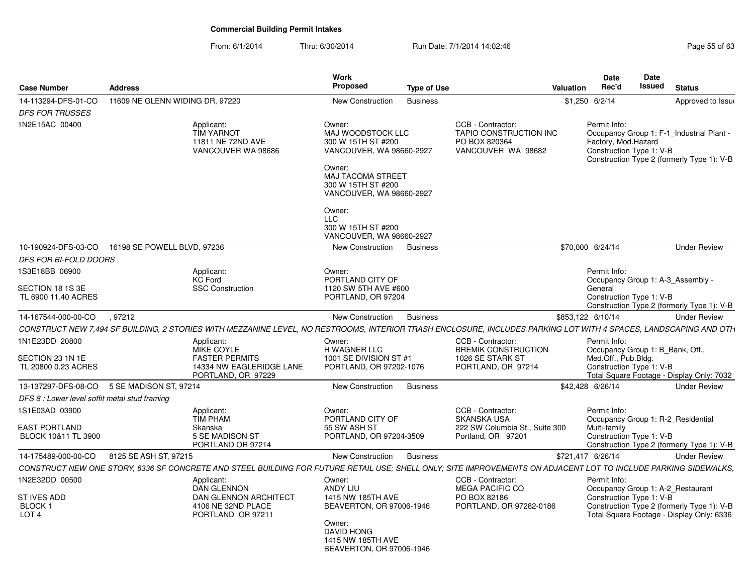| <b>Case Number</b>                                | <b>Address</b>                                                                                                                                                   | Work<br>Proposed                                                                                                                                               | <b>Type of Use</b> |                                                                                    | Valuation         | Date<br>Rec'd                       | Date<br><b>Issued</b>            | <b>Status</b>                                                                           |
|---------------------------------------------------|------------------------------------------------------------------------------------------------------------------------------------------------------------------|----------------------------------------------------------------------------------------------------------------------------------------------------------------|--------------------|------------------------------------------------------------------------------------|-------------------|-------------------------------------|----------------------------------|-----------------------------------------------------------------------------------------|
| 14-113294-DFS-01-CO                               | 11609 NE GLENN WIDING DR. 97220                                                                                                                                  | <b>New Construction</b>                                                                                                                                        | <b>Business</b>    |                                                                                    | \$1,250 6/2/14    |                                     |                                  | Approved to Issue                                                                       |
| <b>DFS FOR TRUSSES</b>                            |                                                                                                                                                                  |                                                                                                                                                                |                    |                                                                                    |                   |                                     |                                  |                                                                                         |
| 1N2E15AC 00400                                    | Applicant:<br><b>TIM YARNOT</b><br>11811 NE 72ND AVE<br>VANCOUVER WA 98686                                                                                       | Owner:<br>MAJ WOODSTOCK LLC<br>300 W 15TH ST #200<br>VANCOUVER, WA 98660-2927<br>Owner:<br>MAJ TACOMA STREET<br>300 W 15TH ST #200<br>VANCOUVER, WA 98660-2927 |                    | CCB - Contractor:<br>TAPIO CONSTRUCTION INC<br>PO BOX 820364<br>VANCOUVER WA 98682 |                   | Permit Info:<br>Factory, Mod.Hazard | Construction Type 1: V-B         | Occupancy Group 1: F-1 Industrial Plant -<br>Construction Type 2 (formerly Type 1): V-B |
|                                                   |                                                                                                                                                                  | Owner:<br><b>LLC</b><br>300 W 15TH ST #200<br>VANCOUVER, WA 98660-2927                                                                                         |                    |                                                                                    |                   |                                     |                                  |                                                                                         |
| 10-190924-DFS-03-CO                               | 16198 SE POWELL BLVD, 97236                                                                                                                                      | New Construction                                                                                                                                               | <b>Business</b>    |                                                                                    | \$70,000 6/24/14  |                                     |                                  | <b>Under Review</b>                                                                     |
| <b>DFS FOR BI-FOLD DOORS</b>                      |                                                                                                                                                                  |                                                                                                                                                                |                    |                                                                                    |                   |                                     |                                  |                                                                                         |
| 1S3E18BB 06900                                    | Applicant:<br><b>KC Ford</b>                                                                                                                                     | Owner:<br>PORTLAND CITY OF                                                                                                                                     |                    |                                                                                    |                   | Permit Info:                        |                                  | Occupancy Group 1: A-3 Assembly -                                                       |
| SECTION 18 1S 3E                                  | <b>SSC Construction</b>                                                                                                                                          | 1120 SW 5TH AVE #600                                                                                                                                           |                    |                                                                                    |                   | General                             |                                  |                                                                                         |
| TL 6900 11.40 ACRES                               |                                                                                                                                                                  | PORTLAND, OR 97204                                                                                                                                             |                    |                                                                                    |                   |                                     | Construction Type 1: V-B         | Construction Type 2 (formerly Type 1): V-B                                              |
| 14-167544-000-00-CO                               | .97212                                                                                                                                                           | New Construction                                                                                                                                               | <b>Business</b>    |                                                                                    | \$853,122 6/10/14 |                                     |                                  | <b>Under Review</b>                                                                     |
|                                                   | CONSTRUCT NEW 7.494 SF BUILDING, 2 STORIES WITH MEZZANINE LEVEL, NO RESTROOMS, INTERIOR TRASH ENCLOSURE, INCLUDES PARKING LOT WITH 4 SPACES, LANDSCAPING AND OTH |                                                                                                                                                                |                    |                                                                                    |                   |                                     |                                  |                                                                                         |
| 1N1E23DD 20800<br>SECTION 23 1N 1E                | Applicant:<br>MIKE COYLE<br><b>FASTER PERMITS</b>                                                                                                                | Owner:<br>H WAGNER LLC<br>1001 SE DIVISION ST #1                                                                                                               |                    | CCB - Contractor:<br><b>BREMIK CONSTRUCTION</b><br>1026 SE STARK ST                |                   | Permit Info:<br>Med.Off., Pub.Bldg. | Occupancy Group 1: B Bank, Off., |                                                                                         |
| TL 20800 0.23 ACRES                               | 14334 NW EAGLERIDGE LANE<br>PORTLAND, OR 97229                                                                                                                   | PORTLAND, OR 97202-1076                                                                                                                                        |                    | PORTLAND, OR 97214                                                                 |                   |                                     | Construction Type 1: V-B         | Total Square Footage - Display Only: 7032                                               |
| 13-137297-DFS-08-CO                               | 5 SE MADISON ST, 97214                                                                                                                                           | New Construction                                                                                                                                               | <b>Business</b>    |                                                                                    | \$42,428 6/26/14  |                                     |                                  | <b>Under Review</b>                                                                     |
| DFS 8 : Lower level soffit metal stud framing     |                                                                                                                                                                  |                                                                                                                                                                |                    |                                                                                    |                   |                                     |                                  |                                                                                         |
| 1S1E03AD 03900                                    | Applicant:<br><b>TIM PHAM</b>                                                                                                                                    | Owner:<br>PORTLAND CITY OF                                                                                                                                     |                    | CCB - Contractor:<br><b>SKANSKA USA</b>                                            |                   | Permit Info:                        |                                  | Occupancy Group 1: R-2 Residential                                                      |
| <b>EAST PORTLAND</b><br>BLOCK 10&11 TL 3900       | Skanska<br>5 SE MADISON ST<br>PORTLAND OR 97214                                                                                                                  | 55 SW ASH ST<br>PORTLAND, OR 97204-3509                                                                                                                        |                    | 222 SW Columbia St., Suite 300<br>Portland, OR 97201                               |                   | Multi-family                        | Construction Type 1: V-B         | Construction Type 2 (formerly Type 1): V-B                                              |
| 14-175489-000-00-CO                               | 8125 SE ASH ST, 97215                                                                                                                                            | <b>New Construction</b>                                                                                                                                        | <b>Business</b>    |                                                                                    | \$721,417 6/26/14 |                                     |                                  | <b>Under Review</b>                                                                     |
|                                                   | CONSTRUCT NEW ONE STORY, 6336 SF CONCRETE AND STEEL BUILDING FOR FUTURE RETAIL USE; SHELL ONLY; SITE IMPROVEMENTS ON ADJACENT LOT TO INCLUDE PARKING SIDEWALKS,  |                                                                                                                                                                |                    |                                                                                    |                   |                                     |                                  |                                                                                         |
| 1N2E32DD 00500                                    | Applicant:<br><b>DAN GLENNON</b>                                                                                                                                 | Owner:<br><b>ANDY LIU</b>                                                                                                                                      |                    | CCB - Contractor:<br><b>MEGA PACIFIC CO</b>                                        |                   | Permit Info:                        |                                  | Occupancy Group 1: A-2_Restaurant                                                       |
| <b>ST IVES ADD</b><br>BLOCK 1<br>LOT <sub>4</sub> | <b>DAN GLENNON ARCHITECT</b><br>4106 NE 32ND PLACE<br>PORTLAND OR 97211                                                                                          | 1415 NW 185TH AVE<br>BEAVERTON, OR 97006-1946                                                                                                                  |                    | PO BOX 82186<br>PORTLAND, OR 97282-0186                                            |                   |                                     | Construction Type 1: V-B         | Construction Type 2 (formerly Type 1): V-B<br>Total Square Footage - Display Only: 6336 |
|                                                   |                                                                                                                                                                  | Owner:<br>DAVID HONG<br>1415 NW 185TH AVE<br>BEAVERTON, OR 97006-1946                                                                                          |                    |                                                                                    |                   |                                     |                                  |                                                                                         |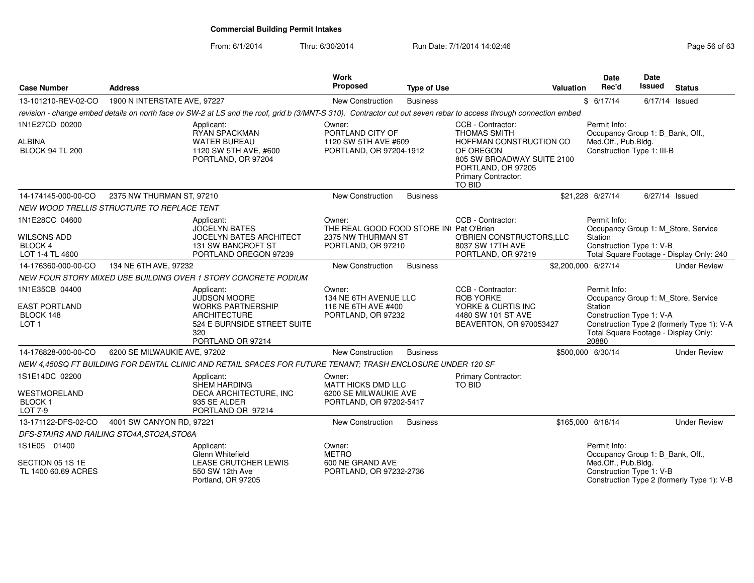| <b>Case Number</b>                                                            | <b>Address</b>               |                                                                                                                                                                   | Work<br>Proposed                                                                              | <b>Type of Use</b> |                                                                                                                                                                                     | <b>Valuation</b> | Date<br>Rec'd                                                                                         | <b>Date</b><br>Issued | <b>Status</b>                                                                     |
|-------------------------------------------------------------------------------|------------------------------|-------------------------------------------------------------------------------------------------------------------------------------------------------------------|-----------------------------------------------------------------------------------------------|--------------------|-------------------------------------------------------------------------------------------------------------------------------------------------------------------------------------|------------------|-------------------------------------------------------------------------------------------------------|-----------------------|-----------------------------------------------------------------------------------|
| 13-101210-REV-02-CO                                                           | 1900 N INTERSTATE AVE, 97227 |                                                                                                                                                                   | New Construction                                                                              | <b>Business</b>    |                                                                                                                                                                                     |                  | \$6/17/14                                                                                             | $6/17/14$ Issued      |                                                                                   |
|                                                                               |                              | revision - change embed details on north face ov SW-2 at LS and the roof, grid b (3/MNT-S 310). Contractor cut out seven rebar to access through connection embed |                                                                                               |                    |                                                                                                                                                                                     |                  |                                                                                                       |                       |                                                                                   |
| 1N1E27CD 00200<br><b>ALBINA</b><br><b>BLOCK 94 TL 200</b>                     |                              | Applicant:<br>RYAN SPACKMAN<br><b>WATER BUREAU</b><br>1120 SW 5TH AVE, #600<br>PORTLAND, OR 97204                                                                 | Owner:<br>PORTLAND CITY OF<br>1120 SW 5TH AVE #609<br>PORTLAND, OR 97204-1912                 |                    | CCB - Contractor:<br><b>THOMAS SMITH</b><br>HOFFMAN CONSTRUCTION CO<br>OF OREGON<br>805 SW BROADWAY SUITE 2100<br>PORTLAND, OR 97205<br><b>Primary Contractor:</b><br><b>TO BID</b> |                  | Permit Info:<br>Occupancy Group 1: B_Bank, Off.,<br>Med.Off., Pub.Bldg.<br>Construction Type 1: III-B |                       |                                                                                   |
| 14-174145-000-00-CO                                                           | 2375 NW THURMAN ST, 97210    |                                                                                                                                                                   | New Construction                                                                              | <b>Business</b>    |                                                                                                                                                                                     |                  | \$21,228 6/27/14                                                                                      | 6/27/14 Issued        |                                                                                   |
| NEW WOOD TRELLIS STRUCTURE TO REPLACE TENT                                    |                              |                                                                                                                                                                   |                                                                                               |                    |                                                                                                                                                                                     |                  |                                                                                                       |                       |                                                                                   |
| 1N1E28CC 04600<br><b>WILSONS ADD</b><br><b>BLOCK 4</b><br>LOT 1-4 TL 4600     |                              | Applicant:<br><b>JOCELYN BATES</b><br><b>JOCELYN BATES ARCHITECT</b><br>131 SW BANCROFT ST<br>PORTLAND OREGON 97239                                               | Owner:<br>THE REAL GOOD FOOD STORE IN Pat O'Brien<br>2375 NW THURMAN ST<br>PORTLAND, OR 97210 |                    | CCB - Contractor:<br>O'BRIEN CONSTRUCTORS, LLC<br>8037 SW 17TH AVE<br>PORTLAND, OR 97219                                                                                            |                  | Permit Info:<br>Station<br>Construction Type 1: V-B                                                   |                       | Occupancy Group 1: M Store, Service<br>Total Square Footage - Display Only: 240   |
| 14-176360-000-00-CO                                                           | 134 NE 6TH AVE, 97232        |                                                                                                                                                                   | New Construction                                                                              | <b>Business</b>    |                                                                                                                                                                                     |                  | \$2,200,000 6/27/14                                                                                   |                       | <b>Under Review</b>                                                               |
|                                                                               |                              | NEW FOUR STORY MIXED USE BUILDING OVER 1 STORY CONCRETE PODIUM                                                                                                    |                                                                                               |                    |                                                                                                                                                                                     |                  |                                                                                                       |                       |                                                                                   |
| 1N1E35CB 04400<br><b>EAST PORTLAND</b><br>BLOCK 148<br>LOT <sub>1</sub>       |                              | Applicant:<br><b>JUDSON MOORE</b><br><b>WORKS PARTNERSHIP</b><br><b>ARCHITECTURE</b><br>524 E BURNSIDE STREET SUITE<br>320<br>PORTLAND OR 97214                   | Owner:<br>134 NE 6TH AVENUE LLC<br>116 NE 6TH AVE #400<br>PORTLAND, OR 97232                  |                    | CCB - Contractor:<br><b>ROB YORKE</b><br>YORKE & CURTIS INC<br>4480 SW 101 ST AVE<br>BEAVERTON, OR 970053427                                                                        |                  | Permit Info:<br>Station<br>Construction Type 1: V-A<br>Total Square Footage - Display Only:<br>20880  |                       | Occupancy Group 1: M_Store, Service<br>Construction Type 2 (formerly Type 1): V-A |
| 14-176828-000-00-CO                                                           | 6200 SE MILWAUKIE AVE, 97202 |                                                                                                                                                                   | <b>New Construction</b>                                                                       | <b>Business</b>    |                                                                                                                                                                                     |                  | \$500,000 6/30/14                                                                                     |                       | <b>Under Review</b>                                                               |
|                                                                               |                              | NEW 4,450SQ FT BUILDING FOR DENTAL CLINIC AND RETAIL SPACES FOR FUTURE TENANT; TRASH ENCLOSURE UNDER 120 SF                                                       |                                                                                               |                    |                                                                                                                                                                                     |                  |                                                                                                       |                       |                                                                                   |
| 1S1E14DC 02200<br><b>WESTMORELAND</b><br>BLOCK <sub>1</sub><br><b>LOT 7-9</b> |                              | Applicant:<br><b>SHEM HARDING</b><br>DECA ARCHITECTURE, INC<br>935 SE ALDER<br>PORTLAND OR 97214                                                                  | Owner:<br><b>MATT HICKS DMD LLC</b><br>6200 SE MILWAUKIE AVE<br>PORTLAND, OR 97202-5417       |                    | Primary Contractor:<br><b>TO BID</b>                                                                                                                                                |                  |                                                                                                       |                       |                                                                                   |
| 13-171122-DFS-02-CO                                                           | 4001 SW CANYON RD, 97221     |                                                                                                                                                                   | New Construction                                                                              | <b>Business</b>    |                                                                                                                                                                                     |                  | \$165,000 6/18/14                                                                                     |                       | <b>Under Review</b>                                                               |
| DFS-STAIRS AND RAILING STO4A, STO2A, STO6A                                    |                              |                                                                                                                                                                   |                                                                                               |                    |                                                                                                                                                                                     |                  |                                                                                                       |                       |                                                                                   |
| 1S1E05 01400<br>SECTION 05 1S 1E<br>TL 1400 60.69 ACRES                       |                              | Applicant:<br>Glenn Whitefield<br><b>LEASE CRUTCHER LEWIS</b><br>550 SW 12th Ave<br>Portland, OR 97205                                                            | Owner:<br><b>METRO</b><br>600 NE GRAND AVE<br>PORTLAND, OR 97232-2736                         |                    |                                                                                                                                                                                     |                  | Permit Info:<br>Occupancy Group 1: B Bank, Off.,<br>Med.Off., Pub.Bldg.<br>Construction Type 1: V-B   |                       | Construction Type 2 (formerly Type 1): V-B                                        |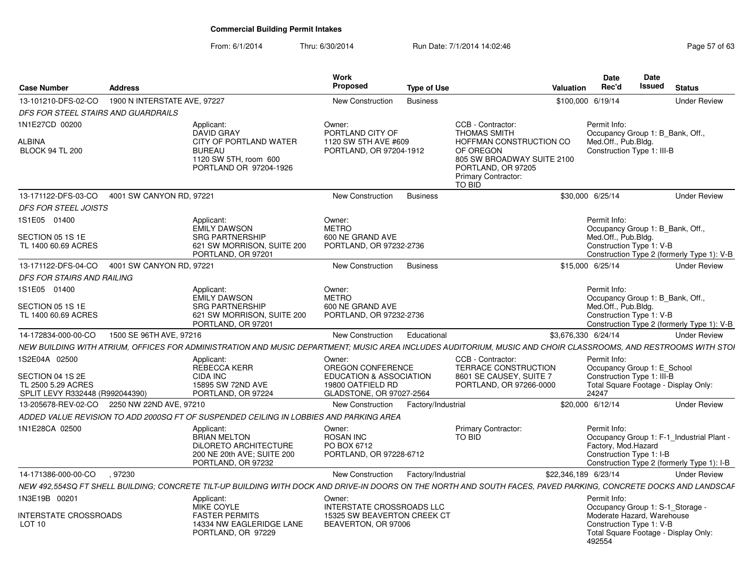| <b>Case Number</b>                                    | <b>Address</b>                              |                                                                                                                                                                  | <b>Work</b><br>Proposed                                              | <b>Type of Use</b> |                                                                                                | <b>Date</b><br>Rec'd<br>Valuation   | Date<br><b>Issued</b>                                     | <b>Status</b>                                                     |  |
|-------------------------------------------------------|---------------------------------------------|------------------------------------------------------------------------------------------------------------------------------------------------------------------|----------------------------------------------------------------------|--------------------|------------------------------------------------------------------------------------------------|-------------------------------------|-----------------------------------------------------------|-------------------------------------------------------------------|--|
| 13-101210-DFS-02-CO 1900 N INTERSTATE AVE, 97227      |                                             |                                                                                                                                                                  | New Construction                                                     | Business           |                                                                                                | \$100,000 6/19/14                   |                                                           | <b>Under Review</b>                                               |  |
| DFS FOR STEEL STAIRS AND GUARDRAILS                   |                                             |                                                                                                                                                                  |                                                                      |                    |                                                                                                |                                     |                                                           |                                                                   |  |
| 1N1E27CD 00200<br><b>ALBINA</b>                       |                                             | Applicant:<br>DAVID GRAY<br>CITY OF PORTLAND WATER                                                                                                               | Owner:<br>PORTLAND CITY OF<br>1120 SW 5TH AVE #609                   |                    | CCB - Contractor:<br>THOMAS SMITH<br>HOFFMAN CONSTRUCTION CO                                   | Permit Info:<br>Med.Off., Pub.Bldg. | Occupancy Group 1: B_Bank, Off.,                          |                                                                   |  |
| <b>BLOCK 94 TL 200</b>                                |                                             | <b>BUREAU</b><br>1120 SW 5TH, room 600<br>PORTLAND OR 97204-1926                                                                                                 | PORTLAND, OR 97204-1912                                              |                    | OF OREGON<br>805 SW BROADWAY SUITE 2100<br>PORTLAND, OR 97205<br>Primary Contractor:<br>TO BID |                                     | Construction Type 1: III-B                                |                                                                   |  |
| 13-171122-DFS-03-CO 4001 SW CANYON RD. 97221          |                                             |                                                                                                                                                                  | New Construction Business                                            |                    |                                                                                                | \$30,000 6/25/14                    |                                                           | <b>Under Review</b>                                               |  |
| DFS FOR STEEL JOISTS                                  |                                             |                                                                                                                                                                  |                                                                      |                    |                                                                                                |                                     |                                                           |                                                                   |  |
| 1S1E05 01400                                          |                                             | Applicant:<br>EMILY DAWSON                                                                                                                                       | Owner:<br><b>METRO</b>                                               |                    |                                                                                                | Permit Info:                        | Occupancy Group 1: B_Bank, Off.,                          |                                                                   |  |
| SECTION 05 1S 1E<br>TL 1400 60.69 ACRES               |                                             | <b>SRG PARTNERSHIP</b><br>621 SW MORRISON, SUITE 200<br>PORTLAND, OR 97201                                                                                       | 600 NE GRAND AVE<br>PORTLAND, OR 97232-2736                          |                    |                                                                                                | Med.Off., Pub.Bldg.                 | Construction Type 1: V-B                                  | Construction Type 2 (formerly Type 1): V-B                        |  |
| 13-171122-DFS-04-CO 4001 SW CANYON RD, 97221          |                                             |                                                                                                                                                                  | New Construction Business                                            |                    |                                                                                                | \$15,000 6/25/14                    |                                                           | <b>Under Review</b>                                               |  |
| DFS FOR STAIRS AND RAILING                            |                                             |                                                                                                                                                                  |                                                                      |                    |                                                                                                |                                     |                                                           |                                                                   |  |
| 1S1E05 01400                                          |                                             | Applicant:                                                                                                                                                       | Owner:                                                               |                    |                                                                                                | Permit Info:                        |                                                           |                                                                   |  |
| SECTION 05 1S 1E                                      |                                             | <b>EMILY DAWSON</b><br><b>SRG PARTNERSHIP</b>                                                                                                                    | <b>METRO</b><br>600 NE GRAND AVE                                     |                    |                                                                                                | Med.Off., Pub.Blda.                 | Occupancy Group 1: B_Bank, Off.,                          |                                                                   |  |
| TL 1400 60.69 ACRES                                   |                                             | 621 SW MORRISON, SUITE 200<br>PORTLAND, OR 97201                                                                                                                 | PORTLAND, OR 97232-2736                                              |                    |                                                                                                |                                     | Construction Type 1: V-B                                  | Construction Type 2 (formerly Type 1): V-B                        |  |
| 14-172834-000-00-CO                                   | 1500 SE 96TH AVE, 97216                     |                                                                                                                                                                  | New Construction Educational                                         |                    |                                                                                                | \$3.676.330 6/24/14                 |                                                           | <b>Under Review</b>                                               |  |
|                                                       |                                             | NEW BUILDING WITH ATRIUM. OFFICES FOR ADMINISTRATION AND MUSIC DEPARTMENT: MUSIC AREA INCLUDES AUDITORIUM, MUSIC AND CHOIR CLASSROOMS, AND RESTROOMS WITH STOI   |                                                                      |                    |                                                                                                |                                     |                                                           |                                                                   |  |
| 1S2E04A 02500                                         |                                             | Applicant:                                                                                                                                                       | Owner:                                                               |                    | CCB - Contractor:                                                                              | Permit Info:                        |                                                           |                                                                   |  |
| SECTION 04 1S 2E                                      |                                             | REBECCA KERR<br><b>CIDA INC</b>                                                                                                                                  | OREGON CONFERENCE<br><b>EDUCATION &amp; ASSOCIATION</b>              |                    | TERRACE CONSTRUCTION<br>8601 SE CAUSEY, SUITE 7                                                |                                     | Occupancy Group 1: E_School<br>Construction Type 1: III-B |                                                                   |  |
| TL 2500 5.29 ACRES<br>SPLIT LEVY R332448 (R992044390) |                                             | 15895 SW 72ND AVE<br>PORTLAND, OR 97224                                                                                                                          | 19800 OATFIELD RD<br>GLADSTONE, OR 97027-2564                        |                    | PORTLAND, OR 97266-0000                                                                        | 24247                               |                                                           | Total Square Footage - Display Only:                              |  |
|                                                       | 13-205678-REV-02-CO 2250 NW 22ND AVE, 97210 |                                                                                                                                                                  | New Construction                                                     | Factory/Industrial |                                                                                                | \$20,000 6/12/14                    |                                                           | <b>Under Review</b>                                               |  |
|                                                       |                                             | ADDED VALUE REVISION TO ADD 2000SQ FT OF SUSPENDED CEILING IN LOBBIES AND PARKING AREA                                                                           |                                                                      |                    |                                                                                                |                                     |                                                           |                                                                   |  |
| 1N1E28CA 02500                                        |                                             | Applicant:<br><b>BRIAN MELTON</b><br><b>DILORETO ARCHITECTURE</b><br>200 NE 20th AVE; SUITE 200<br>PORTLAND, OR 97232                                            | Owner:<br><b>ROSAN INC</b><br>PO BOX 6712<br>PORTLAND, OR 97228-6712 |                    | Primary Contractor:<br>TO BID                                                                  | Permit Info:<br>Factory, Mod.Hazard | Construction Type 1: I-B                                  | Occupancy Group 1: F-1_Industrial Plant -                         |  |
| 14-171386-000-00-CO .97230                            |                                             |                                                                                                                                                                  | New Construction                                                     | Factory/Industrial |                                                                                                | \$22,346,189 6/23/14                |                                                           | Construction Type 2 (formerly Type 1): I-B<br><b>Under Review</b> |  |
|                                                       |                                             | NEW 492,554SQ FT SHELL BUILDING; CONCRETE TILT-UP BUILDING WITH DOCK AND DRIVE-IN DOORS ON THE NORTH AND SOUTH FACES, PAVED PARKING, CONCRETE DOCKS AND LANDSCAF |                                                                      |                    |                                                                                                |                                     |                                                           |                                                                   |  |
| 1N3E19B 00201                                         |                                             | Applicant:                                                                                                                                                       | Owner:                                                               |                    |                                                                                                | Permit Info:                        |                                                           |                                                                   |  |
|                                                       |                                             | MIKE COYLE                                                                                                                                                       | INTERSTATE CROSSROADS LLC                                            |                    |                                                                                                |                                     | Occupancy Group 1: S-1_Storage                            |                                                                   |  |
| INTERSTATE CROSSROADS<br><b>LOT 10</b>                |                                             | <b>FASTER PERMITS</b><br>14334 NW EAGLERIDGE LANE<br>PORTLAND, OR 97229                                                                                          | 15325 SW BEAVERTON CREEK CT<br>BEAVERTON, OR 97006                   |                    |                                                                                                | 492554                              | Moderate Hazard, Warehouse<br>Construction Type 1: V-B    | Total Square Footage - Display Only:                              |  |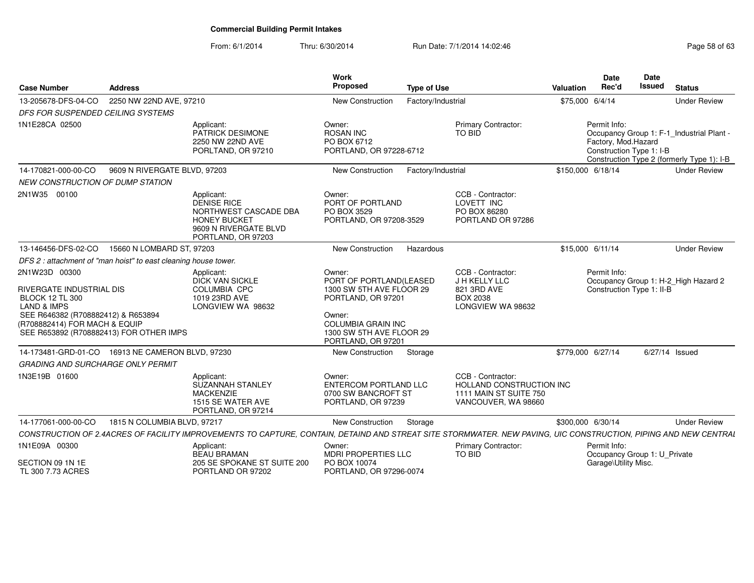From: 6/1/2014Thru: 6/30/2014 Run Date: 7/1/2014 14:02:46 Run Date: 7/1/2014 14:02:46

| <b>Case Number</b>                                                                                                                                                                                              | <b>Address</b>                                                  |                                                                                                                                                                 | Work<br>Proposed<br><b>Type of Use</b>                                                                                                                                       |                                                                                                | <b>Date</b><br>Rec'd<br>Valuation                               | Date<br>Issued<br><b>Status</b>                                                         |
|-----------------------------------------------------------------------------------------------------------------------------------------------------------------------------------------------------------------|-----------------------------------------------------------------|-----------------------------------------------------------------------------------------------------------------------------------------------------------------|------------------------------------------------------------------------------------------------------------------------------------------------------------------------------|------------------------------------------------------------------------------------------------|-----------------------------------------------------------------|-----------------------------------------------------------------------------------------|
| 13-205678-DFS-04-CO                                                                                                                                                                                             | 2250 NW 22ND AVE, 97210                                         |                                                                                                                                                                 | <b>New Construction</b><br>Factory/Industrial                                                                                                                                |                                                                                                | \$75,000 6/4/14                                                 | <b>Under Review</b>                                                                     |
| DFS FOR SUSPENDED CEILING SYSTEMS                                                                                                                                                                               |                                                                 |                                                                                                                                                                 |                                                                                                                                                                              |                                                                                                |                                                                 |                                                                                         |
| 1N1E28CA 02500                                                                                                                                                                                                  |                                                                 | Applicant:<br>PATRICK DESIMONE<br>2250 NW 22ND AVE<br>PORLTAND, OR 97210                                                                                        | Owner:<br><b>ROSAN INC</b><br>PO BOX 6712<br>PORTLAND, OR 97228-6712                                                                                                         | <b>Primary Contractor:</b><br>TO BID                                                           | Permit Info:<br>Factory, Mod.Hazard<br>Construction Type 1: I-B | Occupancy Group 1: F-1_Industrial Plant -<br>Construction Type 2 (formerly Type 1): I-B |
| 14-170821-000-00-CO                                                                                                                                                                                             | 9609 N RIVERGATE BLVD, 97203                                    |                                                                                                                                                                 | <b>New Construction</b><br>Factory/Industrial                                                                                                                                |                                                                                                | \$150,000 6/18/14                                               | <b>Under Review</b>                                                                     |
| <b>NEW CONSTRUCTION OF DUMP STATION</b>                                                                                                                                                                         |                                                                 |                                                                                                                                                                 |                                                                                                                                                                              |                                                                                                |                                                                 |                                                                                         |
| 2N1W35 00100                                                                                                                                                                                                    |                                                                 | Applicant:<br><b>DENISE RICE</b><br>NORTHWEST CASCADE DBA<br><b>HONEY BUCKET</b><br>9609 N RIVERGATE BLVD<br>PORTLAND, OR 97203                                 | Owner:<br>PORT OF PORTLAND<br>PO BOX 3529<br>PORTLAND, OR 97208-3529                                                                                                         | CCB - Contractor:<br>LOVETT INC<br>PO BOX 86280<br>PORTLAND OR 97286                           |                                                                 |                                                                                         |
| 13-146456-DFS-02-CO                                                                                                                                                                                             | 15660 N LOMBARD ST, 97203                                       |                                                                                                                                                                 | <b>New Construction</b><br>Hazardous                                                                                                                                         |                                                                                                | \$15,000 6/11/14                                                | <b>Under Review</b>                                                                     |
|                                                                                                                                                                                                                 | DFS 2 : attachment of "man hoist" to east cleaning house tower. |                                                                                                                                                                 |                                                                                                                                                                              |                                                                                                |                                                                 |                                                                                         |
| 2N1W23D 00300<br>RIVERGATE INDUSTRIAL DIS<br><b>BLOCK 12 TL 300</b><br><b>LAND &amp; IMPS</b><br>SEE R646382 (R708882412) & R653894<br>(R708882414) FOR MACH & EQUIP<br>SEE R653892 (R708882413) FOR OTHER IMPS |                                                                 | Applicant:<br><b>DICK VAN SICKLE</b><br>COLUMBIA CPC<br>1019 23RD AVE<br>LONGVIEW WA 98632                                                                      | Owner:<br>PORT OF PORTLAND(LEASED<br>1300 SW 5TH AVE FLOOR 29<br>PORTLAND, OR 97201<br>Owner:<br><b>COLUMBIA GRAIN INC</b><br>1300 SW 5TH AVE FLOOR 29<br>PORTLAND, OR 97201 | CCB - Contractor:<br>J H KELLY LLC<br>821 3RD AVE<br><b>BOX 2038</b><br>LONGVIEW WA 98632      | Permit Info:<br>Construction Type 1: II-B                       | Occupancy Group 1: H-2 High Hazard 2                                                    |
|                                                                                                                                                                                                                 | 14-173481-GRD-01-CO  16913 NE CAMERON BLVD, 97230               |                                                                                                                                                                 | <b>New Construction</b><br>Storage                                                                                                                                           |                                                                                                | \$779,000 6/27/14                                               | 6/27/14 Issued                                                                          |
| <b>GRADING AND SURCHARGE ONLY PERMIT</b>                                                                                                                                                                        |                                                                 |                                                                                                                                                                 |                                                                                                                                                                              |                                                                                                |                                                                 |                                                                                         |
| 1N3E19B 01600                                                                                                                                                                                                   |                                                                 | Applicant:<br><b>SUZANNAH STANLEY</b><br><b>MACKENZIE</b><br>1515 SE WATER AVE<br>PORTLAND, OR 97214                                                            | Owner:<br>ENTERCOM PORTLAND LLC<br>0700 SW BANCROFT ST<br>PORTLAND, OR 97239                                                                                                 | CCB - Contractor:<br>HOLLAND CONSTRUCTION INC<br>1111 MAIN ST SUITE 750<br>VANCOUVER, WA 98660 |                                                                 |                                                                                         |
| 14-177061-000-00-CO                                                                                                                                                                                             | 1815 N COLUMBIA BLVD, 97217                                     |                                                                                                                                                                 | Storage<br>New Construction                                                                                                                                                  |                                                                                                | \$300,000 6/30/14                                               | <b>Under Review</b>                                                                     |
|                                                                                                                                                                                                                 |                                                                 | CONSTRUCTION OF 2.4ACRES OF FACILITY IMPROVEMENTS TO CAPTURE. CONTAIN, DETAIND AND STREAT SITE STORMWATER, NEW PAVING, UIC CONSTRUCTION, PIPING AND NEW CENTRAL |                                                                                                                                                                              |                                                                                                |                                                                 |                                                                                         |
| 1N1E09A 00300<br>SECTION 09 1N 1E<br>TL 300 7.73 ACRES                                                                                                                                                          |                                                                 | Applicant:<br><b>BEAU BRAMAN</b><br>205 SE SPOKANE ST SUITE 200<br>PORTLAND OR 97202                                                                            | Owner:<br><b>MDRI PROPERTIES LLC</b><br>PO BOX 10074<br>PORTLAND, OR 97296-0074                                                                                              | <b>Primary Contractor:</b><br><b>TO BID</b>                                                    | Permit Info:<br>Garage\Utility Misc.                            | Occupancy Group 1: U_Private                                                            |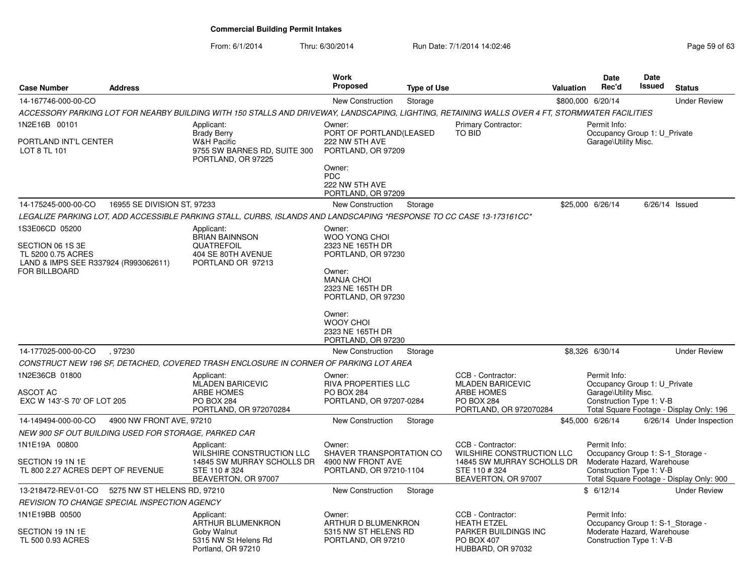|                                                            |                                                      |                                                                                                                                                 | Work                                                                                        |                    |                                                |           | <b>Date</b>                                                          | Date          |                                          |
|------------------------------------------------------------|------------------------------------------------------|-------------------------------------------------------------------------------------------------------------------------------------------------|---------------------------------------------------------------------------------------------|--------------------|------------------------------------------------|-----------|----------------------------------------------------------------------|---------------|------------------------------------------|
| <b>Case Number</b>                                         | <b>Address</b>                                       |                                                                                                                                                 | Proposed                                                                                    | <b>Type of Use</b> |                                                | Valuation | Rec'd                                                                | <b>Issued</b> | <b>Status</b>                            |
| 14-167746-000-00-CO                                        |                                                      |                                                                                                                                                 | New Construction                                                                            | Storage            |                                                |           | \$800,000 6/20/14                                                    |               | <b>Under Review</b>                      |
|                                                            |                                                      | ACCESSORY PARKING LOT FOR NEARBY BUILDING WITH 150 STALLS AND DRIVEWAY, LANDSCAPING, LIGHTING, RETAINING WALLS OVER 4 FT, STORMWATER FACILITIES |                                                                                             |                    |                                                |           |                                                                      |               |                                          |
| 1N2E16B 00101<br>PORTLAND INT'L CENTER                     |                                                      | Applicant:<br><b>Brady Berry</b><br><b>W&amp;H Pacific</b>                                                                                      | <b>Primary Contractor:</b><br>Owner:<br>PORT OF PORTLAND(LEASED<br>TO BID<br>222 NW 5TH AVE |                    |                                                |           | Permit Info:<br>Occupancy Group 1: U Private<br>Garage\Utility Misc. |               |                                          |
| LOT 8 TL 101                                               |                                                      | 9755 SW BARNES RD, SUITE 300<br>PORTLAND, OR 97225                                                                                              | PORTLAND, OR 97209                                                                          |                    |                                                |           |                                                                      |               |                                          |
|                                                            |                                                      |                                                                                                                                                 | Owner:<br><b>PDC</b><br>222 NW 5TH AVE<br>PORTLAND, OR 97209                                |                    |                                                |           |                                                                      |               |                                          |
| 14-175245-000-00-CO                                        | 16955 SE DIVISION ST, 97233                          |                                                                                                                                                 | <b>New Construction</b>                                                                     | Storage            |                                                |           | \$25,000 6/26/14                                                     |               | $6/26/14$ Issued                         |
|                                                            |                                                      | LEGALIZE PARKING LOT, ADD ACCESSIBLE PARKING STALL, CURBS, ISLANDS AND LANDSCAPING *RESPONSE TO CC CASE 13-173161CC*                            |                                                                                             |                    |                                                |           |                                                                      |               |                                          |
| 1S3E06CD 05200                                             |                                                      | Applicant:                                                                                                                                      | Owner:                                                                                      |                    |                                                |           |                                                                      |               |                                          |
|                                                            |                                                      | <b>BRIAN BAINNSON</b>                                                                                                                           | WOO YONG CHOI                                                                               |                    |                                                |           |                                                                      |               |                                          |
| SECTION 06 1S 3E                                           |                                                      | QUATREFOIL                                                                                                                                      | 2323 NE 165TH DR                                                                            |                    |                                                |           |                                                                      |               |                                          |
| TL 5200 0.75 ACRES<br>LAND & IMPS SEE R337924 (R993062611) |                                                      | 404 SE 80TH AVENUE<br>PORTLAND OR 97213                                                                                                         | PORTLAND, OR 97230                                                                          |                    |                                                |           |                                                                      |               |                                          |
| FOR BILLBOARD                                              |                                                      |                                                                                                                                                 | Owner:                                                                                      |                    |                                                |           |                                                                      |               |                                          |
|                                                            |                                                      |                                                                                                                                                 | <b>MANJA CHOI</b>                                                                           |                    |                                                |           |                                                                      |               |                                          |
|                                                            |                                                      |                                                                                                                                                 | 2323 NE 165TH DR<br>PORTLAND, OR 97230                                                      |                    |                                                |           |                                                                      |               |                                          |
|                                                            |                                                      |                                                                                                                                                 | Owner:                                                                                      |                    |                                                |           |                                                                      |               |                                          |
|                                                            |                                                      |                                                                                                                                                 | <b>WOOY CHOI</b><br>2323 NE 165TH DR                                                        |                    |                                                |           |                                                                      |               |                                          |
|                                                            |                                                      |                                                                                                                                                 | PORTLAND, OR 97230                                                                          |                    |                                                |           |                                                                      |               |                                          |
| 14-177025-000-00-CO                                        | .97230                                               |                                                                                                                                                 | <b>New Construction</b>                                                                     | Storage            |                                                |           | \$8,326 6/30/14                                                      |               | <b>Under Review</b>                      |
|                                                            |                                                      | CONSTRUCT NEW 196 SF, DETACHED, COVERED TRASH ENCLOSURE IN CORNER OF PARKING LOT AREA                                                           |                                                                                             |                    |                                                |           |                                                                      |               |                                          |
| 1N2E36CB 01800                                             |                                                      | Applicant:                                                                                                                                      | Owner:<br><b>RIVA PROPERTIES LLC</b>                                                        |                    | CCB - Contractor:<br><b>MLADEN BARICEVIC</b>   |           | Permit Info:                                                         |               |                                          |
| <b>ASCOT AC</b>                                            |                                                      | MLADEN BARICEVIC<br><b>ARBE HOMES</b>                                                                                                           | <b>PO BOX 284</b>                                                                           |                    | <b>ARBE HOMES</b>                              |           | Occupancy Group 1: U_Private<br>Garage\Utility Misc.                 |               |                                          |
| EXC W 143'-S 70' OF LOT 205                                |                                                      | <b>PO BOX 284</b>                                                                                                                               | PORTLAND, OR 97207-0284                                                                     |                    | <b>PO BOX 284</b>                              |           | Construction Type 1: V-B                                             |               |                                          |
|                                                            |                                                      | PORTLAND, OR 972070284                                                                                                                          |                                                                                             |                    | PORTLAND, OR 972070284                         |           |                                                                      |               | Total Square Footage - Display Only: 196 |
| 14-149494-000-00-CO                                        | 4900 NW FRONT AVE, 97210                             |                                                                                                                                                 | <b>New Construction</b>                                                                     | Storage            |                                                |           | \$45,000 6/26/14                                                     |               | 6/26/14 Under Inspection                 |
|                                                            | NEW 900 SF OUT BUILDING USED FOR STORAGE, PARKED CAR |                                                                                                                                                 |                                                                                             |                    |                                                |           |                                                                      |               |                                          |
| 1N1E19A 00800                                              |                                                      | Applicant:<br>WILSHIRE CONSTRUCTION LLC                                                                                                         | Owner:<br>SHAVER TRANSPORTATION CO                                                          |                    | CCB - Contractor:<br>WILSHIRE CONSTRUCTION LLC |           | Permit Info:<br>Occupancy Group 1: S-1_Storage -                     |               |                                          |
| SECTION 19 1N 1E                                           |                                                      | 14845 SW MURRAY SCHOLLS DR                                                                                                                      | 4900 NW FRONT AVE                                                                           |                    | 14845 SW MURRAY SCHOLLS DR                     |           | Moderate Hazard, Warehouse                                           |               |                                          |
| TL 800 2.27 ACRES DEPT OF REVENUE                          |                                                      | STE 110 #324<br>BEAVERTON, OR 97007                                                                                                             | PORTLAND, OR 97210-1104                                                                     |                    | STE 110 #324<br>BEAVERTON, OR 97007            |           | Construction Type 1: V-B                                             |               | Total Square Footage - Display Only: 900 |
|                                                            | 13-218472-REV-01-CO 5275 NW ST HELENS RD, 97210      |                                                                                                                                                 | <b>New Construction</b>                                                                     | Storage            |                                                |           | \$6/12/14                                                            |               | <b>Under Review</b>                      |
|                                                            | REVISION TO CHANGE SPECIAL INSPECTION AGENCY         |                                                                                                                                                 |                                                                                             |                    |                                                |           |                                                                      |               |                                          |
| 1N1E19BB 00500                                             |                                                      | Applicant:                                                                                                                                      | Owner:                                                                                      |                    | CCB - Contractor:                              |           | Permit Info:                                                         |               |                                          |
|                                                            |                                                      | ARTHUR BLUMENKRON                                                                                                                               | ARTHUR D BLUMENKRON                                                                         |                    | <b>HEATH ETZEL</b>                             |           | Occupancy Group 1: S-1 Storage -                                     |               |                                          |
| SECTION 19 1N 1E                                           |                                                      | Goby Walnut                                                                                                                                     | 5315 NW ST HELENS RD                                                                        |                    | PARKER BUILDINGS INC                           |           | Moderate Hazard. Warehouse                                           |               |                                          |
| TL 500 0.93 ACRES                                          |                                                      | 5315 NW St Helens Rd<br>Portland, OR 97210                                                                                                      | PORTLAND, OR 97210                                                                          |                    | <b>PO BOX 407</b><br>HUBBARD, OR 97032         |           | Construction Type 1: V-B                                             |               |                                          |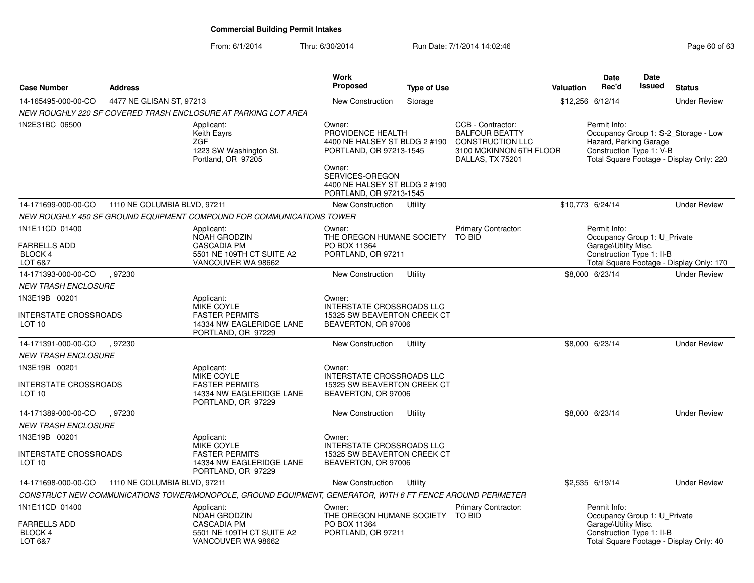| <b>Case Number</b>                                                 | <b>Address</b>               |                                                                                                            | <b>Work</b><br><b>Proposed</b>                                                                                                                                                   | <b>Type of Use</b> |                                                                                                                      | <b>Valuation</b> | <b>Date</b><br>Rec'd                                                                              | Date<br>Issued | <b>Status</b>                                                                    |
|--------------------------------------------------------------------|------------------------------|------------------------------------------------------------------------------------------------------------|----------------------------------------------------------------------------------------------------------------------------------------------------------------------------------|--------------------|----------------------------------------------------------------------------------------------------------------------|------------------|---------------------------------------------------------------------------------------------------|----------------|----------------------------------------------------------------------------------|
| 14-165495-000-00-CO                                                | 4477 NE GLISAN ST, 97213     |                                                                                                            | <b>New Construction</b>                                                                                                                                                          | Storage            |                                                                                                                      | \$12,256 6/12/14 |                                                                                                   |                | <b>Under Review</b>                                                              |
|                                                                    |                              | NEW ROUGHLY 220 SF COVERED TRASH ENCLOSURE AT PARKING LOT AREA                                             |                                                                                                                                                                                  |                    |                                                                                                                      |                  |                                                                                                   |                |                                                                                  |
| 1N2E31BC 06500                                                     |                              | Applicant:<br><b>Keith Eayrs</b><br><b>ZGF</b><br>1223 SW Washington St.<br>Portland, OR 97205             | Owner:<br>PROVIDENCE HEALTH<br>4400 NE HALSEY ST BLDG 2 #190<br>PORTLAND, OR 97213-1545<br>Owner:<br>SERVICES-OREGON<br>4400 NE HALSEY ST BLDG 2 #190<br>PORTLAND, OR 97213-1545 |                    | CCB - Contractor:<br><b>BALFOUR BEATTY</b><br><b>CONSTRUCTION LLC</b><br>3100 MCKINNON 6TH FLOOR<br>DALLAS, TX 75201 |                  | Permit Info:<br>Hazard, Parking Garage<br>Construction Type 1: V-B                                |                | Occupancy Group 1: S-2 Storage - Low<br>Total Square Footage - Display Only: 220 |
| 14-171699-000-00-CO                                                | 1110 NE COLUMBIA BLVD, 97211 |                                                                                                            | New Construction                                                                                                                                                                 | Utility            |                                                                                                                      | \$10,773 6/24/14 |                                                                                                   |                | <b>Under Review</b>                                                              |
|                                                                    |                              | NEW ROUGHLY 450 SF GROUND EQUIPMENT COMPOUND FOR COMMUNICATIONS TOWER                                      |                                                                                                                                                                                  |                    |                                                                                                                      |                  |                                                                                                   |                |                                                                                  |
| 1N1E11CD 01400<br><b>FARRELLS ADD</b><br><b>BLOCK 4</b><br>LOT 6&7 |                              | Applicant:<br>NOAH GRODZIN<br><b>CASCADIA PM</b><br>5501 NE 109TH CT SUITE A2<br>VANCOUVER WA 98662        | Owner:<br>THE OREGON HUMANE SOCIETY<br>PO BOX 11364<br>PORTLAND, OR 97211                                                                                                        |                    | Primary Contractor:<br><b>TO BID</b>                                                                                 |                  | Permit Info:<br>Occupancy Group 1: U Private<br>Garage\Utility Misc.<br>Construction Type 1: II-B |                | Total Square Footage - Display Only: 170                                         |
| 14-171393-000-00-CO                                                | .97230                       |                                                                                                            | <b>New Construction</b>                                                                                                                                                          | Utility            |                                                                                                                      |                  | \$8,000 6/23/14                                                                                   |                | <b>Under Review</b>                                                              |
| <b>NEW TRASH ENCLOSURE</b>                                         |                              |                                                                                                            |                                                                                                                                                                                  |                    |                                                                                                                      |                  |                                                                                                   |                |                                                                                  |
| 1N3E19B 00201                                                      |                              | Applicant:<br><b>MIKE COYLE</b>                                                                            | Owner:<br><b>INTERSTATE CROSSROADS LLC</b>                                                                                                                                       |                    |                                                                                                                      |                  |                                                                                                   |                |                                                                                  |
| INTERSTATE CROSSROADS<br>LOT <sub>10</sub>                         |                              | <b>FASTER PERMITS</b><br>14334 NW EAGLERIDGE LANE<br>PORTLAND, OR 97229                                    | 15325 SW BEAVERTON CREEK CT<br>BEAVERTON, OR 97006                                                                                                                               |                    |                                                                                                                      |                  |                                                                                                   |                |                                                                                  |
| 14-171391-000-00-CO                                                | .97230                       |                                                                                                            | New Construction                                                                                                                                                                 | Utility            |                                                                                                                      |                  | \$8,000 6/23/14                                                                                   |                | <b>Under Review</b>                                                              |
| <b>NEW TRASH ENCLOSURE</b>                                         |                              |                                                                                                            |                                                                                                                                                                                  |                    |                                                                                                                      |                  |                                                                                                   |                |                                                                                  |
| 1N3E19B 00201                                                      |                              | Applicant:                                                                                                 | Owner:                                                                                                                                                                           |                    |                                                                                                                      |                  |                                                                                                   |                |                                                                                  |
| INTERSTATE CROSSROADS<br>LOT 10                                    |                              | MIKE COYLE<br><b>FASTER PERMITS</b><br>14334 NW EAGLERIDGE LANE<br>PORTLAND, OR 97229                      | <b>INTERSTATE CROSSROADS LLC</b><br>15325 SW BEAVERTON CREEK CT<br>BEAVERTON, OR 97006                                                                                           |                    |                                                                                                                      |                  |                                                                                                   |                |                                                                                  |
| 14-171389-000-00-CO                                                | .97230                       |                                                                                                            | <b>New Construction</b>                                                                                                                                                          | Utility            |                                                                                                                      |                  | \$8,000 6/23/14                                                                                   |                | <b>Under Review</b>                                                              |
| <b>NEW TRASH ENCLOSURE</b>                                         |                              |                                                                                                            |                                                                                                                                                                                  |                    |                                                                                                                      |                  |                                                                                                   |                |                                                                                  |
| 1N3E19B 00201                                                      |                              | Applicant:<br><b>MIKE COYLE</b>                                                                            | Owner:<br><b>INTERSTATE CROSSROADS LLC</b>                                                                                                                                       |                    |                                                                                                                      |                  |                                                                                                   |                |                                                                                  |
| INTERSTATE CROSSROADS<br>LOT <sub>10</sub>                         |                              | <b>FASTER PERMITS</b><br>14334 NW EAGLERIDGE LANE<br>PORTLAND, OR 97229                                    | 15325 SW BEAVERTON CREEK CT<br>BEAVERTON, OR 97006                                                                                                                               |                    |                                                                                                                      |                  |                                                                                                   |                |                                                                                  |
| 14-171698-000-00-CO                                                | 1110 NE COLUMBIA BLVD, 97211 |                                                                                                            | <b>New Construction</b>                                                                                                                                                          | Utility            |                                                                                                                      |                  | \$2,535 6/19/14                                                                                   |                | <b>Under Review</b>                                                              |
|                                                                    |                              | CONSTRUCT NEW COMMUNICATIONS TOWER/MONOPOLE, GROUND EQUIPMENT, GENERATOR, WITH 6 FT FENCE AROUND PERIMETER |                                                                                                                                                                                  |                    |                                                                                                                      |                  |                                                                                                   |                |                                                                                  |
| 1N1E11CD 01400                                                     |                              | Applicant:<br>NOAH GRODZIN                                                                                 | Owner:<br>THE OREGON HUMANE SOCIETY TO BID                                                                                                                                       |                    | Primary Contractor:                                                                                                  |                  | Permit Info:<br>Occupancy Group 1: U Private                                                      |                |                                                                                  |
| <b>FARRELLS ADD</b><br><b>BLOCK 4</b><br>LOT 6&7                   |                              | <b>CASCADIA PM</b><br>5501 NE 109TH CT SUITE A2<br>VANCOUVER WA 98662                                      | PO BOX 11364<br>PORTLAND, OR 97211                                                                                                                                               |                    |                                                                                                                      |                  | Garage\Utility Misc.<br>Construction Type 1: II-B                                                 |                | Total Square Footage - Display Only: 40                                          |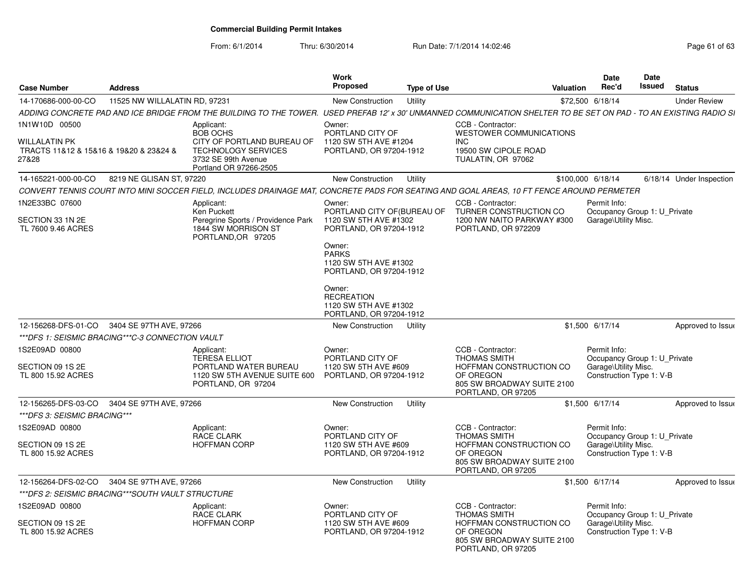From: 6/1/2014

| <b>Case Number</b>                                                                | <b>Address</b>                                                                                                      |                                                                                                                                                                    | <b>Work</b><br><b>Proposed</b>                                                                                                                                          | <b>Type of Use</b> |                                                                                                                                                      | <b>Valuation</b>                                                                                                                                          | <b>Date</b><br>Rec'd                                                                             | <b>Date</b><br><b>Issued</b>                                                     | <b>Status</b>            |  |
|-----------------------------------------------------------------------------------|---------------------------------------------------------------------------------------------------------------------|--------------------------------------------------------------------------------------------------------------------------------------------------------------------|-------------------------------------------------------------------------------------------------------------------------------------------------------------------------|--------------------|------------------------------------------------------------------------------------------------------------------------------------------------------|-----------------------------------------------------------------------------------------------------------------------------------------------------------|--------------------------------------------------------------------------------------------------|----------------------------------------------------------------------------------|--------------------------|--|
| 14-170686-000-00-CO                                                               | 11525 NW WILLALATIN RD, 97231                                                                                       |                                                                                                                                                                    | New Construction                                                                                                                                                        | Utility            |                                                                                                                                                      |                                                                                                                                                           | \$72,500 6/18/14                                                                                 |                                                                                  | <b>Under Review</b>      |  |
|                                                                                   |                                                                                                                     | ADDING CONCRETE PAD AND ICE BRIDGE FROM THE BUILDING TO THE TOWER. USED PREFAB 12' x 30' UNMANNED COMMUNICATION SHELTER TO BE SET ON PAD - TO AN EXISTING RADIO SI |                                                                                                                                                                         |                    |                                                                                                                                                      |                                                                                                                                                           |                                                                                                  |                                                                                  |                          |  |
| 1N1W10D 00500<br>WILLALATIN PK<br>TRACTS 11&12 & 15&16 & 19&20 & 23&24 &<br>27&28 |                                                                                                                     | Applicant:<br><b>BOB OCHS</b><br>CITY OF PORTLAND BUREAU OF<br><b>TECHNOLOGY SERVICES</b><br>3732 SE 99th Avenue<br>Portland OR 97266-2505                         | Owner:<br>PORTLAND CITY OF<br>1120 SW 5TH AVE #1204<br>PORTLAND, OR 97204-1912                                                                                          |                    | CCB - Contractor:<br><b>WESTOWER COMMUNICATIONS</b><br><b>INC</b><br>19500 SW CIPOLE ROAD<br>TUALATIN, OR 97062                                      |                                                                                                                                                           |                                                                                                  |                                                                                  |                          |  |
| 14-165221-000-00-CO                                                               | 8219 NE GLISAN ST, 97220                                                                                            |                                                                                                                                                                    | New Construction                                                                                                                                                        | Utility            |                                                                                                                                                      |                                                                                                                                                           | \$100,000 6/18/14                                                                                |                                                                                  | 6/18/14 Under Inspection |  |
|                                                                                   |                                                                                                                     | CONVERT TENNIS COURT INTO MINI SOCCER FIELD, INCLUDES DRAINAGE MAT, CONCRETE PADS FOR SEATING AND GOAL AREAS, 10 FT FENCE AROUND PERMETER                          |                                                                                                                                                                         |                    |                                                                                                                                                      |                                                                                                                                                           |                                                                                                  |                                                                                  |                          |  |
| 1N2E33BC 07600<br>SECTION 33 1N 2E<br>TL 7600 9.46 ACRES                          | Applicant:<br><b>Ken Puckett</b><br>Peregrine Sports / Providence Park<br>1844 SW MORRISON ST<br>PORTLAND, OR 97205 |                                                                                                                                                                    | Owner:<br>PORTLAND CITY OF (BUREAU OF<br>1120 SW 5TH AVE #1302<br>PORTLAND, OR 97204-1912<br>Owner:<br><b>PARKS</b><br>1120 SW 5TH AVE #1302<br>PORTLAND, OR 97204-1912 |                    | CCB - Contractor:<br>TURNER CONSTRUCTION CO<br>1200 NW NAITO PARKWAY #300<br>PORTLAND, OR 972209                                                     |                                                                                                                                                           | Permit Info:<br>Occupancy Group 1: U Private<br>Garage\Utility Misc.                             |                                                                                  |                          |  |
|                                                                                   |                                                                                                                     |                                                                                                                                                                    | Owner:<br><b>RECREATION</b><br>1120 SW 5TH AVE #1302<br>PORTLAND, OR 97204-1912                                                                                         |                    |                                                                                                                                                      |                                                                                                                                                           |                                                                                                  |                                                                                  |                          |  |
| 12-156268-DFS-01-CO<br>3404 SE 97TH AVE, 97266                                    |                                                                                                                     |                                                                                                                                                                    | New Construction                                                                                                                                                        | Utility            |                                                                                                                                                      |                                                                                                                                                           | \$1,500 6/17/14                                                                                  |                                                                                  | Approved to Issue        |  |
| ***DFS 1: SEISMIC BRACING***C-3 CONNECTION VAULT                                  |                                                                                                                     |                                                                                                                                                                    |                                                                                                                                                                         |                    |                                                                                                                                                      |                                                                                                                                                           |                                                                                                  |                                                                                  |                          |  |
| 1S2E09AD 00800<br>SECTION 09 1S 2E<br>TL 800 15.92 ACRES                          |                                                                                                                     | Applicant:<br><b>TERESA ELLIOT</b><br>PORTLAND WATER BUREAU<br>1120 SW 5TH AVENUE SUITE 600<br>PORTLAND, OR 97204                                                  | Owner:<br>PORTLAND CITY OF<br>1120 SW 5TH AVE #609<br>PORTLAND, OR 97204-1912                                                                                           |                    | CCB - Contractor:<br>Permit Info:<br><b>THOMAS SMITH</b><br>HOFFMAN CONSTRUCTION CO<br>OF OREGON<br>805 SW BROADWAY SUITE 2100<br>PORTLAND, OR 97205 |                                                                                                                                                           |                                                                                                  | Occupancy Group 1: U Private<br>Garage\Utility Misc.<br>Construction Type 1: V-B |                          |  |
| 12-156265-DFS-03-CO                                                               | 3404 SE 97TH AVE, 97266                                                                                             |                                                                                                                                                                    | <b>New Construction</b>                                                                                                                                                 | Utility            |                                                                                                                                                      |                                                                                                                                                           | \$1,500 6/17/14                                                                                  |                                                                                  | Approved to Issue        |  |
| ***DFS 3: SEISMIC BRACING***                                                      |                                                                                                                     |                                                                                                                                                                    |                                                                                                                                                                         |                    |                                                                                                                                                      |                                                                                                                                                           |                                                                                                  |                                                                                  |                          |  |
| 1S2E09AD 00800<br>SECTION 09 1S 2E<br>TL 800 15.92 ACRES                          |                                                                                                                     | Applicant:<br><b>RACE CLARK</b><br><b>HOFFMAN CORP</b>                                                                                                             | Owner:<br>PORTLAND CITY OF<br>1120 SW 5TH AVE #609<br>PORTLAND, OR 97204-1912                                                                                           |                    | CCB - Contractor:<br><b>THOMAS SMITH</b><br>OF OREGON<br>PORTLAND, OR 97205                                                                          | Permit Info:<br>Occupancy Group 1: U Private<br>HOFFMAN CONSTRUCTION CO<br>Garage\Utility Misc.<br>Construction Type 1: V-B<br>805 SW BROADWAY SUITE 2100 |                                                                                                  |                                                                                  |                          |  |
| 12-156264-DFS-02-CO                                                               | 3404 SE 97TH AVE, 97266                                                                                             |                                                                                                                                                                    | New Construction                                                                                                                                                        | Utility            |                                                                                                                                                      |                                                                                                                                                           | \$1,500 6/17/14                                                                                  |                                                                                  | Approved to Issue        |  |
| ***DFS 2: SEISMIC BRACING***SOUTH VAULT STRUCTURE                                 |                                                                                                                     |                                                                                                                                                                    |                                                                                                                                                                         |                    |                                                                                                                                                      |                                                                                                                                                           |                                                                                                  |                                                                                  |                          |  |
| 1S2E09AD 00800<br>SECTION 09 1S 2E<br>TL 800 15.92 ACRES                          |                                                                                                                     | Applicant:<br><b>RACE CLARK</b><br><b>HOFFMAN CORP</b>                                                                                                             | Owner:<br>PORTLAND CITY OF<br>1120 SW 5TH AVE #609<br>PORTLAND, OR 97204-1912                                                                                           |                    | CCB - Contractor:<br><b>THOMAS SMITH</b><br>HOFFMAN CONSTRUCTION CO<br>OF OREGON<br>805 SW BROADWAY SUITE 2100<br>PORTLAND, OR 97205                 |                                                                                                                                                           | Permit Info:<br>Occupancy Group 1: U Private<br>Garage\Utility Misc.<br>Construction Type 1: V-B |                                                                                  |                          |  |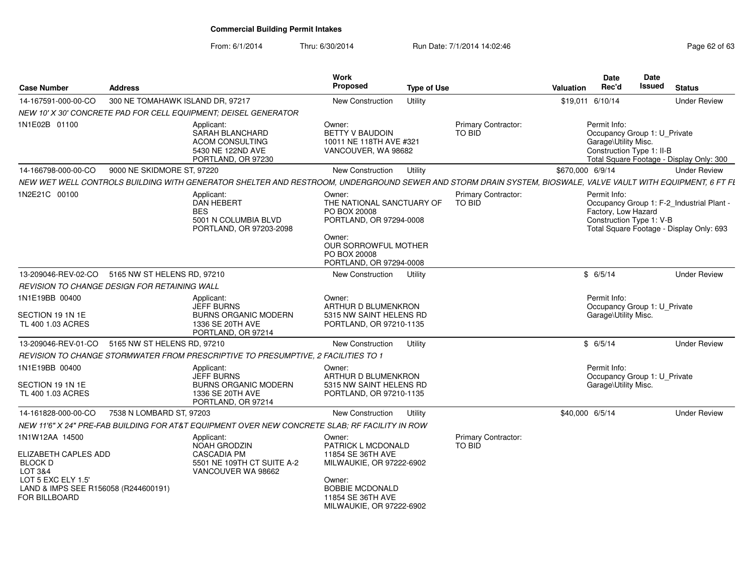| <b>Case Number</b>                                                                                                                                 | <b>Address</b>                                      |                                                                                                                                                             | Work<br>Proposed                                                                                                                                                   | <b>Type of Use</b> |                                      | <b>Valuation</b> | <b>Date</b><br>Rec'd                                                                              | <b>Date</b><br><b>Issued</b> | <b>Status</b>                                                                         |
|----------------------------------------------------------------------------------------------------------------------------------------------------|-----------------------------------------------------|-------------------------------------------------------------------------------------------------------------------------------------------------------------|--------------------------------------------------------------------------------------------------------------------------------------------------------------------|--------------------|--------------------------------------|------------------|---------------------------------------------------------------------------------------------------|------------------------------|---------------------------------------------------------------------------------------|
| 14-167591-000-00-CO                                                                                                                                | 300 NE TOMAHAWK ISLAND DR, 97217                    |                                                                                                                                                             | New Construction                                                                                                                                                   | Utility            |                                      |                  | \$19,011 6/10/14                                                                                  |                              | <b>Under Review</b>                                                                   |
|                                                                                                                                                    |                                                     | NEW 10' X 30' CONCRETE PAD FOR CELL EQUIPMENT; DEISEL GENERATOR                                                                                             |                                                                                                                                                                    |                    |                                      |                  |                                                                                                   |                              |                                                                                       |
| 1N1E02B 01100                                                                                                                                      |                                                     | Applicant:<br>SARAH BLANCHARD<br><b>ACOM CONSULTING</b><br>5430 NE 122ND AVE<br>PORTLAND, OR 97230                                                          | Owner:<br>BETTY V BAUDOIN<br>10011 NE 118TH AVE #321<br>VANCOUVER, WA 98682                                                                                        |                    | Primary Contractor:<br>TO BID        |                  | Permit Info:<br>Occupancy Group 1: U_Private<br>Garage\Utility Misc.<br>Construction Type 1: II-B |                              | Total Square Footage - Display Only: 300                                              |
| 14-166798-000-00-CO                                                                                                                                | 9000 NE SKIDMORE ST, 97220                          |                                                                                                                                                             | New Construction                                                                                                                                                   | Utility            |                                      | \$670,000 6/9/14 |                                                                                                   |                              | <b>Under Review</b>                                                                   |
|                                                                                                                                                    |                                                     | NEW WET WELL CONTROLS BUILDING WITH GENERATOR SHELTER AND RESTROOM, UNDERGROUND SEWER AND STORM DRAIN SYSTEM, BIOSWALE, VALVE VAULT WITH EQUIPMENT, 6 FT FL |                                                                                                                                                                    |                    |                                      |                  |                                                                                                   |                              |                                                                                       |
| 1N2E21C 00100                                                                                                                                      |                                                     | Applicant:<br>DAN HEBERT<br><b>BES</b><br>5001 N COLUMBIA BLVD<br>PORTLAND, OR 97203-2098                                                                   | Owner:<br>THE NATIONAL SANCTUARY OF<br>PO BOX 20008<br>PORTLAND, OR 97294-0008<br>Owner:<br><b>OUR SORROWFUL MOTHER</b><br>PO BOX 20008<br>PORTLAND, OR 97294-0008 |                    | <b>Primary Contractor:</b><br>TO BID |                  | Permit Info:<br>Factory, Low Hazard<br>Construction Type 1: V-B                                   |                              | Occupancy Group 1: F-2_Industrial Plant -<br>Total Square Footage - Display Only: 693 |
| 13-209046-REV-02-CO                                                                                                                                | 5165 NW ST HELENS RD, 97210                         |                                                                                                                                                             | New Construction                                                                                                                                                   | Utility            |                                      |                  | \$6/5/14                                                                                          |                              | <b>Under Review</b>                                                                   |
|                                                                                                                                                    | <b>REVISION TO CHANGE DESIGN FOR RETAINING WALL</b> |                                                                                                                                                             |                                                                                                                                                                    |                    |                                      |                  |                                                                                                   |                              |                                                                                       |
| 1N1E19BB 00400<br>SECTION 19 1N 1E<br>TL 400 1.03 ACRES                                                                                            |                                                     | Applicant:<br><b>JEFF BURNS</b><br><b>BURNS ORGANIC MODERN</b><br>1336 SE 20TH AVE<br>PORTLAND, OR 97214                                                    | Owner:<br>ARTHUR D BLUMENKRON<br>5315 NW SAINT HELENS RD<br>PORTLAND, OR 97210-1135                                                                                |                    |                                      |                  | Permit Info:<br>Occupancy Group 1: U_Private<br>Garage\Utility Misc.                              |                              |                                                                                       |
| 13-209046-REV-01-CO                                                                                                                                | 5165 NW ST HELENS RD, 97210                         |                                                                                                                                                             | New Construction                                                                                                                                                   | Utility            |                                      |                  | \$6/5/14                                                                                          |                              | <b>Under Review</b>                                                                   |
|                                                                                                                                                    |                                                     | REVISION TO CHANGE STORMWATER FROM PRESCRIPTIVE TO PRESUMPTIVE, 2 FACILITIES TO 1                                                                           |                                                                                                                                                                    |                    |                                      |                  |                                                                                                   |                              |                                                                                       |
| 1N1E19BB 00400<br>SECTION 19 1N 1E<br>TL 400 1.03 ACRES                                                                                            |                                                     | Applicant:<br><b>JEFF BURNS</b><br><b>BURNS ORGANIC MODERN</b><br>1336 SE 20TH AVE<br>PORTLAND, OR 97214                                                    | Owner:<br>ARTHUR D BLUMENKRON<br>5315 NW SAINT HELENS RD<br>PORTLAND, OR 97210-1135                                                                                |                    |                                      |                  | Permit Info:<br>Occupancy Group 1: U_Private<br>Garage\Utility Misc.                              |                              |                                                                                       |
| 14-161828-000-00-CO                                                                                                                                | 7538 N LOMBARD ST, 97203                            |                                                                                                                                                             | New Construction                                                                                                                                                   | Utility            |                                      | \$40,000 6/5/14  |                                                                                                   |                              | <b>Under Review</b>                                                                   |
|                                                                                                                                                    |                                                     | NEW 11'6" X 24" PRE-FAB BUILDING FOR AT&T EQUIPMENT OVER NEW CONCRETE SLAB; RF FACILITY IN ROW                                                              |                                                                                                                                                                    |                    |                                      |                  |                                                                                                   |                              |                                                                                       |
| 1N1W12AA 14500<br>ELIZABETH CAPLES ADD<br><b>BLOCK D</b><br>LOT 3&4<br>LOT 5 EXC ELY 1.5'<br>LAND & IMPS SEE R156058 (R244600191)<br>FOR BILLBOARD |                                                     | Applicant:<br><b>NOAH GRODZIN</b><br><b>CASCADIA PM</b><br>5501 NE 109TH CT SUITE A-2<br>VANCOUVER WA 98662                                                 | Owner:<br>PATRICK L MCDONALD<br>11854 SE 36TH AVE<br>MILWAUKIE, OR 97222-6902<br>Owner:<br><b>BOBBIE MCDONALD</b><br>11854 SE 36TH AVE<br>MILWAUKIE, OR 97222-6902 |                    | Primary Contractor:<br>TO BID        |                  |                                                                                                   |                              |                                                                                       |